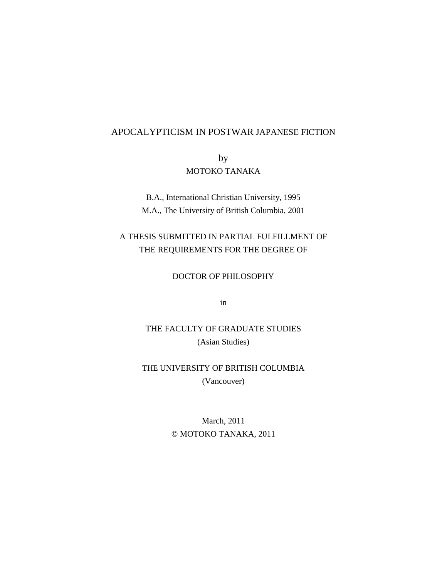### APOCALYPTICISM IN POSTWAR JAPANESE FICTION

by MOTOKO TANAKA

B.A., International Christian University, 1995 M.A., The University of British Columbia, 2001

# A THESIS SUBMITTED IN PARTIAL FULFILLMENT OF THE REQUIREMENTS FOR THE DEGREE OF

#### DOCTOR OF PHILOSOPHY

in

# THE FACULTY OF GRADUATE STUDIES (Asian Studies)

# THE UNIVERSITY OF BRITISH COLUMBIA (Vancouver)

March, 2011 © MOTOKO TANAKA, 2011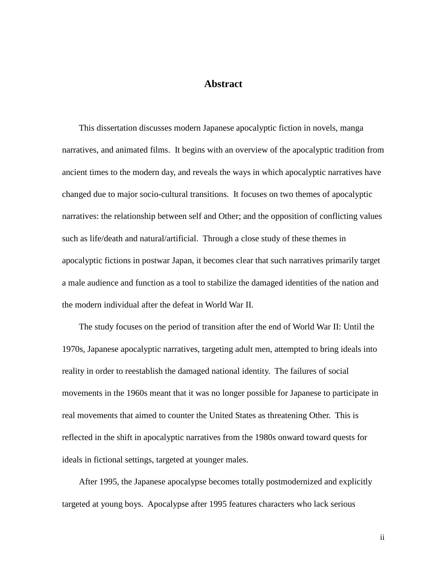### **Abstract**

This dissertation discusses modern Japanese apocalyptic fiction in novels, manga narratives, and animated films. It begins with an overview of the apocalyptic tradition from ancient times to the modern day, and reveals the ways in which apocalyptic narratives have changed due to major socio-cultural transitions. It focuses on two themes of apocalyptic narratives: the relationship between self and Other; and the opposition of conflicting values such as life/death and natural/artificial. Through a close study of these themes in apocalyptic fictions in postwar Japan, it becomes clear that such narratives primarily target a male audience and function as a tool to stabilize the damaged identities of the nation and the modern individual after the defeat in World War II.

The study focuses on the period of transition after the end of World War II: Until the 1970s, Japanese apocalyptic narratives, targeting adult men, attempted to bring ideals into reality in order to reestablish the damaged national identity. The failures of social movements in the 1960s meant that it was no longer possible for Japanese to participate in real movements that aimed to counter the United States as threatening Other. This is reflected in the shift in apocalyptic narratives from the 1980s onward toward quests for ideals in fictional settings, targeted at younger males.

After 1995, the Japanese apocalypse becomes totally postmodernized and explicitly targeted at young boys. Apocalypse after 1995 features characters who lack serious

ii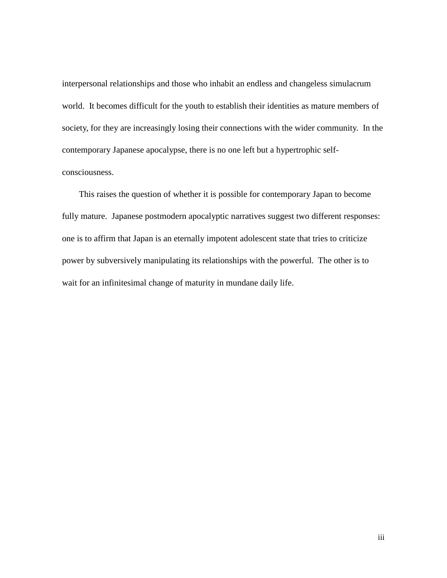interpersonal relationships and those who inhabit an endless and changeless simulacrum world. It becomes difficult for the youth to establish their identities as mature members of society, for they are increasingly losing their connections with the wider community. In the contemporary Japanese apocalypse, there is no one left but a hypertrophic selfconsciousness.

This raises the question of whether it is possible for contemporary Japan to become fully mature. Japanese postmodern apocalyptic narratives suggest two different responses: one is to affirm that Japan is an eternally impotent adolescent state that tries to criticize power by subversively manipulating its relationships with the powerful. The other is to wait for an infinitesimal change of maturity in mundane daily life.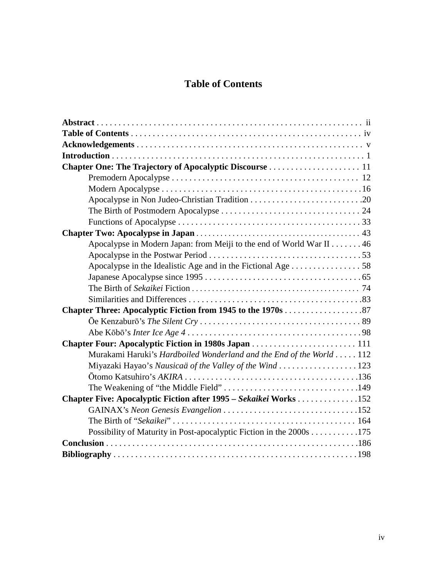# **Table of Contents**

| Apocalypse in Modern Japan: from Meiji to the end of World War II 46 |  |
|----------------------------------------------------------------------|--|
|                                                                      |  |
| Apocalypse in the Idealistic Age and in the Fictional Age 58         |  |
|                                                                      |  |
|                                                                      |  |
|                                                                      |  |
|                                                                      |  |
|                                                                      |  |
|                                                                      |  |
|                                                                      |  |
| Murakami Haruki's Hardboiled Wonderland and the End of the World 112 |  |
|                                                                      |  |
|                                                                      |  |
|                                                                      |  |
| Chapter Five: Apocalyptic Fiction after 1995 - Sekaikei Works 152    |  |
|                                                                      |  |
|                                                                      |  |
| Possibility of Maturity in Post-apocalyptic Fiction in the 2000s 175 |  |
|                                                                      |  |
|                                                                      |  |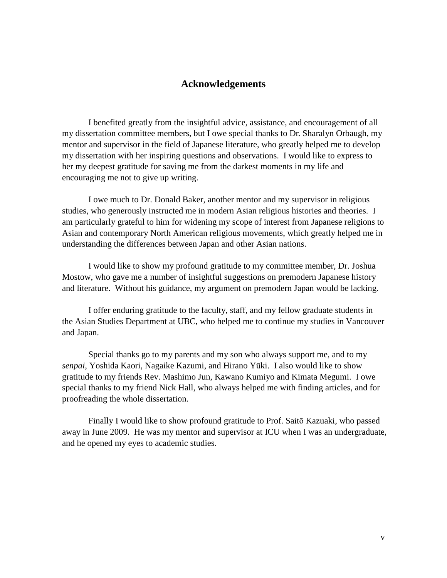### **Acknowledgements**

I benefited greatly from the insightful advice, assistance, and encouragement of all my dissertation committee members, but I owe special thanks to Dr. Sharalyn Orbaugh, my mentor and supervisor in the field of Japanese literature, who greatly helped me to develop my dissertation with her inspiring questions and observations. I would like to express to her my deepest gratitude for saving me from the darkest moments in my life and encouraging me not to give up writing.

I owe much to Dr. Donald Baker, another mentor and my supervisor in religious studies, who generously instructed me in modern Asian religious histories and theories. I am particularly grateful to him for widening my scope of interest from Japanese religions to Asian and contemporary North American religious movements, which greatly helped me in understanding the differences between Japan and other Asian nations.

I would like to show my profound gratitude to my committee member, Dr. Joshua Mostow, who gave me a number of insightful suggestions on premodern Japanese history and literature. Without his guidance, my argument on premodern Japan would be lacking.

I offer enduring gratitude to the faculty, staff, and my fellow graduate students in the Asian Studies Department at UBC, who helped me to continue my studies in Vancouver and Japan.

Special thanks go to my parents and my son who always support me, and to my *senpai*, Yoshida Kaori, Nagaike Kazumi, and Hirano Yūki. I also would like to show gratitude to my friends Rev. Mashimo Jun, Kawano Kumiyo and Kimata Megumi. I owe special thanks to my friend Nick Hall, who always helped me with finding articles, and for proofreading the whole dissertation.

Finally I would like to show profound gratitude to Prof. Saitō Kazuaki, who passed away in June 2009. He was my mentor and supervisor at ICU when I was an undergraduate, and he opened my eyes to academic studies.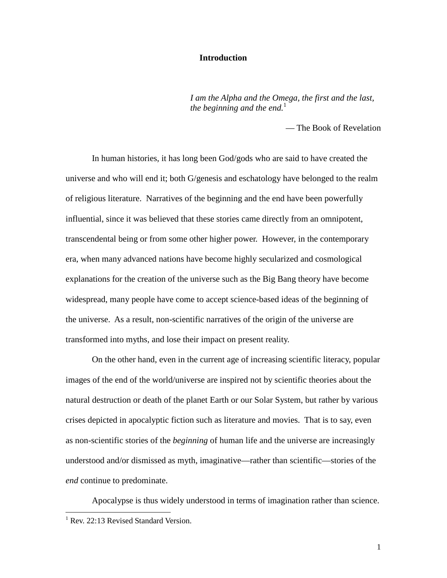#### **Introduction**

*I am the Alpha and the Omega, the first and the last, the beginning and the end.*<sup>1</sup>

— The Book of Revelation

In human histories, it has long been God/gods who are said to have created the universe and who will end it; both G/genesis and eschatology have belonged to the realm of religious literature. Narratives of the beginning and the end have been powerfully influential, since it was believed that these stories came directly from an omnipotent, transcendental being or from some other higher power. However, in the contemporary era, when many advanced nations have become highly secularized and cosmological explanations for the creation of the universe such as the Big Bang theory have become widespread, many people have come to accept science-based ideas of the beginning of the universe. As a result, non-scientific narratives of the origin of the universe are transformed into myths, and lose their impact on present reality.

On the other hand, even in the current age of increasing scientific literacy, popular images of the end of the world/universe are inspired not by scientific theories about the natural destruction or death of the planet Earth or our Solar System, but rather by various crises depicted in apocalyptic fiction such as literature and movies. That is to say, even as non-scientific stories of the *beginning* of human life and the universe are increasingly understood and/or dismissed as myth, imaginative—rather than scientific—stories of the *end* continue to predominate.

Apocalypse is thus widely understood in terms of imagination rather than science. <sup>1</sup> Rev. 22:13 Revised Standard Version.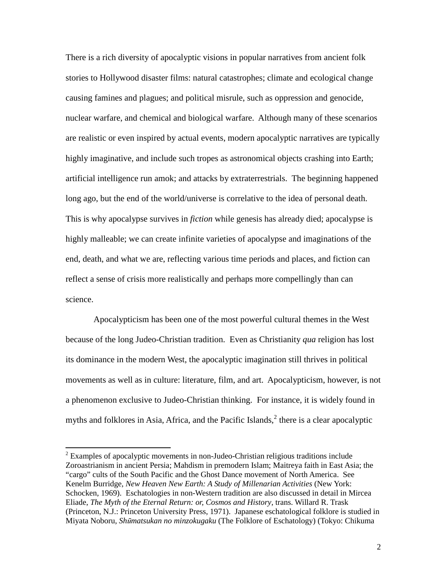There is a rich diversity of apocalyptic visions in popular narratives from ancient folk stories to Hollywood disaster films: natural catastrophes; climate and ecological change causing famines and plagues; and political misrule, such as oppression and genocide, nuclear warfare, and chemical and biological warfare. Although many of these scenarios are realistic or even inspired by actual events, modern apocalyptic narratives are typically highly imaginative, and include such tropes as astronomical objects crashing into Earth; artificial intelligence run amok; and attacks by extraterrestrials. The beginning happened long ago, but the end of the world/universe is correlative to the idea of personal death. This is why apocalypse survives in *fiction* while genesis has already died; apocalypse is highly malleable; we can create infinite varieties of apocalypse and imaginations of the end, death, and what we are, reflecting various time periods and places, and fiction can reflect a sense of crisis more realistically and perhaps more compellingly than can science.

 Apocalypticism has been one of the most powerful cultural themes in the West because of the long Judeo-Christian tradition. Even as Christianity *qua* religion has lost its dominance in the modern West, the apocalyptic imagination still thrives in political movements as well as in culture: literature, film, and art. Apocalypticism, however, is not a phenomenon exclusive to Judeo-Christian thinking. For instance, it is widely found in myths and folklores in Asia, Africa, and the Pacific Islands, $<sup>2</sup>$  there is a clear apocalyptic</sup>

 $2^{2}$  Examples of apocalyptic movements in non-Judeo-Christian religious traditions include Zoroastrianism in ancient Persia; Mahdism in premodern Islam; Maitreya faith in East Asia; the "cargo" cults of the South Pacific and the Ghost Dance movement of North America. See Kenelm Burridge, *New Heaven New Earth: A Study of Millenarian Activities* (New York: Schocken, 1969). Eschatologies in non-Western tradition are also discussed in detail in Mircea Eliade, *The Myth of the Eternal Return: or, Cosmos and History*, trans. Willard R. Trask (Princeton, N.J.: Princeton University Press, 1971). Japanese eschatological folklore is studied in Miyata Noboru, *Sh*ū*matsukan no minzokugaku* (The Folklore of Eschatology) (Tokyo: Chikuma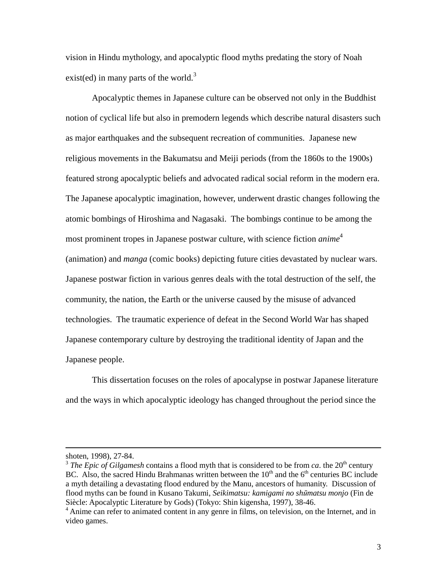vision in Hindu mythology, and apocalyptic flood myths predating the story of Noah exist(ed) in many parts of the world. $3$ 

Apocalyptic themes in Japanese culture can be observed not only in the Buddhist notion of cyclical life but also in premodern legends which describe natural disasters such as major earthquakes and the subsequent recreation of communities. Japanese new religious movements in the Bakumatsu and Meiji periods (from the 1860s to the 1900s) featured strong apocalyptic beliefs and advocated radical social reform in the modern era. The Japanese apocalyptic imagination, however, underwent drastic changes following the atomic bombings of Hiroshima and Nagasaki. The bombings continue to be among the most prominent tropes in Japanese postwar culture, with science fiction *anime*<sup>4</sup> (animation) and *manga* (comic books) depicting future cities devastated by nuclear wars. Japanese postwar fiction in various genres deals with the total destruction of the self, the community, the nation, the Earth or the universe caused by the misuse of advanced technologies. The traumatic experience of defeat in the Second World War has shaped Japanese contemporary culture by destroying the traditional identity of Japan and the Japanese people.

This dissertation focuses on the roles of apocalypse in postwar Japanese literature and the ways in which apocalyptic ideology has changed throughout the period since the

shoten, 1998), 27-84.

<sup>&</sup>lt;sup>3</sup> The Epic of Gilgamesh contains a flood myth that is considered to be from *ca*. the  $20<sup>th</sup>$  century BC. Also, the sacred Hindu Brahmanas written between the  $10<sup>th</sup>$  and the  $6<sup>th</sup>$  centuries BC include a myth detailing a devastating flood endured by the Manu, ancestors of humanity. Discussion of flood myths can be found in Kusano Takumi, *Seikimatsu: kamigami no sh*ū*matsu monjo* (Fin de Siècle: Apocalyptic Literature by Gods) (Tokyo: Shin kigensha, 1997), 38-46.

<sup>&</sup>lt;sup>4</sup> Anime can refer to animated content in any genre in films, on television, on the Internet, and in video games.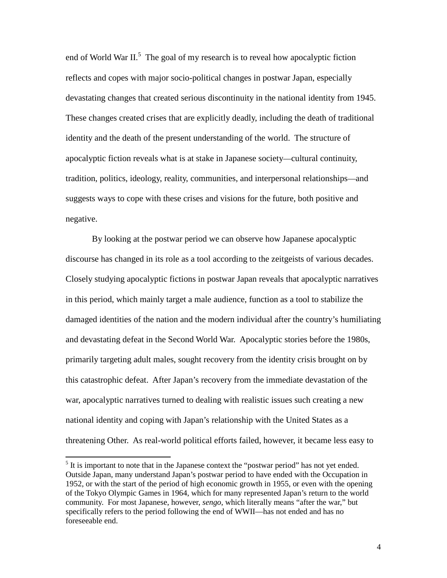end of World War  $II$ <sup>5</sup>. The goal of my research is to reveal how apocalyptic fiction reflects and copes with major socio-political changes in postwar Japan, especially devastating changes that created serious discontinuity in the national identity from 1945. These changes created crises that are explicitly deadly, including the death of traditional identity and the death of the present understanding of the world. The structure of apocalyptic fiction reveals what is at stake in Japanese society—cultural continuity, tradition, politics, ideology, reality, communities, and interpersonal relationships—and suggests ways to cope with these crises and visions for the future, both positive and negative.

By looking at the postwar period we can observe how Japanese apocalyptic discourse has changed in its role as a tool according to the zeitgeists of various decades. Closely studying apocalyptic fictions in postwar Japan reveals that apocalyptic narratives in this period, which mainly target a male audience, function as a tool to stabilize the damaged identities of the nation and the modern individual after the country's humiliating and devastating defeat in the Second World War. Apocalyptic stories before the 1980s, primarily targeting adult males, sought recovery from the identity crisis brought on by this catastrophic defeat. After Japan's recovery from the immediate devastation of the war, apocalyptic narratives turned to dealing with realistic issues such creating a new national identity and coping with Japan's relationship with the United States as a threatening Other. As real-world political efforts failed, however, it became less easy to

<sup>&</sup>lt;sup>5</sup> It is important to note that in the Japanese context the "postwar period" has not yet ended. Outside Japan, many understand Japan's postwar period to have ended with the Occupation in 1952, or with the start of the period of high economic growth in 1955, or even with the opening of the Tokyo Olympic Games in 1964, which for many represented Japan's return to the world community. For most Japanese, however, *sengo*, which literally means "after the war," but specifically refers to the period following the end of WWII—has not ended and has no foreseeable end.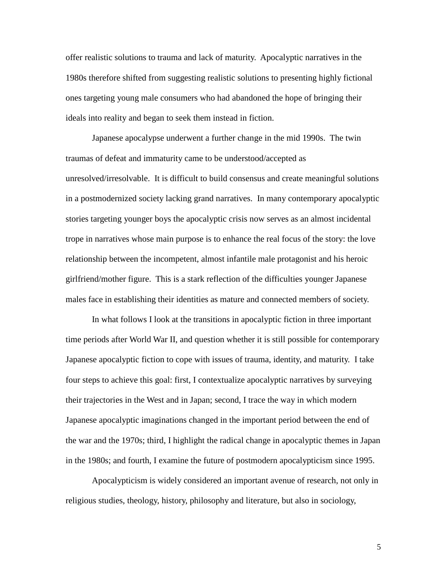offer realistic solutions to trauma and lack of maturity. Apocalyptic narratives in the 1980s therefore shifted from suggesting realistic solutions to presenting highly fictional ones targeting young male consumers who had abandoned the hope of bringing their ideals into reality and began to seek them instead in fiction.

Japanese apocalypse underwent a further change in the mid 1990s. The twin traumas of defeat and immaturity came to be understood/accepted as unresolved/irresolvable. It is difficult to build consensus and create meaningful solutions in a postmodernized society lacking grand narratives. In many contemporary apocalyptic stories targeting younger boys the apocalyptic crisis now serves as an almost incidental trope in narratives whose main purpose is to enhance the real focus of the story: the love relationship between the incompetent, almost infantile male protagonist and his heroic girlfriend/mother figure. This is a stark reflection of the difficulties younger Japanese males face in establishing their identities as mature and connected members of society.

In what follows I look at the transitions in apocalyptic fiction in three important time periods after World War II, and question whether it is still possible for contemporary Japanese apocalyptic fiction to cope with issues of trauma, identity, and maturity. I take four steps to achieve this goal: first, I contextualize apocalyptic narratives by surveying their trajectories in the West and in Japan; second, I trace the way in which modern Japanese apocalyptic imaginations changed in the important period between the end of the war and the 1970s; third, I highlight the radical change in apocalyptic themes in Japan in the 1980s; and fourth, I examine the future of postmodern apocalypticism since 1995.

Apocalypticism is widely considered an important avenue of research, not only in religious studies, theology, history, philosophy and literature, but also in sociology,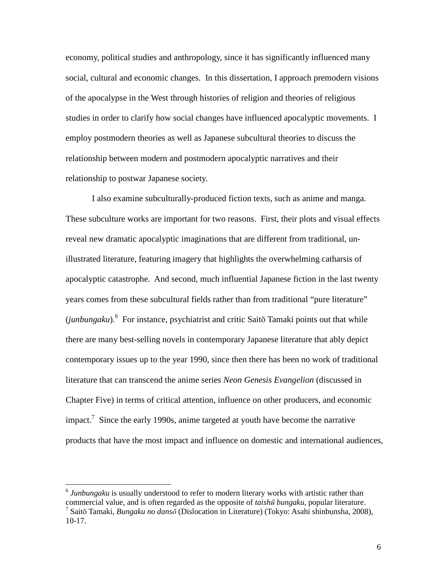economy, political studies and anthropology, since it has significantly influenced many social, cultural and economic changes. In this dissertation, I approach premodern visions of the apocalypse in the West through histories of religion and theories of religious studies in order to clarify how social changes have influenced apocalyptic movements. I employ postmodern theories as well as Japanese subcultural theories to discuss the relationship between modern and postmodern apocalyptic narratives and their relationship to postwar Japanese society.

I also examine subculturally-produced fiction texts, such as anime and manga. These subculture works are important for two reasons. First, their plots and visual effects reveal new dramatic apocalyptic imaginations that are different from traditional, unillustrated literature, featuring imagery that highlights the overwhelming catharsis of apocalyptic catastrophe. And second, much influential Japanese fiction in the last twenty years comes from these subcultural fields rather than from traditional "pure literature" (*junbungaku*).<sup>6</sup> For instance, psychiatrist and critic Saitō Tamaki points out that while there are many best-selling novels in contemporary Japanese literature that ably depict contemporary issues up to the year 1990, since then there has been no work of traditional literature that can transcend the anime series *Neon Genesis Evangelion* (discussed in Chapter Five) in terms of critical attention, influence on other producers, and economic impact.<sup>7</sup> Since the early 1990s, anime targeted at youth have become the narrative products that have the most impact and influence on domestic and international audiences,

<sup>&</sup>lt;sup>6</sup> Junbungaku is usually understood to refer to modern literary works with artistic rather than commercial value, and is often regarded as the opposite of *taish*ū *bungaku*, popular literature.

<sup>7</sup> Saitō Tamaki, *Bungaku no dans*ō (Dislocation in Literature) (Tokyo: Asahi shinbunsha, 2008), 10-17.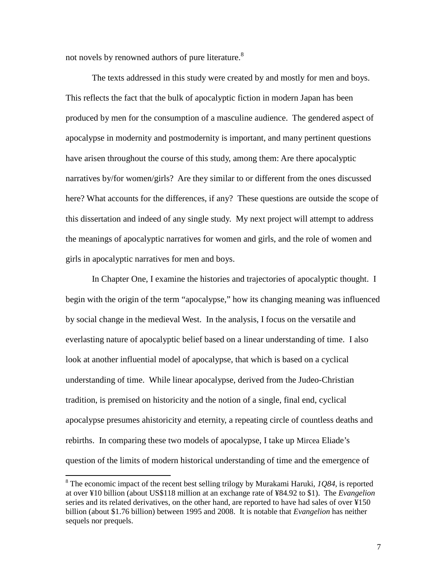not novels by renowned authors of pure literature.<sup>8</sup>

The texts addressed in this study were created by and mostly for men and boys. This reflects the fact that the bulk of apocalyptic fiction in modern Japan has been produced by men for the consumption of a masculine audience. The gendered aspect of apocalypse in modernity and postmodernity is important, and many pertinent questions have arisen throughout the course of this study, among them: Are there apocalyptic narratives by/for women/girls? Are they similar to or different from the ones discussed here? What accounts for the differences, if any? These questions are outside the scope of this dissertation and indeed of any single study. My next project will attempt to address the meanings of apocalyptic narratives for women and girls, and the role of women and girls in apocalyptic narratives for men and boys.

In Chapter One, I examine the histories and trajectories of apocalyptic thought. I begin with the origin of the term "apocalypse," how its changing meaning was influenced by social change in the medieval West. In the analysis, I focus on the versatile and everlasting nature of apocalyptic belief based on a linear understanding of time. I also look at another influential model of apocalypse, that which is based on a cyclical understanding of time. While linear apocalypse, derived from the Judeo-Christian tradition, is premised on historicity and the notion of a single, final end, cyclical apocalypse presumes ahistoricity and eternity, a repeating circle of countless deaths and rebirths. In comparing these two models of apocalypse, I take up Mircea Eliade's question of the limits of modern historical understanding of time and the emergence of

 8 The economic impact of the recent best selling trilogy by Murakami Haruki, *1Q84*, is reported at over ¥10 billion (about US\$118 million at an exchange rate of ¥84.92 to \$1). The *Evangelion* series and its related derivatives, on the other hand, are reported to have had sales of over ¥150 billion (about \$1.76 billion) between 1995 and 2008. It is notable that *Evangelion* has neither sequels nor prequels.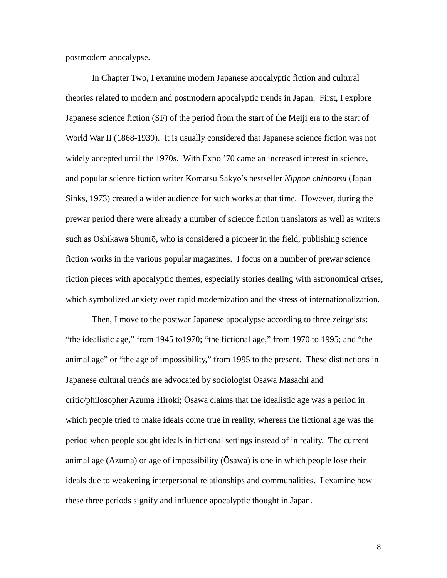postmodern apocalypse.

In Chapter Two, I examine modern Japanese apocalyptic fiction and cultural theories related to modern and postmodern apocalyptic trends in Japan. First, I explore Japanese science fiction (SF) of the period from the start of the Meiji era to the start of World War II (1868-1939). It is usually considered that Japanese science fiction was not widely accepted until the 1970s. With Expo '70 came an increased interest in science, and popular science fiction writer Komatsu Sakyō's bestseller *Nippon chinbotsu* (Japan Sinks, 1973) created a wider audience for such works at that time. However, during the prewar period there were already a number of science fiction translators as well as writers such as Oshikawa Shunrō, who is considered a pioneer in the field, publishing science fiction works in the various popular magazines. I focus on a number of prewar science fiction pieces with apocalyptic themes, especially stories dealing with astronomical crises, which symbolized anxiety over rapid modernization and the stress of internationalization.

Then, I move to the postwar Japanese apocalypse according to three zeitgeists: "the idealistic age," from 1945 to1970; "the fictional age," from 1970 to 1995; and "the animal age" or "the age of impossibility," from 1995 to the present. These distinctions in Japanese cultural trends are advocated by sociologist Ōsawa Masachi and critic/philosopher Azuma Hiroki; Ōsawa claims that the idealistic age was a period in which people tried to make ideals come true in reality, whereas the fictional age was the period when people sought ideals in fictional settings instead of in reality. The current animal age (Azuma) or age of impossibility (Ōsawa) is one in which people lose their ideals due to weakening interpersonal relationships and communalities. I examine how these three periods signify and influence apocalyptic thought in Japan.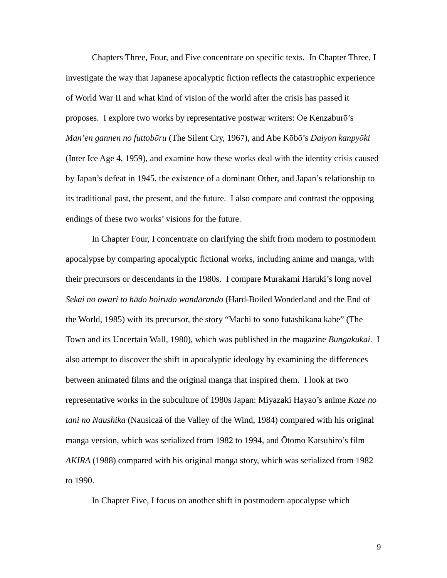Chapters Three, Four, and Five concentrate on specific texts. In Chapter Three, I investigate the way that Japanese apocalyptic fiction reflects the catastrophic experience of World War II and what kind of vision of the world after the crisis has passed it proposes. I explore two works by representative postwar writers: Ōe Kenzaburō's *Man'en gannen no futtob*ō*ru* (The Silent Cry, 1967), and Abe Kōbō's *Daiyon kanpy*ō*ki*  (Inter Ice Age 4, 1959), and examine how these works deal with the identity crisis caused by Japan's defeat in 1945, the existence of a dominant Other, and Japan's relationship to its traditional past, the present, and the future. I also compare and contrast the opposing endings of these two works' visions for the future.

In Chapter Four, I concentrate on clarifying the shift from modern to postmodern apocalypse by comparing apocalyptic fictional works, including anime and manga, with their precursors or descendants in the 1980s. I compare Murakami Haruki's long novel *Sekai no owari to h*ā*do boirudo wand*ā*rando* (Hard-Boiled Wonderland and the End of the World, 1985) with its precursor, the story "Machi to sono futashikana kabe" (The Town and its Uncertain Wall, 1980), which was published in the magazine *Bungakukai*. I also attempt to discover the shift in apocalyptic ideology by examining the differences between animated films and the original manga that inspired them. I look at two representative works in the subculture of 1980s Japan: Miyazaki Hayao's anime *Kaze no tani no Naushika* (Nausicaä of the Valley of the Wind, 1984) compared with his original manga version, which was serialized from 1982 to 1994, and Ōtomo Katsuhiro's film *AKIRA* (1988) compared with his original manga story, which was serialized from 1982 to 1990.

In Chapter Five, I focus on another shift in postmodern apocalypse which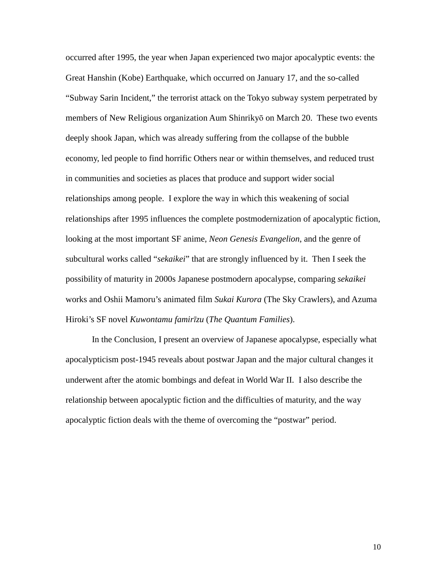occurred after 1995, the year when Japan experienced two major apocalyptic events: the Great Hanshin (Kobe) Earthquake, which occurred on January 17, and the so-called "Subway Sarin Incident," the terrorist attack on the Tokyo subway system perpetrated by members of New Religious organization Aum Shinrikyō on March 20. These two events deeply shook Japan, which was already suffering from the collapse of the bubble economy, led people to find horrific Others near or within themselves, and reduced trust in communities and societies as places that produce and support wider social relationships among people. I explore the way in which this weakening of social relationships after 1995 influences the complete postmodernization of apocalyptic fiction, looking at the most important SF anime, *Neon Genesis Evangelion*, and the genre of subcultural works called "*sekaikei*" that are strongly influenced by it. Then I seek the possibility of maturity in 2000s Japanese postmodern apocalypse, comparing *sekaikei* works and Oshii Mamoru's animated film *Sukai Kurora* (The Sky Crawlers), and Azuma Hiroki's SF novel *Kuwontamu famir*ī*zu* (*The Quantum Families*).

In the Conclusion, I present an overview of Japanese apocalypse, especially what apocalypticism post-1945 reveals about postwar Japan and the major cultural changes it underwent after the atomic bombings and defeat in World War II. I also describe the relationship between apocalyptic fiction and the difficulties of maturity, and the way apocalyptic fiction deals with the theme of overcoming the "postwar" period.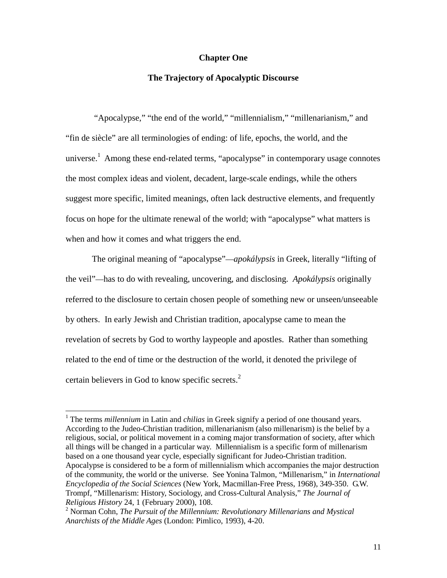#### **Chapter One**

#### **The Trajectory of Apocalyptic Discourse**

 "Apocalypse," "the end of the world," "millennialism," "millenarianism," and "fin de siècle" are all terminologies of ending: of life, epochs, the world, and the universe.<sup>1</sup> Among these end-related terms, "apocalypse" in contemporary usage connotes the most complex ideas and violent, decadent, large-scale endings, while the others suggest more specific, limited meanings, often lack destructive elements, and frequently focus on hope for the ultimate renewal of the world; with "apocalypse" what matters is when and how it comes and what triggers the end.

The original meaning of "apocalypse"—*apokálypsis* in Greek, literally "lifting of the veil"—has to do with revealing, uncovering, and disclosing. *Apokálypsis* originally referred to the disclosure to certain chosen people of something new or unseen/unseeable by others. In early Jewish and Christian tradition, apocalypse came to mean the revelation of secrets by God to worthy laypeople and apostles. Rather than something related to the end of time or the destruction of the world, it denoted the privilege of certain believers in God to know specific secrets.<sup>2</sup>

<sup>&</sup>lt;sup>1</sup> The terms *millennium* in Latin and *chilias* in Greek signify a period of one thousand years. According to the Judeo-Christian tradition, millenarianism (also millenarism) is the belief by a religious, social, or political movement in a coming major transformation of society, after which all things will be changed in a particular way. Millennialism is a specific form of millenarism based on a one thousand year cycle, especially significant for Judeo-Christian tradition. Apocalypse is considered to be a form of millennialism which accompanies the major destruction of the community, the world or the universe. See Yonina Talmon, "Millenarism," in *International Encyclopedia of the Social Sciences* (New York, Macmillan-Free Press, 1968), 349-350. G.W. Trompf, "Millenarism: History, Sociology, and Cross-Cultural Analysis," *The Journal of Religious History* 24, 1 (February 2000), 108.

<sup>2</sup> Norman Cohn, *The Pursuit of the Millennium: Revolutionary Millenarians and Mystical Anarchists of the Middle Ages* (London: Pimlico, 1993), 4-20.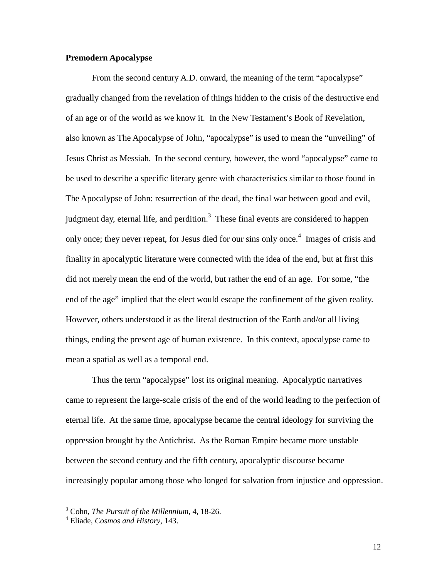#### **Premodern Apocalypse**

From the second century A.D. onward, the meaning of the term "apocalypse" gradually changed from the revelation of things hidden to the crisis of the destructive end of an age or of the world as we know it. In the New Testament's Book of Revelation, also known as The Apocalypse of John, "apocalypse" is used to mean the "unveiling" of Jesus Christ as Messiah. In the second century, however, the word "apocalypse" came to be used to describe a specific literary genre with characteristics similar to those found in The Apocalypse of John: resurrection of the dead, the final war between good and evil, judgment day, eternal life, and perdition.<sup>3</sup> These final events are considered to happen only once; they never repeat, for Jesus died for our sins only once.<sup>4</sup> Images of crisis and finality in apocalyptic literature were connected with the idea of the end, but at first this did not merely mean the end of the world, but rather the end of an age. For some, "the end of the age" implied that the elect would escape the confinement of the given reality. However, others understood it as the literal destruction of the Earth and/or all living things, ending the present age of human existence. In this context, apocalypse came to mean a spatial as well as a temporal end.

Thus the term "apocalypse" lost its original meaning. Apocalyptic narratives came to represent the large-scale crisis of the end of the world leading to the perfection of eternal life. At the same time, apocalypse became the central ideology for surviving the oppression brought by the Antichrist. As the Roman Empire became more unstable between the second century and the fifth century, apocalyptic discourse became increasingly popular among those who longed for salvation from injustice and oppression.

<sup>3</sup> Cohn, *The Pursuit of the Millennium*, 4, 18-26.

<sup>4</sup> Eliade, *Cosmos and History*, 143.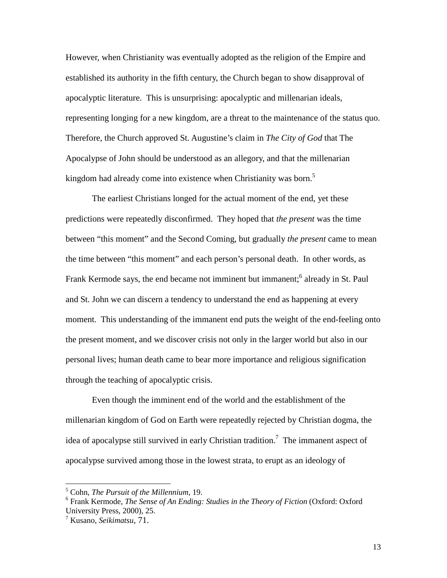However, when Christianity was eventually adopted as the religion of the Empire and established its authority in the fifth century, the Church began to show disapproval of apocalyptic literature. This is unsurprising: apocalyptic and millenarian ideals, representing longing for a new kingdom, are a threat to the maintenance of the status quo. Therefore, the Church approved St. Augustine's claim in *The City of God* that The Apocalypse of John should be understood as an allegory, and that the millenarian kingdom had already come into existence when Christianity was born.<sup>5</sup>

The earliest Christians longed for the actual moment of the end, yet these predictions were repeatedly disconfirmed. They hoped that *the present* was the time between "this moment" and the Second Coming, but gradually *the present* came to mean the time between "this moment" and each person's personal death. In other words, as Frank Kermode says, the end became not imminent but immanent;<sup>6</sup> already in St. Paul and St. John we can discern a tendency to understand the end as happening at every moment. This understanding of the immanent end puts the weight of the end-feeling onto the present moment, and we discover crisis not only in the larger world but also in our personal lives; human death came to bear more importance and religious signification through the teaching of apocalyptic crisis.

Even though the imminent end of the world and the establishment of the millenarian kingdom of God on Earth were repeatedly rejected by Christian dogma, the idea of apocalypse still survived in early Christian tradition.<sup>7</sup> The immanent aspect of apocalypse survived among those in the lowest strata, to erupt as an ideology of

<sup>5</sup> Cohn, *The Pursuit of the Millennium*, 19.

<sup>6</sup> Frank Kermode, *The Sense of An Ending: Studies in the Theory of Fiction* (Oxford: Oxford University Press, 2000), 25.

<sup>7</sup> Kusano, *Seikimatsu*, 71.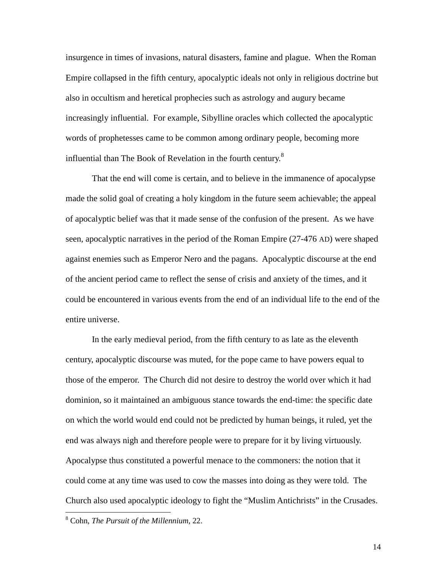insurgence in times of invasions, natural disasters, famine and plague. When the Roman Empire collapsed in the fifth century, apocalyptic ideals not only in religious doctrine but also in occultism and heretical prophecies such as astrology and augury became increasingly influential. For example, Sibylline oracles which collected the apocalyptic words of prophetesses came to be common among ordinary people, becoming more influential than The Book of Revelation in the fourth century. $8$ 

That the end will come is certain, and to believe in the immanence of apocalypse made the solid goal of creating a holy kingdom in the future seem achievable; the appeal of apocalyptic belief was that it made sense of the confusion of the present. As we have seen, apocalyptic narratives in the period of the Roman Empire (27-476 AD) were shaped against enemies such as Emperor Nero and the pagans. Apocalyptic discourse at the end of the ancient period came to reflect the sense of crisis and anxiety of the times, and it could be encountered in various events from the end of an individual life to the end of the entire universe.

In the early medieval period, from the fifth century to as late as the eleventh century, apocalyptic discourse was muted, for the pope came to have powers equal to those of the emperor. The Church did not desire to destroy the world over which it had dominion, so it maintained an ambiguous stance towards the end-time: the specific date on which the world would end could not be predicted by human beings, it ruled, yet the end was always nigh and therefore people were to prepare for it by living virtuously. Apocalypse thus constituted a powerful menace to the commoners: the notion that it could come at any time was used to cow the masses into doing as they were told. The Church also used apocalyptic ideology to fight the "Muslim Antichrists" in the Crusades.

8 Cohn, *The Pursuit of the Millennium*, 22.

 $\overline{a}$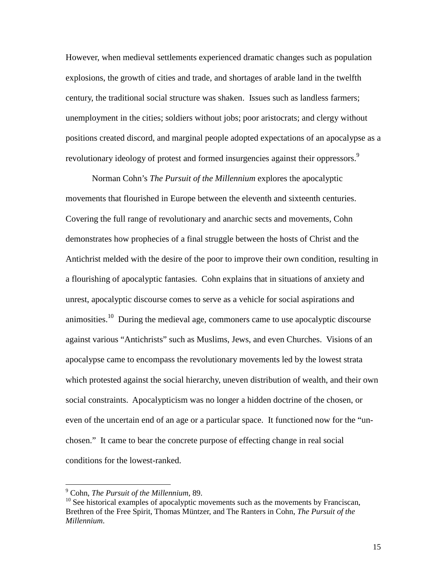However, when medieval settlements experienced dramatic changes such as population explosions, the growth of cities and trade, and shortages of arable land in the twelfth century, the traditional social structure was shaken. Issues such as landless farmers; unemployment in the cities; soldiers without jobs; poor aristocrats; and clergy without positions created discord, and marginal people adopted expectations of an apocalypse as a revolutionary ideology of protest and formed insurgencies against their oppressors.<sup>9</sup>

Norman Cohn's *The Pursuit of the Millennium* explores the apocalyptic movements that flourished in Europe between the eleventh and sixteenth centuries. Covering the full range of revolutionary and anarchic sects and movements, Cohn demonstrates how prophecies of a final struggle between the hosts of Christ and the Antichrist melded with the desire of the poor to improve their own condition, resulting in a flourishing of apocalyptic fantasies. Cohn explains that in situations of anxiety and unrest, apocalyptic discourse comes to serve as a vehicle for social aspirations and animosities.<sup>10</sup> During the medieval age, commoners came to use apocalyptic discourse against various "Antichrists" such as Muslims, Jews, and even Churches. Visions of an apocalypse came to encompass the revolutionary movements led by the lowest strata which protested against the social hierarchy, uneven distribution of wealth, and their own social constraints. Apocalypticism was no longer a hidden doctrine of the chosen, or even of the uncertain end of an age or a particular space. It functioned now for the "unchosen." It came to bear the concrete purpose of effecting change in real social conditions for the lowest-ranked.

<sup>9</sup> Cohn, *The Pursuit of the Millennium*, 89.

<sup>&</sup>lt;sup>10</sup> See historical examples of apocalyptic movements such as the movements by Franciscan, Brethren of the Free Spirit, Thomas Müntzer, and The Ranters in Cohn, *The Pursuit of the Millennium*.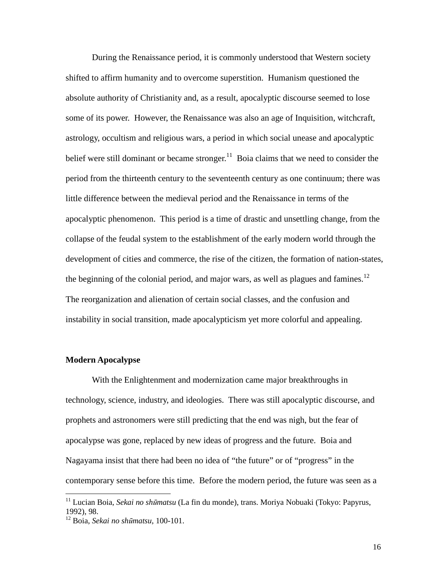During the Renaissance period, it is commonly understood that Western society shifted to affirm humanity and to overcome superstition. Humanism questioned the absolute authority of Christianity and, as a result, apocalyptic discourse seemed to lose some of its power. However, the Renaissance was also an age of Inquisition, witchcraft, astrology, occultism and religious wars, a period in which social unease and apocalyptic belief were still dominant or became stronger.<sup>11</sup> Boia claims that we need to consider the period from the thirteenth century to the seventeenth century as one continuum; there was little difference between the medieval period and the Renaissance in terms of the apocalyptic phenomenon. This period is a time of drastic and unsettling change, from the collapse of the feudal system to the establishment of the early modern world through the development of cities and commerce, the rise of the citizen, the formation of nation-states, the beginning of the colonial period, and major wars, as well as plagues and famines.<sup>12</sup> The reorganization and alienation of certain social classes, and the confusion and instability in social transition, made apocalypticism yet more colorful and appealing.

#### **Modern Apocalypse**

 $\overline{a}$ 

With the Enlightenment and modernization came major breakthroughs in technology, science, industry, and ideologies. There was still apocalyptic discourse, and prophets and astronomers were still predicting that the end was nigh, but the fear of apocalypse was gone, replaced by new ideas of progress and the future. Boia and Nagayama insist that there had been no idea of "the future" or of "progress" in the contemporary sense before this time. Before the modern period, the future was seen as a

<sup>11</sup> Lucian Boia, *Sekai no sh*ū*matsu* (La fin du monde), trans. Moriya Nobuaki (Tokyo: Papyrus, 1992), 98.

<sup>12</sup> Boia, *Sekai no sh*ū*matsu*, 100-101.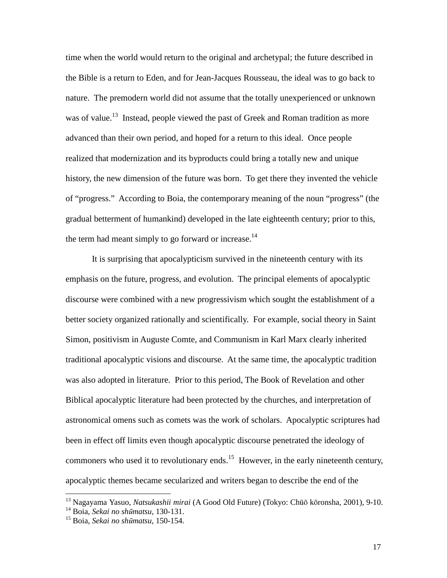time when the world would return to the original and archetypal; the future described in the Bible is a return to Eden, and for Jean-Jacques Rousseau, the ideal was to go back to nature. The premodern world did not assume that the totally unexperienced or unknown was of value.<sup>13</sup> Instead, people viewed the past of Greek and Roman tradition as more advanced than their own period, and hoped for a return to this ideal. Once people realized that modernization and its byproducts could bring a totally new and unique history, the new dimension of the future was born. To get there they invented the vehicle of "progress." According to Boia, the contemporary meaning of the noun "progress" (the gradual betterment of humankind) developed in the late eighteenth century; prior to this, the term had meant simply to go forward or increase.<sup>14</sup>

It is surprising that apocalypticism survived in the nineteenth century with its emphasis on the future, progress, and evolution. The principal elements of apocalyptic discourse were combined with a new progressivism which sought the establishment of a better society organized rationally and scientifically. For example, social theory in Saint Simon, positivism in Auguste Comte, and Communism in Karl Marx clearly inherited traditional apocalyptic visions and discourse. At the same time, the apocalyptic tradition was also adopted in literature. Prior to this period, The Book of Revelation and other Biblical apocalyptic literature had been protected by the churches, and interpretation of astronomical omens such as comets was the work of scholars. Apocalyptic scriptures had been in effect off limits even though apocalyptic discourse penetrated the ideology of commoners who used it to revolutionary ends.<sup>15</sup> However, in the early nineteenth century, apocalyptic themes became secularized and writers began to describe the end of the

 $\overline{a}$ 

<sup>13</sup> Nagayama Yasuo, *Natsukashii mirai* (A Good Old Future) (Tokyo: Chūō kōronsha, 2001), 9-10.

<sup>14</sup> Boia, *Sekai no sh*ū*matsu*, 130-131.

<sup>15</sup> Boia, *Sekai no sh*ū*matsu*, 150-154.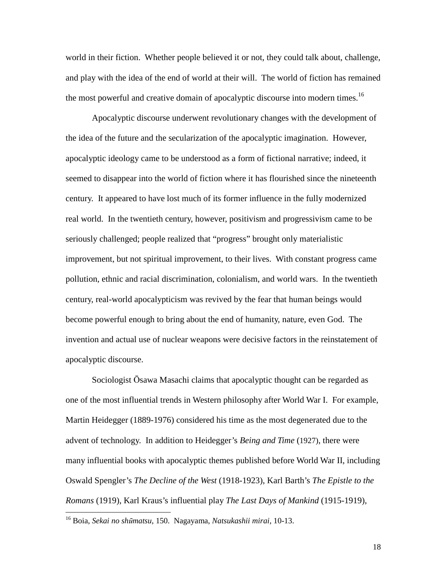world in their fiction. Whether people believed it or not, they could talk about, challenge, and play with the idea of the end of world at their will. The world of fiction has remained the most powerful and creative domain of apocalyptic discourse into modern times.<sup>16</sup>

Apocalyptic discourse underwent revolutionary changes with the development of the idea of the future and the secularization of the apocalyptic imagination. However, apocalyptic ideology came to be understood as a form of fictional narrative; indeed, it seemed to disappear into the world of fiction where it has flourished since the nineteenth century. It appeared to have lost much of its former influence in the fully modernized real world. In the twentieth century, however, positivism and progressivism came to be seriously challenged; people realized that "progress" brought only materialistic improvement, but not spiritual improvement, to their lives. With constant progress came pollution, ethnic and racial discrimination, colonialism, and world wars. In the twentieth century, real-world apocalypticism was revived by the fear that human beings would become powerful enough to bring about the end of humanity, nature, even God. The invention and actual use of nuclear weapons were decisive factors in the reinstatement of apocalyptic discourse.

Sociologist Ōsawa Masachi claims that apocalyptic thought can be regarded as one of the most influential trends in Western philosophy after World War I. For example, Martin Heidegger (1889-1976) considered his time as the most degenerated due to the advent of technology. In addition to Heidegger's *Being and Time* (1927), there were many influential books with apocalyptic themes published before World War II, including Oswald Spengler's *The Decline of the West* (1918-1923), Karl Barth's *The Epistle to the Romans* (1919), Karl Kraus's influential play *The Last Days of Mankind* (1915-1919),

 $\overline{a}$ 

<sup>16</sup> Boia, *Sekai no sh*ū*matsu*, 150. Nagayama, *Natsukashii mirai*, 10-13.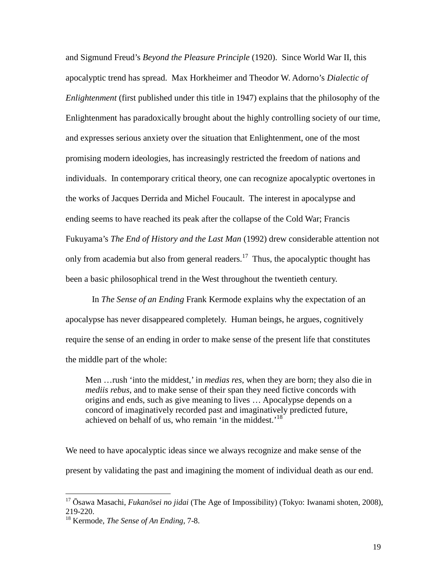and Sigmund Freud's *Beyond the Pleasure Principle* (1920). Since World War II, this apocalyptic trend has spread. Max Horkheimer and Theodor W. Adorno's *Dialectic of Enlightenment* (first published under this title in 1947) explains that the philosophy of the Enlightenment has paradoxically brought about the highly controlling society of our time, and expresses serious anxiety over the situation that Enlightenment, one of the most promising modern ideologies, has increasingly restricted the freedom of nations and individuals. In contemporary critical theory, one can recognize apocalyptic overtones in the works of Jacques Derrida and Michel Foucault. The interest in apocalypse and ending seems to have reached its peak after the collapse of the Cold War; Francis Fukuyama's *The End of History and the Last Man* (1992) drew considerable attention not only from academia but also from general readers.<sup>17</sup> Thus, the apocalyptic thought has been a basic philosophical trend in the West throughout the twentieth century.

In *The Sense of an Ending* Frank Kermode explains why the expectation of an apocalypse has never disappeared completely. Human beings, he argues, cognitively require the sense of an ending in order to make sense of the present life that constitutes the middle part of the whole:

Men …rush 'into the middest,' in *medias res*, when they are born; they also die in *mediis rebus*, and to make sense of their span they need fictive concords with origins and ends, such as give meaning to lives … Apocalypse depends on a concord of imaginatively recorded past and imaginatively predicted future, achieved on behalf of us, who remain 'in the middest.'<sup>18</sup>

We need to have apocalyptic ideas since we always recognize and make sense of the present by validating the past and imagining the moment of individual death as our end.

<sup>17</sup> Ōsawa Masachi, *Fukan*ō*sei no jidai* (The Age of Impossibility) (Tokyo: Iwanami shoten, 2008), 219-220.

<sup>18</sup> Kermode, *The Sense of An Ending*, 7-8.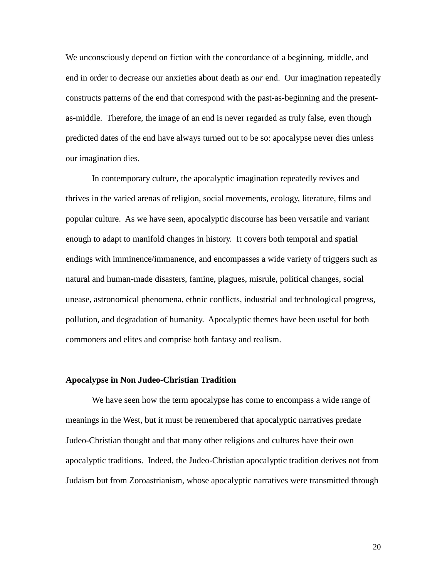We unconsciously depend on fiction with the concordance of a beginning, middle, and end in order to decrease our anxieties about death as *our* end. Our imagination repeatedly constructs patterns of the end that correspond with the past-as-beginning and the presentas-middle. Therefore, the image of an end is never regarded as truly false, even though predicted dates of the end have always turned out to be so: apocalypse never dies unless our imagination dies.

In contemporary culture, the apocalyptic imagination repeatedly revives and thrives in the varied arenas of religion, social movements, ecology, literature, films and popular culture. As we have seen, apocalyptic discourse has been versatile and variant enough to adapt to manifold changes in history. It covers both temporal and spatial endings with imminence/immanence, and encompasses a wide variety of triggers such as natural and human-made disasters, famine, plagues, misrule, political changes, social unease, astronomical phenomena, ethnic conflicts, industrial and technological progress, pollution, and degradation of humanity. Apocalyptic themes have been useful for both commoners and elites and comprise both fantasy and realism.

#### **Apocalypse in Non Judeo-Christian Tradition**

We have seen how the term apocalypse has come to encompass a wide range of meanings in the West, but it must be remembered that apocalyptic narratives predate Judeo-Christian thought and that many other religions and cultures have their own apocalyptic traditions. Indeed, the Judeo-Christian apocalyptic tradition derives not from Judaism but from Zoroastrianism, whose apocalyptic narratives were transmitted through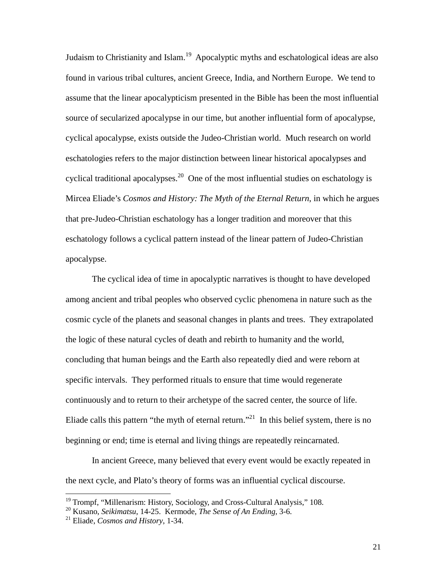Judaism to Christianity and Islam.<sup>19</sup> Apocalyptic myths and eschatological ideas are also found in various tribal cultures, ancient Greece, India, and Northern Europe. We tend to assume that the linear apocalypticism presented in the Bible has been the most influential source of secularized apocalypse in our time, but another influential form of apocalypse, cyclical apocalypse, exists outside the Judeo-Christian world. Much research on world eschatologies refers to the major distinction between linear historical apocalypses and cyclical traditional apocalypses.<sup>20</sup> One of the most influential studies on eschatology is Mircea Eliade's *Cosmos and History: The Myth of the Eternal Return*, in which he argues that pre-Judeo-Christian eschatology has a longer tradition and moreover that this eschatology follows a cyclical pattern instead of the linear pattern of Judeo-Christian apocalypse.

The cyclical idea of time in apocalyptic narratives is thought to have developed among ancient and tribal peoples who observed cyclic phenomena in nature such as the cosmic cycle of the planets and seasonal changes in plants and trees. They extrapolated the logic of these natural cycles of death and rebirth to humanity and the world, concluding that human beings and the Earth also repeatedly died and were reborn at specific intervals. They performed rituals to ensure that time would regenerate continuously and to return to their archetype of the sacred center, the source of life. Eliade calls this pattern "the myth of eternal return."<sup>21</sup> In this belief system, there is no beginning or end; time is eternal and living things are repeatedly reincarnated.

In ancient Greece, many believed that every event would be exactly repeated in the next cycle, and Plato's theory of forms was an influential cyclical discourse.

<sup>&</sup>lt;sup>19</sup> Trompf, "Millenarism: History, Sociology, and Cross-Cultural Analysis," 108.

<sup>20</sup> Kusano, *Seikimatsu*, 14-25. Kermode, *The Sense of An Ending*, 3-6.

<sup>21</sup> Eliade, *Cosmos and History*, 1-34.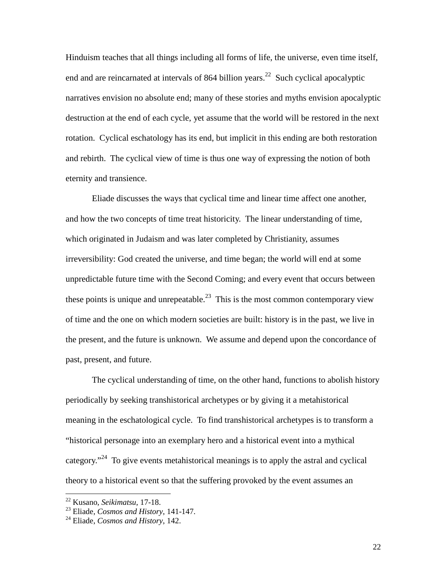Hinduism teaches that all things including all forms of life, the universe, even time itself, end and are reincarnated at intervals of 864 billion years.<sup>22</sup> Such cyclical apocalyptic narratives envision no absolute end; many of these stories and myths envision apocalyptic destruction at the end of each cycle, yet assume that the world will be restored in the next rotation. Cyclical eschatology has its end, but implicit in this ending are both restoration and rebirth. The cyclical view of time is thus one way of expressing the notion of both eternity and transience.

Eliade discusses the ways that cyclical time and linear time affect one another, and how the two concepts of time treat historicity. The linear understanding of time, which originated in Judaism and was later completed by Christianity, assumes irreversibility: God created the universe, and time began; the world will end at some unpredictable future time with the Second Coming; and every event that occurs between these points is unique and unrepeatable.<sup>23</sup> This is the most common contemporary view of time and the one on which modern societies are built: history is in the past, we live in the present, and the future is unknown. We assume and depend upon the concordance of past, present, and future.

The cyclical understanding of time, on the other hand, functions to abolish history periodically by seeking transhistorical archetypes or by giving it a metahistorical meaning in the eschatological cycle. To find transhistorical archetypes is to transform a "historical personage into an exemplary hero and a historical event into a mythical category. $124$  To give events metahistorical meanings is to apply the astral and cyclical theory to a historical event so that the suffering provoked by the event assumes an

 $\overline{a}$ 

<sup>22</sup> Kusano, *Seikimatsu*, 17-18.

<sup>23</sup> Eliade, *Cosmos and History*, 141-147.

<sup>24</sup> Eliade, *Cosmos and History*, 142.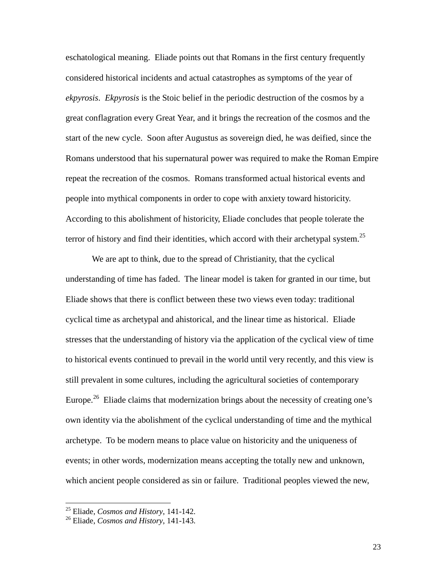eschatological meaning. Eliade points out that Romans in the first century frequently considered historical incidents and actual catastrophes as symptoms of the year of *ekpyrosis*. *Ekpyrosis* is the Stoic belief in the periodic destruction of the cosmos by a great conflagration every Great Year, and it brings the recreation of the cosmos and the start of the new cycle. Soon after Augustus as sovereign died, he was deified, since the Romans understood that his supernatural power was required to make the Roman Empire repeat the recreation of the cosmos. Romans transformed actual historical events and people into mythical components in order to cope with anxiety toward historicity. According to this abolishment of historicity, Eliade concludes that people tolerate the terror of history and find their identities, which accord with their archetypal system.<sup>25</sup>

We are apt to think, due to the spread of Christianity, that the cyclical understanding of time has faded. The linear model is taken for granted in our time, but Eliade shows that there is conflict between these two views even today: traditional cyclical time as archetypal and ahistorical, and the linear time as historical. Eliade stresses that the understanding of history via the application of the cyclical view of time to historical events continued to prevail in the world until very recently, and this view is still prevalent in some cultures, including the agricultural societies of contemporary Europe.<sup>26</sup> Eliade claims that modernization brings about the necessity of creating one's own identity via the abolishment of the cyclical understanding of time and the mythical archetype. To be modern means to place value on historicity and the uniqueness of events; in other words, modernization means accepting the totally new and unknown, which ancient people considered as sin or failure. Traditional peoples viewed the new,

<sup>25</sup> Eliade, *Cosmos and History*, 141-142.

<sup>26</sup> Eliade, *Cosmos and History*, 141-143.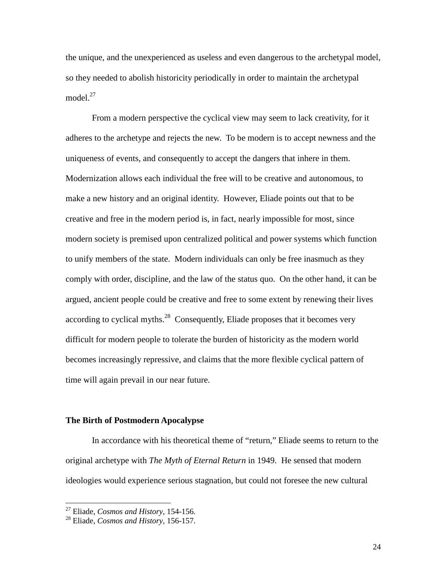the unique, and the unexperienced as useless and even dangerous to the archetypal model, so they needed to abolish historicity periodically in order to maintain the archetypal model. $27$ 

From a modern perspective the cyclical view may seem to lack creativity, for it adheres to the archetype and rejects the new. To be modern is to accept newness and the uniqueness of events, and consequently to accept the dangers that inhere in them. Modernization allows each individual the free will to be creative and autonomous, to make a new history and an original identity. However, Eliade points out that to be creative and free in the modern period is, in fact, nearly impossible for most, since modern society is premised upon centralized political and power systems which function to unify members of the state. Modern individuals can only be free inasmuch as they comply with order, discipline, and the law of the status quo. On the other hand, it can be argued, ancient people could be creative and free to some extent by renewing their lives according to cyclical myths.<sup>28</sup> Consequently, Eliade proposes that it becomes very difficult for modern people to tolerate the burden of historicity as the modern world becomes increasingly repressive, and claims that the more flexible cyclical pattern of time will again prevail in our near future.

#### **The Birth of Postmodern Apocalypse**

In accordance with his theoretical theme of "return," Eliade seems to return to the original archetype with *The Myth of Eternal Return* in 1949. He sensed that modern ideologies would experience serious stagnation, but could not foresee the new cultural

<sup>27</sup> Eliade, *Cosmos and History*, 154-156.

<sup>28</sup> Eliade, *Cosmos and History*, 156-157.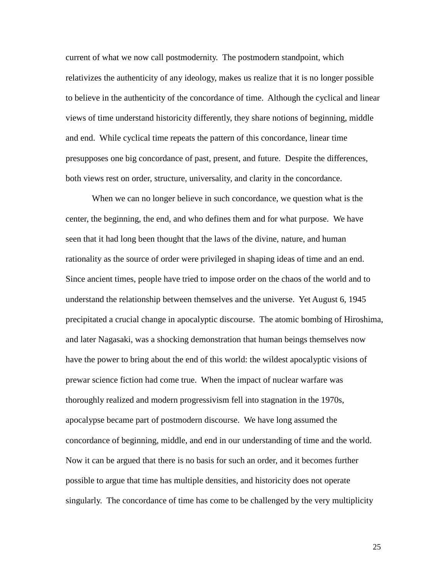current of what we now call postmodernity. The postmodern standpoint, which relativizes the authenticity of any ideology, makes us realize that it is no longer possible to believe in the authenticity of the concordance of time. Although the cyclical and linear views of time understand historicity differently, they share notions of beginning, middle and end. While cyclical time repeats the pattern of this concordance, linear time presupposes one big concordance of past, present, and future. Despite the differences, both views rest on order, structure, universality, and clarity in the concordance.

When we can no longer believe in such concordance, we question what is the center, the beginning, the end, and who defines them and for what purpose. We have seen that it had long been thought that the laws of the divine, nature, and human rationality as the source of order were privileged in shaping ideas of time and an end. Since ancient times, people have tried to impose order on the chaos of the world and to understand the relationship between themselves and the universe. Yet August 6, 1945 precipitated a crucial change in apocalyptic discourse. The atomic bombing of Hiroshima, and later Nagasaki, was a shocking demonstration that human beings themselves now have the power to bring about the end of this world: the wildest apocalyptic visions of prewar science fiction had come true. When the impact of nuclear warfare was thoroughly realized and modern progressivism fell into stagnation in the 1970s, apocalypse became part of postmodern discourse. We have long assumed the concordance of beginning, middle, and end in our understanding of time and the world. Now it can be argued that there is no basis for such an order, and it becomes further possible to argue that time has multiple densities, and historicity does not operate singularly. The concordance of time has come to be challenged by the very multiplicity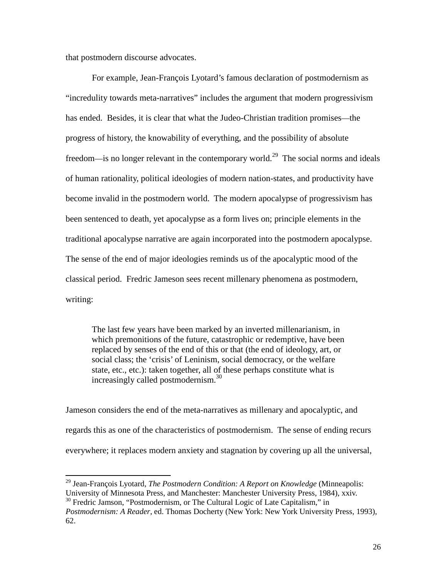that postmodern discourse advocates.

 For example, Jean-François Lyotard's famous declaration of postmodernism as "incredulity towards meta-narratives" includes the argument that modern progressivism has ended. Besides, it is clear that what the Judeo-Christian tradition promises—the progress of history, the knowability of everything, and the possibility of absolute freedom—is no longer relevant in the contemporary world.<sup>29</sup> The social norms and ideals of human rationality, political ideologies of modern nation-states, and productivity have become invalid in the postmodern world. The modern apocalypse of progressivism has been sentenced to death, yet apocalypse as a form lives on; principle elements in the traditional apocalypse narrative are again incorporated into the postmodern apocalypse. The sense of the end of major ideologies reminds us of the apocalyptic mood of the classical period. Fredric Jameson sees recent millenary phenomena as postmodern, writing:

The last few years have been marked by an inverted millenarianism, in which premonitions of the future, catastrophic or redemptive, have been replaced by senses of the end of this or that (the end of ideology, art, or social class; the 'crisis' of Leninism, social democracy, or the welfare state, etc., etc.): taken together, all of these perhaps constitute what is increasingly called postmodernism.<sup>30</sup>

Jameson considers the end of the meta-narratives as millenary and apocalyptic, and regards this as one of the characteristics of postmodernism. The sense of ending recurs everywhere; it replaces modern anxiety and stagnation by covering up all the universal,

<sup>29</sup> Jean-François Lyotard, *The Postmodern Condition: A Report on Knowledge* (Minneapolis: University of Minnesota Press, and Manchester: Manchester University Press, 1984), xxiv.

<sup>&</sup>lt;sup>30</sup> Fredric Jamson, "Postmodernism, or The Cultural Logic of Late Capitalism," in

*Postmodernism: A Reader*, ed. Thomas Docherty (New York: New York University Press, 1993), 62.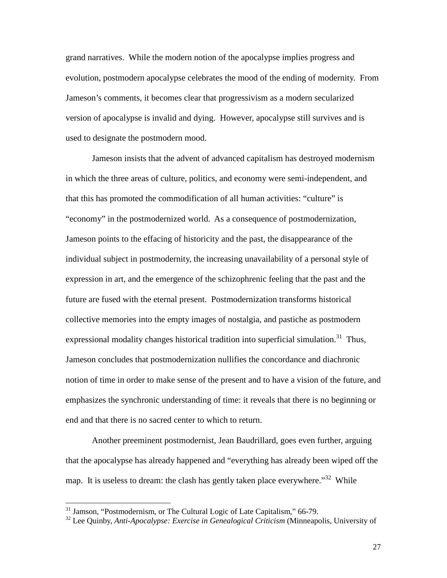grand narratives. While the modern notion of the apocalypse implies progress and evolution, postmodern apocalypse celebrates the mood of the ending of modernity. From Jameson's comments, it becomes clear that progressivism as a modern secularized version of apocalypse is invalid and dying. However, apocalypse still survives and is used to designate the postmodern mood.

Jameson insists that the advent of advanced capitalism has destroyed modernism in which the three areas of culture, politics, and economy were semi-independent, and that this has promoted the commodification of all human activities: "culture" is "economy" in the postmodernized world. As a consequence of postmodernization, Jameson points to the effacing of historicity and the past, the disappearance of the individual subject in postmodernity, the increasing unavailability of a personal style of expression in art, and the emergence of the schizophrenic feeling that the past and the future are fused with the eternal present. Postmodernization transforms historical collective memories into the empty images of nostalgia, and pastiche as postmodern expressional modality changes historical tradition into superficial simulation.<sup>31</sup> Thus, Jameson concludes that postmodernization nullifies the concordance and diachronic notion of time in order to make sense of the present and to have a vision of the future, and emphasizes the synchronic understanding of time: it reveals that there is no beginning or end and that there is no sacred center to which to return.

Another preeminent postmodernist, Jean Baudrillard, goes even further, arguing that the apocalypse has already happened and "everything has already been wiped off the map. It is useless to dream: the clash has gently taken place everywhere."<sup>32</sup> While

<sup>&</sup>lt;sup>31</sup> Jamson, "Postmodernism, or The Cultural Logic of Late Capitalism," 66-79.

<sup>32</sup> Lee Quinby, *Anti-Apocalypse: Exercise in Genealogical Criticism* (Minneapolis, University of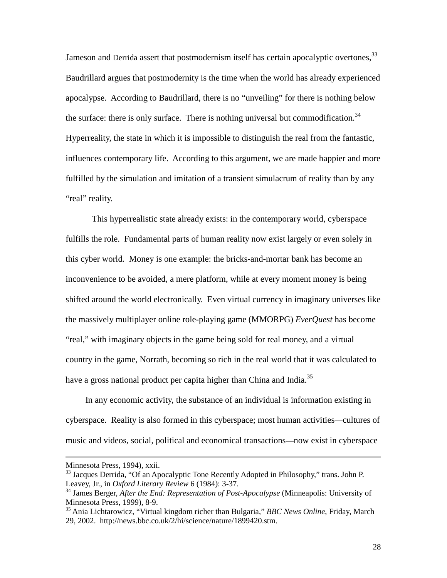Jameson and Derrida assert that postmodernism itself has certain apocalyptic overtones,  $33$ Baudrillard argues that postmodernity is the time when the world has already experienced apocalypse. According to Baudrillard, there is no "unveiling" for there is nothing below the surface: there is only surface. There is nothing universal but commodification.<sup>34</sup> Hyperreality, the state in which it is impossible to distinguish the real from the fantastic, influences contemporary life. According to this argument, we are made happier and more fulfilled by the simulation and imitation of a transient simulacrum of reality than by any "real" reality.

This hyperrealistic state already exists: in the contemporary world, cyberspace fulfills the role. Fundamental parts of human reality now exist largely or even solely in this cyber world. Money is one example: the bricks-and-mortar bank has become an inconvenience to be avoided, a mere platform, while at every moment money is being shifted around the world electronically. Even virtual currency in imaginary universes like the massively multiplayer online role-playing game (MMORPG) *EverQuest* has become "real," with imaginary objects in the game being sold for real money, and a virtual country in the game, Norrath, becoming so rich in the real world that it was calculated to have a gross national product per capita higher than China and India.<sup>35</sup>

In any economic activity, the substance of an individual is information existing in cyberspace. Reality is also formed in this cyberspace; most human activities—cultures of music and videos, social, political and economical transactions—now exist in cyberspace

Minnesota Press, 1994), xxii.

<sup>&</sup>lt;sup>33</sup> Jacques Derrida, "Of an Apocalyptic Tone Recently Adopted in Philosophy," trans. John P. Leavey, Jr., in *Oxford Literary Review* 6 (1984): 3-37.

<sup>&</sup>lt;sup>34</sup> James Berger, *After the End: Representation of Post-Apocalypse* (Minneapolis: University of Minnesota Press, 1999), 8-9.

<sup>35</sup> Ania Lichtarowicz, "Virtual kingdom richer than Bulgaria," *BBC News Online*, Friday, March 29, 2002. http://news.bbc.co.uk/2/hi/science/nature/1899420.stm.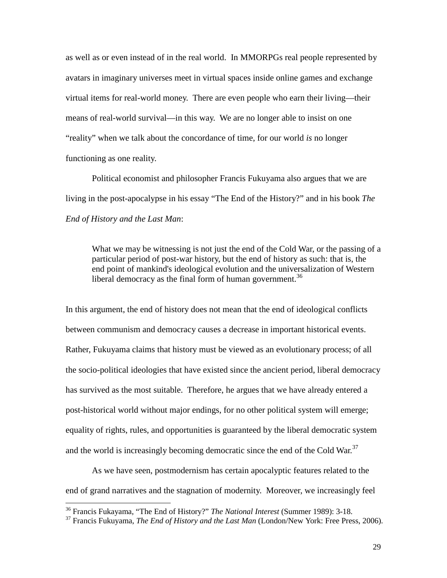as well as or even instead of in the real world. In MMORPGs real people represented by avatars in imaginary universes meet in virtual spaces inside online games and exchange virtual items for real-world money. There are even people who earn their living—their means of real-world survival—in this way. We are no longer able to insist on one "reality" when we talk about the concordance of time, for our world *is* no longer functioning as one reality.

Political economist and philosopher Francis Fukuyama also argues that we are living in the post-apocalypse in his essay "The End of the History?" and in his book *The End of History and the Last Man*:

What we may be witnessing is not just the end of the Cold War, or the passing of a particular period of post-war history, but the end of history as such: that is, the end point of mankind's ideological evolution and the universalization of Western liberal democracy as the final form of human government.<sup>36</sup>

In this argument, the end of history does not mean that the end of ideological conflicts between communism and democracy causes a decrease in important historical events. Rather, Fukuyama claims that history must be viewed as an evolutionary process; of all the socio-political ideologies that have existed since the ancient period, liberal democracy has survived as the most suitable. Therefore, he argues that we have already entered a post-historical world without major endings, for no other political system will emerge; equality of rights, rules, and opportunities is guaranteed by the liberal democratic system and the world is increasingly becoming democratic since the end of the Cold War. $37$ 

As we have seen, postmodernism has certain apocalyptic features related to the end of grand narratives and the stagnation of modernity. Moreover, we increasingly feel

<sup>36</sup> Francis Fukayama, "The End of History?" *The National Interest* (Summer 1989): 3-18.

<sup>37</sup> Francis Fukuyama, *The End of History and the Last Man* (London/New York: Free Press, 2006).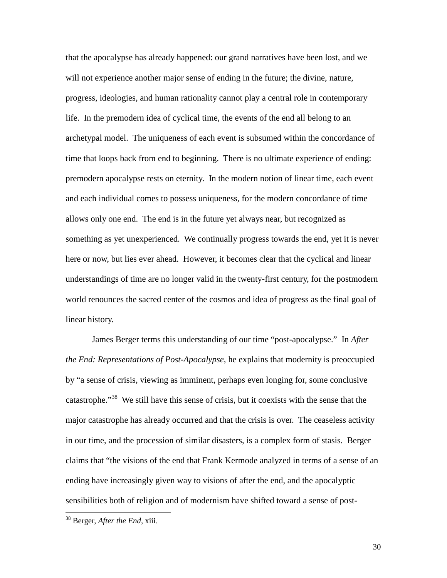that the apocalypse has already happened: our grand narratives have been lost, and we will not experience another major sense of ending in the future; the divine, nature, progress, ideologies, and human rationality cannot play a central role in contemporary life. In the premodern idea of cyclical time, the events of the end all belong to an archetypal model. The uniqueness of each event is subsumed within the concordance of time that loops back from end to beginning. There is no ultimate experience of ending: premodern apocalypse rests on eternity. In the modern notion of linear time, each event and each individual comes to possess uniqueness, for the modern concordance of time allows only one end. The end is in the future yet always near, but recognized as something as yet unexperienced. We continually progress towards the end, yet it is never here or now, but lies ever ahead. However, it becomes clear that the cyclical and linear understandings of time are no longer valid in the twenty-first century, for the postmodern world renounces the sacred center of the cosmos and idea of progress as the final goal of linear history.

James Berger terms this understanding of our time "post-apocalypse." In *After the End: Representations of Post-Apocalypse*, he explains that modernity is preoccupied by "a sense of crisis, viewing as imminent, perhaps even longing for, some conclusive catastrophe."<sup>38</sup> We still have this sense of crisis, but it coexists with the sense that the major catastrophe has already occurred and that the crisis is over. The ceaseless activity in our time, and the procession of similar disasters, is a complex form of stasis. Berger claims that "the visions of the end that Frank Kermode analyzed in terms of a sense of an ending have increasingly given way to visions of after the end, and the apocalyptic sensibilities both of religion and of modernism have shifted toward a sense of post-

 $\overline{a}$ 

<sup>38</sup> Berger, *After the End*, xiii.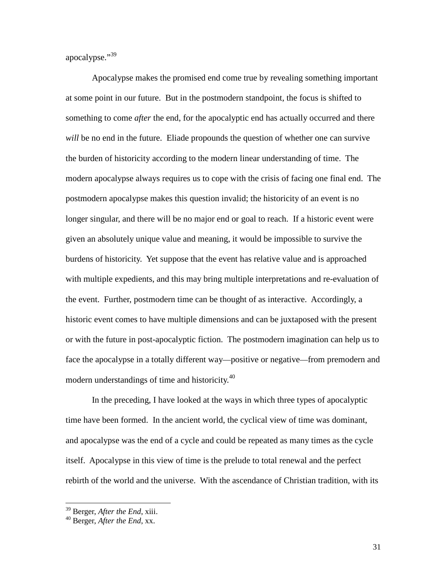apocalypse."<sup>39</sup>

Apocalypse makes the promised end come true by revealing something important at some point in our future. But in the postmodern standpoint, the focus is shifted to something to come *after* the end, for the apocalyptic end has actually occurred and there *will* be no end in the future. Eliade propounds the question of whether one can survive the burden of historicity according to the modern linear understanding of time. The modern apocalypse always requires us to cope with the crisis of facing one final end. The postmodern apocalypse makes this question invalid; the historicity of an event is no longer singular, and there will be no major end or goal to reach. If a historic event were given an absolutely unique value and meaning, it would be impossible to survive the burdens of historicity. Yet suppose that the event has relative value and is approached with multiple expedients, and this may bring multiple interpretations and re-evaluation of the event. Further, postmodern time can be thought of as interactive. Accordingly, a historic event comes to have multiple dimensions and can be juxtaposed with the present or with the future in post-apocalyptic fiction. The postmodern imagination can help us to face the apocalypse in a totally different way—positive or negative—from premodern and modern understandings of time and historicity.<sup>40</sup>

In the preceding, I have looked at the ways in which three types of apocalyptic time have been formed. In the ancient world, the cyclical view of time was dominant, and apocalypse was the end of a cycle and could be repeated as many times as the cycle itself. Apocalypse in this view of time is the prelude to total renewal and the perfect rebirth of the world and the universe. With the ascendance of Christian tradition, with its

<sup>39</sup> Berger, *After the End*, xiii.

<sup>40</sup> Berger, *After the End*, xx.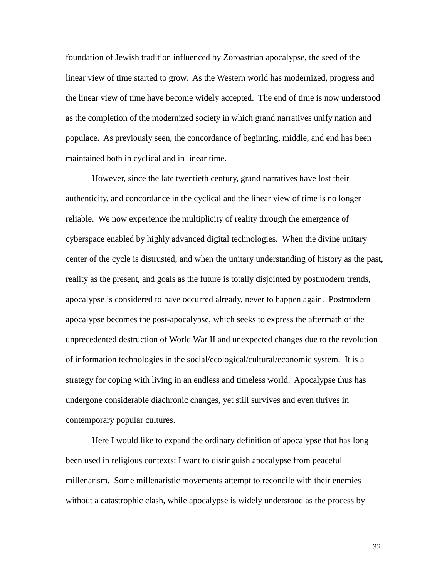foundation of Jewish tradition influenced by Zoroastrian apocalypse, the seed of the linear view of time started to grow. As the Western world has modernized, progress and the linear view of time have become widely accepted. The end of time is now understood as the completion of the modernized society in which grand narratives unify nation and populace. As previously seen, the concordance of beginning, middle, and end has been maintained both in cyclical and in linear time.

However, since the late twentieth century, grand narratives have lost their authenticity, and concordance in the cyclical and the linear view of time is no longer reliable. We now experience the multiplicity of reality through the emergence of cyberspace enabled by highly advanced digital technologies. When the divine unitary center of the cycle is distrusted, and when the unitary understanding of history as the past, reality as the present, and goals as the future is totally disjointed by postmodern trends, apocalypse is considered to have occurred already, never to happen again. Postmodern apocalypse becomes the post-apocalypse, which seeks to express the aftermath of the unprecedented destruction of World War II and unexpected changes due to the revolution of information technologies in the social/ecological/cultural/economic system. It is a strategy for coping with living in an endless and timeless world. Apocalypse thus has undergone considerable diachronic changes, yet still survives and even thrives in contemporary popular cultures.

Here I would like to expand the ordinary definition of apocalypse that has long been used in religious contexts: I want to distinguish apocalypse from peaceful millenarism. Some millenaristic movements attempt to reconcile with their enemies without a catastrophic clash, while apocalypse is widely understood as the process by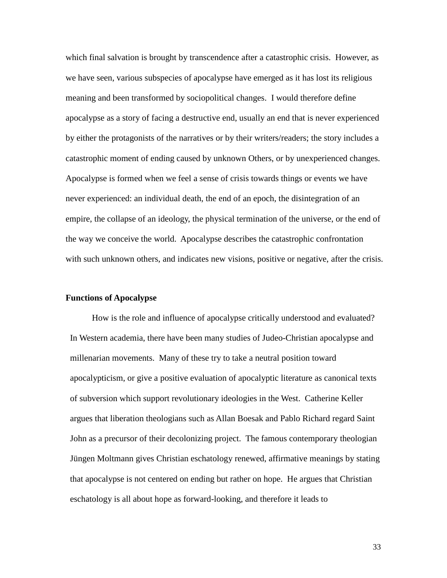which final salvation is brought by transcendence after a catastrophic crisis. However, as we have seen, various subspecies of apocalypse have emerged as it has lost its religious meaning and been transformed by sociopolitical changes. I would therefore define apocalypse as a story of facing a destructive end, usually an end that is never experienced by either the protagonists of the narratives or by their writers/readers; the story includes a catastrophic moment of ending caused by unknown Others, or by unexperienced changes. Apocalypse is formed when we feel a sense of crisis towards things or events we have never experienced: an individual death, the end of an epoch, the disintegration of an empire, the collapse of an ideology, the physical termination of the universe, or the end of the way we conceive the world. Apocalypse describes the catastrophic confrontation with such unknown others, and indicates new visions, positive or negative, after the crisis.

# **Functions of Apocalypse**

How is the role and influence of apocalypse critically understood and evaluated? In Western academia, there have been many studies of Judeo-Christian apocalypse and millenarian movements. Many of these try to take a neutral position toward apocalypticism, or give a positive evaluation of apocalyptic literature as canonical texts of subversion which support revolutionary ideologies in the West. Catherine Keller argues that liberation theologians such as Allan Boesak and Pablo Richard regard Saint John as a precursor of their decolonizing project. The famous contemporary theologian Jüngen Moltmann gives Christian eschatology renewed, affirmative meanings by stating that apocalypse is not centered on ending but rather on hope. He argues that Christian eschatology is all about hope as forward-looking, and therefore it leads to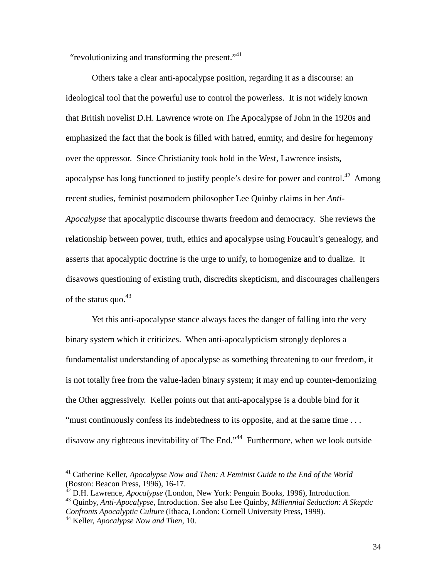"revolutionizing and transforming the present."<sup>41</sup>

Others take a clear anti-apocalypse position, regarding it as a discourse: an ideological tool that the powerful use to control the powerless. It is not widely known that British novelist D.H. Lawrence wrote on The Apocalypse of John in the 1920s and emphasized the fact that the book is filled with hatred, enmity, and desire for hegemony over the oppressor. Since Christianity took hold in the West, Lawrence insists, apocalypse has long functioned to justify people's desire for power and control.<sup>42</sup> Among recent studies, feminist postmodern philosopher Lee Quinby claims in her *Anti-Apocalypse* that apocalyptic discourse thwarts freedom and democracy. She reviews the relationship between power, truth, ethics and apocalypse using Foucault's genealogy, and asserts that apocalyptic doctrine is the urge to unify, to homogenize and to dualize. It disavows questioning of existing truth, discredits skepticism, and discourages challengers of the status quo. $43$ 

Yet this anti-apocalypse stance always faces the danger of falling into the very binary system which it criticizes. When anti-apocalypticism strongly deplores a fundamentalist understanding of apocalypse as something threatening to our freedom, it is not totally free from the value-laden binary system; it may end up counter-demonizing the Other aggressively. Keller points out that anti-apocalypse is a double bind for it "must continuously confess its indebtedness to its opposite, and at the same time . . . disavow any righteous inevitability of The End."<sup>44</sup> Furthermore, when we look outside

<sup>41</sup> Catherine Keller, *Apocalypse Now and Then: A Feminist Guide to the End of the World*  (Boston: Beacon Press, 1996), 16-17.

<sup>&</sup>lt;sup>42</sup> D.H. Lawrence, *Apocalypse* (London, New York: Penguin Books, 1996), Introduction.

<sup>43</sup> Quinby, *Anti-Apocalypse*, Introduction. See also Lee Quinby, *Millennial Seduction: A Skeptic Confronts Apocalyptic Culture* (Ithaca, London: Cornell University Press, 1999).

<sup>44</sup> Keller, *Apocalypse Now and Then*, 10.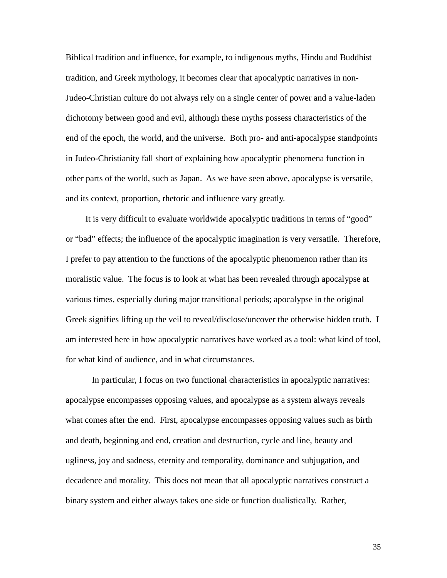Biblical tradition and influence, for example, to indigenous myths, Hindu and Buddhist tradition, and Greek mythology, it becomes clear that apocalyptic narratives in non-Judeo-Christian culture do not always rely on a single center of power and a value-laden dichotomy between good and evil, although these myths possess characteristics of the end of the epoch, the world, and the universe. Both pro- and anti-apocalypse standpoints in Judeo-Christianity fall short of explaining how apocalyptic phenomena function in other parts of the world, such as Japan. As we have seen above, apocalypse is versatile, and its context, proportion, rhetoric and influence vary greatly.

It is very difficult to evaluate worldwide apocalyptic traditions in terms of "good" or "bad" effects; the influence of the apocalyptic imagination is very versatile. Therefore, I prefer to pay attention to the functions of the apocalyptic phenomenon rather than its moralistic value. The focus is to look at what has been revealed through apocalypse at various times, especially during major transitional periods; apocalypse in the original Greek signifies lifting up the veil to reveal/disclose/uncover the otherwise hidden truth. I am interested here in how apocalyptic narratives have worked as a tool: what kind of tool, for what kind of audience, and in what circumstances.

In particular, I focus on two functional characteristics in apocalyptic narratives: apocalypse encompasses opposing values, and apocalypse as a system always reveals what comes after the end. First, apocalypse encompasses opposing values such as birth and death, beginning and end, creation and destruction, cycle and line, beauty and ugliness, joy and sadness, eternity and temporality, dominance and subjugation, and decadence and morality. This does not mean that all apocalyptic narratives construct a binary system and either always takes one side or function dualistically. Rather,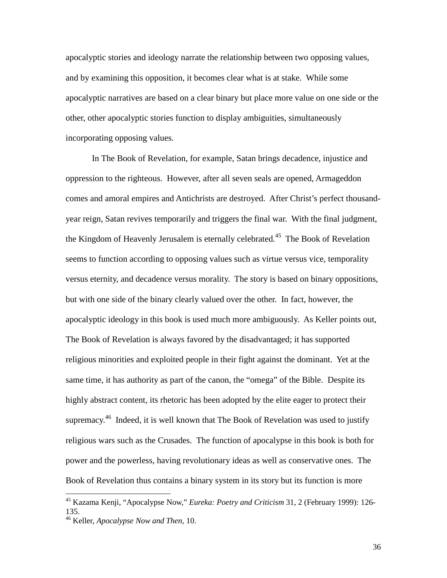apocalyptic stories and ideology narrate the relationship between two opposing values, and by examining this opposition, it becomes clear what is at stake. While some apocalyptic narratives are based on a clear binary but place more value on one side or the other, other apocalyptic stories function to display ambiguities, simultaneously incorporating opposing values.

 In The Book of Revelation, for example, Satan brings decadence, injustice and oppression to the righteous. However, after all seven seals are opened, Armageddon comes and amoral empires and Antichrists are destroyed. After Christ's perfect thousandyear reign, Satan revives temporarily and triggers the final war. With the final judgment, the Kingdom of Heavenly Jerusalem is eternally celebrated.<sup>45</sup> The Book of Revelation seems to function according to opposing values such as virtue versus vice, temporality versus eternity, and decadence versus morality. The story is based on binary oppositions, but with one side of the binary clearly valued over the other. In fact, however, the apocalyptic ideology in this book is used much more ambiguously. As Keller points out, The Book of Revelation is always favored by the disadvantaged; it has supported religious minorities and exploited people in their fight against the dominant. Yet at the same time, it has authority as part of the canon, the "omega" of the Bible. Despite its highly abstract content, its rhetoric has been adopted by the elite eager to protect their supremacy.<sup>46</sup> Indeed, it is well known that The Book of Revelation was used to justify religious wars such as the Crusades. The function of apocalypse in this book is both for power and the powerless, having revolutionary ideas as well as conservative ones. The Book of Revelation thus contains a binary system in its story but its function is more

<sup>45</sup> Kazama Kenji, "Apocalypse Now," *Eureka: Poetry and Criticism* 31, 2 (February 1999): 126- 135.

<sup>46</sup> Keller, *Apocalypse Now and Then*, 10.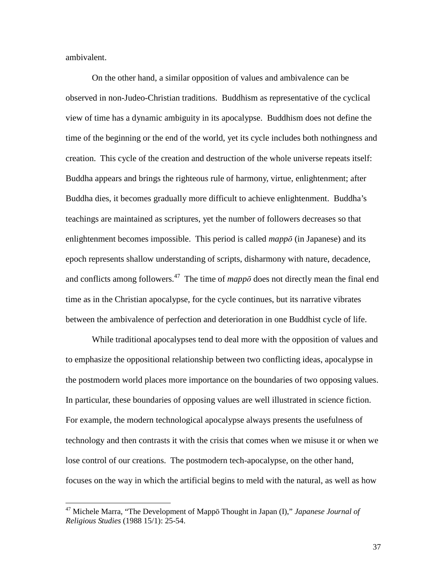ambivalent.

On the other hand, a similar opposition of values and ambivalence can be observed in non-Judeo-Christian traditions. Buddhism as representative of the cyclical view of time has a dynamic ambiguity in its apocalypse. Buddhism does not define the time of the beginning or the end of the world, yet its cycle includes both nothingness and creation. This cycle of the creation and destruction of the whole universe repeats itself: Buddha appears and brings the righteous rule of harmony, virtue, enlightenment; after Buddha dies, it becomes gradually more difficult to achieve enlightenment. Buddha's teachings are maintained as scriptures, yet the number of followers decreases so that enlightenment becomes impossible. This period is called *mapp*ō (in Japanese) and its epoch represents shallow understanding of scripts, disharmony with nature, decadence, and conflicts among followers.<sup>47</sup> The time of *mapp* $\bar{o}$  does not directly mean the final end time as in the Christian apocalypse, for the cycle continues, but its narrative vibrates between the ambivalence of perfection and deterioration in one Buddhist cycle of life.

While traditional apocalypses tend to deal more with the opposition of values and to emphasize the oppositional relationship between two conflicting ideas, apocalypse in the postmodern world places more importance on the boundaries of two opposing values. In particular, these boundaries of opposing values are well illustrated in science fiction. For example, the modern technological apocalypse always presents the usefulness of technology and then contrasts it with the crisis that comes when we misuse it or when we lose control of our creations. The postmodern tech-apocalypse, on the other hand, focuses on the way in which the artificial begins to meld with the natural, as well as how

<sup>47</sup> Michele Marra, "The Development of Mappō Thought in Japan (I)," *Japanese Journal of Religious Studies* (1988 15/1): 25-54.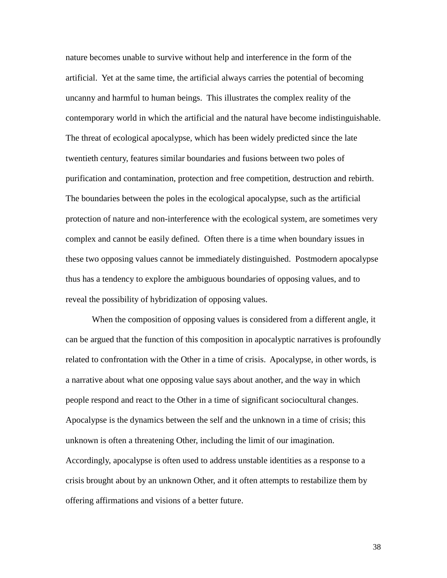nature becomes unable to survive without help and interference in the form of the artificial. Yet at the same time, the artificial always carries the potential of becoming uncanny and harmful to human beings. This illustrates the complex reality of the contemporary world in which the artificial and the natural have become indistinguishable. The threat of ecological apocalypse, which has been widely predicted since the late twentieth century, features similar boundaries and fusions between two poles of purification and contamination, protection and free competition, destruction and rebirth. The boundaries between the poles in the ecological apocalypse, such as the artificial protection of nature and non-interference with the ecological system, are sometimes very complex and cannot be easily defined. Often there is a time when boundary issues in these two opposing values cannot be immediately distinguished. Postmodern apocalypse thus has a tendency to explore the ambiguous boundaries of opposing values, and to reveal the possibility of hybridization of opposing values.

When the composition of opposing values is considered from a different angle, it can be argued that the function of this composition in apocalyptic narratives is profoundly related to confrontation with the Other in a time of crisis. Apocalypse, in other words, is a narrative about what one opposing value says about another, and the way in which people respond and react to the Other in a time of significant sociocultural changes. Apocalypse is the dynamics between the self and the unknown in a time of crisis; this unknown is often a threatening Other, including the limit of our imagination. Accordingly, apocalypse is often used to address unstable identities as a response to a crisis brought about by an unknown Other, and it often attempts to restabilize them by offering affirmations and visions of a better future.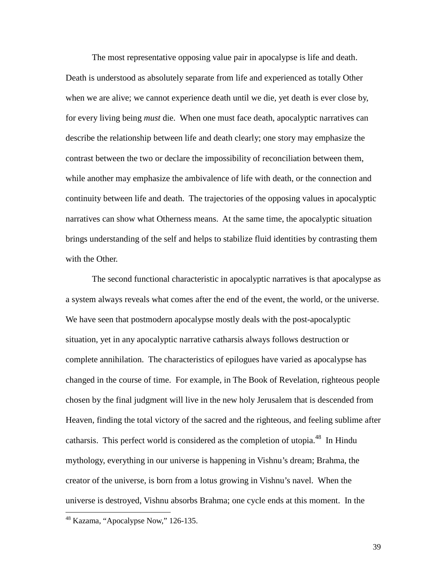The most representative opposing value pair in apocalypse is life and death. Death is understood as absolutely separate from life and experienced as totally Other when we are alive; we cannot experience death until we die, yet death is ever close by, for every living being *must* die. When one must face death, apocalyptic narratives can describe the relationship between life and death clearly; one story may emphasize the contrast between the two or declare the impossibility of reconciliation between them, while another may emphasize the ambivalence of life with death, or the connection and continuity between life and death. The trajectories of the opposing values in apocalyptic narratives can show what Otherness means. At the same time, the apocalyptic situation brings understanding of the self and helps to stabilize fluid identities by contrasting them with the Other.

 The second functional characteristic in apocalyptic narratives is that apocalypse as a system always reveals what comes after the end of the event, the world, or the universe. We have seen that postmodern apocalypse mostly deals with the post-apocalyptic situation, yet in any apocalyptic narrative catharsis always follows destruction or complete annihilation. The characteristics of epilogues have varied as apocalypse has changed in the course of time. For example, in The Book of Revelation, righteous people chosen by the final judgment will live in the new holy Jerusalem that is descended from Heaven, finding the total victory of the sacred and the righteous, and feeling sublime after catharsis. This perfect world is considered as the completion of utopia.<sup>48</sup> In Hindu mythology, everything in our universe is happening in Vishnu's dream; Brahma, the creator of the universe, is born from a lotus growing in Vishnu's navel. When the universe is destroyed, Vishnu absorbs Brahma; one cycle ends at this moment. In the

 $\overline{a}$ 

<sup>&</sup>lt;sup>48</sup> Kazama, "Apocalypse Now," 126-135.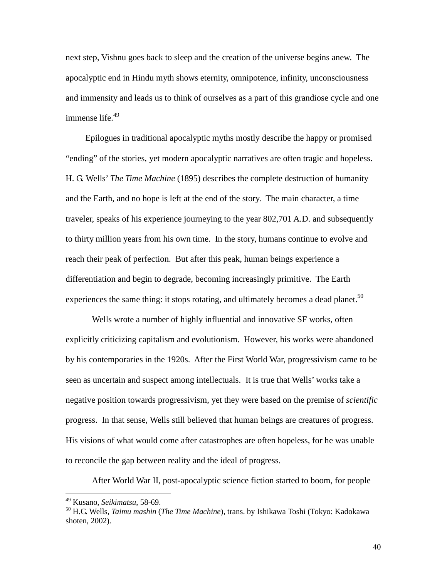next step, Vishnu goes back to sleep and the creation of the universe begins anew. The apocalyptic end in Hindu myth shows eternity, omnipotence, infinity, unconsciousness and immensity and leads us to think of ourselves as a part of this grandiose cycle and one immense life.<sup>49</sup>

Epilogues in traditional apocalyptic myths mostly describe the happy or promised "ending" of the stories, yet modern apocalyptic narratives are often tragic and hopeless. H. G. Wells' *The Time Machine* (1895) describes the complete destruction of humanity and the Earth, and no hope is left at the end of the story. The main character, a time traveler, speaks of his experience journeying to the year 802,701 A.D. and subsequently to thirty million years from his own time. In the story, humans continue to evolve and reach their peak of perfection. But after this peak, human beings experience a differentiation and begin to degrade, becoming increasingly primitive. The Earth experiences the same thing: it stops rotating, and ultimately becomes a dead planet.<sup>50</sup>

Wells wrote a number of highly influential and innovative SF works, often explicitly criticizing capitalism and evolutionism. However, his works were abandoned by his contemporaries in the 1920s. After the First World War, progressivism came to be seen as uncertain and suspect among intellectuals. It is true that Wells' works take a negative position towards progressivism, yet they were based on the premise of *scientific* progress. In that sense, Wells still believed that human beings are creatures of progress. His visions of what would come after catastrophes are often hopeless, for he was unable to reconcile the gap between reality and the ideal of progress.

After World War II, post-apocalyptic science fiction started to boom, for people

<sup>49</sup> Kusano, *Seikimatsu*, 58-69.

<sup>50</sup> H.G. Wells, *Taimu mashin* (*The Time Machine*), trans. by Ishikawa Toshi (Tokyo: Kadokawa shoten, 2002).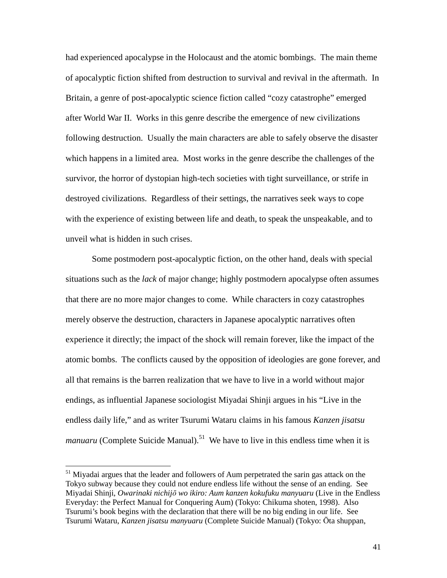had experienced apocalypse in the Holocaust and the atomic bombings. The main theme of apocalyptic fiction shifted from destruction to survival and revival in the aftermath. In Britain, a genre of post-apocalyptic science fiction called "cozy catastrophe" emerged after World War II. Works in this genre describe the emergence of new civilizations following destruction. Usually the main characters are able to safely observe the disaster which happens in a limited area. Most works in the genre describe the challenges of the survivor, the horror of dystopian high-tech societies with tight surveillance, or strife in destroyed civilizations. Regardless of their settings, the narratives seek ways to cope with the experience of existing between life and death, to speak the unspeakable, and to unveil what is hidden in such crises.

Some postmodern post-apocalyptic fiction, on the other hand, deals with special situations such as the *lack* of major change; highly postmodern apocalypse often assumes that there are no more major changes to come. While characters in cozy catastrophes merely observe the destruction, characters in Japanese apocalyptic narratives often experience it directly; the impact of the shock will remain forever, like the impact of the atomic bombs. The conflicts caused by the opposition of ideologies are gone forever, and all that remains is the barren realization that we have to live in a world without major endings, as influential Japanese sociologist Miyadai Shinji argues in his "Live in the endless daily life," and as writer Tsurumi Wataru claims in his famous *Kanzen jisatsu manuaru* (Complete Suicide Manual).<sup>51</sup> We have to live in this endless time when it is

<sup>&</sup>lt;sup>51</sup> Miyadai argues that the leader and followers of Aum perpetrated the sarin gas attack on the Tokyo subway because they could not endure endless life without the sense of an ending. See Miyadai Shinji, *Owarinaki nichij*ō *wo ikiro: Aum kanzen kokufuku manyuaru* (Live in the Endless Everyday: the Perfect Manual for Conquering Aum) (Tokyo: Chikuma shoten, 1998). Also Tsurumi's book begins with the declaration that there will be no big ending in our life. See Tsurumi Wataru, *Kanzen jisatsu manyuaru* (Complete Suicide Manual) (Tokyo: Ōta shuppan,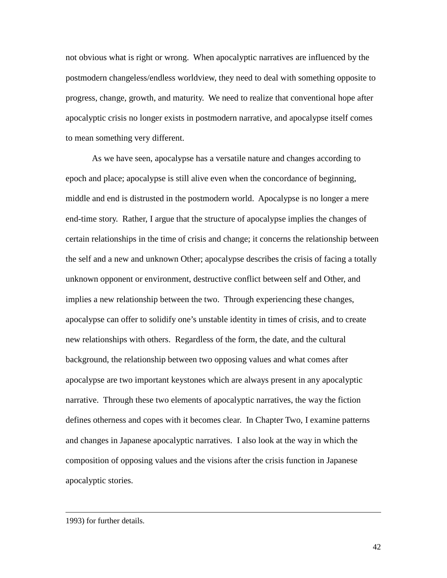not obvious what is right or wrong. When apocalyptic narratives are influenced by the postmodern changeless/endless worldview, they need to deal with something opposite to progress, change, growth, and maturity. We need to realize that conventional hope after apocalyptic crisis no longer exists in postmodern narrative, and apocalypse itself comes to mean something very different.

As we have seen, apocalypse has a versatile nature and changes according to epoch and place; apocalypse is still alive even when the concordance of beginning, middle and end is distrusted in the postmodern world. Apocalypse is no longer a mere end-time story. Rather, I argue that the structure of apocalypse implies the changes of certain relationships in the time of crisis and change; it concerns the relationship between the self and a new and unknown Other; apocalypse describes the crisis of facing a totally unknown opponent or environment, destructive conflict between self and Other, and implies a new relationship between the two. Through experiencing these changes, apocalypse can offer to solidify one's unstable identity in times of crisis, and to create new relationships with others. Regardless of the form, the date, and the cultural background, the relationship between two opposing values and what comes after apocalypse are two important keystones which are always present in any apocalyptic narrative. Through these two elements of apocalyptic narratives, the way the fiction defines otherness and copes with it becomes clear. In Chapter Two, I examine patterns and changes in Japanese apocalyptic narratives. I also look at the way in which the composition of opposing values and the visions after the crisis function in Japanese apocalyptic stories.

<sup>1993)</sup> for further details.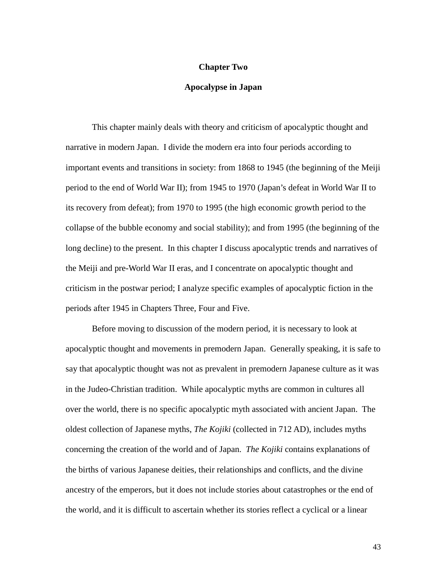#### **Chapter Two**

#### **Apocalypse in Japan**

This chapter mainly deals with theory and criticism of apocalyptic thought and narrative in modern Japan. I divide the modern era into four periods according to important events and transitions in society: from 1868 to 1945 (the beginning of the Meiji period to the end of World War II); from 1945 to 1970 (Japan's defeat in World War II to its recovery from defeat); from 1970 to 1995 (the high economic growth period to the collapse of the bubble economy and social stability); and from 1995 (the beginning of the long decline) to the present. In this chapter I discuss apocalyptic trends and narratives of the Meiji and pre-World War II eras, and I concentrate on apocalyptic thought and criticism in the postwar period; I analyze specific examples of apocalyptic fiction in the periods after 1945 in Chapters Three, Four and Five.

Before moving to discussion of the modern period, it is necessary to look at apocalyptic thought and movements in premodern Japan. Generally speaking, it is safe to say that apocalyptic thought was not as prevalent in premodern Japanese culture as it was in the Judeo-Christian tradition. While apocalyptic myths are common in cultures all over the world, there is no specific apocalyptic myth associated with ancient Japan. The oldest collection of Japanese myths, *The Kojiki* (collected in 712 AD), includes myths concerning the creation of the world and of Japan. *The Kojiki* contains explanations of the births of various Japanese deities, their relationships and conflicts, and the divine ancestry of the emperors, but it does not include stories about catastrophes or the end of the world, and it is difficult to ascertain whether its stories reflect a cyclical or a linear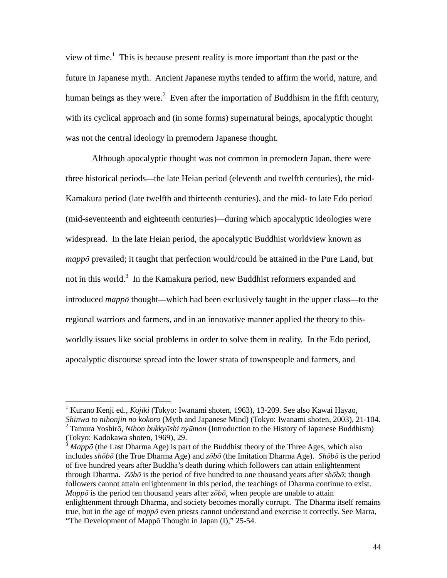view of time.<sup>1</sup> This is because present reality is more important than the past or the future in Japanese myth. Ancient Japanese myths tended to affirm the world, nature, and human beings as they were.<sup>2</sup> Even after the importation of Buddhism in the fifth century, with its cyclical approach and (in some forms) supernatural beings, apocalyptic thought was not the central ideology in premodern Japanese thought.

Although apocalyptic thought was not common in premodern Japan, there were three historical periods—the late Heian period (eleventh and twelfth centuries), the mid-Kamakura period (late twelfth and thirteenth centuries), and the mid- to late Edo period (mid-seventeenth and eighteenth centuries)—during which apocalyptic ideologies were widespread. In the late Heian period, the apocalyptic Buddhist worldview known as *mapp*ō prevailed; it taught that perfection would/could be attained in the Pure Land, but not in this world.<sup>3</sup> In the Kamakura period, new Buddhist reformers expanded and introduced *mapp*ō thought—which had been exclusively taught in the upper class—to the regional warriors and farmers, and in an innovative manner applied the theory to thisworldly issues like social problems in order to solve them in reality. In the Edo period, apocalyptic discourse spread into the lower strata of townspeople and farmers, and

<sup>&</sup>lt;sup>1</sup> Kurano Kenji ed., *Kojiki* (Tokyo: Iwanami shoten, 1963), 13-209. See also Kawai Hayao, *Shinwa to nihonjin no kokoro* (Myth and Japanese Mind) (Tokyo: Iwanami shoten, 2003), 21-104. 2 Tamura Yoshirō, *Nihon bukky*ō*shi ny*ū*mon* (Introduction to the History of Japanese Buddhism)

<sup>(</sup>Tokyo: Kadokawa shoten, 1969), 29.

*Mapp* $\bar{o}$  (the Last Dharma Age) is part of the Buddhist theory of the Three Ages, which also includes *sh*ō*b*ō (the True Dharma Age) and *z*ō*b*ō (the Imitation Dharma Age). *Sh*ō*b*ō is the period of five hundred years after Buddha's death during which followers can attain enlightenment through Dharma. *Z*ō*b*ō is the period of five hundred to one thousand years after *sh*ō*b*ō; though followers cannot attain enlightenment in this period, the teachings of Dharma continue to exist. *Mapp*<sup> $\bar{o}$ </sup> is the period ten thousand years after *z* $\bar{o}b\bar{o}$ , when people are unable to attain enlightenment through Dharma, and society becomes morally corrupt. The Dharma itself remains true, but in the age of *mapp*ō even priests cannot understand and exercise it correctly. See Marra, "The Development of Mappō Thought in Japan (I)," 25-54.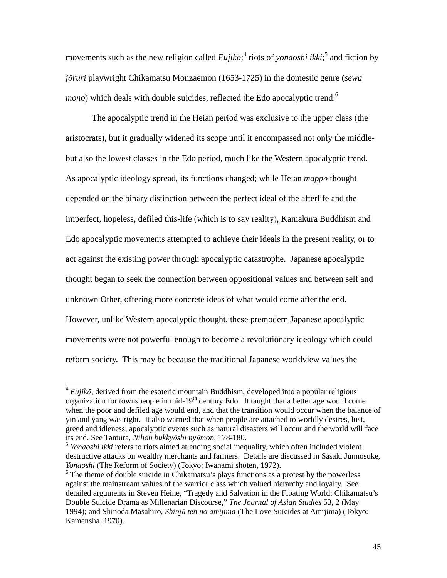movements such as the new religion called *Fujikō*;<sup>4</sup> riots of *yonaoshi ikki*;<sup>5</sup> and fiction by *j*ō*ruri* playwright Chikamatsu Monzaemon (1653-1725) in the domestic genre (*sewa mono*) which deals with double suicides, reflected the Edo apocalyptic trend.<sup>6</sup>

The apocalyptic trend in the Heian period was exclusive to the upper class (the aristocrats), but it gradually widened its scope until it encompassed not only the middlebut also the lowest classes in the Edo period, much like the Western apocalyptic trend. As apocalyptic ideology spread, its functions changed; while Heian *mapp*ō thought depended on the binary distinction between the perfect ideal of the afterlife and the imperfect, hopeless, defiled this-life (which is to say reality), Kamakura Buddhism and Edo apocalyptic movements attempted to achieve their ideals in the present reality, or to act against the existing power through apocalyptic catastrophe. Japanese apocalyptic thought began to seek the connection between oppositional values and between self and unknown Other, offering more concrete ideas of what would come after the end. However, unlike Western apocalyptic thought, these premodern Japanese apocalyptic movements were not powerful enough to become a revolutionary ideology which could reform society. This may be because the traditional Japanese worldview values the

 $\overline{a}$  $4$  *Fujikō*, derived from the esoteric mountain Buddhism, developed into a popular religious organization for townspeople in mid-19th century Edo. It taught that a better age would come when the poor and defiled age would end, and that the transition would occur when the balance of yin and yang was right. It also warned that when people are attached to worldly desires, lust, greed and idleness, apocalyptic events such as natural disasters will occur and the world will face its end. See Tamura, *Nihon bukky*ō*shi ny*ū*mon*, 178-180.

<sup>&</sup>lt;sup>5</sup> Yonaoshi ikki refers to riots aimed at ending social inequality, which often included violent destructive attacks on wealthy merchants and farmers. Details are discussed in Sasaki Junnosuke, *Yonaoshi* (The Reform of Society) (Tokyo: Iwanami shoten, 1972).

<sup>&</sup>lt;sup>6</sup> The theme of double suicide in Chikamatsu's plays functions as a protest by the powerless against the mainstream values of the warrior class which valued hierarchy and loyalty. See detailed arguments in Steven Heine, "Tragedy and Salvation in the Floating World: Chikamatsu's Double Suicide Drama as Millenarian Discourse," *The Journal of Asian Studies* 53, 2 (May 1994); and Shinoda Masahiro, *Shinj*ū *ten no amijima* (The Love Suicides at Amijima) (Tokyo: Kamensha, 1970).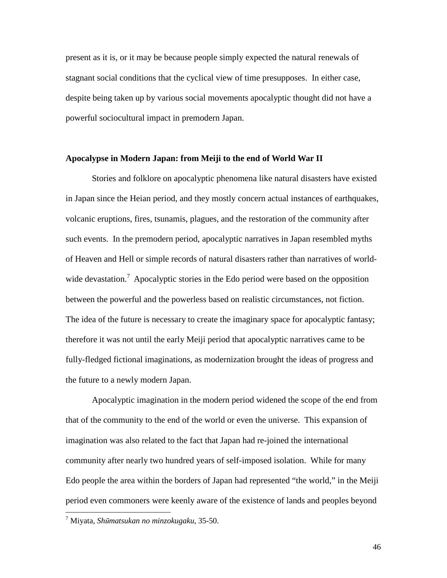present as it is, or it may be because people simply expected the natural renewals of stagnant social conditions that the cyclical view of time presupposes. In either case, despite being taken up by various social movements apocalyptic thought did not have a powerful sociocultural impact in premodern Japan.

# **Apocalypse in Modern Japan: from Meiji to the end of World War II**

Stories and folklore on apocalyptic phenomena like natural disasters have existed in Japan since the Heian period, and they mostly concern actual instances of earthquakes, volcanic eruptions, fires, tsunamis, plagues, and the restoration of the community after such events. In the premodern period, apocalyptic narratives in Japan resembled myths of Heaven and Hell or simple records of natural disasters rather than narratives of worldwide devastation.<sup>7</sup> Apocalyptic stories in the Edo period were based on the opposition between the powerful and the powerless based on realistic circumstances, not fiction. The idea of the future is necessary to create the imaginary space for apocalyptic fantasy; therefore it was not until the early Meiji period that apocalyptic narratives came to be fully-fledged fictional imaginations, as modernization brought the ideas of progress and the future to a newly modern Japan.

Apocalyptic imagination in the modern period widened the scope of the end from that of the community to the end of the world or even the universe. This expansion of imagination was also related to the fact that Japan had re-joined the international community after nearly two hundred years of self-imposed isolation. While for many Edo people the area within the borders of Japan had represented "the world," in the Meiji period even commoners were keenly aware of the existence of lands and peoples beyond

 $\overline{a}$ 

<sup>7</sup> Miyata, *Sh*ū*matsukan no minzokugaku*, 35-50.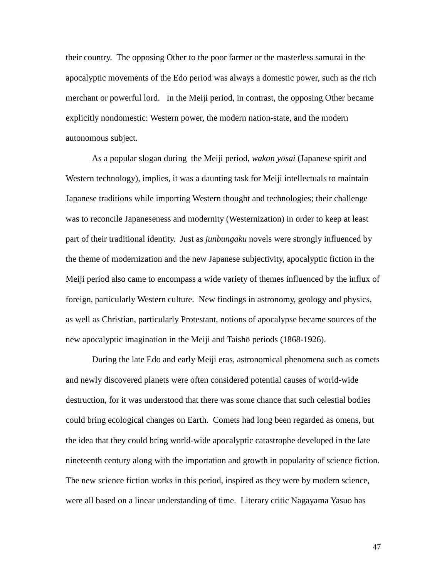their country. The opposing Other to the poor farmer or the masterless samurai in the apocalyptic movements of the Edo period was always a domestic power, such as the rich merchant or powerful lord. In the Meiji period, in contrast, the opposing Other became explicitly nondomestic: Western power, the modern nation-state, and the modern autonomous subject.

As a popular slogan during the Meiji period, *wakon y*ō*sai* (Japanese spirit and Western technology), implies, it was a daunting task for Meiji intellectuals to maintain Japanese traditions while importing Western thought and technologies; their challenge was to reconcile Japaneseness and modernity (Westernization) in order to keep at least part of their traditional identity. Just as *junbungaku* novels were strongly influenced by the theme of modernization and the new Japanese subjectivity, apocalyptic fiction in the Meiji period also came to encompass a wide variety of themes influenced by the influx of foreign, particularly Western culture. New findings in astronomy, geology and physics, as well as Christian, particularly Protestant, notions of apocalypse became sources of the new apocalyptic imagination in the Meiji and Taishō periods (1868-1926).

During the late Edo and early Meiji eras, astronomical phenomena such as comets and newly discovered planets were often considered potential causes of world-wide destruction, for it was understood that there was some chance that such celestial bodies could bring ecological changes on Earth. Comets had long been regarded as omens, but the idea that they could bring world-wide apocalyptic catastrophe developed in the late nineteenth century along with the importation and growth in popularity of science fiction. The new science fiction works in this period, inspired as they were by modern science, were all based on a linear understanding of time. Literary critic Nagayama Yasuo has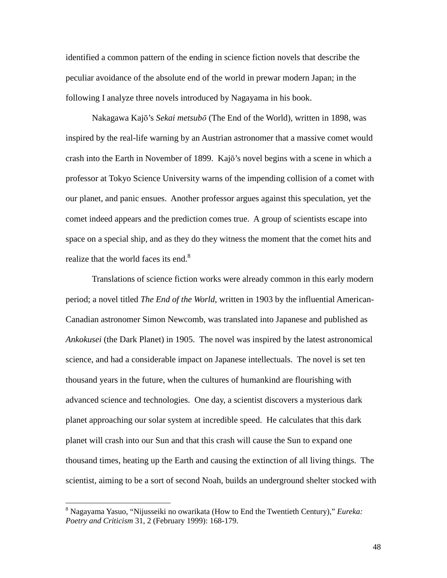identified a common pattern of the ending in science fiction novels that describe the peculiar avoidance of the absolute end of the world in prewar modern Japan; in the following I analyze three novels introduced by Nagayama in his book.

Nakagawa Kajō's *Sekai metsub*ō (The End of the World), written in 1898, was inspired by the real-life warning by an Austrian astronomer that a massive comet would crash into the Earth in November of 1899. Kajō's novel begins with a scene in which a professor at Tokyo Science University warns of the impending collision of a comet with our planet, and panic ensues. Another professor argues against this speculation, yet the comet indeed appears and the prediction comes true. A group of scientists escape into space on a special ship, and as they do they witness the moment that the comet hits and realize that the world faces its end.<sup>8</sup>

Translations of science fiction works were already common in this early modern period; a novel titled *The End of the World*, written in 1903 by the influential American-Canadian astronomer Simon Newcomb, was translated into Japanese and published as *Ankokusei* (the Dark Planet) in 1905. The novel was inspired by the latest astronomical science, and had a considerable impact on Japanese intellectuals. The novel is set ten thousand years in the future, when the cultures of humankind are flourishing with advanced science and technologies. One day, a scientist discovers a mysterious dark planet approaching our solar system at incredible speed. He calculates that this dark planet will crash into our Sun and that this crash will cause the Sun to expand one thousand times, heating up the Earth and causing the extinction of all living things. The scientist, aiming to be a sort of second Noah, builds an underground shelter stocked with

<sup>8</sup> Nagayama Yasuo, "Nijusseiki no owarikata (How to End the Twentieth Century)," *Eureka: Poetry and Criticism* 31, 2 (February 1999): 168-179.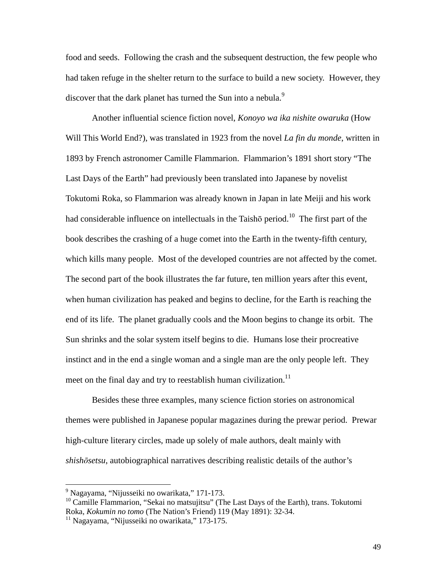food and seeds. Following the crash and the subsequent destruction, the few people who had taken refuge in the shelter return to the surface to build a new society. However, they discover that the dark planet has turned the Sun into a nebula.<sup>9</sup>

Another influential science fiction novel, *Konoyo wa ika nishite owaruka* (How Will This World End?), was translated in 1923 from the novel *La fin du monde*, written in 1893 by French astronomer Camille Flammarion. Flammarion's 1891 short story "The Last Days of the Earth" had previously been translated into Japanese by novelist Tokutomi Roka, so Flammarion was already known in Japan in late Meiji and his work had considerable influence on intellectuals in the Taishō period.<sup>10</sup> The first part of the book describes the crashing of a huge comet into the Earth in the twenty-fifth century, which kills many people. Most of the developed countries are not affected by the comet. The second part of the book illustrates the far future, ten million years after this event, when human civilization has peaked and begins to decline, for the Earth is reaching the end of its life. The planet gradually cools and the Moon begins to change its orbit. The Sun shrinks and the solar system itself begins to die. Humans lose their procreative instinct and in the end a single woman and a single man are the only people left. They meet on the final day and try to reestablish human civilization.<sup>11</sup>

Besides these three examples, many science fiction stories on astronomical themes were published in Japanese popular magazines during the prewar period. Prewar high-culture literary circles, made up solely of male authors, dealt mainly with *shish*ō*setsu*, autobiographical narratives describing realistic details of the author's

<sup>&</sup>lt;sup>9</sup> Nagayama, "Nijusseiki no owarikata," 171-173.

<sup>&</sup>lt;sup>10</sup> Camille Flammarion, "Sekai no matsujitsu" (The Last Days of the Earth), trans. Tokutomi Roka, *Kokumin no tomo* (The Nation's Friend) 119 (May 1891): 32-34.

 $11$  Nagayama, "Nijusseiki no owarikata," 173-175.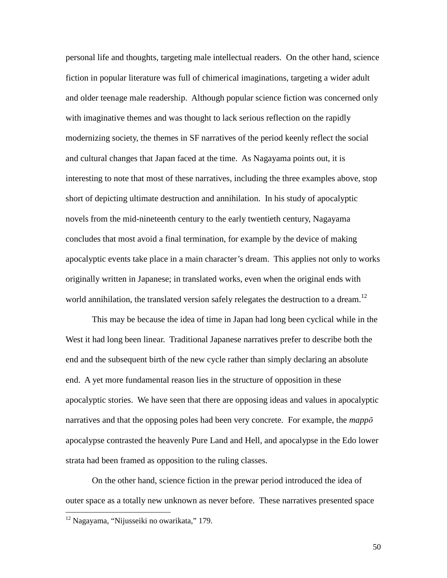personal life and thoughts, targeting male intellectual readers. On the other hand, science fiction in popular literature was full of chimerical imaginations, targeting a wider adult and older teenage male readership. Although popular science fiction was concerned only with imaginative themes and was thought to lack serious reflection on the rapidly modernizing society, the themes in SF narratives of the period keenly reflect the social and cultural changes that Japan faced at the time. As Nagayama points out, it is interesting to note that most of these narratives, including the three examples above, stop short of depicting ultimate destruction and annihilation. In his study of apocalyptic novels from the mid-nineteenth century to the early twentieth century, Nagayama concludes that most avoid a final termination, for example by the device of making apocalyptic events take place in a main character's dream. This applies not only to works originally written in Japanese; in translated works, even when the original ends with world annihilation, the translated version safely relegates the destruction to a dream.<sup>12</sup>

This may be because the idea of time in Japan had long been cyclical while in the West it had long been linear. Traditional Japanese narratives prefer to describe both the end and the subsequent birth of the new cycle rather than simply declaring an absolute end. A yet more fundamental reason lies in the structure of opposition in these apocalyptic stories. We have seen that there are opposing ideas and values in apocalyptic narratives and that the opposing poles had been very concrete. For example, the *mapp*ō apocalypse contrasted the heavenly Pure Land and Hell, and apocalypse in the Edo lower strata had been framed as opposition to the ruling classes.

On the other hand, science fiction in the prewar period introduced the idea of outer space as a totally new unknown as never before. These narratives presented space

 $\overline{a}$ 

<sup>&</sup>lt;sup>12</sup> Nagayama, "Nijusseiki no owarikata," 179.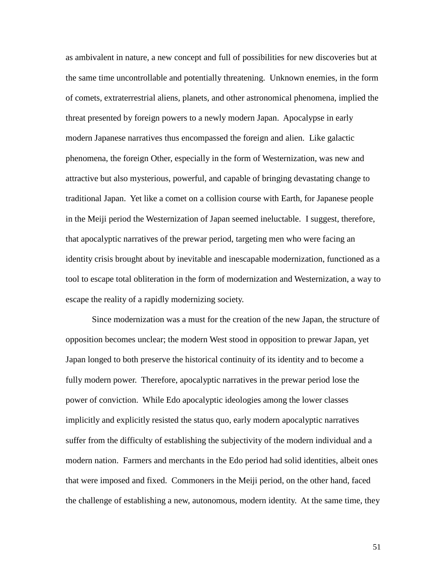as ambivalent in nature, a new concept and full of possibilities for new discoveries but at the same time uncontrollable and potentially threatening. Unknown enemies, in the form of comets, extraterrestrial aliens, planets, and other astronomical phenomena, implied the threat presented by foreign powers to a newly modern Japan. Apocalypse in early modern Japanese narratives thus encompassed the foreign and alien. Like galactic phenomena, the foreign Other, especially in the form of Westernization, was new and attractive but also mysterious, powerful, and capable of bringing devastating change to traditional Japan. Yet like a comet on a collision course with Earth, for Japanese people in the Meiji period the Westernization of Japan seemed ineluctable. I suggest, therefore, that apocalyptic narratives of the prewar period, targeting men who were facing an identity crisis brought about by inevitable and inescapable modernization, functioned as a tool to escape total obliteration in the form of modernization and Westernization, a way to escape the reality of a rapidly modernizing society.

Since modernization was a must for the creation of the new Japan, the structure of opposition becomes unclear; the modern West stood in opposition to prewar Japan, yet Japan longed to both preserve the historical continuity of its identity and to become a fully modern power. Therefore, apocalyptic narratives in the prewar period lose the power of conviction. While Edo apocalyptic ideologies among the lower classes implicitly and explicitly resisted the status quo, early modern apocalyptic narratives suffer from the difficulty of establishing the subjectivity of the modern individual and a modern nation. Farmers and merchants in the Edo period had solid identities, albeit ones that were imposed and fixed. Commoners in the Meiji period, on the other hand, faced the challenge of establishing a new, autonomous, modern identity. At the same time, they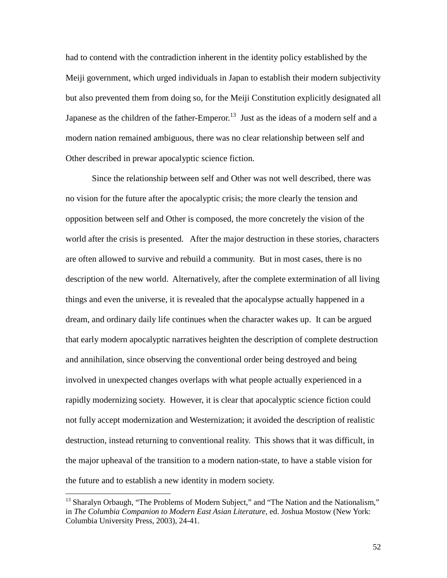had to contend with the contradiction inherent in the identity policy established by the Meiji government, which urged individuals in Japan to establish their modern subjectivity but also prevented them from doing so, for the Meiji Constitution explicitly designated all Japanese as the children of the father-Emperor.<sup>13</sup> Just as the ideas of a modern self and a modern nation remained ambiguous, there was no clear relationship between self and Other described in prewar apocalyptic science fiction.

Since the relationship between self and Other was not well described, there was no vision for the future after the apocalyptic crisis; the more clearly the tension and opposition between self and Other is composed, the more concretely the vision of the world after the crisis is presented. After the major destruction in these stories, characters are often allowed to survive and rebuild a community. But in most cases, there is no description of the new world. Alternatively, after the complete extermination of all living things and even the universe, it is revealed that the apocalypse actually happened in a dream, and ordinary daily life continues when the character wakes up. It can be argued that early modern apocalyptic narratives heighten the description of complete destruction and annihilation, since observing the conventional order being destroyed and being involved in unexpected changes overlaps with what people actually experienced in a rapidly modernizing society. However, it is clear that apocalyptic science fiction could not fully accept modernization and Westernization; it avoided the description of realistic destruction, instead returning to conventional reality. This shows that it was difficult, in the major upheaval of the transition to a modern nation-state, to have a stable vision for the future and to establish a new identity in modern society.

<sup>&</sup>lt;sup>13</sup> Sharalyn Orbaugh, "The Problems of Modern Subject," and "The Nation and the Nationalism," in *The Columbia Companion to Modern East Asian Literature*, ed. Joshua Mostow (New York: Columbia University Press, 2003), 24-41.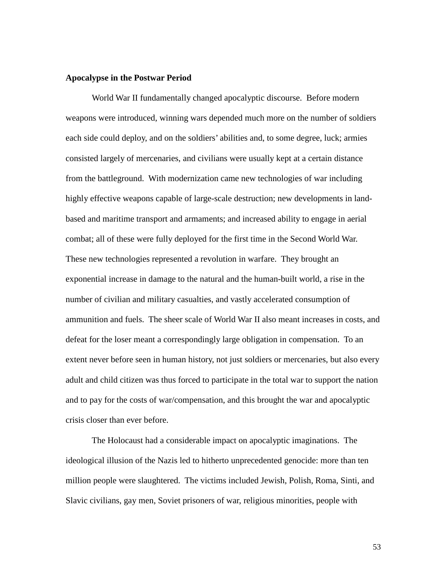## **Apocalypse in the Postwar Period**

World War II fundamentally changed apocalyptic discourse. Before modern weapons were introduced, winning wars depended much more on the number of soldiers each side could deploy, and on the soldiers' abilities and, to some degree, luck; armies consisted largely of mercenaries, and civilians were usually kept at a certain distance from the battleground. With modernization came new technologies of war including highly effective weapons capable of large-scale destruction; new developments in landbased and maritime transport and armaments; and increased ability to engage in aerial combat; all of these were fully deployed for the first time in the Second World War. These new technologies represented a revolution in warfare. They brought an exponential increase in damage to the natural and the human-built world, a rise in the number of civilian and military casualties, and vastly accelerated consumption of ammunition and fuels. The sheer scale of World War II also meant increases in costs, and defeat for the loser meant a correspondingly large obligation in compensation. To an extent never before seen in human history, not just soldiers or mercenaries, but also every adult and child citizen was thus forced to participate in the total war to support the nation and to pay for the costs of war/compensation, and this brought the war and apocalyptic crisis closer than ever before.

The Holocaust had a considerable impact on apocalyptic imaginations. The ideological illusion of the Nazis led to hitherto unprecedented genocide: more than ten million people were slaughtered. The victims included Jewish, Polish, Roma, Sinti, and Slavic civilians, gay men, Soviet prisoners of war, religious minorities, people with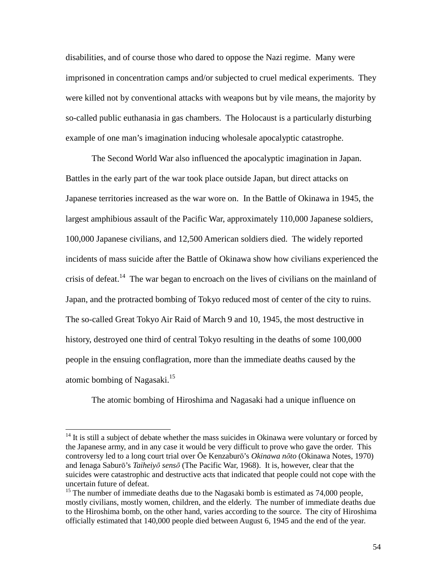disabilities, and of course those who dared to oppose the Nazi regime. Many were imprisoned in concentration camps and/or subjected to cruel medical experiments. They were killed not by conventional attacks with weapons but by vile means, the majority by so-called public euthanasia in gas chambers. The Holocaust is a particularly disturbing example of one man's imagination inducing wholesale apocalyptic catastrophe.

The Second World War also influenced the apocalyptic imagination in Japan. Battles in the early part of the war took place outside Japan, but direct attacks on Japanese territories increased as the war wore on. In the Battle of Okinawa in 1945, the largest amphibious assault of the Pacific War, approximately 110,000 Japanese soldiers, 100,000 Japanese civilians, and 12,500 American soldiers died. The widely reported incidents of mass suicide after the Battle of Okinawa show how civilians experienced the crisis of defeat.<sup>14</sup> The war began to encroach on the lives of civilians on the mainland of Japan, and the protracted bombing of Tokyo reduced most of center of the city to ruins. The so-called Great Tokyo Air Raid of March 9 and 10, 1945, the most destructive in history, destroyed one third of central Tokyo resulting in the deaths of some 100,000 people in the ensuing conflagration, more than the immediate deaths caused by the atomic bombing of Nagasaki.<sup>15</sup>

The atomic bombing of Hiroshima and Nagasaki had a unique influence on

 $14$  It is still a subject of debate whether the mass suicides in Okinawa were voluntary or forced by the Japanese army, and in any case it would be very difficult to prove who gave the order. This controversy led to a long court trial over Ōe Kenzaburō's *Okinawa n*ō*to* (Okinawa Notes, 1970) and Ienaga Saburō's *Taiheiy*ō *sens*ō (The Pacific War, 1968). It is, however, clear that the suicides were catastrophic and destructive acts that indicated that people could not cope with the uncertain future of defeat.

<sup>&</sup>lt;sup>15</sup> The number of immediate deaths due to the Nagasaki bomb is estimated as  $74,000$  people, mostly civilians, mostly women, children, and the elderly. The number of immediate deaths due to the Hiroshima bomb, on the other hand, varies according to the source. The city of Hiroshima officially estimated that 140,000 people died between August 6, 1945 and the end of the year.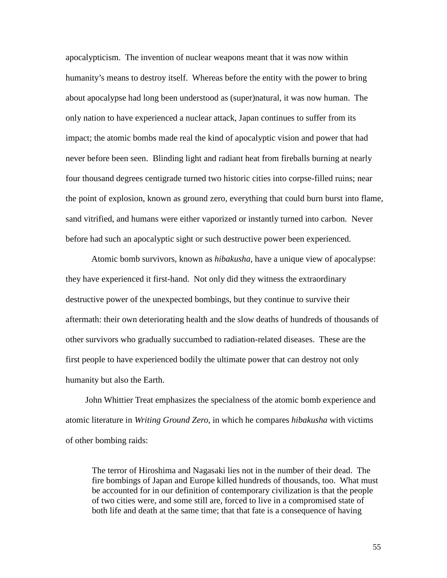apocalypticism. The invention of nuclear weapons meant that it was now within humanity's means to destroy itself. Whereas before the entity with the power to bring about apocalypse had long been understood as (super)natural, it was now human. The only nation to have experienced a nuclear attack, Japan continues to suffer from its impact; the atomic bombs made real the kind of apocalyptic vision and power that had never before been seen. Blinding light and radiant heat from fireballs burning at nearly four thousand degrees centigrade turned two historic cities into corpse-filled ruins; near the point of explosion, known as ground zero, everything that could burn burst into flame, sand vitrified, and humans were either vaporized or instantly turned into carbon. Never before had such an apocalyptic sight or such destructive power been experienced.

Atomic bomb survivors, known as *hibakusha*, have a unique view of apocalypse: they have experienced it first-hand. Not only did they witness the extraordinary destructive power of the unexpected bombings, but they continue to survive their aftermath: their own deteriorating health and the slow deaths of hundreds of thousands of other survivors who gradually succumbed to radiation-related diseases. These are the first people to have experienced bodily the ultimate power that can destroy not only humanity but also the Earth.

John Whittier Treat emphasizes the specialness of the atomic bomb experience and atomic literature in *Writing Ground Zero*, in which he compares *hibakusha* with victims of other bombing raids:

The terror of Hiroshima and Nagasaki lies not in the number of their dead. The fire bombings of Japan and Europe killed hundreds of thousands, too. What must be accounted for in our definition of contemporary civilization is that the people of two cities were, and some still are, forced to live in a compromised state of both life and death at the same time; that that fate is a consequence of having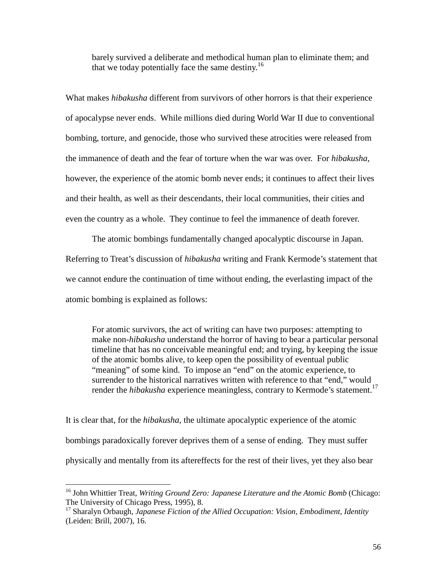barely survived a deliberate and methodical human plan to eliminate them; and that we today potentially face the same destiny.<sup>16</sup>

What makes *hibakusha* different from survivors of other horrors is that their experience of apocalypse never ends. While millions died during World War II due to conventional bombing, torture, and genocide, those who survived these atrocities were released from the immanence of death and the fear of torture when the war was over. For *hibakusha*, however, the experience of the atomic bomb never ends; it continues to affect their lives and their health, as well as their descendants, their local communities, their cities and even the country as a whole. They continue to feel the immanence of death forever.

The atomic bombings fundamentally changed apocalyptic discourse in Japan. Referring to Treat's discussion of *hibakusha* writing and Frank Kermode's statement that we cannot endure the continuation of time without ending, the everlasting impact of the atomic bombing is explained as follows:

For atomic survivors, the act of writing can have two purposes: attempting to make non-*hibakusha* understand the horror of having to bear a particular personal timeline that has no conceivable meaningful end; and trying, by keeping the issue of the atomic bombs alive, to keep open the possibility of eventual public "meaning" of some kind. To impose an "end" on the atomic experience, to surrender to the historical narratives written with reference to that "end," would render the *hibakusha* experience meaningless, contrary to Kermode's statement.<sup>17</sup>

It is clear that, for the *hibakusha*, the ultimate apocalyptic experience of the atomic bombings paradoxically forever deprives them of a sense of ending. They must suffer physically and mentally from its aftereffects for the rest of their lives, yet they also bear

<sup>16</sup> John Whittier Treat, *Writing Ground Zero: Japanese Literature and the Atomic Bomb* (Chicago: The University of Chicago Press, 1995), 8.

<sup>17</sup> Sharalyn Orbaugh, *Japanese Fiction of the Allied Occupation: Vision, Embodiment, Identity* (Leiden: Brill, 2007), 16.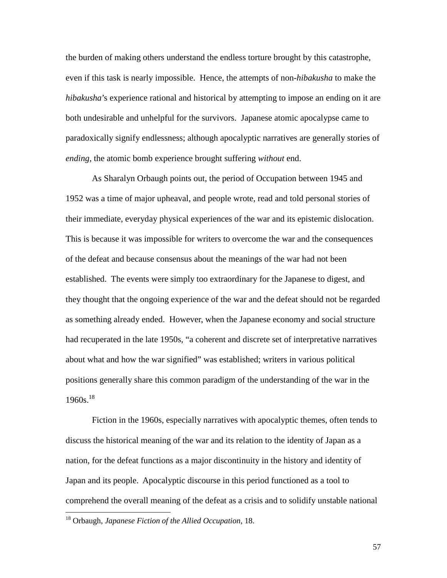the burden of making others understand the endless torture brought by this catastrophe, even if this task is nearly impossible. Hence, the attempts of non-*hibakusha* to make the *hibakusha*'s experience rational and historical by attempting to impose an ending on it are both undesirable and unhelpful for the survivors. Japanese atomic apocalypse came to paradoxically signify endlessness; although apocalyptic narratives are generally stories of *ending*, the atomic bomb experience brought suffering *without* end.

As Sharalyn Orbaugh points out, the period of Occupation between 1945 and 1952 was a time of major upheaval, and people wrote, read and told personal stories of their immediate, everyday physical experiences of the war and its epistemic dislocation. This is because it was impossible for writers to overcome the war and the consequences of the defeat and because consensus about the meanings of the war had not been established. The events were simply too extraordinary for the Japanese to digest, and they thought that the ongoing experience of the war and the defeat should not be regarded as something already ended. However, when the Japanese economy and social structure had recuperated in the late 1950s, "a coherent and discrete set of interpretative narratives about what and how the war signified" was established; writers in various political positions generally share this common paradigm of the understanding of the war in the  $1960s.<sup>18</sup>$ 

Fiction in the 1960s, especially narratives with apocalyptic themes, often tends to discuss the historical meaning of the war and its relation to the identity of Japan as a nation, for the defeat functions as a major discontinuity in the history and identity of Japan and its people. Apocalyptic discourse in this period functioned as a tool to comprehend the overall meaning of the defeat as a crisis and to solidify unstable national

 $\overline{a}$ 

<sup>18</sup> Orbaugh, *Japanese Fiction of the Allied Occupation*, 18.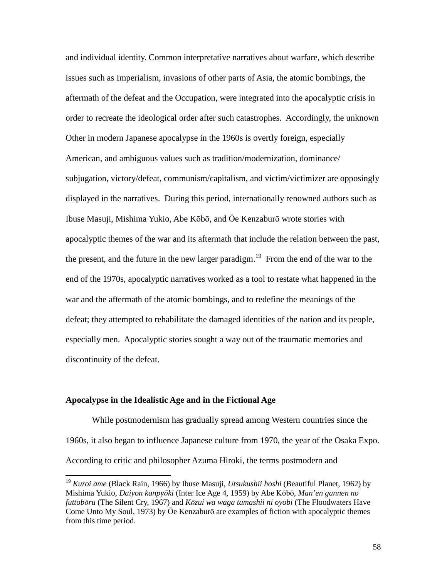and individual identity. Common interpretative narratives about warfare, which describe issues such as Imperialism, invasions of other parts of Asia, the atomic bombings, the aftermath of the defeat and the Occupation, were integrated into the apocalyptic crisis in order to recreate the ideological order after such catastrophes. Accordingly, the unknown Other in modern Japanese apocalypse in the 1960s is overtly foreign, especially American, and ambiguous values such as tradition/modernization, dominance/ subjugation, victory/defeat, communism/capitalism, and victim/victimizer are opposingly displayed in the narratives. During this period, internationally renowned authors such as Ibuse Masuji, Mishima Yukio, Abe Kōbō, and Ōe Kenzaburō wrote stories with apocalyptic themes of the war and its aftermath that include the relation between the past, the present, and the future in the new larger paradigm.<sup>19</sup> From the end of the war to the end of the 1970s, apocalyptic narratives worked as a tool to restate what happened in the war and the aftermath of the atomic bombings, and to redefine the meanings of the defeat; they attempted to rehabilitate the damaged identities of the nation and its people, especially men. Apocalyptic stories sought a way out of the traumatic memories and discontinuity of the defeat.

#### **Apocalypse in the Idealistic Age and in the Fictional Age**

 $\overline{a}$ 

While postmodernism has gradually spread among Western countries since the 1960s, it also began to influence Japanese culture from 1970, the year of the Osaka Expo. According to critic and philosopher Azuma Hiroki, the terms postmodern and

<sup>19</sup> *Kuroi ame* (Black Rain, 1966) by Ibuse Masuji, *Utsukushii hoshi* (Beautiful Planet, 1962) by Mishima Yukio, *Daiyon kanpy*ō*ki* (Inter Ice Age 4, 1959) by Abe Kōbō, *Man'en gannen no futtob*ō*ru* (The Silent Cry, 1967) and *K*ō*zui wa waga tamashii ni oyobi* (The Floodwaters Have Come Unto My Soul, 1973) by Ōe Kenzaburō are examples of fiction with apocalyptic themes from this time period.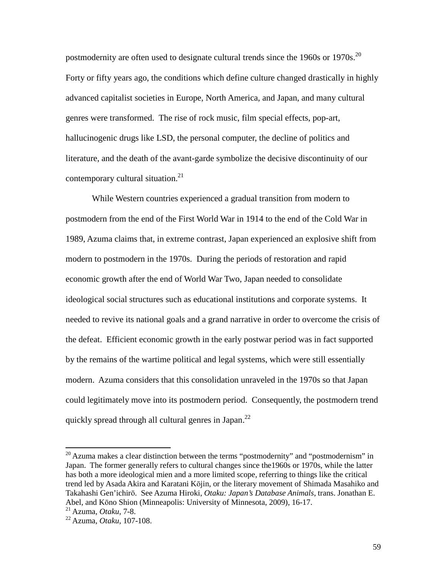postmodernity are often used to designate cultural trends since the 1960s or 1970s.<sup>20</sup> Forty or fifty years ago, the conditions which define culture changed drastically in highly advanced capitalist societies in Europe, North America, and Japan, and many cultural genres were transformed. The rise of rock music, film special effects, pop-art, hallucinogenic drugs like LSD, the personal computer, the decline of politics and literature, and the death of the avant-garde symbolize the decisive discontinuity of our contemporary cultural situation.<sup>21</sup>

While Western countries experienced a gradual transition from modern to postmodern from the end of the First World War in 1914 to the end of the Cold War in 1989, Azuma claims that, in extreme contrast, Japan experienced an explosive shift from modern to postmodern in the 1970s. During the periods of restoration and rapid economic growth after the end of World War Two, Japan needed to consolidate ideological social structures such as educational institutions and corporate systems. It needed to revive its national goals and a grand narrative in order to overcome the crisis of the defeat. Efficient economic growth in the early postwar period was in fact supported by the remains of the wartime political and legal systems, which were still essentially modern. Azuma considers that this consolidation unraveled in the 1970s so that Japan could legitimately move into its postmodern period. Consequently, the postmodern trend quickly spread through all cultural genres in Japan.<sup>22</sup>

 $^{20}$  Azuma makes a clear distinction between the terms "postmodernity" and "postmodernism" in Japan. The former generally refers to cultural changes since the1960s or 1970s, while the latter has both a more ideological mien and a more limited scope, referring to things like the critical trend led by Asada Akira and Karatani Kōjin, or the literary movement of Shimada Masahiko and Takahashi Gen'ichirō. See Azuma Hiroki, *Otaku: Japan's Database Animals*, trans. Jonathan E. Abel, and Kōno Shion (Minneapolis: University of Minnesota, 2009), 16-17.

<sup>21</sup> Azuma, *Otaku*, 7-8.

<sup>22</sup> Azuma, *Otaku*, 107-108.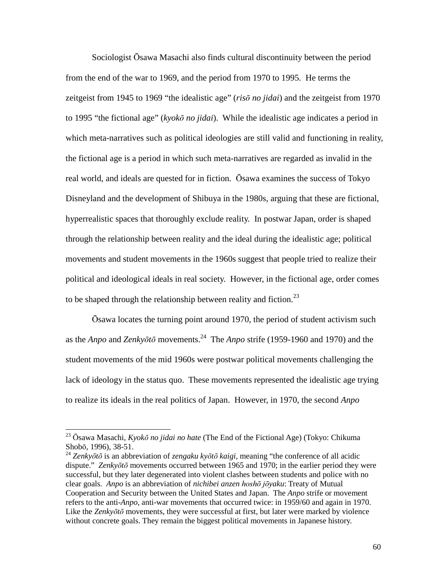Sociologist Ōsawa Masachi also finds cultural discontinuity between the period from the end of the war to 1969, and the period from 1970 to 1995. He terms the zeitgeist from 1945 to 1969 "the idealistic age" (*ris*ō *no jidai*) and the zeitgeist from 1970 to 1995 "the fictional age" (*kyok*ō *no jidai*). While the idealistic age indicates a period in which meta-narratives such as political ideologies are still valid and functioning in reality, the fictional age is a period in which such meta-narratives are regarded as invalid in the real world, and ideals are quested for in fiction. Ōsawa examines the success of Tokyo Disneyland and the development of Shibuya in the 1980s, arguing that these are fictional, hyperrealistic spaces that thoroughly exclude reality. In postwar Japan, order is shaped through the relationship between reality and the ideal during the idealistic age; political movements and student movements in the 1960s suggest that people tried to realize their political and ideological ideals in real society. However, in the fictional age, order comes to be shaped through the relationship between reality and fiction.<sup>23</sup>

Ōsawa locates the turning point around 1970, the period of student activism such as the *Anpo* and *Zenky*ō*t*ō movements.<sup>24</sup> The *Anpo* strife (1959-1960 and 1970) and the student movements of the mid 1960s were postwar political movements challenging the lack of ideology in the status quo. These movements represented the idealistic age trying to realize its ideals in the real politics of Japan. However, in 1970, the second *Anpo*

<sup>23</sup> Ōsawa Masachi, *Kyok*ō *no jidai no hate* (The End of the Fictional Age) (Tokyo: Chikuma Shobō, 1996), 38-51.

<sup>24</sup> *Zenky*ō*t*ō is an abbreviation of *zengaku ky*ō*t*ō *kaigi*, meaning "the conference of all acidic dispute." *Zenky*ō*t*ō movements occurred between 1965 and 1970; in the earlier period they were successful, but they later degenerated into violent clashes between students and police with no clear goals. *Anpo* is an abbreviation of *nichibei anzen* hoshō jō*yaku*: Treaty of Mutual Cooperation and Security between the United States and Japan. The *Anpo* strife or movement refers to the anti-*Anpo*, anti-war movements that occurred twice: in 1959/60 and again in 1970. Like the *Zenky*ō*t*ō movements, they were successful at first, but later were marked by violence without concrete goals. They remain the biggest political movements in Japanese history.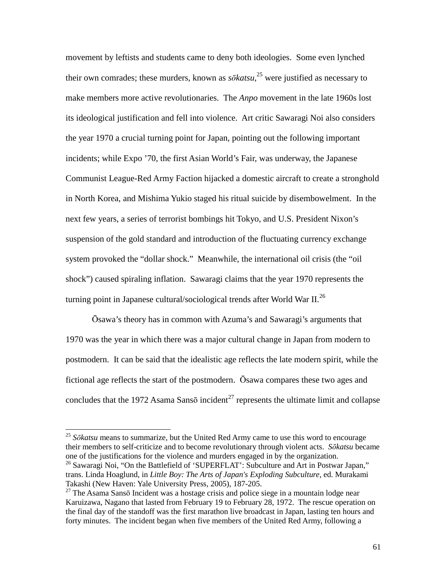movement by leftists and students came to deny both ideologies. Some even lynched their own comrades; these murders, known as *s*ō*katsu*, <sup>25</sup> were justified as necessary to make members more active revolutionaries. The *Anpo* movement in the late 1960s lost its ideological justification and fell into violence. Art critic Sawaragi Noi also considers the year 1970 a crucial turning point for Japan, pointing out the following important incidents; while Expo '70, the first Asian World's Fair, was underway, the Japanese Communist League-Red Army Faction hijacked a domestic aircraft to create a stronghold in North Korea, and Mishima Yukio staged his ritual suicide by disembowelment. In the next few years, a series of terrorist bombings hit Tokyo, and U.S. President Nixon's suspension of the gold standard and introduction of the fluctuating currency exchange system provoked the "dollar shock." Meanwhile, the international oil crisis (the "oil shock") caused spiraling inflation. Sawaragi claims that the year 1970 represents the turning point in Japanese cultural/sociological trends after World War II. $^{26}$ 

Ōsawa's theory has in common with Azuma's and Sawaragi's arguments that 1970 was the year in which there was a major cultural change in Japan from modern to postmodern. It can be said that the idealistic age reflects the late modern spirit, while the fictional age reflects the start of the postmodern. Ōsawa compares these two ages and concludes that the 1972 Asama Sansō incident<sup>27</sup> represents the ultimate limit and collapse

<sup>25</sup> *S*ō*katsu* means to summarize, but the United Red Army came to use this word to encourage their members to self-criticize and to become revolutionary through violent acts. *S*ō*katsu* became one of the justifications for the violence and murders engaged in by the organization.

<sup>&</sup>lt;sup>26</sup> Sawaragi Noi, "On the Battlefield of 'SUPERFLAT': Subculture and Art in Postwar Japan," trans. Linda Hoaglund, in *Little Boy: The Arts of Japan's Exploding Subculture*, ed. Murakami Takashi (New Haven: Yale University Press, 2005), 187-205.

 $27$  The Asama Sansō Incident was a hostage crisis and police siege in a mountain lodge near Karuizawa, Nagano that lasted from February 19 to February 28, 1972. The rescue operation on the final day of the standoff was the first marathon live broadcast in Japan, lasting ten hours and forty minutes. The incident began when five members of the United Red Army, following a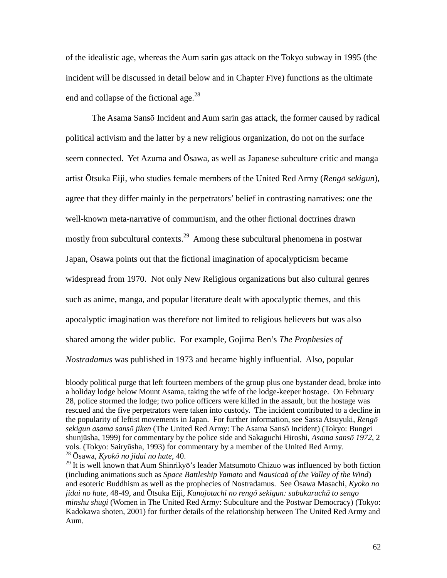of the idealistic age, whereas the Aum sarin gas attack on the Tokyo subway in 1995 (the incident will be discussed in detail below and in Chapter Five) functions as the ultimate end and collapse of the fictional age.<sup>28</sup>

The Asama Sansō Incident and Aum sarin gas attack, the former caused by radical political activism and the latter by a new religious organization, do not on the surface seem connected. Yet Azuma and Ōsawa, as well as Japanese subculture critic and manga artist Ōtsuka Eiji, who studies female members of the United Red Army (*Reng*ō *sekigun*), agree that they differ mainly in the perpetrators' belief in contrasting narratives: one the well-known meta-narrative of communism, and the other fictional doctrines drawn mostly from subcultural contexts.<sup>29</sup> Among these subcultural phenomena in postwar Japan, Ōsawa points out that the fictional imagination of apocalypticism became widespread from 1970. Not only New Religious organizations but also cultural genres such as anime, manga, and popular literature dealt with apocalyptic themes, and this apocalyptic imagination was therefore not limited to religious believers but was also shared among the wider public. For example, Gojima Ben's *The Prophesies of Nostradamus* was published in 1973 and became highly influential. Also, popular

bloody political purge that left fourteen members of the group plus one bystander dead, broke into a holiday lodge below Mount Asama, taking the wife of the lodge-keeper hostage. On February 28, police stormed the lodge; two police officers were killed in the assault, but the hostage was rescued and the five perpetrators were taken into custody. The incident contributed to a decline in the popularity of leftist movements in Japan. For further information, see Sassa Atsuyuki, *Reng*ō *sekigun asama sans*ō *jiken* (The United Red Army: The Asama Sansō Incident) (Tokyo: Bungei shunjūsha, 1999) for commentary by the police side and Sakaguchi Hiroshi, *Asama sans*ō *1972*, 2 vols. (Tokyo: Sairyūsha, 1993) for commentary by a member of the United Red Army. <sup>28</sup> Ōsawa, *Kyok*ō *no jidai no hate*, 40.

<sup>&</sup>lt;sup>29</sup> It is well known that Aum Shinrikyō's leader Matsumoto Chizuo was influenced by both fiction (including animations such as *Space Battleship Yamato* and *Nausicaä of the Valley of the Wind*) and esoteric Buddhism as well as the prophecies of Nostradamus. See Ōsawa Masachi, *Kyoko no jidai no hate*, 48-49, and Ōtsuka Eiji, *Kanojotachi no reng*ō *sekigun: sabukaruch*ā *to sengo minshu shugi* (Women in The United Red Army: Subculture and the Postwar Democracy) (Tokyo: Kadokawa shoten, 2001) for further details of the relationship between The United Red Army and Aum.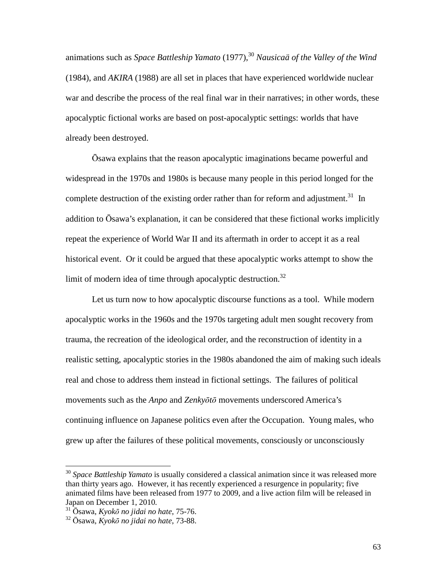animations such as *Space Battleship Yamato* (1977),<sup>30</sup> *Nausicaä of the Valley of the Wind* (1984), and *AKIRA* (1988) are all set in places that have experienced worldwide nuclear war and describe the process of the real final war in their narratives; in other words, these apocalyptic fictional works are based on post-apocalyptic settings: worlds that have already been destroyed.

Ōsawa explains that the reason apocalyptic imaginations became powerful and widespread in the 1970s and 1980s is because many people in this period longed for the complete destruction of the existing order rather than for reform and adjustment.<sup>31</sup> In addition to Ōsawa's explanation, it can be considered that these fictional works implicitly repeat the experience of World War II and its aftermath in order to accept it as a real historical event. Or it could be argued that these apocalyptic works attempt to show the limit of modern idea of time through apocalyptic destruction.<sup>32</sup>

Let us turn now to how apocalyptic discourse functions as a tool. While modern apocalyptic works in the 1960s and the 1970s targeting adult men sought recovery from trauma, the recreation of the ideological order, and the reconstruction of identity in a realistic setting, apocalyptic stories in the 1980s abandoned the aim of making such ideals real and chose to address them instead in fictional settings. The failures of political movements such as the *Anpo* and *Zenky*ō*t*ō movements underscored America's continuing influence on Japanese politics even after the Occupation. Young males, who grew up after the failures of these political movements, consciously or unconsciously

<sup>&</sup>lt;sup>30</sup> Space Battleship Yamato is usually considered a classical animation since it was released more than thirty years ago. However, it has recently experienced a resurgence in popularity; five animated films have been released from 1977 to 2009, and a live action film will be released in Japan on December 1, 2010.

<sup>31</sup> Ōsawa, *Kyok*ō *no jidai no hate*, 75-76.

<sup>32</sup> Ōsawa, *Kyok*ō *no jidai no hate*, 73-88.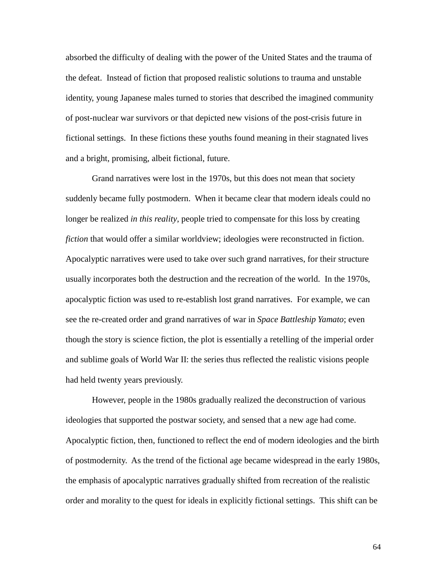absorbed the difficulty of dealing with the power of the United States and the trauma of the defeat. Instead of fiction that proposed realistic solutions to trauma and unstable identity, young Japanese males turned to stories that described the imagined community of post-nuclear war survivors or that depicted new visions of the post-crisis future in fictional settings. In these fictions these youths found meaning in their stagnated lives and a bright, promising, albeit fictional, future.

Grand narratives were lost in the 1970s, but this does not mean that society suddenly became fully postmodern. When it became clear that modern ideals could no longer be realized *in this reality*, people tried to compensate for this loss by creating *fiction* that would offer a similar worldview; ideologies were reconstructed in fiction. Apocalyptic narratives were used to take over such grand narratives, for their structure usually incorporates both the destruction and the recreation of the world. In the 1970s, apocalyptic fiction was used to re-establish lost grand narratives. For example, we can see the re-created order and grand narratives of war in *Space Battleship Yamato*; even though the story is science fiction, the plot is essentially a retelling of the imperial order and sublime goals of World War II: the series thus reflected the realistic visions people had held twenty years previously.

However, people in the 1980s gradually realized the deconstruction of various ideologies that supported the postwar society, and sensed that a new age had come. Apocalyptic fiction, then, functioned to reflect the end of modern ideologies and the birth of postmodernity. As the trend of the fictional age became widespread in the early 1980s, the emphasis of apocalyptic narratives gradually shifted from recreation of the realistic order and morality to the quest for ideals in explicitly fictional settings. This shift can be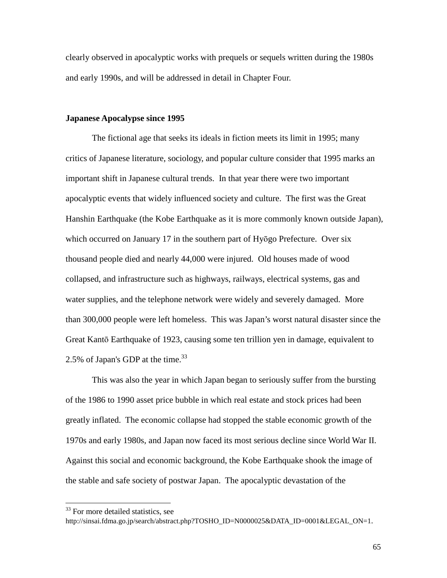clearly observed in apocalyptic works with prequels or sequels written during the 1980s and early 1990s, and will be addressed in detail in Chapter Four.

# **Japanese Apocalypse since 1995**

The fictional age that seeks its ideals in fiction meets its limit in 1995; many critics of Japanese literature, sociology, and popular culture consider that 1995 marks an important shift in Japanese cultural trends. In that year there were two important apocalyptic events that widely influenced society and culture. The first was the Great Hanshin Earthquake (the Kobe Earthquake as it is more commonly known outside Japan), which occurred on January 17 in the southern part of Hyōgo Prefecture. Over six thousand people died and nearly 44,000 were injured. Old houses made of wood collapsed, and infrastructure such as highways, railways, electrical systems, gas and water supplies, and the telephone network were widely and severely damaged. More than 300,000 people were left homeless. This was Japan's worst natural disaster since the Great Kantō Earthquake of 1923, causing some ten trillion yen in damage, equivalent to 2.5% of Japan's GDP at the time. $^{33}$ 

This was also the year in which Japan began to seriously suffer from the bursting of the 1986 to 1990 asset price bubble in which real estate and stock prices had been greatly inflated. The economic collapse had stopped the stable economic growth of the 1970s and early 1980s, and Japan now faced its most serious decline since World War II. Against this social and economic background, the Kobe Earthquake shook the image of the stable and safe society of postwar Japan. The apocalyptic devastation of the

<sup>&</sup>lt;sup>33</sup> For more detailed statistics, see

http://sinsai.fdma.go.jp/search/abstract.php?TOSHO\_ID=N0000025&DATA\_ID=0001&LEGAL\_ON=1.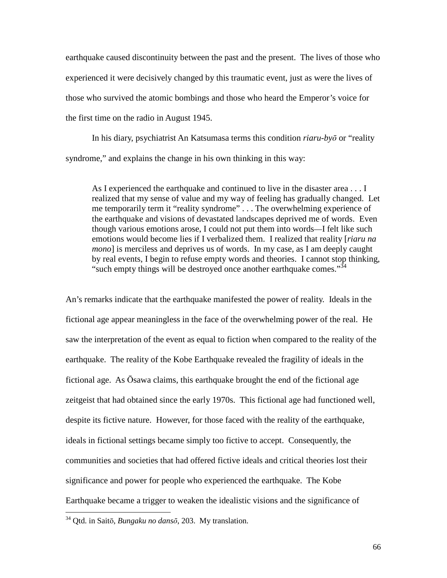earthquake caused discontinuity between the past and the present. The lives of those who experienced it were decisively changed by this traumatic event, just as were the lives of those who survived the atomic bombings and those who heard the Emperor's voice for the first time on the radio in August 1945.

In his diary, psychiatrist An Katsumasa terms this condition *riaru-by*ō or "reality syndrome," and explains the change in his own thinking in this way:

As I experienced the earthquake and continued to live in the disaster area . . . I realized that my sense of value and my way of feeling has gradually changed. Let me temporarily term it "reality syndrome" . . . The overwhelming experience of the earthquake and visions of devastated landscapes deprived me of words. Even though various emotions arose, I could not put them into words—I felt like such emotions would become lies if I verbalized them. I realized that reality [*riaru na mono*] is merciless and deprives us of words. In my case, as I am deeply caught by real events, I begin to refuse empty words and theories. I cannot stop thinking, "such empty things will be destroyed once another earthquake comes."<sup>34</sup>

An's remarks indicate that the earthquake manifested the power of reality. Ideals in the fictional age appear meaningless in the face of the overwhelming power of the real. He saw the interpretation of the event as equal to fiction when compared to the reality of the earthquake. The reality of the Kobe Earthquake revealed the fragility of ideals in the fictional age. As Ōsawa claims, this earthquake brought the end of the fictional age zeitgeist that had obtained since the early 1970s. This fictional age had functioned well, despite its fictive nature. However, for those faced with the reality of the earthquake, ideals in fictional settings became simply too fictive to accept. Consequently, the communities and societies that had offered fictive ideals and critical theories lost their significance and power for people who experienced the earthquake. The Kobe Earthquake became a trigger to weaken the idealistic visions and the significance of

<sup>34</sup> Qtd. in Saitō, *Bungaku no dans*ō, 203. My translation.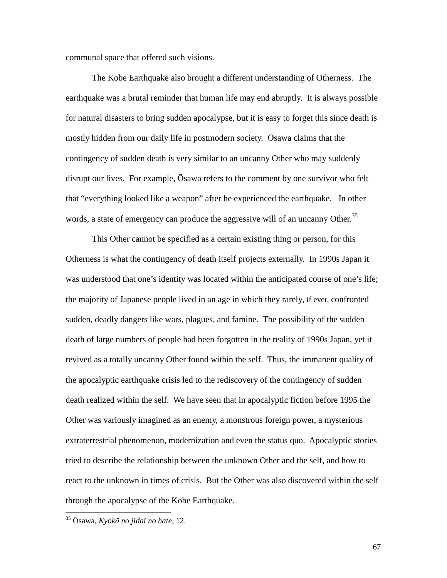communal space that offered such visions.

The Kobe Earthquake also brought a different understanding of Otherness. The earthquake was a brutal reminder that human life may end abruptly. It is always possible for natural disasters to bring sudden apocalypse, but it is easy to forget this since death is mostly hidden from our daily life in postmodern society. Ōsawa claims that the contingency of sudden death is very similar to an uncanny Other who may suddenly disrupt our lives. For example, Ōsawa refers to the comment by one survivor who felt that "everything looked like a weapon" after he experienced the earthquake. In other words, a state of emergency can produce the aggressive will of an uncanny Other.<sup>35</sup>

This Other cannot be specified as a certain existing thing or person, for this Otherness is what the contingency of death itself projects externally. In 1990s Japan it was understood that one's identity was located within the anticipated course of one's life; the majority of Japanese people lived in an age in which they rarely, if ever, confronted sudden, deadly dangers like wars, plagues, and famine. The possibility of the sudden death of large numbers of people had been forgotten in the reality of 1990s Japan, yet it revived as a totally uncanny Other found within the self. Thus, the immanent quality of the apocalyptic earthquake crisis led to the rediscovery of the contingency of sudden death realized within the self. We have seen that in apocalyptic fiction before 1995 the Other was variously imagined as an enemy, a monstrous foreign power, a mysterious extraterrestrial phenomenon, modernization and even the status quo. Apocalyptic stories tried to describe the relationship between the unknown Other and the self, and how to react to the unknown in times of crisis. But the Other was also discovered within the self through the apocalypse of the Kobe Earthquake.

 $\overline{a}$ 

<sup>35</sup> Ōsawa, *Kyok*ō *no jidai no hate*, 12.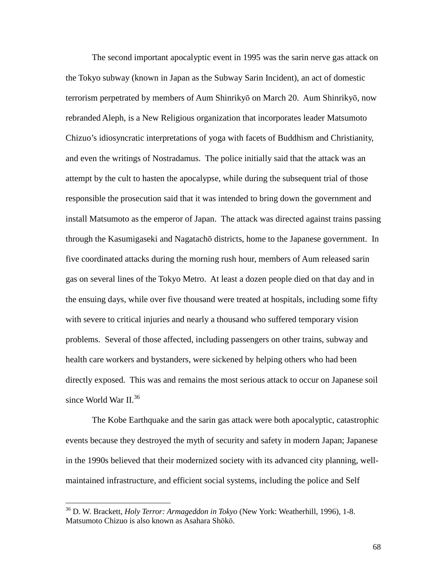The second important apocalyptic event in 1995 was the sarin nerve gas attack on the Tokyo subway (known in Japan as the Subway Sarin Incident), an act of domestic terrorism perpetrated by members of Aum Shinrikyō on March 20. Aum Shinrikyō, now rebranded Aleph, is a New Religious organization that incorporates leader Matsumoto Chizuo's idiosyncratic interpretations of yoga with facets of Buddhism and Christianity, and even the writings of Nostradamus. The police initially said that the attack was an attempt by the cult to hasten the apocalypse, while during the subsequent trial of those responsible the prosecution said that it was intended to bring down the government and install Matsumoto as the emperor of Japan. The attack was directed against trains passing through the Kasumigaseki and Nagatachō districts, home to the Japanese government. In five coordinated attacks during the morning rush hour, members of Aum released sarin gas on several lines of the Tokyo Metro. At least a dozen people died on that day and in the ensuing days, while over five thousand were treated at hospitals, including some fifty with severe to critical injuries and nearly a thousand who suffered temporary vision problems. Several of those affected, including passengers on other trains, subway and health care workers and bystanders, were sickened by helping others who had been directly exposed. This was and remains the most serious attack to occur on Japanese soil since World War II.<sup>36</sup>

The Kobe Earthquake and the sarin gas attack were both apocalyptic, catastrophic events because they destroyed the myth of security and safety in modern Japan; Japanese in the 1990s believed that their modernized society with its advanced city planning, wellmaintained infrastructure, and efficient social systems, including the police and Self

<sup>36</sup> D. W. Brackett, *Holy Terror: Armageddon in Tokyo* (New York: Weatherhill, 1996), 1-8. Matsumoto Chizuo is also known as Asahara Shōkō.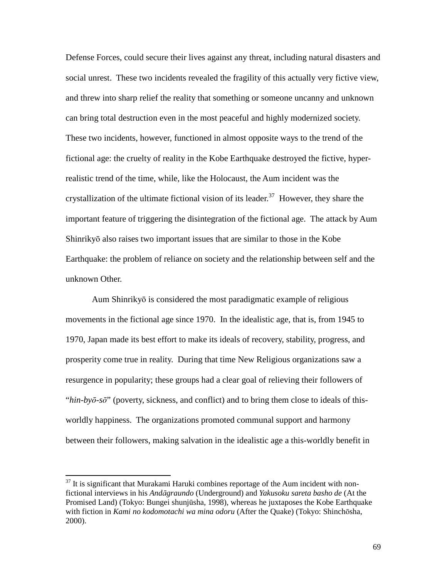Defense Forces, could secure their lives against any threat, including natural disasters and social unrest. These two incidents revealed the fragility of this actually very fictive view, and threw into sharp relief the reality that something or someone uncanny and unknown can bring total destruction even in the most peaceful and highly modernized society. These two incidents, however, functioned in almost opposite ways to the trend of the fictional age: the cruelty of reality in the Kobe Earthquake destroyed the fictive, hyperrealistic trend of the time, while, like the Holocaust, the Aum incident was the crystallization of the ultimate fictional vision of its leader.<sup>37</sup> However, they share the important feature of triggering the disintegration of the fictional age. The attack by Aum Shinrikyō also raises two important issues that are similar to those in the Kobe Earthquake: the problem of reliance on society and the relationship between self and the unknown Other.

Aum Shinrikyō is considered the most paradigmatic example of religious movements in the fictional age since 1970. In the idealistic age, that is, from 1945 to 1970, Japan made its best effort to make its ideals of recovery, stability, progress, and prosperity come true in reality. During that time New Religious organizations saw a resurgence in popularity; these groups had a clear goal of relieving their followers of "*hin-byō-sō*" (poverty, sickness, and conflict) and to bring them close to ideals of thisworldly happiness. The organizations promoted communal support and harmony between their followers, making salvation in the idealistic age a this-worldly benefit in

 $37$  It is significant that Murakami Haruki combines reportage of the Aum incident with nonfictional interviews in his *And*ā*graundo* (Underground) and *Yakusoku sareta basho de* (At the Promised Land) (Tokyo: Bungei shunjūsha, 1998), whereas he juxtaposes the Kobe Earthquake with fiction in *Kami no kodomotachi wa mina odoru* (After the Quake) (Tokyo: Shinchōsha, 2000).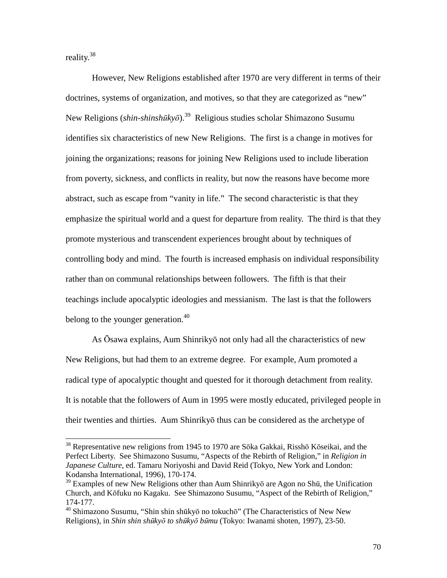reality.<sup>38</sup>

 $\overline{a}$ 

However, New Religions established after 1970 are very different in terms of their doctrines, systems of organization, and motives, so that they are categorized as "new" New Religions (*shin-shinsh*ū*ky*ō).<sup>39</sup> Religious studies scholar Shimazono Susumu identifies six characteristics of new New Religions. The first is a change in motives for joining the organizations; reasons for joining New Religions used to include liberation from poverty, sickness, and conflicts in reality, but now the reasons have become more abstract, such as escape from "vanity in life." The second characteristic is that they emphasize the spiritual world and a quest for departure from reality. The third is that they promote mysterious and transcendent experiences brought about by techniques of controlling body and mind. The fourth is increased emphasis on individual responsibility rather than on communal relationships between followers. The fifth is that their teachings include apocalyptic ideologies and messianism. The last is that the followers belong to the younger generation.<sup>40</sup>

As Ōsawa explains, Aum Shinrikyō not only had all the characteristics of new New Religions, but had them to an extreme degree. For example, Aum promoted a radical type of apocalyptic thought and quested for it thorough detachment from reality. It is notable that the followers of Aum in 1995 were mostly educated, privileged people in their twenties and thirties. Aum Shinrikyō thus can be considered as the archetype of

 $38$  Representative new religions from 1945 to 1970 are Sōka Gakkai, Risshō Kōseikai, and the Perfect Liberty. See Shimazono Susumu, "Aspects of the Rebirth of Religion," in *Religion in Japanese Culture*, ed. Tamaru Noriyoshi and David Reid (Tokyo, New York and London: Kodansha International, 1996), 170-174.

 $39$  Examples of new New Religions other than Aum Shinrikyō are Agon no Shū, the Unification Church, and Kōfuku no Kagaku. See Shimazono Susumu, "Aspect of the Rebirth of Religion," 174-177.

<sup>40</sup> Shimazono Susumu, "Shin shin shūkyō no tokuchō" (The Characteristics of New New Religions), in *Shin shin sh*ū*ky*ō *to sh*ū*ky*ō *b*ū*mu* (Tokyo: Iwanami shoten, 1997), 23-50.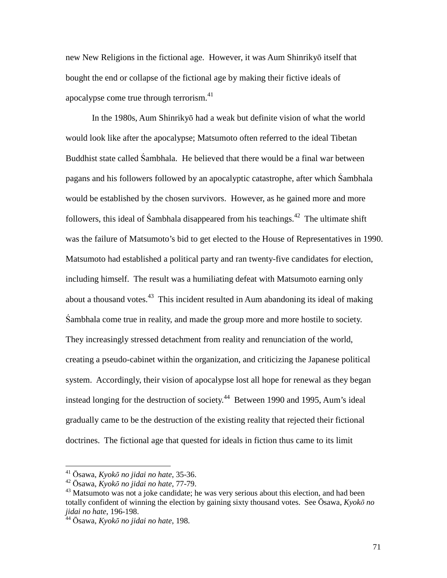new New Religions in the fictional age. However, it was Aum Shinrikyō itself that bought the end or collapse of the fictional age by making their fictive ideals of apocalypse come true through terrorism. $41$ 

In the 1980s, Aum Shinrikyō had a weak but definite vision of what the world would look like after the apocalypse; Matsumoto often referred to the ideal Tibetan Buddhist state called Śambhala. He believed that there would be a final war between pagans and his followers followed by an apocalyptic catastrophe, after which Śambhala would be established by the chosen survivors. However, as he gained more and more followers, this ideal of Sambhala disappeared from his teachings.<sup>42</sup> The ultimate shift was the failure of Matsumoto's bid to get elected to the House of Representatives in 1990. Matsumoto had established a political party and ran twenty-five candidates for election, including himself. The result was a humiliating defeat with Matsumoto earning only about a thousand votes. $43$  This incident resulted in Aum abandoning its ideal of making Śambhala come true in reality, and made the group more and more hostile to society. They increasingly stressed detachment from reality and renunciation of the world, creating a pseudo-cabinet within the organization, and criticizing the Japanese political system. Accordingly, their vision of apocalypse lost all hope for renewal as they began instead longing for the destruction of society.<sup>44</sup> Between 1990 and 1995, Aum's ideal gradually came to be the destruction of the existing reality that rejected their fictional doctrines. The fictional age that quested for ideals in fiction thus came to its limit

<sup>41</sup> Ōsawa, *Kyok*ō *no jidai no hate*, 35-36.

<sup>42</sup> Ōsawa, *Kyok*ō *no jidai no hate*, 77-79.

 $43$  Matsumoto was not a joke candidate; he was very serious about this election, and had been totally confident of winning the election by gaining sixty thousand votes. See Ōsawa, *Kyok*ō *no jidai no hate*, 196-198.

<sup>44</sup> Ōsawa, *Kyok*ō *no jidai no hate*, 198.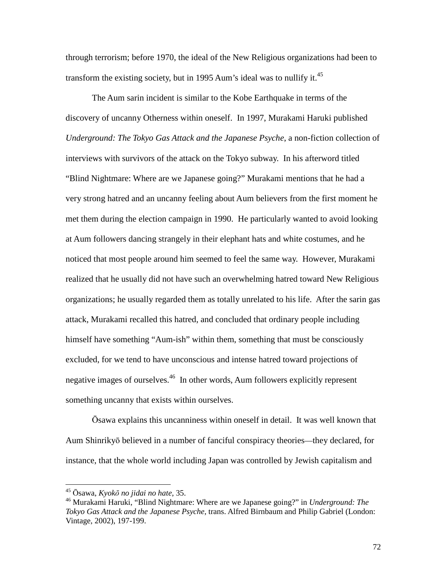through terrorism; before 1970, the ideal of the New Religious organizations had been to transform the existing society, but in 1995 Aum's ideal was to nullify it.<sup>45</sup>

The Aum sarin incident is similar to the Kobe Earthquake in terms of the discovery of uncanny Otherness within oneself. In 1997, Murakami Haruki published *Underground: The Tokyo Gas Attack and the Japanese Psyche*, a non-fiction collection of interviews with survivors of the attack on the Tokyo subway. In his afterword titled "Blind Nightmare: Where are we Japanese going?" Murakami mentions that he had a very strong hatred and an uncanny feeling about Aum believers from the first moment he met them during the election campaign in 1990. He particularly wanted to avoid looking at Aum followers dancing strangely in their elephant hats and white costumes, and he noticed that most people around him seemed to feel the same way. However, Murakami realized that he usually did not have such an overwhelming hatred toward New Religious organizations; he usually regarded them as totally unrelated to his life. After the sarin gas attack, Murakami recalled this hatred, and concluded that ordinary people including himself have something "Aum-ish" within them, something that must be consciously excluded, for we tend to have unconscious and intense hatred toward projections of negative images of ourselves.<sup>46</sup> In other words, Aum followers explicitly represent something uncanny that exists within ourselves.

Ōsawa explains this uncanniness within oneself in detail. It was well known that Aum Shinrikyō believed in a number of fanciful conspiracy theories—they declared, for instance, that the whole world including Japan was controlled by Jewish capitalism and

<sup>45</sup> Ōsawa, *Kyok*ō *no jidai no hate*, 35.

<sup>46</sup> Murakami Haruki, "Blind Nightmare: Where are we Japanese going?" in *Underground: The Tokyo Gas Attack and the Japanese Psyche*, trans. Alfred Birnbaum and Philip Gabriel (London: Vintage, 2002), 197-199.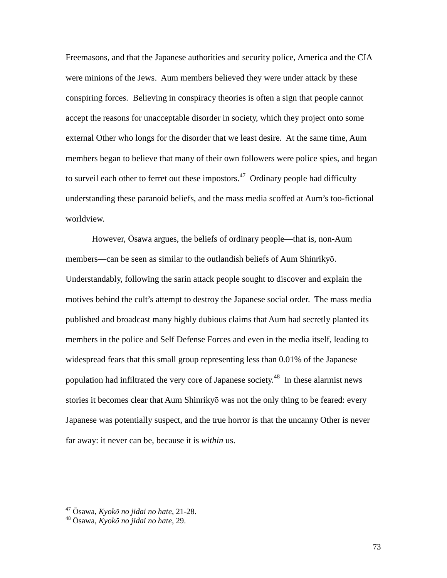Freemasons, and that the Japanese authorities and security police, America and the CIA were minions of the Jews. Aum members believed they were under attack by these conspiring forces. Believing in conspiracy theories is often a sign that people cannot accept the reasons for unacceptable disorder in society, which they project onto some external Other who longs for the disorder that we least desire. At the same time, Aum members began to believe that many of their own followers were police spies, and began to surveil each other to ferret out these impostors.<sup>47</sup> Ordinary people had difficulty understanding these paranoid beliefs, and the mass media scoffed at Aum's too-fictional worldview.

However, Ōsawa argues, the beliefs of ordinary people—that is, non-Aum members—can be seen as similar to the outlandish beliefs of Aum Shinrikyō. Understandably, following the sarin attack people sought to discover and explain the motives behind the cult's attempt to destroy the Japanese social order. The mass media published and broadcast many highly dubious claims that Aum had secretly planted its members in the police and Self Defense Forces and even in the media itself, leading to widespread fears that this small group representing less than 0.01% of the Japanese population had infiltrated the very core of Japanese society.<sup>48</sup> In these alarmist news stories it becomes clear that Aum Shinrikyō was not the only thing to be feared: every Japanese was potentially suspect, and the true horror is that the uncanny Other is never far away: it never can be, because it is *within* us.

<sup>47</sup> Ōsawa, *Kyok*ō *no jidai no hate*, 21-28.

<sup>48</sup> Ōsawa, *Kyok*ō *no jidai no hate*, 29.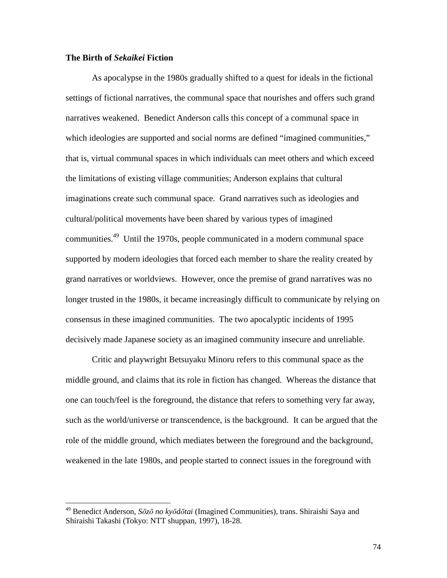# **The Birth of** *Sekaikei* **Fiction**

As apocalypse in the 1980s gradually shifted to a quest for ideals in the fictional settings of fictional narratives, the communal space that nourishes and offers such grand narratives weakened. Benedict Anderson calls this concept of a communal space in which ideologies are supported and social norms are defined "imagined communities," that is, virtual communal spaces in which individuals can meet others and which exceed the limitations of existing village communities; Anderson explains that cultural imaginations create such communal space. Grand narratives such as ideologies and cultural/political movements have been shared by various types of imagined communities.<sup>49</sup> Until the 1970s, people communicated in a modern communal space supported by modern ideologies that forced each member to share the reality created by grand narratives or worldviews. However, once the premise of grand narratives was no longer trusted in the 1980s, it became increasingly difficult to communicate by relying on consensus in these imagined communities. The two apocalyptic incidents of 1995 decisively made Japanese society as an imagined community insecure and unreliable.

Critic and playwright Betsuyaku Minoru refers to this communal space as the middle ground, and claims that its role in fiction has changed. Whereas the distance that one can touch/feel is the foreground, the distance that refers to something very far away, such as the world/universe or transcendence, is the background. It can be argued that the role of the middle ground, which mediates between the foreground and the background, weakened in the late 1980s, and people started to connect issues in the foreground with

<sup>49</sup> Benedict Anderson, *S*ō*z*ō *no ky*ō*d*ō*tai* (Imagined Communities), trans. Shiraishi Saya and Shiraishi Takashi (Tokyo: NTT shuppan, 1997), 18-28.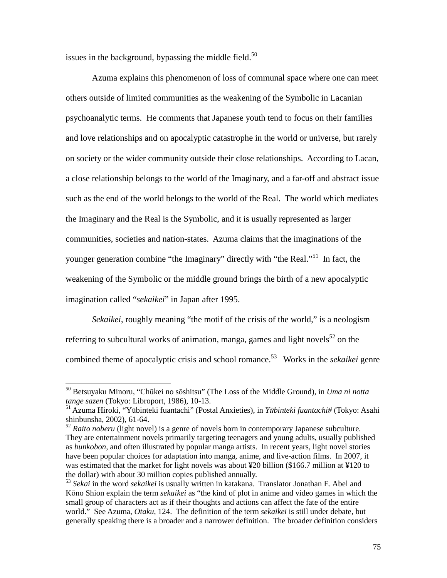issues in the background, bypassing the middle field.<sup>50</sup>

Azuma explains this phenomenon of loss of communal space where one can meet others outside of limited communities as the weakening of the Symbolic in Lacanian psychoanalytic terms. He comments that Japanese youth tend to focus on their families and love relationships and on apocalyptic catastrophe in the world or universe, but rarely on society or the wider community outside their close relationships. According to Lacan, a close relationship belongs to the world of the Imaginary, and a far-off and abstract issue such as the end of the world belongs to the world of the Real. The world which mediates the Imaginary and the Real is the Symbolic, and it is usually represented as larger communities, societies and nation-states. Azuma claims that the imaginations of the younger generation combine "the Imaginary" directly with "the Real."<sup>51</sup> In fact, the weakening of the Symbolic or the middle ground brings the birth of a new apocalyptic imagination called "*sekaikei*" in Japan after 1995.

*Sekaikei*, roughly meaning "the motif of the crisis of the world," is a neologism referring to subcultural works of animation, manga, games and light novels<sup>52</sup> on the combined theme of apocalyptic crisis and school romance.<sup>53</sup> Works in the *sekaikei* genre

<sup>50</sup> Betsuyaku Minoru, "Chūkei no sōshitsu" (The Loss of the Middle Ground), in *Uma ni notta tange sazen* (Tokyo: Libroport, 1986), 10-13.

<sup>51</sup> Azuma Hiroki, "Yūbinteki fuantachi" (Postal Anxieties), in *Y*ū*binteki fuantachi#* (Tokyo: Asahi shinbunsha, 2002), 61-64.

<sup>&</sup>lt;sup>52</sup> *Raito noberu* (light novel) is a genre of novels born in contemporary Japanese subculture. They are entertainment novels primarily targeting teenagers and young adults, usually published as *bunkobon*, and often illustrated by popular manga artists. In recent years, light novel stories have been popular choices for adaptation into manga, anime, and live-action films. In 2007, it was estimated that the market for light novels was about ¥20 billion (\$166.7 million at ¥120 to the dollar) with about 30 million copies published annually.

<sup>53</sup> *Sekai* in the word *sekaikei* is usually written in katakana. Translator Jonathan E. Abel and Kōno Shion explain the term *sekaikei* as "the kind of plot in anime and video games in which the small group of characters act as if their thoughts and actions can affect the fate of the entire world." See Azuma, *Otaku*, 124. The definition of the term *sekaikei* is still under debate, but generally speaking there is a broader and a narrower definition. The broader definition considers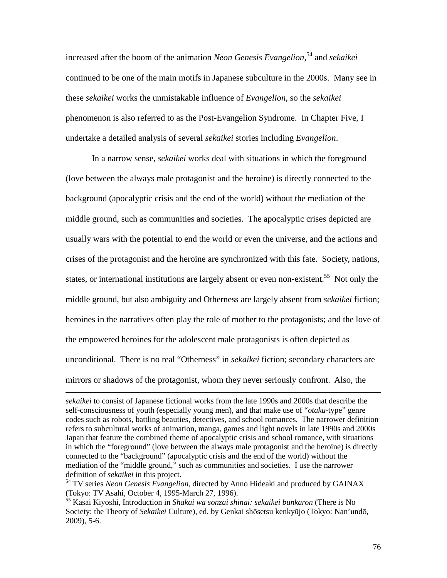increased after the boom of the animation *Neon Genesis Evangelion*, <sup>54</sup> and *sekaikei* continued to be one of the main motifs in Japanese subculture in the 2000s. Many see in these *sekaikei* works the unmistakable influence of *Evangelion*, so the *sekaikei* phenomenon is also referred to as the Post-Evangelion Syndrome. In Chapter Five, I undertake a detailed analysis of several *sekaikei* stories including *Evangelion*.

In a narrow sense, *sekaikei* works deal with situations in which the foreground (love between the always male protagonist and the heroine) is directly connected to the background (apocalyptic crisis and the end of the world) without the mediation of the middle ground, such as communities and societies. The apocalyptic crises depicted are usually wars with the potential to end the world or even the universe, and the actions and crises of the protagonist and the heroine are synchronized with this fate. Society, nations, states, or international institutions are largely absent or even non-existent.<sup>55</sup> Not only the middle ground, but also ambiguity and Otherness are largely absent from *sekaikei* fiction; heroines in the narratives often play the role of mother to the protagonists; and the love of the empowered heroines for the adolescent male protagonists is often depicted as unconditional. There is no real "Otherness" in *sekaikei* fiction; secondary characters are mirrors or shadows of the protagonist, whom they never seriously confront. Also, the

*sekaikei* to consist of Japanese fictional works from the late 1990s and 2000s that describe the self-consciousness of youth (especially young men), and that make use of "*otaku*-type" genre codes such as robots, battling beauties, detectives, and school romances. The narrower definition refers to subcultural works of animation, manga, games and light novels in late 1990s and 2000s Japan that feature the combined theme of apocalyptic crisis and school romance, with situations in which the "foreground" (love between the always male protagonist and the heroine) is directly connected to the "background" (apocalyptic crisis and the end of the world) without the mediation of the "middle ground," such as communities and societies. I use the narrower definition of *sekaikei* in this project.

<sup>54</sup> TV series *Neon Genesis Evangelion*, directed by Anno Hideaki and produced by GAINAX (Tokyo: TV Asahi, October 4, 1995-March 27, 1996).

<sup>55</sup> Kasai Kiyoshi, Introduction in *Shakai wa sonzai shinai: sekaikei bunkaron* (There is No Society: the Theory of *Sekaikei* Culture), ed. by Genkai shōsetsu kenkyūjo (Tokyo: Nan'undō, 2009), 5-6.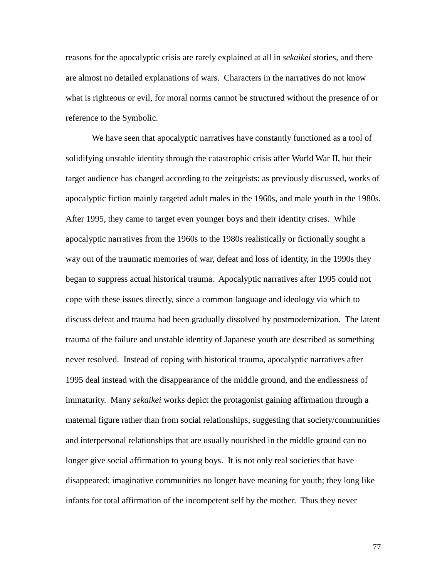reasons for the apocalyptic crisis are rarely explained at all in *sekaikei* stories, and there are almost no detailed explanations of wars. Characters in the narratives do not know what is righteous or evil, for moral norms cannot be structured without the presence of or reference to the Symbolic.

We have seen that apocalyptic narratives have constantly functioned as a tool of solidifying unstable identity through the catastrophic crisis after World War II, but their target audience has changed according to the zeitgeists: as previously discussed, works of apocalyptic fiction mainly targeted adult males in the 1960s, and male youth in the 1980s. After 1995, they came to target even younger boys and their identity crises. While apocalyptic narratives from the 1960s to the 1980s realistically or fictionally sought a way out of the traumatic memories of war, defeat and loss of identity, in the 1990s they began to suppress actual historical trauma. Apocalyptic narratives after 1995 could not cope with these issues directly, since a common language and ideology via which to discuss defeat and trauma had been gradually dissolved by postmodernization. The latent trauma of the failure and unstable identity of Japanese youth are described as something never resolved. Instead of coping with historical trauma, apocalyptic narratives after 1995 deal instead with the disappearance of the middle ground, and the endlessness of immaturity. Many *sekaikei* works depict the protagonist gaining affirmation through a maternal figure rather than from social relationships, suggesting that society/communities and interpersonal relationships that are usually nourished in the middle ground can no longer give social affirmation to young boys. It is not only real societies that have disappeared: imaginative communities no longer have meaning for youth; they long like infants for total affirmation of the incompetent self by the mother. Thus they never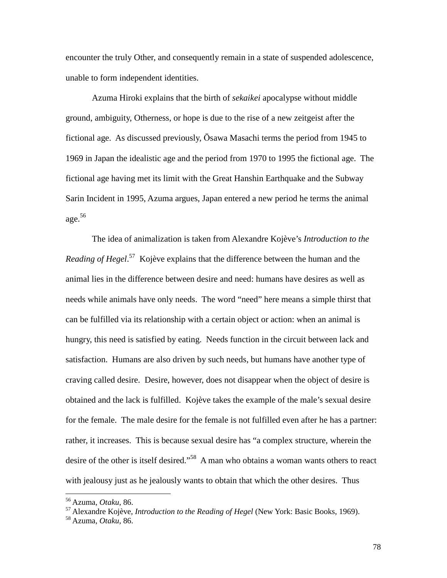encounter the truly Other, and consequently remain in a state of suspended adolescence, unable to form independent identities.

Azuma Hiroki explains that the birth of *sekaikei* apocalypse without middle ground, ambiguity, Otherness, or hope is due to the rise of a new zeitgeist after the fictional age. As discussed previously, Ōsawa Masachi terms the period from 1945 to 1969 in Japan the idealistic age and the period from 1970 to 1995 the fictional age. The fictional age having met its limit with the Great Hanshin Earthquake and the Subway Sarin Incident in 1995, Azuma argues, Japan entered a new period he terms the animal age.<sup>56</sup>

The idea of animalization is taken from Alexandre Kojève's *Introduction to the Reading of Hegel*. <sup>57</sup> Kojève explains that the difference between the human and the animal lies in the difference between desire and need: humans have desires as well as needs while animals have only needs. The word "need" here means a simple thirst that can be fulfilled via its relationship with a certain object or action: when an animal is hungry, this need is satisfied by eating. Needs function in the circuit between lack and satisfaction. Humans are also driven by such needs, but humans have another type of craving called desire. Desire, however, does not disappear when the object of desire is obtained and the lack is fulfilled. Kojève takes the example of the male's sexual desire for the female. The male desire for the female is not fulfilled even after he has a partner: rather, it increases. This is because sexual desire has "a complex structure, wherein the desire of the other is itself desired."<sup>58</sup> A man who obtains a woman wants others to react with jealousy just as he jealously wants to obtain that which the other desires. Thus

<sup>56</sup> Azuma, *Otaku*, 86.

<sup>57</sup> Alexandre Kojève, *Introduction to the Reading of Hegel* (New York: Basic Books, 1969).

<sup>58</sup> Azuma, *Otaku*, 86.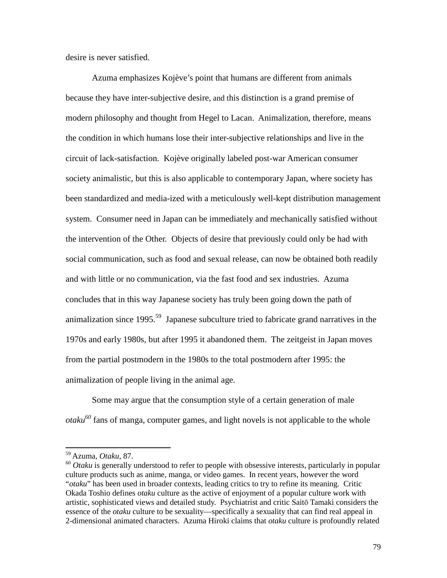desire is never satisfied.

Azuma emphasizes Kojève's point that humans are different from animals because they have inter-subjective desire, and this distinction is a grand premise of modern philosophy and thought from Hegel to Lacan. Animalization, therefore, means the condition in which humans lose their inter-subjective relationships and live in the circuit of lack-satisfaction. Kojève originally labeled post-war American consumer society animalistic, but this is also applicable to contemporary Japan, where society has been standardized and media-ized with a meticulously well-kept distribution management system. Consumer need in Japan can be immediately and mechanically satisfied without the intervention of the Other. Objects of desire that previously could only be had with social communication, such as food and sexual release, can now be obtained both readily and with little or no communication, via the fast food and sex industries. Azuma concludes that in this way Japanese society has truly been going down the path of animalization since 1995.<sup>59</sup> Japanese subculture tried to fabricate grand narratives in the 1970s and early 1980s, but after 1995 it abandoned them. The zeitgeist in Japan moves from the partial postmodern in the 1980s to the total postmodern after 1995: the animalization of people living in the animal age.

Some may argue that the consumption style of a certain generation of male *otaku<sup>60</sup>* fans of manga, computer games, and light novels is not applicable to the whole

<sup>59</sup> Azuma, *Otaku*, 87.

<sup>&</sup>lt;sup>60</sup> *Otaku* is generally understood to refer to people with obsessive interests, particularly in popular culture products such as anime, manga, or video games. In recent years, however the word "*otaku*" has been used in broader contexts, leading critics to try to refine its meaning. Critic Okada Toshio defines *otaku* culture as the active of enjoyment of a popular culture work with artistic, sophisticated views and detailed study. Psychiatrist and critic Saitō Tamaki considers the essence of the *otaku* culture to be sexuality—specifically a sexuality that can find real appeal in 2-dimensional animated characters. Azuma Hiroki claims that *otaku* culture is profoundly related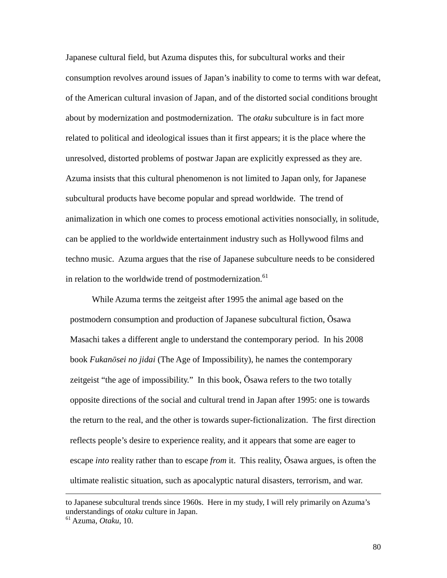Japanese cultural field, but Azuma disputes this, for subcultural works and their consumption revolves around issues of Japan's inability to come to terms with war defeat, of the American cultural invasion of Japan, and of the distorted social conditions brought about by modernization and postmodernization. The *otaku* subculture is in fact more related to political and ideological issues than it first appears; it is the place where the unresolved, distorted problems of postwar Japan are explicitly expressed as they are. Azuma insists that this cultural phenomenon is not limited to Japan only, for Japanese subcultural products have become popular and spread worldwide. The trend of animalization in which one comes to process emotional activities nonsocially, in solitude, can be applied to the worldwide entertainment industry such as Hollywood films and techno music. Azuma argues that the rise of Japanese subculture needs to be considered in relation to the worldwide trend of postmodernization.<sup>61</sup>

While Azuma terms the zeitgeist after 1995 the animal age based on the postmodern consumption and production of Japanese subcultural fiction, Ōsawa Masachi takes a different angle to understand the contemporary period. In his 2008 book *Fukan*ō*sei no jidai* (The Age of Impossibility), he names the contemporary zeitgeist "the age of impossibility." In this book, Ōsawa refers to the two totally opposite directions of the social and cultural trend in Japan after 1995: one is towards the return to the real, and the other is towards super-fictionalization. The first direction reflects people's desire to experience reality, and it appears that some are eager to escape *into* reality rather than to escape *from* it. This reality, Ōsawa argues, is often the ultimate realistic situation, such as apocalyptic natural disasters, terrorism, and war.

to Japanese subcultural trends since 1960s. Here in my study, I will rely primarily on Azuma's understandings of *otaku* culture in Japan.

<sup>61</sup> Azuma, *Otaku*, 10.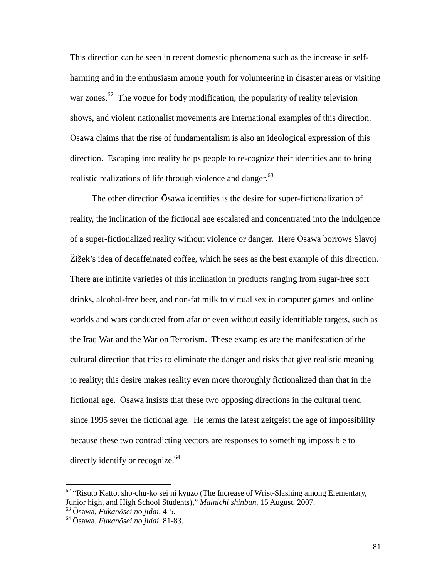This direction can be seen in recent domestic phenomena such as the increase in selfharming and in the enthusiasm among youth for volunteering in disaster areas or visiting war zones.<sup>62</sup> The vogue for body modification, the popularity of reality television shows, and violent nationalist movements are international examples of this direction. Ōsawa claims that the rise of fundamentalism is also an ideological expression of this direction. Escaping into reality helps people to re-cognize their identities and to bring realistic realizations of life through violence and danger.<sup>63</sup>

The other direction Ōsawa identifies is the desire for super-fictionalization of reality, the inclination of the fictional age escalated and concentrated into the indulgence of a super-fictionalized reality without violence or danger. Here Ōsawa borrows Slavoj Žižek's idea of decaffeinated coffee, which he sees as the best example of this direction. There are infinite varieties of this inclination in products ranging from sugar-free soft drinks, alcohol-free beer, and non-fat milk to virtual sex in computer games and online worlds and wars conducted from afar or even without easily identifiable targets, such as the Iraq War and the War on Terrorism. These examples are the manifestation of the cultural direction that tries to eliminate the danger and risks that give realistic meaning to reality; this desire makes reality even more thoroughly fictionalized than that in the fictional age. Ōsawa insists that these two opposing directions in the cultural trend since 1995 sever the fictional age. He terms the latest zeitgeist the age of impossibility because these two contradicting vectors are responses to something impossible to directly identify or recognize. $64$ 

 $62$  "Risuto Katto, shō-chū-kō sei ni kyūzō (The Increase of Wrist-Slashing among Elementary, Junior high, and High School Students)," *Mainichi shinbun*, 15 August, 2007.

<sup>63</sup> Ōsawa, *Fukan*ō*sei no jidai*, 4-5.

<sup>64</sup> Ōsawa, *Fukan*ō*sei no jidai*, 81-83.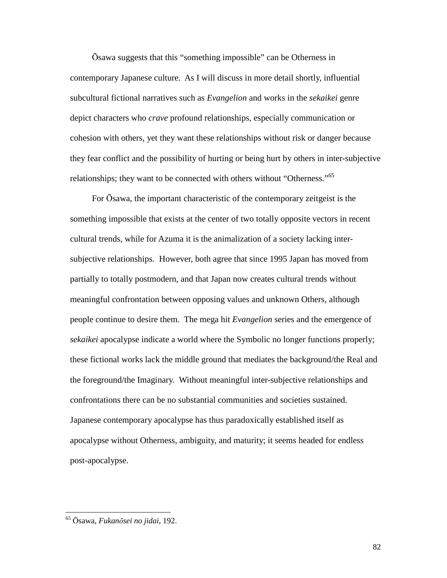Ōsawa suggests that this "something impossible" can be Otherness in contemporary Japanese culture. As I will discuss in more detail shortly, influential subcultural fictional narratives such as *Evangelion* and works in the *sekaikei* genre depict characters who *crave* profound relationships, especially communication or cohesion with others, yet they want these relationships without risk or danger because they fear conflict and the possibility of hurting or being hurt by others in inter-subjective relationships; they want to be connected with others without "Otherness."<sup>65</sup>

For Ōsawa, the important characteristic of the contemporary zeitgeist is the something impossible that exists at the center of two totally opposite vectors in recent cultural trends, while for Azuma it is the animalization of a society lacking intersubjective relationships. However, both agree that since 1995 Japan has moved from partially to totally postmodern, and that Japan now creates cultural trends without meaningful confrontation between opposing values and unknown Others, although people continue to desire them. The mega hit *Evangelion* series and the emergence of *sekaikei* apocalypse indicate a world where the Symbolic no longer functions properly; these fictional works lack the middle ground that mediates the background/the Real and the foreground/the Imaginary. Without meaningful inter-subjective relationships and confrontations there can be no substantial communities and societies sustained. Japanese contemporary apocalypse has thus paradoxically established itself as apocalypse without Otherness, ambiguity, and maturity; it seems headed for endless post-apocalypse.

 $\overline{a}$ 

<sup>65</sup> Ōsawa, *Fukan*ō*sei no jidai*, 192.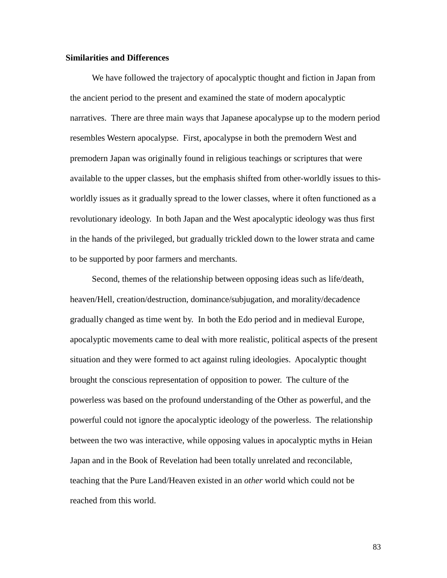## **Similarities and Differences**

We have followed the trajectory of apocalyptic thought and fiction in Japan from the ancient period to the present and examined the state of modern apocalyptic narratives. There are three main ways that Japanese apocalypse up to the modern period resembles Western apocalypse. First, apocalypse in both the premodern West and premodern Japan was originally found in religious teachings or scriptures that were available to the upper classes, but the emphasis shifted from other-worldly issues to thisworldly issues as it gradually spread to the lower classes, where it often functioned as a revolutionary ideology. In both Japan and the West apocalyptic ideology was thus first in the hands of the privileged, but gradually trickled down to the lower strata and came to be supported by poor farmers and merchants.

Second, themes of the relationship between opposing ideas such as life/death, heaven/Hell, creation/destruction, dominance/subjugation, and morality/decadence gradually changed as time went by. In both the Edo period and in medieval Europe, apocalyptic movements came to deal with more realistic, political aspects of the present situation and they were formed to act against ruling ideologies. Apocalyptic thought brought the conscious representation of opposition to power. The culture of the powerless was based on the profound understanding of the Other as powerful, and the powerful could not ignore the apocalyptic ideology of the powerless. The relationship between the two was interactive, while opposing values in apocalyptic myths in Heian Japan and in the Book of Revelation had been totally unrelated and reconcilable, teaching that the Pure Land/Heaven existed in an *other* world which could not be reached from this world.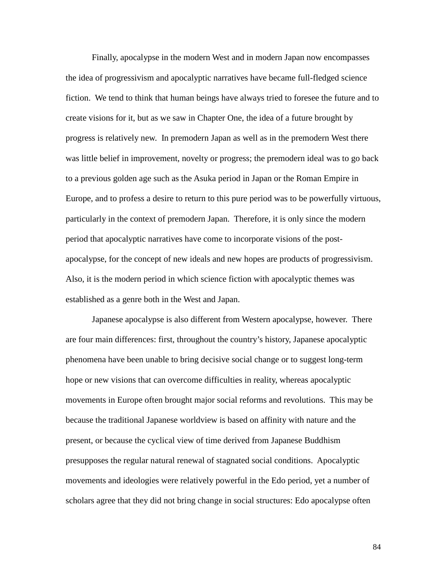Finally, apocalypse in the modern West and in modern Japan now encompasses the idea of progressivism and apocalyptic narratives have became full-fledged science fiction. We tend to think that human beings have always tried to foresee the future and to create visions for it, but as we saw in Chapter One, the idea of a future brought by progress is relatively new. In premodern Japan as well as in the premodern West there was little belief in improvement, novelty or progress; the premodern ideal was to go back to a previous golden age such as the Asuka period in Japan or the Roman Empire in Europe, and to profess a desire to return to this pure period was to be powerfully virtuous, particularly in the context of premodern Japan. Therefore, it is only since the modern period that apocalyptic narratives have come to incorporate visions of the postapocalypse, for the concept of new ideals and new hopes are products of progressivism. Also, it is the modern period in which science fiction with apocalyptic themes was established as a genre both in the West and Japan.

Japanese apocalypse is also different from Western apocalypse, however. There are four main differences: first, throughout the country's history, Japanese apocalyptic phenomena have been unable to bring decisive social change or to suggest long-term hope or new visions that can overcome difficulties in reality, whereas apocalyptic movements in Europe often brought major social reforms and revolutions. This may be because the traditional Japanese worldview is based on affinity with nature and the present, or because the cyclical view of time derived from Japanese Buddhism presupposes the regular natural renewal of stagnated social conditions. Apocalyptic movements and ideologies were relatively powerful in the Edo period, yet a number of scholars agree that they did not bring change in social structures: Edo apocalypse often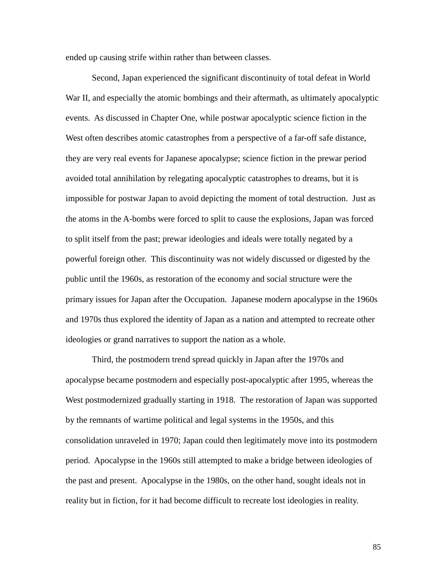ended up causing strife within rather than between classes.

Second, Japan experienced the significant discontinuity of total defeat in World War II, and especially the atomic bombings and their aftermath, as ultimately apocalyptic events. As discussed in Chapter One, while postwar apocalyptic science fiction in the West often describes atomic catastrophes from a perspective of a far-off safe distance, they are very real events for Japanese apocalypse; science fiction in the prewar period avoided total annihilation by relegating apocalyptic catastrophes to dreams, but it is impossible for postwar Japan to avoid depicting the moment of total destruction. Just as the atoms in the A-bombs were forced to split to cause the explosions, Japan was forced to split itself from the past; prewar ideologies and ideals were totally negated by a powerful foreign other. This discontinuity was not widely discussed or digested by the public until the 1960s, as restoration of the economy and social structure were the primary issues for Japan after the Occupation. Japanese modern apocalypse in the 1960s and 1970s thus explored the identity of Japan as a nation and attempted to recreate other ideologies or grand narratives to support the nation as a whole.

Third, the postmodern trend spread quickly in Japan after the 1970s and apocalypse became postmodern and especially post-apocalyptic after 1995, whereas the West postmodernized gradually starting in 1918. The restoration of Japan was supported by the remnants of wartime political and legal systems in the 1950s, and this consolidation unraveled in 1970; Japan could then legitimately move into its postmodern period. Apocalypse in the 1960s still attempted to make a bridge between ideologies of the past and present. Apocalypse in the 1980s, on the other hand, sought ideals not in reality but in fiction, for it had become difficult to recreate lost ideologies in reality.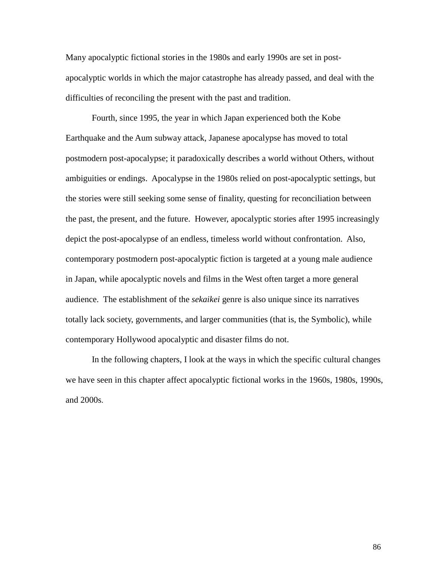Many apocalyptic fictional stories in the 1980s and early 1990s are set in postapocalyptic worlds in which the major catastrophe has already passed, and deal with the difficulties of reconciling the present with the past and tradition.

Fourth, since 1995, the year in which Japan experienced both the Kobe Earthquake and the Aum subway attack, Japanese apocalypse has moved to total postmodern post-apocalypse; it paradoxically describes a world without Others, without ambiguities or endings. Apocalypse in the 1980s relied on post-apocalyptic settings, but the stories were still seeking some sense of finality, questing for reconciliation between the past, the present, and the future. However, apocalyptic stories after 1995 increasingly depict the post-apocalypse of an endless, timeless world without confrontation. Also, contemporary postmodern post-apocalyptic fiction is targeted at a young male audience in Japan, while apocalyptic novels and films in the West often target a more general audience. The establishment of the *sekaikei* genre is also unique since its narratives totally lack society, governments, and larger communities (that is, the Symbolic), while contemporary Hollywood apocalyptic and disaster films do not.

In the following chapters, I look at the ways in which the specific cultural changes we have seen in this chapter affect apocalyptic fictional works in the 1960s, 1980s, 1990s, and 2000s.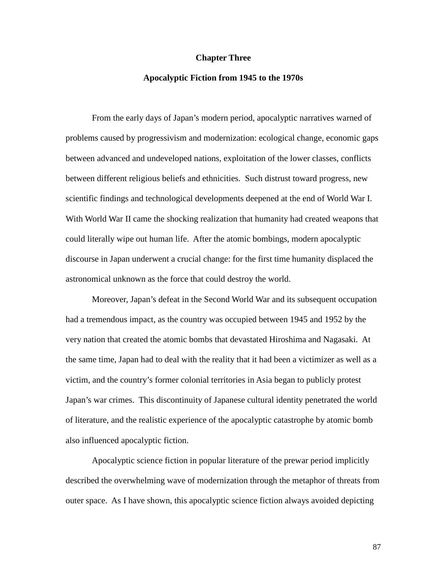### **Chapter Three**

### **Apocalyptic Fiction from 1945 to the 1970s**

From the early days of Japan's modern period, apocalyptic narratives warned of problems caused by progressivism and modernization: ecological change, economic gaps between advanced and undeveloped nations, exploitation of the lower classes, conflicts between different religious beliefs and ethnicities. Such distrust toward progress, new scientific findings and technological developments deepened at the end of World War I. With World War II came the shocking realization that humanity had created weapons that could literally wipe out human life. After the atomic bombings, modern apocalyptic discourse in Japan underwent a crucial change: for the first time humanity displaced the astronomical unknown as the force that could destroy the world.

Moreover, Japan's defeat in the Second World War and its subsequent occupation had a tremendous impact, as the country was occupied between 1945 and 1952 by the very nation that created the atomic bombs that devastated Hiroshima and Nagasaki. At the same time, Japan had to deal with the reality that it had been a victimizer as well as a victim, and the country's former colonial territories in Asia began to publicly protest Japan's war crimes. This discontinuity of Japanese cultural identity penetrated the world of literature, and the realistic experience of the apocalyptic catastrophe by atomic bomb also influenced apocalyptic fiction.

Apocalyptic science fiction in popular literature of the prewar period implicitly described the overwhelming wave of modernization through the metaphor of threats from outer space. As I have shown, this apocalyptic science fiction always avoided depicting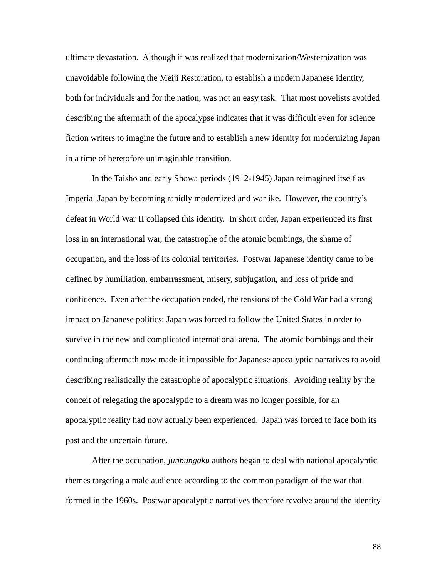ultimate devastation. Although it was realized that modernization/Westernization was unavoidable following the Meiji Restoration, to establish a modern Japanese identity, both for individuals and for the nation, was not an easy task. That most novelists avoided describing the aftermath of the apocalypse indicates that it was difficult even for science fiction writers to imagine the future and to establish a new identity for modernizing Japan in a time of heretofore unimaginable transition.

In the Taishō and early Shōwa periods (1912-1945) Japan reimagined itself as Imperial Japan by becoming rapidly modernized and warlike. However, the country's defeat in World War II collapsed this identity. In short order, Japan experienced its first loss in an international war, the catastrophe of the atomic bombings, the shame of occupation, and the loss of its colonial territories. Postwar Japanese identity came to be defined by humiliation, embarrassment, misery, subjugation, and loss of pride and confidence. Even after the occupation ended, the tensions of the Cold War had a strong impact on Japanese politics: Japan was forced to follow the United States in order to survive in the new and complicated international arena. The atomic bombings and their continuing aftermath now made it impossible for Japanese apocalyptic narratives to avoid describing realistically the catastrophe of apocalyptic situations. Avoiding reality by the conceit of relegating the apocalyptic to a dream was no longer possible, for an apocalyptic reality had now actually been experienced. Japan was forced to face both its past and the uncertain future.

After the occupation, *junbungaku* authors began to deal with national apocalyptic themes targeting a male audience according to the common paradigm of the war that formed in the 1960s. Postwar apocalyptic narratives therefore revolve around the identity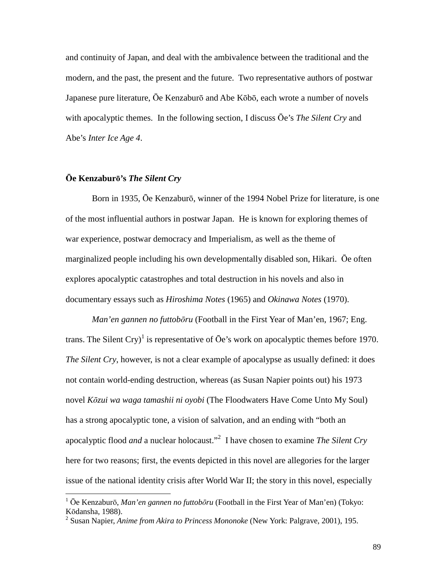and continuity of Japan, and deal with the ambivalence between the traditional and the modern, and the past, the present and the future. Two representative authors of postwar Japanese pure literature, Ōe Kenzaburō and Abe Kōbō, each wrote a number of novels with apocalyptic themes. In the following section, I discuss Ōe's *The Silent Cry* and Abe's *Inter Ice Age 4*.

## Ō**e Kenzabur**ō**'s** *The Silent Cry*

 $\overline{a}$ 

Born in 1935, Ōe Kenzaburō, winner of the 1994 Nobel Prize for literature, is one of the most influential authors in postwar Japan. He is known for exploring themes of war experience, postwar democracy and Imperialism, as well as the theme of marginalized people including his own developmentally disabled son, Hikari. Ōe often explores apocalyptic catastrophes and total destruction in his novels and also in documentary essays such as *Hiroshima Notes* (1965) and *Okinawa Notes* (1970).

*Man'en gannen no futtob*ō*ru* (Football in the First Year of Man'en, 1967; Eng. trans. The Silent Cry<sup> $1$ </sup> is representative of  $\bar{O}e$ 's work on apocalyptic themes before 1970. *The Silent Cry*, however, is not a clear example of apocalypse as usually defined: it does not contain world-ending destruction, whereas (as Susan Napier points out) his 1973 novel *K*ō*zui wa waga tamashii ni oyobi* (The Floodwaters Have Come Unto My Soul) has a strong apocalyptic tone, a vision of salvation, and an ending with "both an apocalyptic flood *and* a nuclear holocaust."<sup>2</sup> I have chosen to examine *The Silent Cry*  here for two reasons; first, the events depicted in this novel are allegories for the larger issue of the national identity crisis after World War II; the story in this novel, especially

<sup>&</sup>lt;sup>1</sup> Ōe Kenzaburō, *Man'en gannen no futtobōru* (Football in the First Year of Man'en) (Tokyo: Kōdansha, 1988).

<sup>2</sup> Susan Napier, *Anime from Akira to Princess Mononoke* (New York: Palgrave, 2001), 195.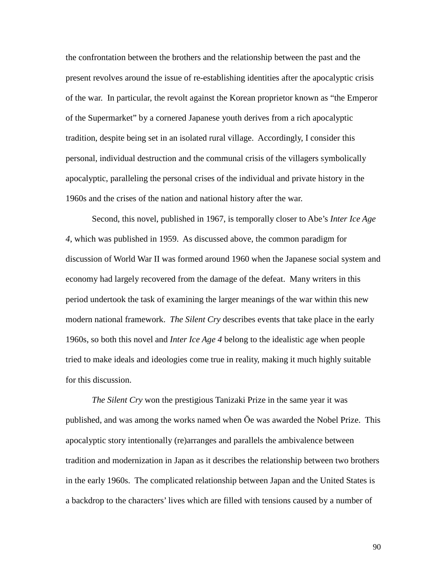the confrontation between the brothers and the relationship between the past and the present revolves around the issue of re-establishing identities after the apocalyptic crisis of the war. In particular, the revolt against the Korean proprietor known as "the Emperor of the Supermarket" by a cornered Japanese youth derives from a rich apocalyptic tradition, despite being set in an isolated rural village. Accordingly, I consider this personal, individual destruction and the communal crisis of the villagers symbolically apocalyptic, paralleling the personal crises of the individual and private history in the 1960s and the crises of the nation and national history after the war.

Second, this novel, published in 1967, is temporally closer to Abe's *Inter Ice Age 4*, which was published in 1959. As discussed above, the common paradigm for discussion of World War II was formed around 1960 when the Japanese social system and economy had largely recovered from the damage of the defeat. Many writers in this period undertook the task of examining the larger meanings of the war within this new modern national framework. *The Silent Cry* describes events that take place in the early 1960s, so both this novel and *Inter Ice Age 4* belong to the idealistic age when people tried to make ideals and ideologies come true in reality, making it much highly suitable for this discussion.

*The Silent Cry* won the prestigious Tanizaki Prize in the same year it was published, and was among the works named when Ōe was awarded the Nobel Prize. This apocalyptic story intentionally (re)arranges and parallels the ambivalence between tradition and modernization in Japan as it describes the relationship between two brothers in the early 1960s. The complicated relationship between Japan and the United States is a backdrop to the characters' lives which are filled with tensions caused by a number of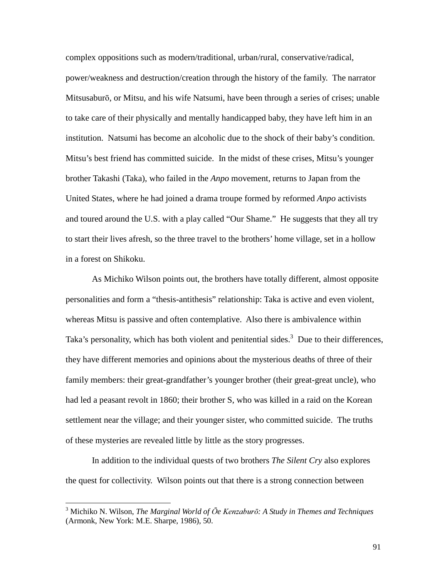complex oppositions such as modern/traditional, urban/rural, conservative/radical, power/weakness and destruction/creation through the history of the family. The narrator Mitsusaburō, or Mitsu, and his wife Natsumi, have been through a series of crises; unable to take care of their physically and mentally handicapped baby, they have left him in an institution. Natsumi has become an alcoholic due to the shock of their baby's condition. Mitsu's best friend has committed suicide. In the midst of these crises, Mitsu's younger brother Takashi (Taka), who failed in the *Anpo* movement, returns to Japan from the United States, where he had joined a drama troupe formed by reformed *Anpo* activists and toured around the U.S. with a play called "Our Shame." He suggests that they all try to start their lives afresh, so the three travel to the brothers' home village, set in a hollow in a forest on Shikoku.

As Michiko Wilson points out, the brothers have totally different, almost opposite personalities and form a "thesis-antithesis" relationship: Taka is active and even violent, whereas Mitsu is passive and often contemplative. Also there is ambivalence within Taka's personality, which has both violent and penitential sides.<sup>3</sup> Due to their differences, they have different memories and opinions about the mysterious deaths of three of their family members: their great-grandfather's younger brother (their great-great uncle), who had led a peasant revolt in 1860; their brother S, who was killed in a raid on the Korean settlement near the village; and their younger sister, who committed suicide. The truths of these mysteries are revealed little by little as the story progresses.

In addition to the individual quests of two brothers *The Silent Cry* also explores the quest for collectivity. Wilson points out that there is a strong connection between

<sup>3</sup> Michiko N. Wilson, *The Marginal World of* Ō*e* Kenzaburō*: A Study in Themes and Techniques* (Armonk, New York: M.E. Sharpe, 1986), 50.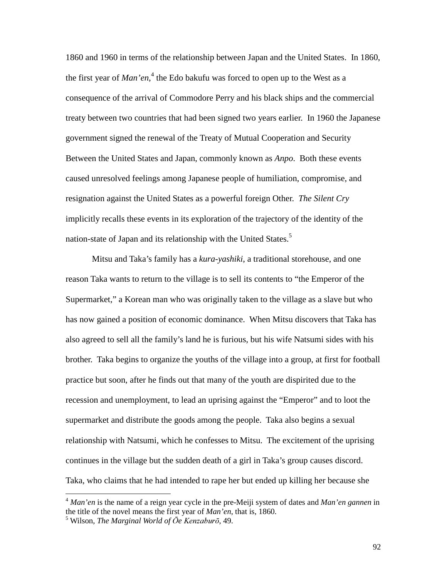1860 and 1960 in terms of the relationship between Japan and the United States. In 1860, the first year of *Man'en*, 4 the Edo bakufu was forced to open up to the West as a consequence of the arrival of Commodore Perry and his black ships and the commercial treaty between two countries that had been signed two years earlier. In 1960 the Japanese government signed the renewal of the Treaty of Mutual Cooperation and Security Between the United States and Japan, commonly known as *Anpo*. Both these events caused unresolved feelings among Japanese people of humiliation, compromise, and resignation against the United States as a powerful foreign Other. *The Silent Cry* implicitly recalls these events in its exploration of the trajectory of the identity of the nation-state of Japan and its relationship with the United States.<sup>5</sup>

Mitsu and Taka's family has a *kura-yashiki*, a traditional storehouse, and one reason Taka wants to return to the village is to sell its contents to "the Emperor of the Supermarket," a Korean man who was originally taken to the village as a slave but who has now gained a position of economic dominance. When Mitsu discovers that Taka has also agreed to sell all the family's land he is furious, but his wife Natsumi sides with his brother. Taka begins to organize the youths of the village into a group, at first for football practice but soon, after he finds out that many of the youth are dispirited due to the recession and unemployment, to lead an uprising against the "Emperor" and to loot the supermarket and distribute the goods among the people. Taka also begins a sexual relationship with Natsumi, which he confesses to Mitsu. The excitement of the uprising continues in the village but the sudden death of a girl in Taka's group causes discord. Taka, who claims that he had intended to rape her but ended up killing her because she

<sup>4</sup> *Man'en* is the name of a reign year cycle in the pre-Meiji system of dates and *Man'en gannen* in the title of the novel means the first year of *Man'en*, that is, 1860.

<sup>5</sup> Wilson, *The Marginal World of* Ō*e* Kenzaburō, 49.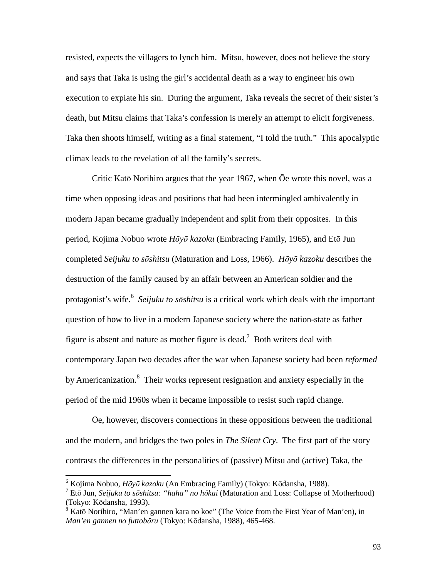resisted, expects the villagers to lynch him. Mitsu, however, does not believe the story and says that Taka is using the girl's accidental death as a way to engineer his own execution to expiate his sin. During the argument, Taka reveals the secret of their sister's death, but Mitsu claims that Taka's confession is merely an attempt to elicit forgiveness. Taka then shoots himself, writing as a final statement, "I told the truth." This apocalyptic climax leads to the revelation of all the family's secrets.

Critic Katō Norihiro argues that the year 1967, when Ōe wrote this novel, was a time when opposing ideas and positions that had been intermingled ambivalently in modern Japan became gradually independent and split from their opposites. In this period, Kojima Nobuo wrote *H*ō*y*ō *kazoku* (Embracing Family, 1965), and Etō Jun completed *Seijuku to s*ō*shitsu* (Maturation and Loss, 1966). *H*ō*y*ō *kazoku* describes the destruction of the family caused by an affair between an American soldier and the protagonist's wife.<sup>6</sup> *Seijuku to s*ō*shitsu* is a critical work which deals with the important question of how to live in a modern Japanese society where the nation-state as father figure is absent and nature as mother figure is dead.<sup>7</sup> Both writers deal with contemporary Japan two decades after the war when Japanese society had been *reformed* by Americanization.<sup>8</sup> Their works represent resignation and anxiety especially in the period of the mid 1960s when it became impossible to resist such rapid change.

Ōe, however, discovers connections in these oppositions between the traditional and the modern, and bridges the two poles in *The Silent Cry*. The first part of the story contrasts the differences in the personalities of (passive) Mitsu and (active) Taka, the

<sup>6</sup> Kojima Nobuo, *H*ō*y*ō *kazoku* (An Embracing Family) (Tokyo: Kōdansha, 1988).

<sup>7</sup> Etō Jun, *Seijuku to s*ō*shitsu: "haha" no h*ō*kai* (Maturation and Loss: Collapse of Motherhood) (Tokyo: Kōdansha, 1993).

<sup>&</sup>lt;sup>8</sup> Katō Norihiro, "Man'en gannen kara no koe" (The Voice from the First Year of Man'en), in *Man'en gannen no futtob*ō*ru* (Tokyo: Kōdansha, 1988), 465-468.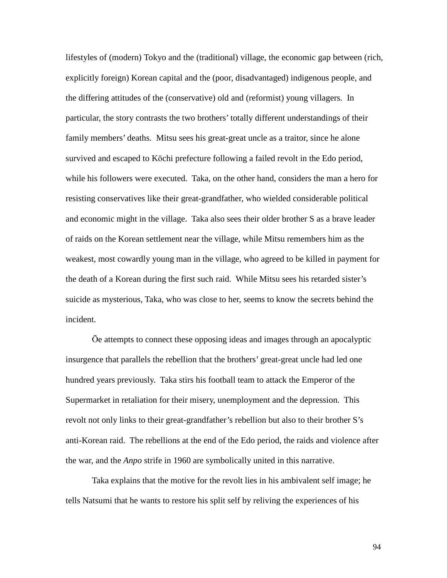lifestyles of (modern) Tokyo and the (traditional) village, the economic gap between (rich, explicitly foreign) Korean capital and the (poor, disadvantaged) indigenous people, and the differing attitudes of the (conservative) old and (reformist) young villagers. In particular, the story contrasts the two brothers' totally different understandings of their family members' deaths. Mitsu sees his great-great uncle as a traitor, since he alone survived and escaped to Kōchi prefecture following a failed revolt in the Edo period, while his followers were executed. Taka, on the other hand, considers the man a hero for resisting conservatives like their great-grandfather, who wielded considerable political and economic might in the village. Taka also sees their older brother S as a brave leader of raids on the Korean settlement near the village, while Mitsu remembers him as the weakest, most cowardly young man in the village, who agreed to be killed in payment for the death of a Korean during the first such raid. While Mitsu sees his retarded sister's suicide as mysterious, Taka, who was close to her, seems to know the secrets behind the incident.

Ōe attempts to connect these opposing ideas and images through an apocalyptic insurgence that parallels the rebellion that the brothers' great-great uncle had led one hundred years previously. Taka stirs his football team to attack the Emperor of the Supermarket in retaliation for their misery, unemployment and the depression. This revolt not only links to their great-grandfather's rebellion but also to their brother S's anti-Korean raid. The rebellions at the end of the Edo period, the raids and violence after the war, and the *Anpo* strife in 1960 are symbolically united in this narrative.

Taka explains that the motive for the revolt lies in his ambivalent self image; he tells Natsumi that he wants to restore his split self by reliving the experiences of his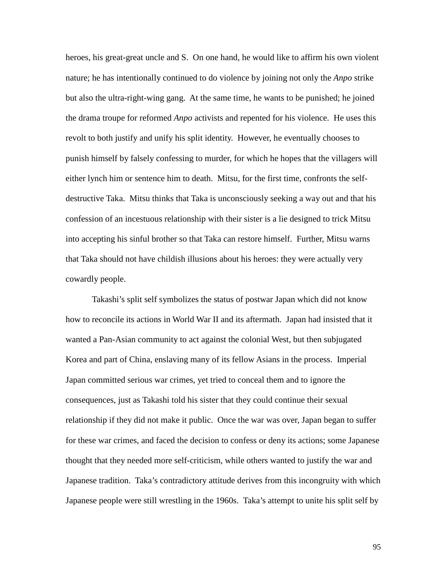heroes, his great-great uncle and S. On one hand, he would like to affirm his own violent nature; he has intentionally continued to do violence by joining not only the *Anpo* strike but also the ultra-right-wing gang. At the same time, he wants to be punished; he joined the drama troupe for reformed *Anpo* activists and repented for his violence. He uses this revolt to both justify and unify his split identity. However, he eventually chooses to punish himself by falsely confessing to murder, for which he hopes that the villagers will either lynch him or sentence him to death. Mitsu, for the first time, confronts the selfdestructive Taka. Mitsu thinks that Taka is unconsciously seeking a way out and that his confession of an incestuous relationship with their sister is a lie designed to trick Mitsu into accepting his sinful brother so that Taka can restore himself. Further, Mitsu warns that Taka should not have childish illusions about his heroes: they were actually very cowardly people.

Takashi's split self symbolizes the status of postwar Japan which did not know how to reconcile its actions in World War II and its aftermath. Japan had insisted that it wanted a Pan-Asian community to act against the colonial West, but then subjugated Korea and part of China, enslaving many of its fellow Asians in the process. Imperial Japan committed serious war crimes, yet tried to conceal them and to ignore the consequences, just as Takashi told his sister that they could continue their sexual relationship if they did not make it public. Once the war was over, Japan began to suffer for these war crimes, and faced the decision to confess or deny its actions; some Japanese thought that they needed more self-criticism, while others wanted to justify the war and Japanese tradition. Taka's contradictory attitude derives from this incongruity with which Japanese people were still wrestling in the 1960s. Taka's attempt to unite his split self by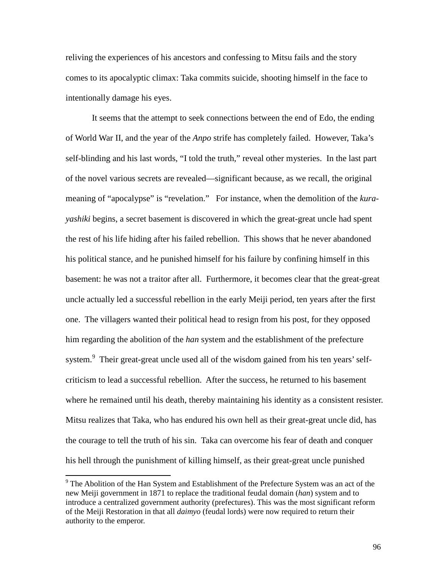reliving the experiences of his ancestors and confessing to Mitsu fails and the story comes to its apocalyptic climax: Taka commits suicide, shooting himself in the face to intentionally damage his eyes.

It seems that the attempt to seek connections between the end of Edo, the ending of World War II, and the year of the *Anpo* strife has completely failed. However, Taka's self-blinding and his last words, "I told the truth," reveal other mysteries. In the last part of the novel various secrets are revealed—significant because, as we recall, the original meaning of "apocalypse" is "revelation." For instance, when the demolition of the *kurayashiki* begins, a secret basement is discovered in which the great-great uncle had spent the rest of his life hiding after his failed rebellion. This shows that he never abandoned his political stance, and he punished himself for his failure by confining himself in this basement: he was not a traitor after all. Furthermore, it becomes clear that the great-great uncle actually led a successful rebellion in the early Meiji period, ten years after the first one. The villagers wanted their political head to resign from his post, for they opposed him regarding the abolition of the *han* system and the establishment of the prefecture system.<sup>9</sup> Their great-great uncle used all of the wisdom gained from his ten years' selfcriticism to lead a successful rebellion. After the success, he returned to his basement where he remained until his death, thereby maintaining his identity as a consistent resister. Mitsu realizes that Taka, who has endured his own hell as their great-great uncle did, has the courage to tell the truth of his sin. Taka can overcome his fear of death and conquer his hell through the punishment of killing himself, as their great-great uncle punished

<sup>&</sup>lt;sup>9</sup> The Abolition of the Han System and Establishment of the Prefecture System was an act of the new Meiji government in 1871 to replace the traditional feudal domain (*han*) system and to introduce a centralized government authority (prefectures). This was the most significant reform of the Meiji Restoration in that all *daimyo* (feudal lords) were now required to return their authority to the emperor.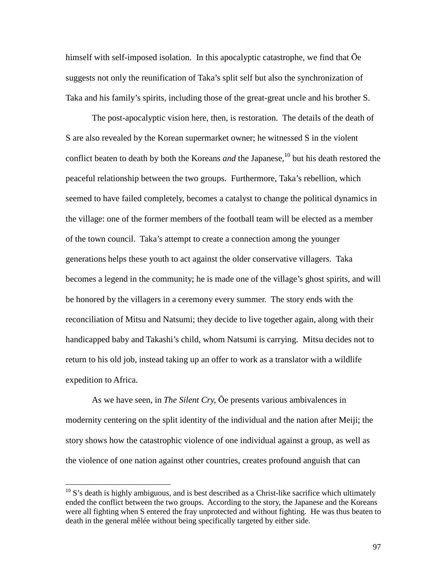himself with self-imposed isolation. In this apocalyptic catastrophe, we find that Ōe suggests not only the reunification of Taka's split self but also the synchronization of Taka and his family's spirits, including those of the great-great uncle and his brother S.

The post-apocalyptic vision here, then, is restoration. The details of the death of S are also revealed by the Korean supermarket owner; he witnessed S in the violent conflict beaten to death by both the Koreans *and* the Japanese,<sup>10</sup> but his death restored the peaceful relationship between the two groups. Furthermore, Taka's rebellion, which seemed to have failed completely, becomes a catalyst to change the political dynamics in the village: one of the former members of the football team will be elected as a member of the town council. Taka's attempt to create a connection among the younger generations helps these youth to act against the older conservative villagers. Taka becomes a legend in the community; he is made one of the village's ghost spirits, and will be honored by the villagers in a ceremony every summer. The story ends with the reconciliation of Mitsu and Natsumi; they decide to live together again, along with their handicapped baby and Takashi's child, whom Natsumi is carrying. Mitsu decides not to return to his old job, instead taking up an offer to work as a translator with a wildlife expedition to Africa.

As we have seen, in *The Silent Cry,* Ōe presents various ambivalences in modernity centering on the split identity of the individual and the nation after Meiji; the story shows how the catastrophic violence of one individual against a group, as well as the violence of one nation against other countries, creates profound anguish that can

 $10 S$ 's death is highly ambiguous, and is best described as a Christ-like sacrifice which ultimately ended the conflict between the two groups. According to the story, the Japanese and the Koreans were all fighting when S entered the fray unprotected and without fighting. He was thus beaten to death in the general mêlée without being specifically targeted by either side.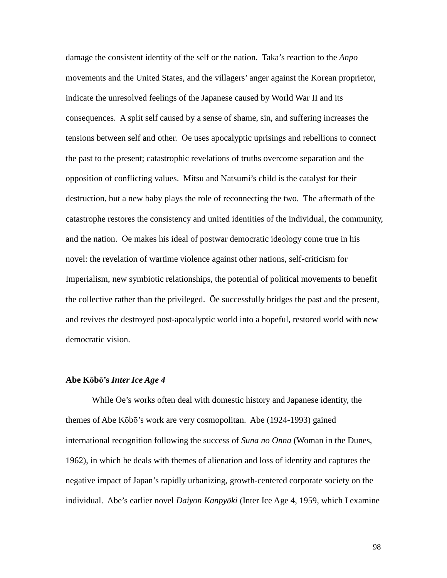damage the consistent identity of the self or the nation. Taka's reaction to the *Anpo* movements and the United States, and the villagers' anger against the Korean proprietor, indicate the unresolved feelings of the Japanese caused by World War II and its consequences. A split self caused by a sense of shame, sin, and suffering increases the tensions between self and other. Ōe uses apocalyptic uprisings and rebellions to connect the past to the present; catastrophic revelations of truths overcome separation and the opposition of conflicting values. Mitsu and Natsumi's child is the catalyst for their destruction, but a new baby plays the role of reconnecting the two. The aftermath of the catastrophe restores the consistency and united identities of the individual, the community, and the nation. Ōe makes his ideal of postwar democratic ideology come true in his novel: the revelation of wartime violence against other nations, self-criticism for Imperialism, new symbiotic relationships, the potential of political movements to benefit the collective rather than the privileged. Ōe successfully bridges the past and the present, and revives the destroyed post-apocalyptic world into a hopeful, restored world with new democratic vision.

#### **Abe K**ō**b**ō**'s** *Inter Ice Age 4*

While Ōe's works often deal with domestic history and Japanese identity, the themes of Abe Kōbō's work are very cosmopolitan. Abe (1924-1993) gained international recognition following the success of *Suna no Onna* (Woman in the Dunes, 1962), in which he deals with themes of alienation and loss of identity and captures the negative impact of Japan's rapidly urbanizing, growth-centered corporate society on the individual. Abe's earlier novel *Daiyon Kanpy*ō*ki* (Inter Ice Age 4, 1959, which I examine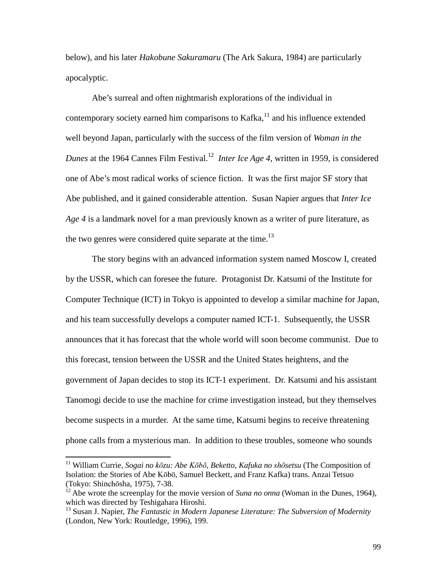below), and his later *Hakobune Sakuramaru* (The Ark Sakura, 1984) are particularly apocalyptic.

Abe's surreal and often nightmarish explorations of the individual in contemporary society earned him comparisons to Kafka, $^{11}$  and his influence extended well beyond Japan, particularly with the success of the film version of *Woman in the*  Dunes at the 1964 Cannes Film Festival.<sup>12</sup> *Inter Ice Age 4*, written in 1959, is considered one of Abe's most radical works of science fiction. It was the first major SF story that Abe published, and it gained considerable attention. Susan Napier argues that *Inter Ice Age 4* is a landmark novel for a man previously known as a writer of pure literature, as the two genres were considered quite separate at the time.<sup>13</sup>

The story begins with an advanced information system named Moscow I, created by the USSR, which can foresee the future. Protagonist Dr. Katsumi of the Institute for Computer Technique (ICT) in Tokyo is appointed to develop a similar machine for Japan, and his team successfully develops a computer named ICT-1. Subsequently, the USSR announces that it has forecast that the whole world will soon become communist. Due to this forecast, tension between the USSR and the United States heightens, and the government of Japan decides to stop its ICT-1 experiment. Dr. Katsumi and his assistant Tanomogi decide to use the machine for crime investigation instead, but they themselves become suspects in a murder. At the same time, Katsumi begins to receive threatening phone calls from a mysterious man. In addition to these troubles, someone who sounds

<sup>11</sup> William Currie, *Sogai no* kō*zu: Abe* Kōbō*, Beketto, Kafuka no* shō*setsu* (The Composition of Isolation: the Stories of Abe Kōbō, Samuel Beckett, and Franz Kafka) trans. Anzai Tetsuo (Tokyo: Shinchōsha, 1975), 7-38.

<sup>&</sup>lt;sup>12</sup> Abe wrote the screenplay for the movie version of *Suna no onna* (Woman in the Dunes, 1964), which was directed by Teshigahara Hiroshi.

<sup>13</sup> Susan J. Napier, *The Fantastic in Modern Japanese Literature: The Subversion of Modernity* (London, New York: Routledge, 1996), 199.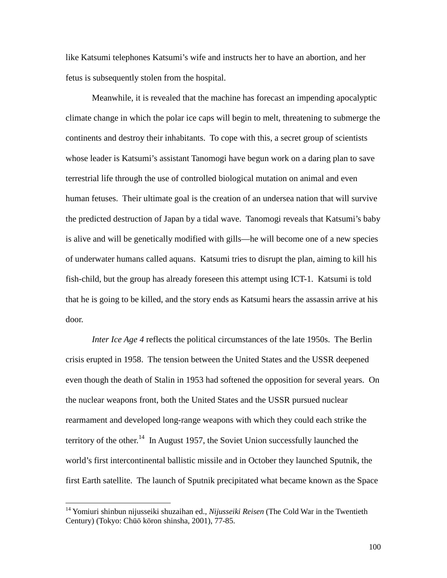like Katsumi telephones Katsumi's wife and instructs her to have an abortion, and her fetus is subsequently stolen from the hospital.

Meanwhile, it is revealed that the machine has forecast an impending apocalyptic climate change in which the polar ice caps will begin to melt, threatening to submerge the continents and destroy their inhabitants. To cope with this, a secret group of scientists whose leader is Katsumi's assistant Tanomogi have begun work on a daring plan to save terrestrial life through the use of controlled biological mutation on animal and even human fetuses. Their ultimate goal is the creation of an undersea nation that will survive the predicted destruction of Japan by a tidal wave. Tanomogi reveals that Katsumi's baby is alive and will be genetically modified with gills—he will become one of a new species of underwater humans called aquans. Katsumi tries to disrupt the plan, aiming to kill his fish-child, but the group has already foreseen this attempt using ICT-1. Katsumi is told that he is going to be killed, and the story ends as Katsumi hears the assassin arrive at his door.

*Inter Ice Age 4* reflects the political circumstances of the late 1950s. The Berlin crisis erupted in 1958. The tension between the United States and the USSR deepened even though the death of Stalin in 1953 had softened the opposition for several years. On the nuclear weapons front, both the United States and the USSR pursued nuclear rearmament and developed long-range weapons with which they could each strike the territory of the other.<sup>14</sup> In August 1957, the Soviet Union successfully launched the world's first intercontinental ballistic missile and in October they launched Sputnik, the first Earth satellite. The launch of Sputnik precipitated what became known as the Space

<sup>14</sup> Yomiuri shinbun nijusseiki shuzaihan ed., *Nijusseiki Reisen* (The Cold War in the Twentieth Century) (Tokyo: Chūō kōron shinsha, 2001), 77-85.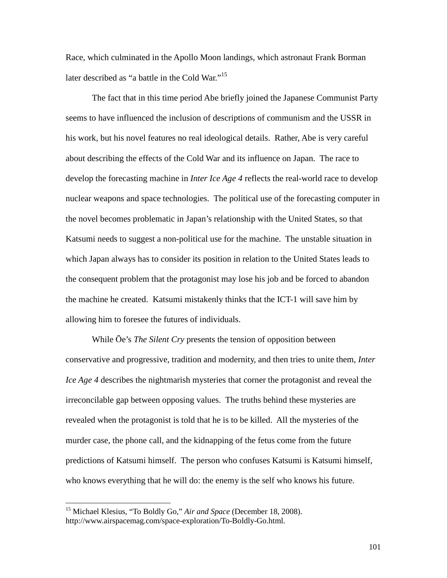Race, which culminated in the Apollo Moon landings, which astronaut Frank Borman later described as "a battle in the Cold War."<sup>15</sup>

The fact that in this time period Abe briefly joined the Japanese Communist Party seems to have influenced the inclusion of descriptions of communism and the USSR in his work, but his novel features no real ideological details. Rather, Abe is very careful about describing the effects of the Cold War and its influence on Japan. The race to develop the forecasting machine in *Inter Ice Age 4* reflects the real-world race to develop nuclear weapons and space technologies. The political use of the forecasting computer in the novel becomes problematic in Japan's relationship with the United States, so that Katsumi needs to suggest a non-political use for the machine. The unstable situation in which Japan always has to consider its position in relation to the United States leads to the consequent problem that the protagonist may lose his job and be forced to abandon the machine he created. Katsumi mistakenly thinks that the ICT-1 will save him by allowing him to foresee the futures of individuals.

While Ōe's *The Silent Cry* presents the tension of opposition between conservative and progressive, tradition and modernity, and then tries to unite them, *Inter Ice Age 4* describes the nightmarish mysteries that corner the protagonist and reveal the irreconcilable gap between opposing values. The truths behind these mysteries are revealed when the protagonist is told that he is to be killed. All the mysteries of the murder case, the phone call, and the kidnapping of the fetus come from the future predictions of Katsumi himself. The person who confuses Katsumi is Katsumi himself, who knows everything that he will do: the enemy is the self who knows his future.

<sup>&</sup>lt;sup>15</sup> Michael Klesius, "To Boldly Go," Air and Space (December 18, 2008). http://www.airspacemag.com/space-exploration/To-Boldly-Go.html.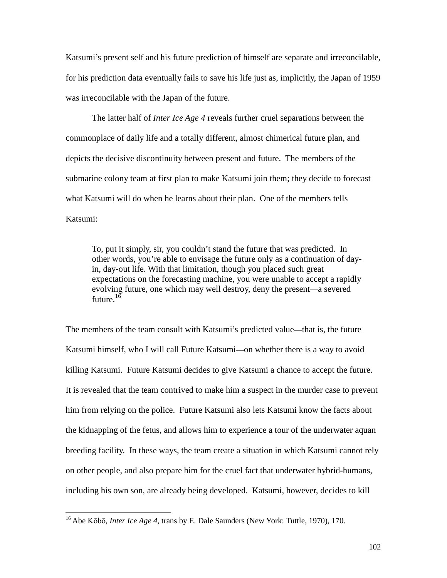Katsumi's present self and his future prediction of himself are separate and irreconcilable, for his prediction data eventually fails to save his life just as, implicitly, the Japan of 1959 was irreconcilable with the Japan of the future.

The latter half of *Inter Ice Age 4* reveals further cruel separations between the commonplace of daily life and a totally different, almost chimerical future plan, and depicts the decisive discontinuity between present and future. The members of the submarine colony team at first plan to make Katsumi join them; they decide to forecast what Katsumi will do when he learns about their plan. One of the members tells Katsumi:

To, put it simply, sir, you couldn't stand the future that was predicted. In other words, you're able to envisage the future only as a continuation of dayin, day-out life. With that limitation, though you placed such great expectations on the forecasting machine, you were unable to accept a rapidly evolving future, one which may well destroy, deny the present—a severed future. $1\bar{6}$ 

The members of the team consult with Katsumi's predicted value—that is, the future Katsumi himself, who I will call Future Katsumi—on whether there is a way to avoid killing Katsumi. Future Katsumi decides to give Katsumi a chance to accept the future. It is revealed that the team contrived to make him a suspect in the murder case to prevent him from relying on the police. Future Katsumi also lets Katsumi know the facts about the kidnapping of the fetus, and allows him to experience a tour of the underwater aquan breeding facility. In these ways, the team create a situation in which Katsumi cannot rely on other people, and also prepare him for the cruel fact that underwater hybrid-humans, including his own son, are already being developed. Katsumi, however, decides to kill

<sup>16</sup> Abe Kōbō, *Inter Ice Age 4*, trans by E. Dale Saunders (New York: Tuttle, 1970), 170.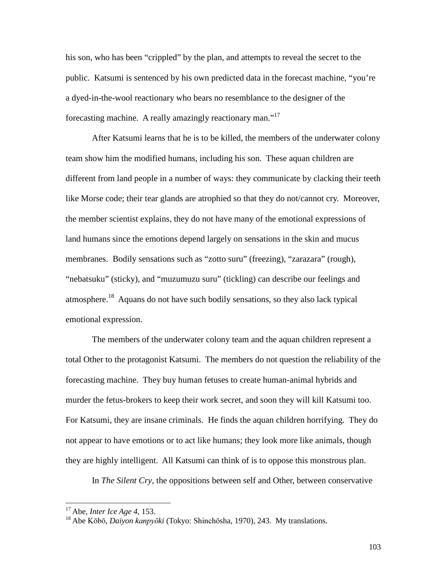his son, who has been "crippled" by the plan, and attempts to reveal the secret to the public. Katsumi is sentenced by his own predicted data in the forecast machine, "you're a dyed-in-the-wool reactionary who bears no resemblance to the designer of the forecasting machine. A really amazingly reactionary man."<sup>17</sup>

After Katsumi learns that he is to be killed, the members of the underwater colony team show him the modified humans, including his son. These aquan children are different from land people in a number of ways: they communicate by clacking their teeth like Morse code; their tear glands are atrophied so that they do not/cannot cry. Moreover, the member scientist explains, they do not have many of the emotional expressions of land humans since the emotions depend largely on sensations in the skin and mucus membranes. Bodily sensations such as "zotto suru" (freezing), "zarazara" (rough), "nebatsuku" (sticky), and "muzumuzu suru" (tickling) can describe our feelings and atmosphere.<sup>18</sup> Aquans do not have such bodily sensations, so they also lack typical emotional expression.

The members of the underwater colony team and the aquan children represent a total Other to the protagonist Katsumi. The members do not question the reliability of the forecasting machine. They buy human fetuses to create human-animal hybrids and murder the fetus-brokers to keep their work secret, and soon they will kill Katsumi too. For Katsumi, they are insane criminals. He finds the aquan children horrifying. They do not appear to have emotions or to act like humans; they look more like animals, though they are highly intelligent. All Katsumi can think of is to oppose this monstrous plan.

In *The Silent Cry*, the oppositions between self and Other, between conservative

<sup>17</sup> Abe, *Inter Ice Age 4*, 153.

<sup>18</sup> Abe Kōbō, *Daiyon* kanpyō*ki* (Tokyo: Shinchōsha, 1970), 243. My translations.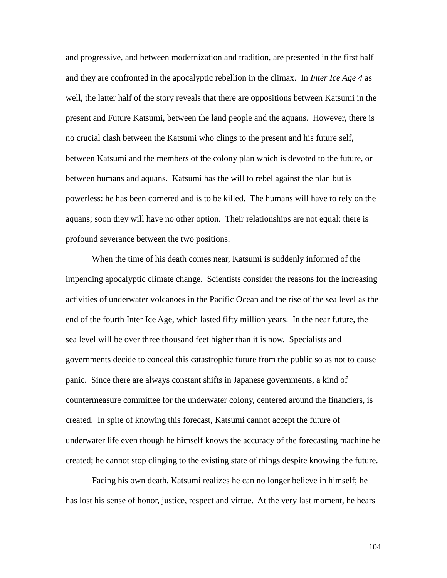and progressive, and between modernization and tradition, are presented in the first half and they are confronted in the apocalyptic rebellion in the climax. In *Inter Ice Age 4* as well, the latter half of the story reveals that there are oppositions between Katsumi in the present and Future Katsumi, between the land people and the aquans. However, there is no crucial clash between the Katsumi who clings to the present and his future self, between Katsumi and the members of the colony plan which is devoted to the future, or between humans and aquans. Katsumi has the will to rebel against the plan but is powerless: he has been cornered and is to be killed. The humans will have to rely on the aquans; soon they will have no other option. Their relationships are not equal: there is profound severance between the two positions.

When the time of his death comes near, Katsumi is suddenly informed of the impending apocalyptic climate change. Scientists consider the reasons for the increasing activities of underwater volcanoes in the Pacific Ocean and the rise of the sea level as the end of the fourth Inter Ice Age, which lasted fifty million years. In the near future, the sea level will be over three thousand feet higher than it is now. Specialists and governments decide to conceal this catastrophic future from the public so as not to cause panic. Since there are always constant shifts in Japanese governments, a kind of countermeasure committee for the underwater colony, centered around the financiers, is created. In spite of knowing this forecast, Katsumi cannot accept the future of underwater life even though he himself knows the accuracy of the forecasting machine he created; he cannot stop clinging to the existing state of things despite knowing the future.

Facing his own death, Katsumi realizes he can no longer believe in himself; he has lost his sense of honor, justice, respect and virtue. At the very last moment, he hears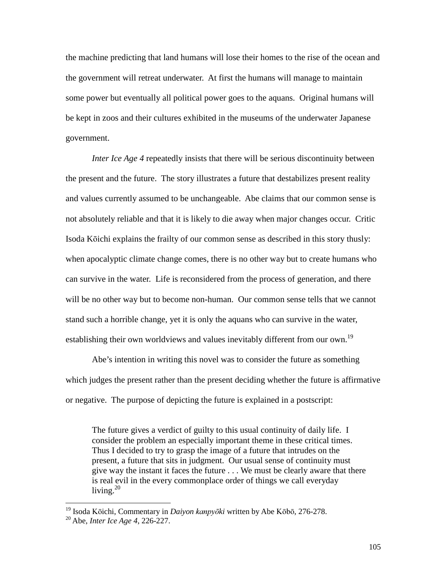the machine predicting that land humans will lose their homes to the rise of the ocean and the government will retreat underwater. At first the humans will manage to maintain some power but eventually all political power goes to the aquans. Original humans will be kept in zoos and their cultures exhibited in the museums of the underwater Japanese government.

*Inter Ice Age 4* repeatedly insists that there will be serious discontinuity between the present and the future. The story illustrates a future that destabilizes present reality and values currently assumed to be unchangeable. Abe claims that our common sense is not absolutely reliable and that it is likely to die away when major changes occur. Critic Isoda Kōichi explains the frailty of our common sense as described in this story thusly: when apocalyptic climate change comes, there is no other way but to create humans who can survive in the water. Life is reconsidered from the process of generation, and there will be no other way but to become non-human. Our common sense tells that we cannot stand such a horrible change, yet it is only the aquans who can survive in the water, establishing their own worldviews and values inevitably different from our own.<sup>19</sup>

Abe's intention in writing this novel was to consider the future as something which judges the present rather than the present deciding whether the future is affirmative or negative. The purpose of depicting the future is explained in a postscript:

The future gives a verdict of guilty to this usual continuity of daily life. I consider the problem an especially important theme in these critical times. Thus I decided to try to grasp the image of a future that intrudes on the present, a future that sits in judgment. Our usual sense of continuity must give way the instant it faces the future . . . We must be clearly aware that there is real evil in the every commonplace order of things we call everyday living. $^{20}$ 

<sup>19</sup> Isoda Kōichi, Commentary in *Daiyon* kanpyō*ki* written by Abe Kōbō, 276-278.

<sup>20</sup> Abe, *Inter Ice Age 4*, 226-227.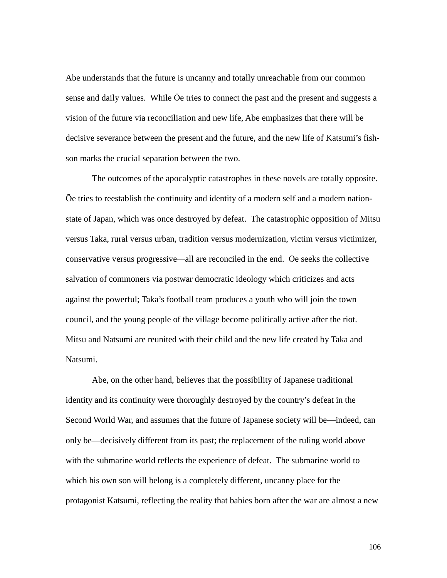Abe understands that the future is uncanny and totally unreachable from our common sense and daily values. While Ōe tries to connect the past and the present and suggests a vision of the future via reconciliation and new life, Abe emphasizes that there will be decisive severance between the present and the future, and the new life of Katsumi's fishson marks the crucial separation between the two.

The outcomes of the apocalyptic catastrophes in these novels are totally opposite. Ōe tries to reestablish the continuity and identity of a modern self and a modern nationstate of Japan, which was once destroyed by defeat. The catastrophic opposition of Mitsu versus Taka, rural versus urban, tradition versus modernization, victim versus victimizer, conservative versus progressive—all are reconciled in the end. Ōe seeks the collective salvation of commoners via postwar democratic ideology which criticizes and acts against the powerful; Taka's football team produces a youth who will join the town council, and the young people of the village become politically active after the riot. Mitsu and Natsumi are reunited with their child and the new life created by Taka and Natsumi.

Abe, on the other hand, believes that the possibility of Japanese traditional identity and its continuity were thoroughly destroyed by the country's defeat in the Second World War, and assumes that the future of Japanese society will be—indeed, can only be—decisively different from its past; the replacement of the ruling world above with the submarine world reflects the experience of defeat. The submarine world to which his own son will belong is a completely different, uncanny place for the protagonist Katsumi, reflecting the reality that babies born after the war are almost a new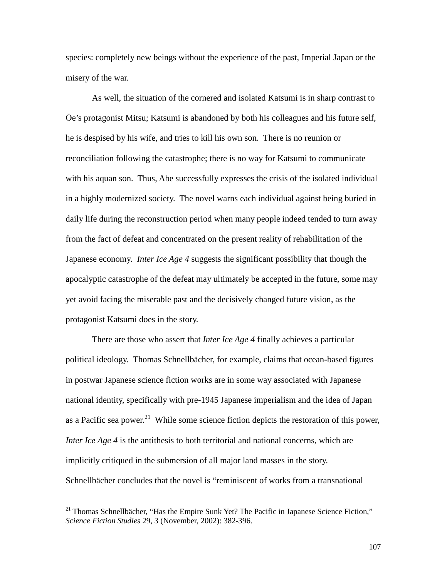species: completely new beings without the experience of the past, Imperial Japan or the misery of the war.

As well, the situation of the cornered and isolated Katsumi is in sharp contrast to Ōe's protagonist Mitsu; Katsumi is abandoned by both his colleagues and his future self, he is despised by his wife, and tries to kill his own son. There is no reunion or reconciliation following the catastrophe; there is no way for Katsumi to communicate with his aquan son. Thus, Abe successfully expresses the crisis of the isolated individual in a highly modernized society. The novel warns each individual against being buried in daily life during the reconstruction period when many people indeed tended to turn away from the fact of defeat and concentrated on the present reality of rehabilitation of the Japanese economy. *Inter Ice Age 4* suggests the significant possibility that though the apocalyptic catastrophe of the defeat may ultimately be accepted in the future, some may yet avoid facing the miserable past and the decisively changed future vision, as the protagonist Katsumi does in the story.

There are those who assert that *Inter Ice Age 4* finally achieves a particular political ideology. Thomas Schnellbächer, for example, claims that ocean-based figures in postwar Japanese science fiction works are in some way associated with Japanese national identity, specifically with pre-1945 Japanese imperialism and the idea of Japan as a Pacific sea power.<sup>21</sup> While some science fiction depicts the restoration of this power, *Inter Ice Age 4* is the antithesis to both territorial and national concerns, which are implicitly critiqued in the submersion of all major land masses in the story. Schnellbächer concludes that the novel is "reminiscent of works from a transnational

<sup>&</sup>lt;sup>21</sup> Thomas Schnellbächer, "Has the Empire Sunk Yet? The Pacific in Japanese Science Fiction," *Science Fiction Studies* 29, 3 (November, 2002): 382-396.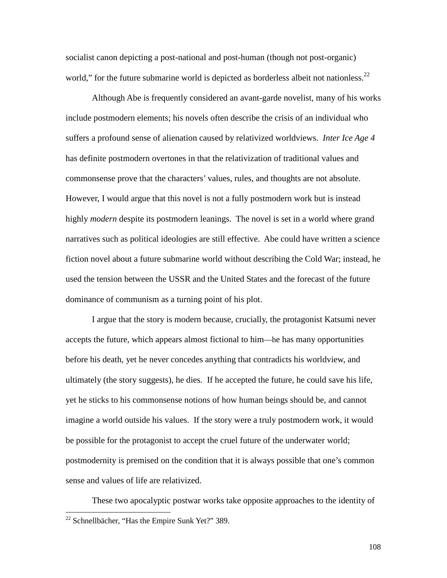socialist canon depicting a post-national and post-human (though not post-organic) world," for the future submarine world is depicted as borderless albeit not nationless. $^{22}$ 

Although Abe is frequently considered an avant-garde novelist, many of his works include postmodern elements; his novels often describe the crisis of an individual who suffers a profound sense of alienation caused by relativized worldviews. *Inter Ice Age 4* has definite postmodern overtones in that the relativization of traditional values and commonsense prove that the characters' values, rules, and thoughts are not absolute. However, I would argue that this novel is not a fully postmodern work but is instead highly *modern* despite its postmodern leanings. The novel is set in a world where grand narratives such as political ideologies are still effective. Abe could have written a science fiction novel about a future submarine world without describing the Cold War; instead, he used the tension between the USSR and the United States and the forecast of the future dominance of communism as a turning point of his plot.

I argue that the story is modern because, crucially, the protagonist Katsumi never accepts the future, which appears almost fictional to him—he has many opportunities before his death, yet he never concedes anything that contradicts his worldview, and ultimately (the story suggests), he dies. If he accepted the future, he could save his life, yet he sticks to his commonsense notions of how human beings should be, and cannot imagine a world outside his values. If the story were a truly postmodern work, it would be possible for the protagonist to accept the cruel future of the underwater world; postmodernity is premised on the condition that it is always possible that one's common sense and values of life are relativized.

These two apocalyptic postwar works take opposite approaches to the identity of  $\overline{a}$  $22$  Schnellbächer, "Has the Empire Sunk Yet?" 389.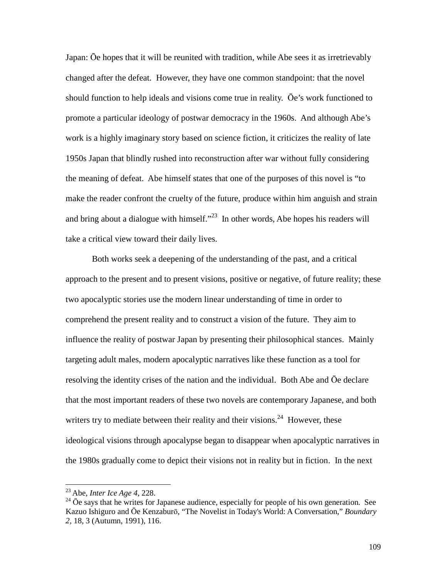Japan: Ōe hopes that it will be reunited with tradition, while Abe sees it as irretrievably changed after the defeat. However, they have one common standpoint: that the novel should function to help ideals and visions come true in reality. Ōe's work functioned to promote a particular ideology of postwar democracy in the 1960s. And although Abe's work is a highly imaginary story based on science fiction, it criticizes the reality of late 1950s Japan that blindly rushed into reconstruction after war without fully considering the meaning of defeat. Abe himself states that one of the purposes of this novel is "to make the reader confront the cruelty of the future, produce within him anguish and strain and bring about a dialogue with himself."<sup>23</sup> In other words, Abe hopes his readers will take a critical view toward their daily lives.

Both works seek a deepening of the understanding of the past, and a critical approach to the present and to present visions, positive or negative, of future reality; these two apocalyptic stories use the modern linear understanding of time in order to comprehend the present reality and to construct a vision of the future. They aim to influence the reality of postwar Japan by presenting their philosophical stances. Mainly targeting adult males, modern apocalyptic narratives like these function as a tool for resolving the identity crises of the nation and the individual. Both Abe and Ōe declare that the most important readers of these two novels are contemporary Japanese, and both writers try to mediate between their reality and their visions. $24$  However, these ideological visions through apocalypse began to disappear when apocalyptic narratives in the 1980s gradually come to depict their visions not in reality but in fiction. In the next

 $\overline{a}$ 

<sup>23</sup> Abe, *Inter Ice Age 4*, 228.

<sup>&</sup>lt;sup>24</sup> Ōe says that he writes for Japanese audience, especially for people of his own generation. See Kazuo Ishiguro and Ōe Kenzaburō, "The Novelist in Today's World: A Conversation," *Boundary 2*, 18, 3 (Autumn, 1991), 116.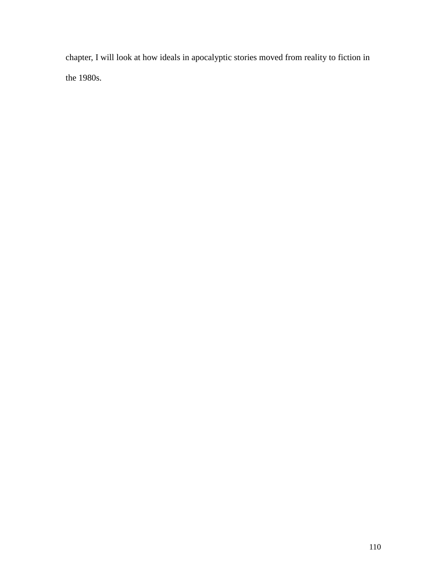chapter, I will look at how ideals in apocalyptic stories moved from reality to fiction in the 1980s.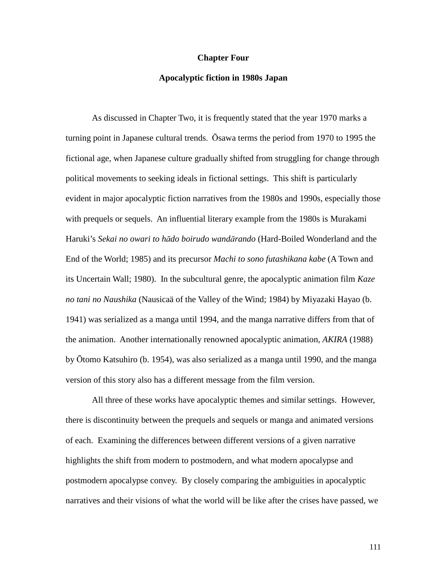#### **Chapter Four**

## **Apocalyptic fiction in 1980s Japan**

As discussed in Chapter Two, it is frequently stated that the year 1970 marks a turning point in Japanese cultural trends. Ōsawa terms the period from 1970 to 1995 the fictional age, when Japanese culture gradually shifted from struggling for change through political movements to seeking ideals in fictional settings. This shift is particularly evident in major apocalyptic fiction narratives from the 1980s and 1990s, especially those with prequels or sequels. An influential literary example from the 1980s is Murakami Haruki's *Sekai no owari to h*ā*do boirudo wand*ā*rando* (Hard-Boiled Wonderland and the End of the World; 1985) and its precursor *Machi to sono futashikana kabe* (A Town and its Uncertain Wall; 1980). In the subcultural genre, the apocalyptic animation film *Kaze no tani no Naushika* (Nausicaä of the Valley of the Wind; 1984) by Miyazaki Hayao (b. 1941) was serialized as a manga until 1994, and the manga narrative differs from that of the animation. Another internationally renowned apocalyptic animation, *AKIRA* (1988) by Ōtomo Katsuhiro (b. 1954), was also serialized as a manga until 1990, and the manga version of this story also has a different message from the film version.

All three of these works have apocalyptic themes and similar settings. However, there is discontinuity between the prequels and sequels or manga and animated versions of each. Examining the differences between different versions of a given narrative highlights the shift from modern to postmodern, and what modern apocalypse and postmodern apocalypse convey. By closely comparing the ambiguities in apocalyptic narratives and their visions of what the world will be like after the crises have passed, we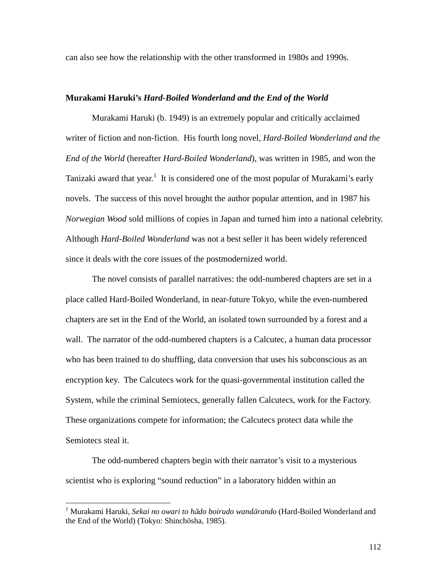can also see how the relationship with the other transformed in 1980s and 1990s.

## **Murakami Haruki's** *Hard-Boiled Wonderland and the End of the World*

Murakami Haruki (b. 1949) is an extremely popular and critically acclaimed writer of fiction and non-fiction. His fourth long novel, *Hard-Boiled Wonderland and the End of the World* (hereafter *Hard-Boiled Wonderland*), was written in 1985, and won the Tanizaki award that year.<sup>1</sup> It is considered one of the most popular of Murakami's early novels. The success of this novel brought the author popular attention, and in 1987 his *Norwegian Wood* sold millions of copies in Japan and turned him into a national celebrity. Although *Hard-Boiled Wonderland* was not a best seller it has been widely referenced since it deals with the core issues of the postmodernized world.

The novel consists of parallel narratives: the odd-numbered chapters are set in a place called Hard-Boiled Wonderland, in near-future Tokyo, while the even-numbered chapters are set in the End of the World, an isolated town surrounded by a forest and a wall. The narrator of the odd-numbered chapters is a Calcutec, a human data processor who has been trained to do shuffling, data conversion that uses his subconscious as an encryption key. The Calcutecs work for the quasi-governmental institution called the System, while the criminal Semiotecs, generally fallen Calcutecs, work for the Factory. These organizations compete for information; the Calcutecs protect data while the Semiotecs steal it.

The odd-numbered chapters begin with their narrator's visit to a mysterious scientist who is exploring "sound reduction" in a laboratory hidden within an

<sup>1</sup> Murakami Haruki, *Sekai no owari to h*ā*do boirudo wand*ā*rando* (Hard-Boiled Wonderland and the End of the World) (Tokyo: Shinchōsha, 1985).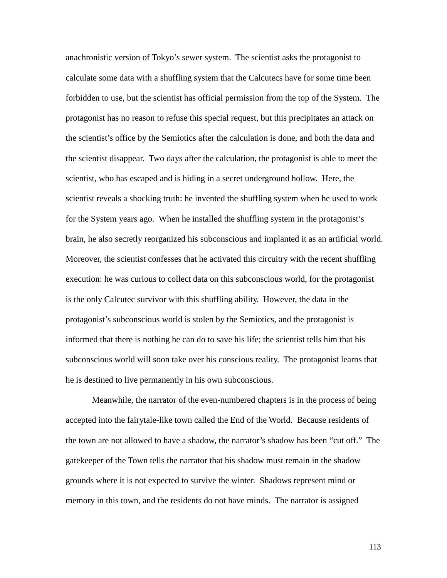anachronistic version of Tokyo's sewer system. The scientist asks the protagonist to calculate some data with a shuffling system that the Calcutecs have for some time been forbidden to use, but the scientist has official permission from the top of the System. The protagonist has no reason to refuse this special request, but this precipitates an attack on the scientist's office by the Semiotics after the calculation is done, and both the data and the scientist disappear. Two days after the calculation, the protagonist is able to meet the scientist, who has escaped and is hiding in a secret underground hollow. Here, the scientist reveals a shocking truth: he invented the shuffling system when he used to work for the System years ago. When he installed the shuffling system in the protagonist's brain, he also secretly reorganized his subconscious and implanted it as an artificial world. Moreover, the scientist confesses that he activated this circuitry with the recent shuffling execution: he was curious to collect data on this subconscious world, for the protagonist is the only Calcutec survivor with this shuffling ability. However, the data in the protagonist's subconscious world is stolen by the Semiotics, and the protagonist is informed that there is nothing he can do to save his life; the scientist tells him that his subconscious world will soon take over his conscious reality. The protagonist learns that he is destined to live permanently in his own subconscious.

Meanwhile, the narrator of the even-numbered chapters is in the process of being accepted into the fairytale-like town called the End of the World. Because residents of the town are not allowed to have a shadow, the narrator's shadow has been "cut off." The gatekeeper of the Town tells the narrator that his shadow must remain in the shadow grounds where it is not expected to survive the winter. Shadows represent mind or memory in this town, and the residents do not have minds. The narrator is assigned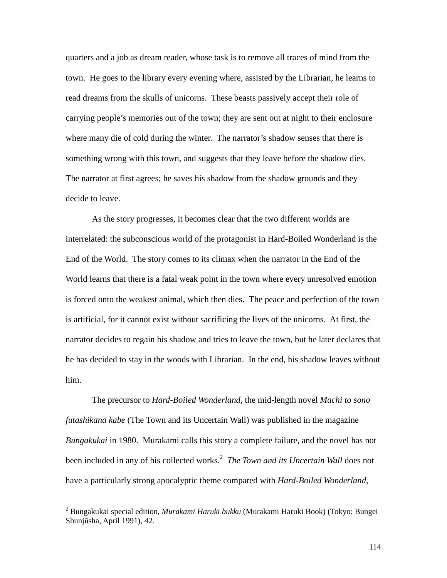quarters and a job as dream reader, whose task is to remove all traces of mind from the town. He goes to the library every evening where, assisted by the Librarian, he learns to read dreams from the skulls of unicorns. These beasts passively accept their role of carrying people's memories out of the town; they are sent out at night to their enclosure where many die of cold during the winter. The narrator's shadow senses that there is something wrong with this town, and suggests that they leave before the shadow dies. The narrator at first agrees; he saves his shadow from the shadow grounds and they decide to leave.

As the story progresses, it becomes clear that the two different worlds are interrelated: the subconscious world of the protagonist in Hard-Boiled Wonderland is the End of the World. The story comes to its climax when the narrator in the End of the World learns that there is a fatal weak point in the town where every unresolved emotion is forced onto the weakest animal, which then dies. The peace and perfection of the town is artificial, for it cannot exist without sacrificing the lives of the unicorns. At first, the narrator decides to regain his shadow and tries to leave the town, but he later declares that he has decided to stay in the woods with Librarian. In the end, his shadow leaves without him.

 The precursor to *Hard-Boiled Wonderland*, the mid-length novel *Machi to sono futashikana kabe* (The Town and its Uncertain Wall) was published in the magazine *Bungakukai* in 1980. Murakami calls this story a complete failure, and the novel has not been included in any of his collected works.<sup>2</sup> The Town and its Uncertain Wall does not have a particularly strong apocalyptic theme compared with *Hard-Boiled Wonderland*,

 2 Bungakukai special edition, *Murakami Haruki bukku* (Murakami Haruki Book) (Tokyo: Bungei Shunjūsha, April 1991), 42.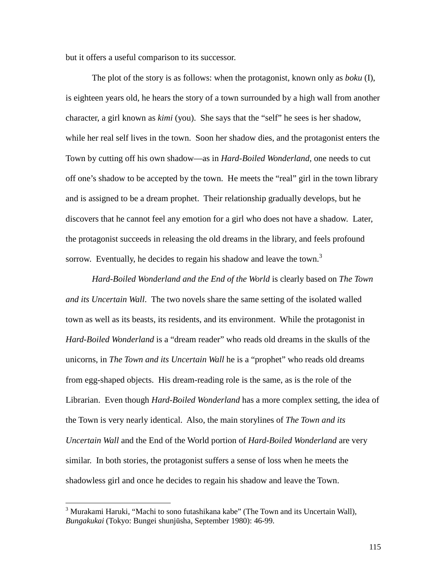but it offers a useful comparison to its successor.

The plot of the story is as follows: when the protagonist, known only as *boku* (I), is eighteen years old, he hears the story of a town surrounded by a high wall from another character, a girl known as *kimi* (you). She says that the "self" he sees is her shadow, while her real self lives in the town. Soon her shadow dies, and the protagonist enters the Town by cutting off his own shadow—as in *Hard-Boiled Wonderland*, one needs to cut off one's shadow to be accepted by the town. He meets the "real" girl in the town library and is assigned to be a dream prophet. Their relationship gradually develops, but he discovers that he cannot feel any emotion for a girl who does not have a shadow. Later, the protagonist succeeds in releasing the old dreams in the library, and feels profound sorrow. Eventually, he decides to regain his shadow and leave the town.<sup>3</sup>

*Hard-Boiled Wonderland and the End of the World* is clearly based on *The Town and its Uncertain Wall*. The two novels share the same setting of the isolated walled town as well as its beasts, its residents, and its environment. While the protagonist in *Hard-Boiled Wonderland* is a "dream reader" who reads old dreams in the skulls of the unicorns, in *The Town and its Uncertain Wall* he is a "prophet" who reads old dreams from egg-shaped objects. His dream-reading role is the same, as is the role of the Librarian. Even though *Hard-Boiled Wonderland* has a more complex setting, the idea of the Town is very nearly identical. Also, the main storylines of *The Town and its Uncertain Wall* and the End of the World portion of *Hard-Boiled Wonderland* are very similar. In both stories, the protagonist suffers a sense of loss when he meets the shadowless girl and once he decides to regain his shadow and leave the Town.

<sup>&</sup>lt;sup>3</sup> Murakami Haruki, "Machi to sono futashikana kabe" (The Town and its Uncertain Wall), *Bungakukai* (Tokyo: Bungei shunjūsha, September 1980): 46-99.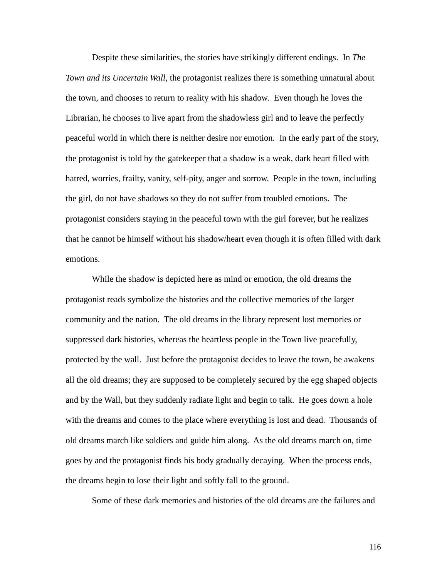Despite these similarities, the stories have strikingly different endings. In *The Town and its Uncertain Wall*, the protagonist realizes there is something unnatural about the town, and chooses to return to reality with his shadow. Even though he loves the Librarian, he chooses to live apart from the shadowless girl and to leave the perfectly peaceful world in which there is neither desire nor emotion. In the early part of the story, the protagonist is told by the gatekeeper that a shadow is a weak, dark heart filled with hatred, worries, frailty, vanity, self-pity, anger and sorrow. People in the town, including the girl, do not have shadows so they do not suffer from troubled emotions. The protagonist considers staying in the peaceful town with the girl forever, but he realizes that he cannot be himself without his shadow/heart even though it is often filled with dark emotions.

While the shadow is depicted here as mind or emotion, the old dreams the protagonist reads symbolize the histories and the collective memories of the larger community and the nation. The old dreams in the library represent lost memories or suppressed dark histories, whereas the heartless people in the Town live peacefully, protected by the wall. Just before the protagonist decides to leave the town, he awakens all the old dreams; they are supposed to be completely secured by the egg shaped objects and by the Wall, but they suddenly radiate light and begin to talk. He goes down a hole with the dreams and comes to the place where everything is lost and dead. Thousands of old dreams march like soldiers and guide him along. As the old dreams march on, time goes by and the protagonist finds his body gradually decaying. When the process ends, the dreams begin to lose their light and softly fall to the ground.

Some of these dark memories and histories of the old dreams are the failures and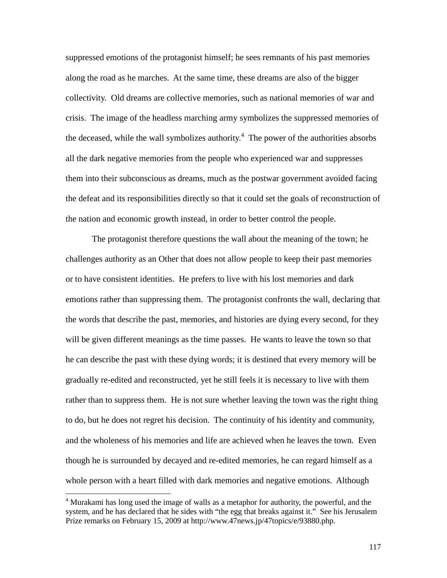suppressed emotions of the protagonist himself; he sees remnants of his past memories along the road as he marches. At the same time, these dreams are also of the bigger collectivity. Old dreams are collective memories, such as national memories of war and crisis. The image of the headless marching army symbolizes the suppressed memories of the deceased, while the wall symbolizes authority.<sup>4</sup> The power of the authorities absorbs all the dark negative memories from the people who experienced war and suppresses them into their subconscious as dreams, much as the postwar government avoided facing the defeat and its responsibilities directly so that it could set the goals of reconstruction of the nation and economic growth instead, in order to better control the people.

The protagonist therefore questions the wall about the meaning of the town; he challenges authority as an Other that does not allow people to keep their past memories or to have consistent identities. He prefers to live with his lost memories and dark emotions rather than suppressing them. The protagonist confronts the wall, declaring that the words that describe the past, memories, and histories are dying every second, for they will be given different meanings as the time passes. He wants to leave the town so that he can describe the past with these dying words; it is destined that every memory will be gradually re-edited and reconstructed, yet he still feels it is necessary to live with them rather than to suppress them. He is not sure whether leaving the town was the right thing to do, but he does not regret his decision. The continuity of his identity and community, and the wholeness of his memories and life are achieved when he leaves the town. Even though he is surrounded by decayed and re-edited memories, he can regard himself as a whole person with a heart filled with dark memories and negative emotions. Although

 $\overline{a}$ 

<sup>&</sup>lt;sup>4</sup> Murakami has long used the image of walls as a metaphor for authority, the powerful, and the system, and he has declared that he sides with "the egg that breaks against it." See his Jerusalem Prize remarks on February 15, 2009 at http://www.47news.jp/47topics/e/93880.php.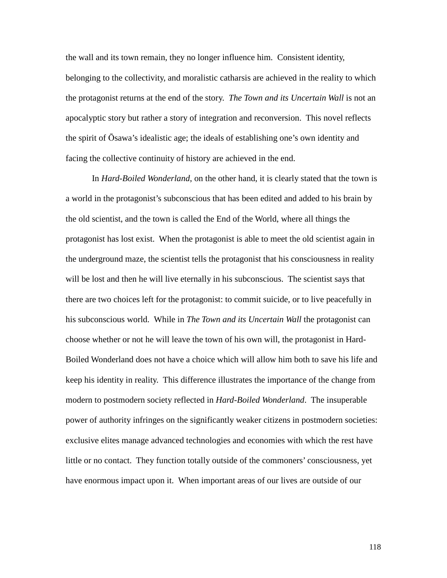the wall and its town remain, they no longer influence him. Consistent identity, belonging to the collectivity, and moralistic catharsis are achieved in the reality to which the protagonist returns at the end of the story. *The Town and its Uncertain Wall* is not an apocalyptic story but rather a story of integration and reconversion. This novel reflects the spirit of Ōsawa's idealistic age; the ideals of establishing one's own identity and facing the collective continuity of history are achieved in the end.

In *Hard-Boiled Wonderland*, on the other hand, it is clearly stated that the town is a world in the protagonist's subconscious that has been edited and added to his brain by the old scientist, and the town is called the End of the World, where all things the protagonist has lost exist. When the protagonist is able to meet the old scientist again in the underground maze, the scientist tells the protagonist that his consciousness in reality will be lost and then he will live eternally in his subconscious. The scientist says that there are two choices left for the protagonist: to commit suicide, or to live peacefully in his subconscious world. While in *The Town and its Uncertain Wall* the protagonist can choose whether or not he will leave the town of his own will, the protagonist in Hard-Boiled Wonderland does not have a choice which will allow him both to save his life and keep his identity in reality. This difference illustrates the importance of the change from modern to postmodern society reflected in *Hard-Boiled Wonderland*. The insuperable power of authority infringes on the significantly weaker citizens in postmodern societies: exclusive elites manage advanced technologies and economies with which the rest have little or no contact. They function totally outside of the commoners' consciousness, yet have enormous impact upon it. When important areas of our lives are outside of our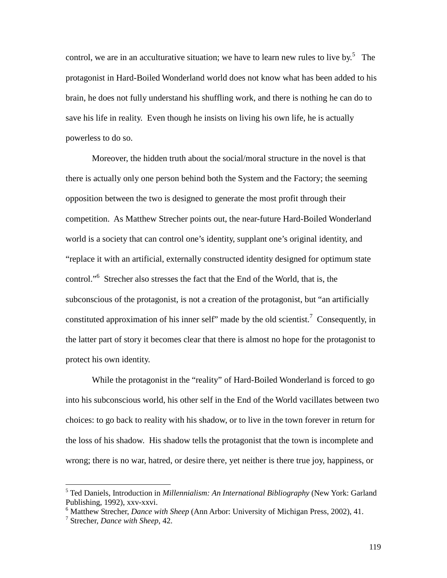control, we are in an acculturative situation; we have to learn new rules to live by.<sup>5</sup> The protagonist in Hard-Boiled Wonderland world does not know what has been added to his brain, he does not fully understand his shuffling work, and there is nothing he can do to save his life in reality. Even though he insists on living his own life, he is actually powerless to do so.

Moreover, the hidden truth about the social/moral structure in the novel is that there is actually only one person behind both the System and the Factory; the seeming opposition between the two is designed to generate the most profit through their competition. As Matthew Strecher points out, the near-future Hard-Boiled Wonderland world is a society that can control one's identity, supplant one's original identity, and "replace it with an artificial, externally constructed identity designed for optimum state control."<sup>6</sup> Strecher also stresses the fact that the End of the World, that is, the subconscious of the protagonist, is not a creation of the protagonist, but "an artificially constituted approximation of his inner self" made by the old scientist.<sup>7</sup> Consequently, in the latter part of story it becomes clear that there is almost no hope for the protagonist to protect his own identity.

While the protagonist in the "reality" of Hard-Boiled Wonderland is forced to go into his subconscious world, his other self in the End of the World vacillates between two choices: to go back to reality with his shadow, or to live in the town forever in return for the loss of his shadow. His shadow tells the protagonist that the town is incomplete and wrong; there is no war, hatred, or desire there, yet neither is there true joy, happiness, or

 $\overline{a}$ 

<sup>5</sup> Ted Daniels, Introduction in *Millennialism: An International Bibliography* (New York: Garland Publishing, 1992), xxv-xxvi.

<sup>6</sup> Matthew Strecher, *Dance with Sheep* (Ann Arbor: University of Michigan Press, 2002), 41.

<sup>7</sup> Strecher, *Dance with Sheep*, 42.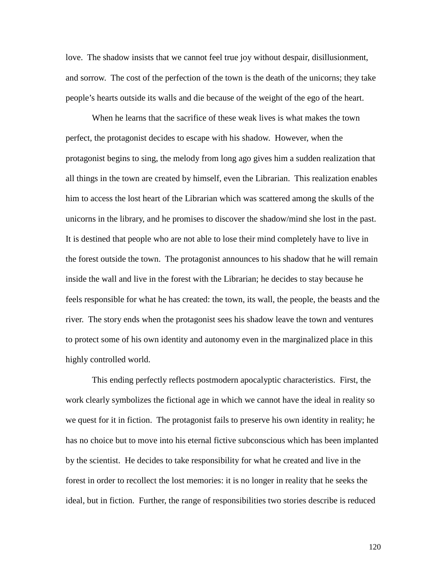love. The shadow insists that we cannot feel true joy without despair, disillusionment, and sorrow. The cost of the perfection of the town is the death of the unicorns; they take people's hearts outside its walls and die because of the weight of the ego of the heart.

When he learns that the sacrifice of these weak lives is what makes the town perfect, the protagonist decides to escape with his shadow. However, when the protagonist begins to sing, the melody from long ago gives him a sudden realization that all things in the town are created by himself, even the Librarian. This realization enables him to access the lost heart of the Librarian which was scattered among the skulls of the unicorns in the library, and he promises to discover the shadow/mind she lost in the past. It is destined that people who are not able to lose their mind completely have to live in the forest outside the town. The protagonist announces to his shadow that he will remain inside the wall and live in the forest with the Librarian; he decides to stay because he feels responsible for what he has created: the town, its wall, the people, the beasts and the river. The story ends when the protagonist sees his shadow leave the town and ventures to protect some of his own identity and autonomy even in the marginalized place in this highly controlled world.

This ending perfectly reflects postmodern apocalyptic characteristics. First, the work clearly symbolizes the fictional age in which we cannot have the ideal in reality so we quest for it in fiction. The protagonist fails to preserve his own identity in reality; he has no choice but to move into his eternal fictive subconscious which has been implanted by the scientist. He decides to take responsibility for what he created and live in the forest in order to recollect the lost memories: it is no longer in reality that he seeks the ideal, but in fiction. Further, the range of responsibilities two stories describe is reduced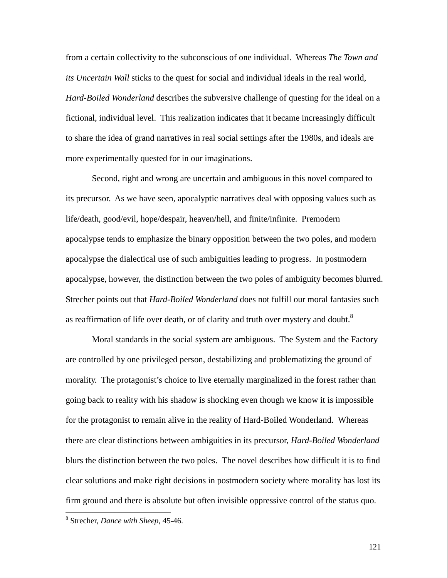from a certain collectivity to the subconscious of one individual. Whereas *The Town and its Uncertain Wall* sticks to the quest for social and individual ideals in the real world, *Hard-Boiled Wonderland* describes the subversive challenge of questing for the ideal on a fictional, individual level. This realization indicates that it became increasingly difficult to share the idea of grand narratives in real social settings after the 1980s, and ideals are more experimentally quested for in our imaginations.

Second, right and wrong are uncertain and ambiguous in this novel compared to its precursor. As we have seen, apocalyptic narratives deal with opposing values such as life/death, good/evil, hope/despair, heaven/hell, and finite/infinite. Premodern apocalypse tends to emphasize the binary opposition between the two poles, and modern apocalypse the dialectical use of such ambiguities leading to progress. In postmodern apocalypse, however, the distinction between the two poles of ambiguity becomes blurred. Strecher points out that *Hard-Boiled Wonderland* does not fulfill our moral fantasies such as reaffirmation of life over death, or of clarity and truth over mystery and doubt. $8$ 

Moral standards in the social system are ambiguous. The System and the Factory are controlled by one privileged person, destabilizing and problematizing the ground of morality. The protagonist's choice to live eternally marginalized in the forest rather than going back to reality with his shadow is shocking even though we know it is impossible for the protagonist to remain alive in the reality of Hard-Boiled Wonderland. Whereas there are clear distinctions between ambiguities in its precursor, *Hard-Boiled Wonderland* blurs the distinction between the two poles. The novel describes how difficult it is to find clear solutions and make right decisions in postmodern society where morality has lost its firm ground and there is absolute but often invisible oppressive control of the status quo.

 8 Strecher, *Dance with Sheep*, 45-46.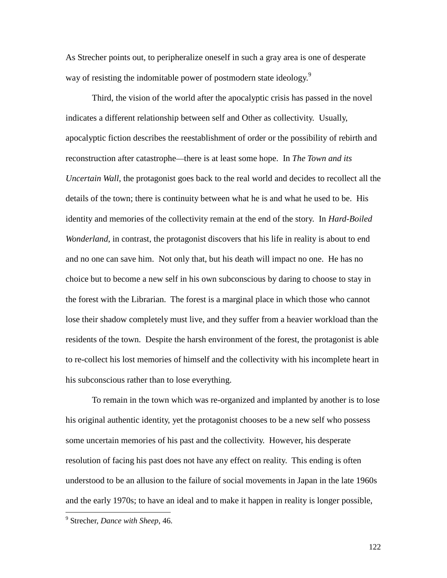As Strecher points out, to peripheralize oneself in such a gray area is one of desperate way of resisting the indomitable power of postmodern state ideology.<sup>9</sup>

Third, the vision of the world after the apocalyptic crisis has passed in the novel indicates a different relationship between self and Other as collectivity. Usually, apocalyptic fiction describes the reestablishment of order or the possibility of rebirth and reconstruction after catastrophe—there is at least some hope. In *The Town and its Uncertain Wall*, the protagonist goes back to the real world and decides to recollect all the details of the town; there is continuity between what he is and what he used to be. His identity and memories of the collectivity remain at the end of the story. In *Hard-Boiled Wonderland*, in contrast, the protagonist discovers that his life in reality is about to end and no one can save him. Not only that, but his death will impact no one. He has no choice but to become a new self in his own subconscious by daring to choose to stay in the forest with the Librarian. The forest is a marginal place in which those who cannot lose their shadow completely must live, and they suffer from a heavier workload than the residents of the town. Despite the harsh environment of the forest, the protagonist is able to re-collect his lost memories of himself and the collectivity with his incomplete heart in his subconscious rather than to lose everything.

To remain in the town which was re-organized and implanted by another is to lose his original authentic identity, yet the protagonist chooses to be a new self who possess some uncertain memories of his past and the collectivity. However, his desperate resolution of facing his past does not have any effect on reality. This ending is often understood to be an allusion to the failure of social movements in Japan in the late 1960s and the early 1970s; to have an ideal and to make it happen in reality is longer possible,

 $\overline{a}$ 

<sup>9</sup> Strecher, *Dance with Sheep*, 46.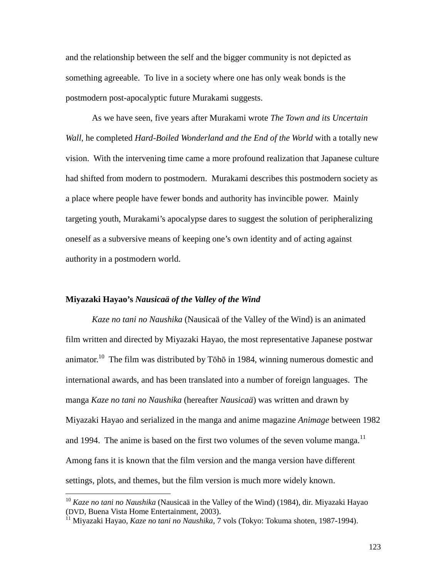and the relationship between the self and the bigger community is not depicted as something agreeable. To live in a society where one has only weak bonds is the postmodern post-apocalyptic future Murakami suggests.

As we have seen, five years after Murakami wrote *The Town and its Uncertain Wall*, he completed *Hard-Boiled Wonderland and the End of the World* with a totally new vision. With the intervening time came a more profound realization that Japanese culture had shifted from modern to postmodern. Murakami describes this postmodern society as a place where people have fewer bonds and authority has invincible power. Mainly targeting youth, Murakami's apocalypse dares to suggest the solution of peripheralizing oneself as a subversive means of keeping one's own identity and of acting against authority in a postmodern world.

#### **Miyazaki Hayao's** *Nausicaä of the Valley of the Wind*

 $\overline{a}$ 

*Kaze no tani no Naushika* (Nausicaä of the Valley of the Wind) is an animated film written and directed by Miyazaki Hayao, the most representative Japanese postwar animator.<sup>10</sup> The film was distributed by Tōhō in 1984, winning numerous domestic and international awards, and has been translated into a number of foreign languages. The manga *Kaze no tani no Naushika* (hereafter *Nausicaä*) was written and drawn by Miyazaki Hayao and serialized in the manga and anime magazine *Animage* between 1982 and 1994. The anime is based on the first two volumes of the seven volume manga.<sup>11</sup> Among fans it is known that the film version and the manga version have different settings, plots, and themes, but the film version is much more widely known.

<sup>10</sup> *Kaze no tani no Naushika* (Nausicaä in the Valley of the Wind) (1984), dir. Miyazaki Hayao (DVD, Buena Vista Home Entertainment, 2003).

<sup>11</sup> Miyazaki Hayao, *Kaze no tani no Naushika*, 7 vols (Tokyo: Tokuma shoten, 1987-1994).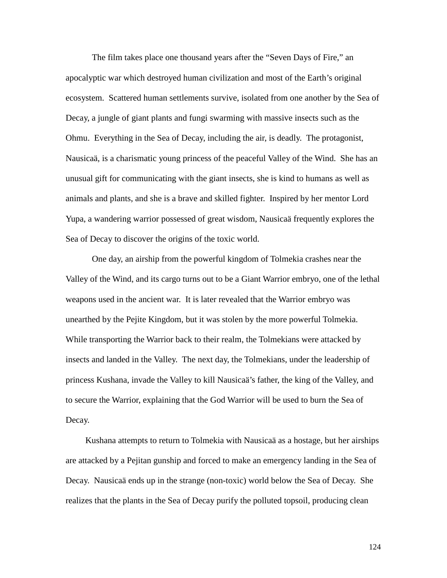The film takes place one thousand years after the "Seven Days of Fire," an apocalyptic war which destroyed human civilization and most of the Earth's original ecosystem. Scattered human settlements survive, isolated from one another by the Sea of Decay, a jungle of giant plants and fungi swarming with massive insects such as the Ohmu. Everything in the Sea of Decay, including the air, is deadly. The protagonist, Nausicaä, is a charismatic young princess of the peaceful Valley of the Wind. She has an unusual gift for communicating with the giant insects, she is kind to humans as well as animals and plants, and she is a brave and skilled fighter. Inspired by her mentor Lord Yupa, a wandering warrior possessed of great wisdom, Nausicaä frequently explores the Sea of Decay to discover the origins of the toxic world.

One day, an airship from the powerful kingdom of Tolmekia crashes near the Valley of the Wind, and its cargo turns out to be a Giant Warrior embryo, one of the lethal weapons used in the ancient war. It is later revealed that the Warrior embryo was unearthed by the Pejite Kingdom, but it was stolen by the more powerful Tolmekia. While transporting the Warrior back to their realm, the Tolmekians were attacked by insects and landed in the Valley. The next day, the Tolmekians, under the leadership of princess Kushana, invade the Valley to kill Nausicaä's father, the king of the Valley, and to secure the Warrior, explaining that the God Warrior will be used to burn the Sea of Decay.

Kushana attempts to return to Tolmekia with Nausicaä as a hostage, but her airships are attacked by a Pejitan gunship and forced to make an emergency landing in the Sea of Decay. Nausicaä ends up in the strange (non-toxic) world below the Sea of Decay. She realizes that the plants in the Sea of Decay purify the polluted topsoil, producing clean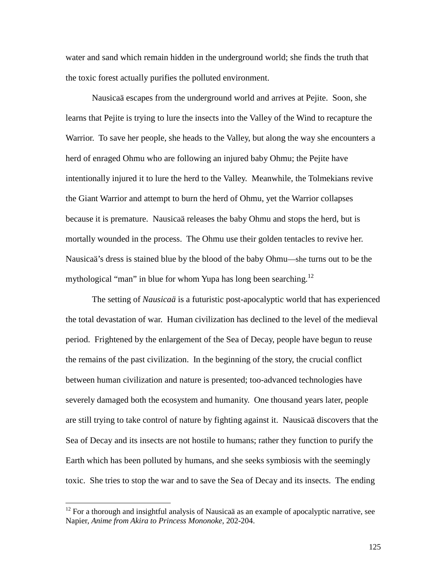water and sand which remain hidden in the underground world; she finds the truth that the toxic forest actually purifies the polluted environment.

Nausicaä escapes from the underground world and arrives at Pejite. Soon, she learns that Pejite is trying to lure the insects into the Valley of the Wind to recapture the Warrior. To save her people, she heads to the Valley, but along the way she encounters a herd of enraged Ohmu who are following an injured baby Ohmu; the Pejite have intentionally injured it to lure the herd to the Valley. Meanwhile, the Tolmekians revive the Giant Warrior and attempt to burn the herd of Ohmu, yet the Warrior collapses because it is premature. Nausicaä releases the baby Ohmu and stops the herd, but is mortally wounded in the process. The Ohmu use their golden tentacles to revive her. Nausicaä's dress is stained blue by the blood of the baby Ohmu—she turns out to be the mythological "man" in blue for whom Yupa has long been searching.<sup>12</sup>

The setting of *Nausicaä* is a futuristic post-apocalyptic world that has experienced the total devastation of war. Human civilization has declined to the level of the medieval period. Frightened by the enlargement of the Sea of Decay, people have begun to reuse the remains of the past civilization. In the beginning of the story, the crucial conflict between human civilization and nature is presented; too-advanced technologies have severely damaged both the ecosystem and humanity. One thousand years later, people are still trying to take control of nature by fighting against it. Nausicaä discovers that the Sea of Decay and its insects are not hostile to humans; rather they function to purify the Earth which has been polluted by humans, and she seeks symbiosis with the seemingly toxic. She tries to stop the war and to save the Sea of Decay and its insects. The ending

 $12$  For a thorough and insightful analysis of Nausicaä as an example of apocalyptic narrative, see Napier, *Anime from Akira to Princess Mononoke*, 202-204.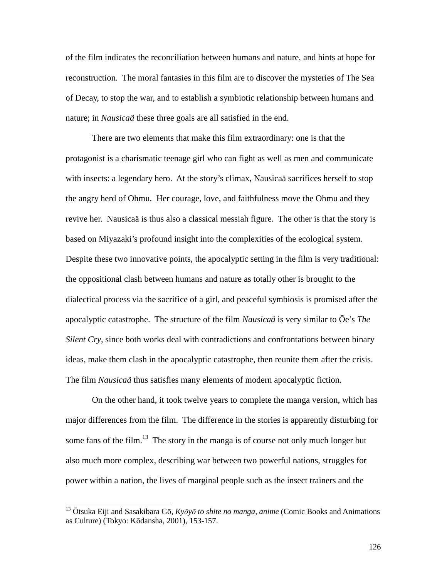of the film indicates the reconciliation between humans and nature, and hints at hope for reconstruction. The moral fantasies in this film are to discover the mysteries of The Sea of Decay, to stop the war, and to establish a symbiotic relationship between humans and nature; in *Nausicaä* these three goals are all satisfied in the end.

There are two elements that make this film extraordinary: one is that the protagonist is a charismatic teenage girl who can fight as well as men and communicate with insects: a legendary hero. At the story's climax, Nausicaä sacrifices herself to stop the angry herd of Ohmu. Her courage, love, and faithfulness move the Ohmu and they revive her. Nausicaä is thus also a classical messiah figure. The other is that the story is based on Miyazaki's profound insight into the complexities of the ecological system. Despite these two innovative points, the apocalyptic setting in the film is very traditional: the oppositional clash between humans and nature as totally other is brought to the dialectical process via the sacrifice of a girl, and peaceful symbiosis is promised after the apocalyptic catastrophe. The structure of the film *Nausicaä* is very similar to Ōe's *The Silent Cry*, since both works deal with contradictions and confrontations between binary ideas, make them clash in the apocalyptic catastrophe, then reunite them after the crisis. The film *Nausicaä* thus satisfies many elements of modern apocalyptic fiction.

On the other hand, it took twelve years to complete the manga version, which has major differences from the film. The difference in the stories is apparently disturbing for some fans of the film.<sup>13</sup> The story in the manga is of course not only much longer but also much more complex, describing war between two powerful nations, struggles for power within a nation, the lives of marginal people such as the insect trainers and the

<sup>13</sup> Ōtsuka Eiji and Sasakibara Gō, *Ky*ō*y*ō *to shite no manga, anime* (Comic Books and Animations as Culture) (Tokyo: Kōdansha, 2001), 153-157.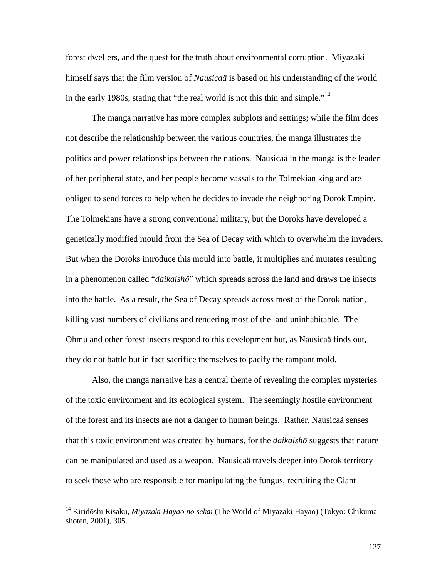forest dwellers, and the quest for the truth about environmental corruption. Miyazaki himself says that the film version of *Nausicaä* is based on his understanding of the world in the early 1980s, stating that "the real world is not this thin and simple."<sup>14</sup>

The manga narrative has more complex subplots and settings; while the film does not describe the relationship between the various countries, the manga illustrates the politics and power relationships between the nations. Nausicaä in the manga is the leader of her peripheral state, and her people become vassals to the Tolmekian king and are obliged to send forces to help when he decides to invade the neighboring Dorok Empire. The Tolmekians have a strong conventional military, but the Doroks have developed a genetically modified mould from the Sea of Decay with which to overwhelm the invaders. But when the Doroks introduce this mould into battle, it multiplies and mutates resulting in a phenomenon called "*daikaish*ō" which spreads across the land and draws the insects into the battle. As a result, the Sea of Decay spreads across most of the Dorok nation, killing vast numbers of civilians and rendering most of the land uninhabitable. The Ohmu and other forest insects respond to this development but, as Nausicaä finds out, they do not battle but in fact sacrifice themselves to pacify the rampant mold.

Also, the manga narrative has a central theme of revealing the complex mysteries of the toxic environment and its ecological system. The seemingly hostile environment of the forest and its insects are not a danger to human beings. Rather, Nausicaä senses that this toxic environment was created by humans, for the *daikaish*ō suggests that nature can be manipulated and used as a weapon. Nausicaä travels deeper into Dorok territory to seek those who are responsible for manipulating the fungus, recruiting the Giant

<sup>14</sup> Kiridōshi Risaku, *Miyazaki Hayao no sekai* (The World of Miyazaki Hayao) (Tokyo: Chikuma shoten, 2001), 305.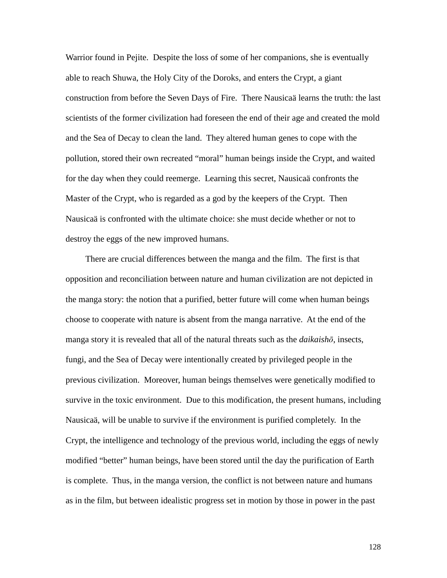Warrior found in Pejite. Despite the loss of some of her companions, she is eventually able to reach Shuwa, the Holy City of the Doroks, and enters the Crypt, a giant construction from before the Seven Days of Fire. There Nausicaä learns the truth: the last scientists of the former civilization had foreseen the end of their age and created the mold and the Sea of Decay to clean the land. They altered human genes to cope with the pollution, stored their own recreated "moral" human beings inside the Crypt, and waited for the day when they could reemerge. Learning this secret, Nausicaä confronts the Master of the Crypt, who is regarded as a god by the keepers of the Crypt. Then Nausicaä is confronted with the ultimate choice: she must decide whether or not to destroy the eggs of the new improved humans.

There are crucial differences between the manga and the film. The first is that opposition and reconciliation between nature and human civilization are not depicted in the manga story: the notion that a purified, better future will come when human beings choose to cooperate with nature is absent from the manga narrative. At the end of the manga story it is revealed that all of the natural threats such as the *daikaish*ō, insects, fungi, and the Sea of Decay were intentionally created by privileged people in the previous civilization. Moreover, human beings themselves were genetically modified to survive in the toxic environment. Due to this modification, the present humans, including Nausicaä, will be unable to survive if the environment is purified completely. In the Crypt, the intelligence and technology of the previous world, including the eggs of newly modified "better" human beings, have been stored until the day the purification of Earth is complete. Thus, in the manga version, the conflict is not between nature and humans as in the film, but between idealistic progress set in motion by those in power in the past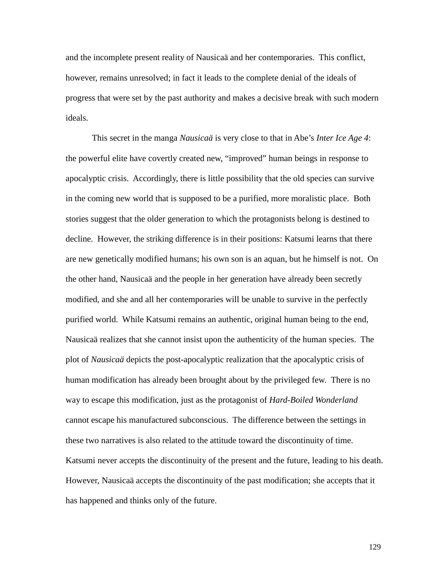and the incomplete present reality of Nausicaä and her contemporaries. This conflict, however, remains unresolved; in fact it leads to the complete denial of the ideals of progress that were set by the past authority and makes a decisive break with such modern ideals.

This secret in the manga *Nausicaä* is very close to that in Abe's *Inter Ice Age 4*: the powerful elite have covertly created new, "improved" human beings in response to apocalyptic crisis. Accordingly, there is little possibility that the old species can survive in the coming new world that is supposed to be a purified, more moralistic place. Both stories suggest that the older generation to which the protagonists belong is destined to decline. However, the striking difference is in their positions: Katsumi learns that there are new genetically modified humans; his own son is an aquan, but he himself is not. On the other hand, Nausicaä and the people in her generation have already been secretly modified, and she and all her contemporaries will be unable to survive in the perfectly purified world. While Katsumi remains an authentic, original human being to the end, Nausicaä realizes that she cannot insist upon the authenticity of the human species. The plot of *Nausicaä* depicts the post-apocalyptic realization that the apocalyptic crisis of human modification has already been brought about by the privileged few. There is no way to escape this modification, just as the protagonist of *Hard-Boiled Wonderland* cannot escape his manufactured subconscious. The difference between the settings in these two narratives is also related to the attitude toward the discontinuity of time. Katsumi never accepts the discontinuity of the present and the future, leading to his death. However, Nausicaä accepts the discontinuity of the past modification; she accepts that it has happened and thinks only of the future.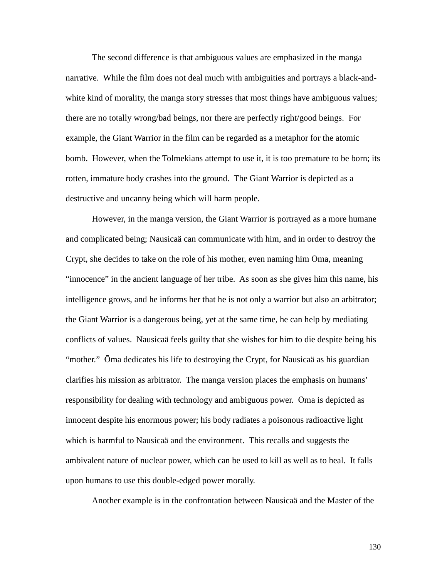The second difference is that ambiguous values are emphasized in the manga narrative. While the film does not deal much with ambiguities and portrays a black-andwhite kind of morality, the manga story stresses that most things have ambiguous values; there are no totally wrong/bad beings, nor there are perfectly right/good beings. For example, the Giant Warrior in the film can be regarded as a metaphor for the atomic bomb. However, when the Tolmekians attempt to use it, it is too premature to be born; its rotten, immature body crashes into the ground. The Giant Warrior is depicted as a destructive and uncanny being which will harm people.

However, in the manga version, the Giant Warrior is portrayed as a more humane and complicated being; Nausicaä can communicate with him, and in order to destroy the Crypt, she decides to take on the role of his mother, even naming him Ōma, meaning "innocence" in the ancient language of her tribe. As soon as she gives him this name, his intelligence grows, and he informs her that he is not only a warrior but also an arbitrator; the Giant Warrior is a dangerous being, yet at the same time, he can help by mediating conflicts of values. Nausicaä feels guilty that she wishes for him to die despite being his "mother." Oma dedicates his life to destroying the Crypt, for Nausicaä as his guardian clarifies his mission as arbitrator. The manga version places the emphasis on humans' responsibility for dealing with technology and ambiguous power. Ōma is depicted as innocent despite his enormous power; his body radiates a poisonous radioactive light which is harmful to Nausicaä and the environment. This recalls and suggests the ambivalent nature of nuclear power, which can be used to kill as well as to heal. It falls upon humans to use this double-edged power morally.

Another example is in the confrontation between Nausicaä and the Master of the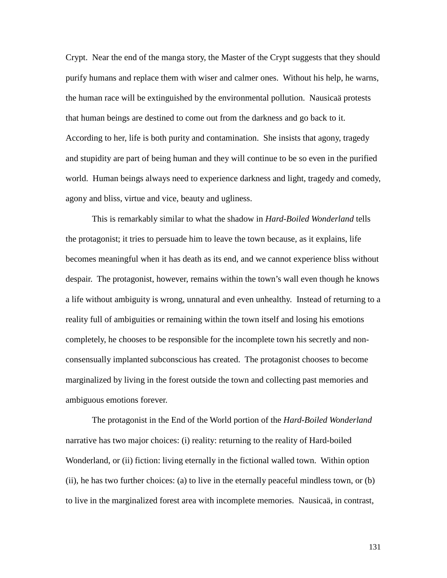Crypt. Near the end of the manga story, the Master of the Crypt suggests that they should purify humans and replace them with wiser and calmer ones. Without his help, he warns, the human race will be extinguished by the environmental pollution. Nausicaä protests that human beings are destined to come out from the darkness and go back to it. According to her, life is both purity and contamination. She insists that agony, tragedy and stupidity are part of being human and they will continue to be so even in the purified world. Human beings always need to experience darkness and light, tragedy and comedy, agony and bliss, virtue and vice, beauty and ugliness.

This is remarkably similar to what the shadow in *Hard-Boiled Wonderland* tells the protagonist; it tries to persuade him to leave the town because, as it explains, life becomes meaningful when it has death as its end, and we cannot experience bliss without despair. The protagonist, however, remains within the town's wall even though he knows a life without ambiguity is wrong, unnatural and even unhealthy. Instead of returning to a reality full of ambiguities or remaining within the town itself and losing his emotions completely, he chooses to be responsible for the incomplete town his secretly and nonconsensually implanted subconscious has created. The protagonist chooses to become marginalized by living in the forest outside the town and collecting past memories and ambiguous emotions forever.

The protagonist in the End of the World portion of the *Hard-Boiled Wonderland* narrative has two major choices: (i) reality: returning to the reality of Hard-boiled Wonderland, or (ii) fiction: living eternally in the fictional walled town. Within option (ii), he has two further choices: (a) to live in the eternally peaceful mindless town, or (b) to live in the marginalized forest area with incomplete memories. Nausicaä, in contrast,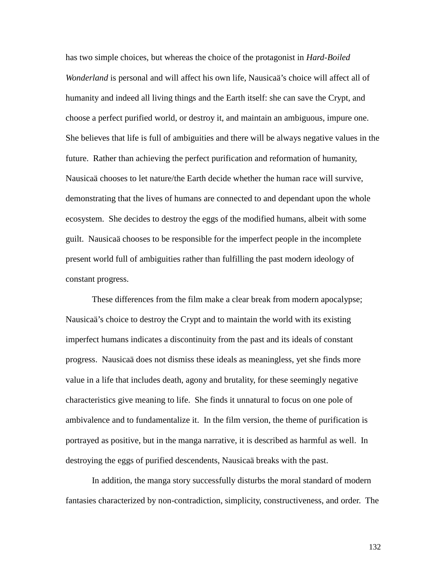has two simple choices, but whereas the choice of the protagonist in *Hard-Boiled Wonderland* is personal and will affect his own life, Nausicaä's choice will affect all of humanity and indeed all living things and the Earth itself: she can save the Crypt, and choose a perfect purified world, or destroy it, and maintain an ambiguous, impure one. She believes that life is full of ambiguities and there will be always negative values in the future. Rather than achieving the perfect purification and reformation of humanity, Nausicaä chooses to let nature/the Earth decide whether the human race will survive, demonstrating that the lives of humans are connected to and dependant upon the whole ecosystem. She decides to destroy the eggs of the modified humans, albeit with some guilt. Nausicaä chooses to be responsible for the imperfect people in the incomplete present world full of ambiguities rather than fulfilling the past modern ideology of constant progress.

These differences from the film make a clear break from modern apocalypse; Nausicaä's choice to destroy the Crypt and to maintain the world with its existing imperfect humans indicates a discontinuity from the past and its ideals of constant progress. Nausicaä does not dismiss these ideals as meaningless, yet she finds more value in a life that includes death, agony and brutality, for these seemingly negative characteristics give meaning to life. She finds it unnatural to focus on one pole of ambivalence and to fundamentalize it. In the film version, the theme of purification is portrayed as positive, but in the manga narrative, it is described as harmful as well. In destroying the eggs of purified descendents, Nausicaä breaks with the past.

In addition, the manga story successfully disturbs the moral standard of modern fantasies characterized by non-contradiction, simplicity, constructiveness, and order. The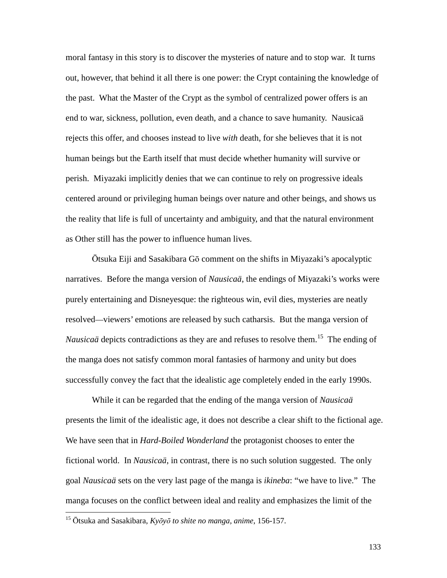moral fantasy in this story is to discover the mysteries of nature and to stop war. It turns out, however, that behind it all there is one power: the Crypt containing the knowledge of the past. What the Master of the Crypt as the symbol of centralized power offers is an end to war, sickness, pollution, even death, and a chance to save humanity. Nausicaä rejects this offer, and chooses instead to live *with* death, for she believes that it is not human beings but the Earth itself that must decide whether humanity will survive or perish. Miyazaki implicitly denies that we can continue to rely on progressive ideals centered around or privileging human beings over nature and other beings, and shows us the reality that life is full of uncertainty and ambiguity, and that the natural environment as Other still has the power to influence human lives.

Ōtsuka Eiji and Sasakibara Gō comment on the shifts in Miyazaki's apocalyptic narratives. Before the manga version of *Nausicaä*, the endings of Miyazaki's works were purely entertaining and Disneyesque: the righteous win, evil dies, mysteries are neatly resolved—viewers' emotions are released by such catharsis. But the manga version of *Nausicaä* depicts contradictions as they are and refuses to resolve them.<sup>15</sup> The ending of the manga does not satisfy common moral fantasies of harmony and unity but does successfully convey the fact that the idealistic age completely ended in the early 1990s.

While it can be regarded that the ending of the manga version of *Nausicaä* presents the limit of the idealistic age, it does not describe a clear shift to the fictional age. We have seen that in *Hard-Boiled Wonderland* the protagonist chooses to enter the fictional world. In *Nausicaä*, in contrast, there is no such solution suggested. The only goal *Nausicaä* sets on the very last page of the manga is *ikineba*: "we have to live." The manga focuses on the conflict between ideal and reality and emphasizes the limit of the

 $\overline{a}$ 

<sup>15</sup> Ōtsuka and Sasakibara, *Ky*ō*y*ō *to shite no manga, anime*, 156-157.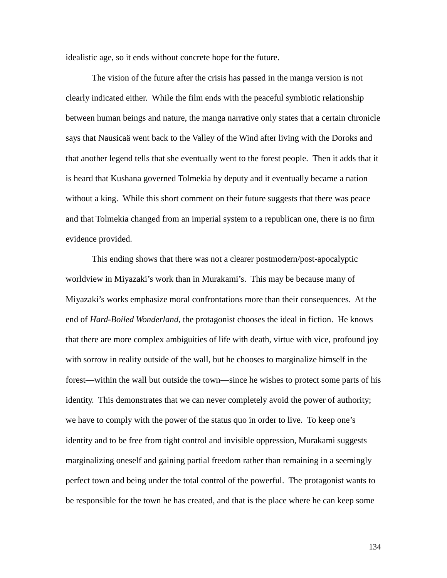idealistic age, so it ends without concrete hope for the future.

The vision of the future after the crisis has passed in the manga version is not clearly indicated either. While the film ends with the peaceful symbiotic relationship between human beings and nature, the manga narrative only states that a certain chronicle says that Nausicaä went back to the Valley of the Wind after living with the Doroks and that another legend tells that she eventually went to the forest people. Then it adds that it is heard that Kushana governed Tolmekia by deputy and it eventually became a nation without a king. While this short comment on their future suggests that there was peace and that Tolmekia changed from an imperial system to a republican one, there is no firm evidence provided.

This ending shows that there was not a clearer postmodern/post-apocalyptic worldview in Miyazaki's work than in Murakami's. This may be because many of Miyazaki's works emphasize moral confrontations more than their consequences. At the end of *Hard-Boiled Wonderland*, the protagonist chooses the ideal in fiction. He knows that there are more complex ambiguities of life with death, virtue with vice, profound joy with sorrow in reality outside of the wall, but he chooses to marginalize himself in the forest—within the wall but outside the town—since he wishes to protect some parts of his identity. This demonstrates that we can never completely avoid the power of authority; we have to comply with the power of the status quo in order to live. To keep one's identity and to be free from tight control and invisible oppression, Murakami suggests marginalizing oneself and gaining partial freedom rather than remaining in a seemingly perfect town and being under the total control of the powerful. The protagonist wants to be responsible for the town he has created, and that is the place where he can keep some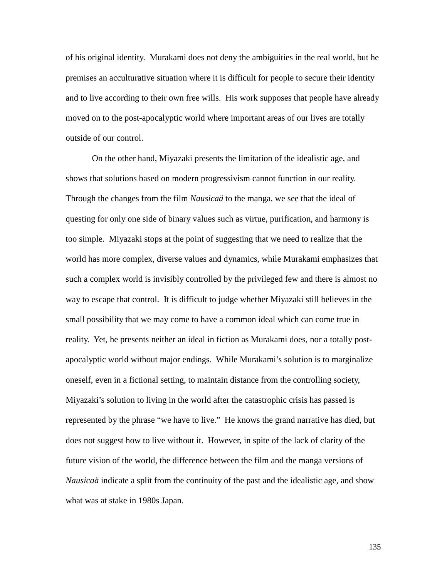of his original identity. Murakami does not deny the ambiguities in the real world, but he premises an acculturative situation where it is difficult for people to secure their identity and to live according to their own free wills. His work supposes that people have already moved on to the post-apocalyptic world where important areas of our lives are totally outside of our control.

On the other hand, Miyazaki presents the limitation of the idealistic age, and shows that solutions based on modern progressivism cannot function in our reality. Through the changes from the film *Nausicaä* to the manga, we see that the ideal of questing for only one side of binary values such as virtue, purification, and harmony is too simple. Miyazaki stops at the point of suggesting that we need to realize that the world has more complex, diverse values and dynamics, while Murakami emphasizes that such a complex world is invisibly controlled by the privileged few and there is almost no way to escape that control. It is difficult to judge whether Miyazaki still believes in the small possibility that we may come to have a common ideal which can come true in reality. Yet, he presents neither an ideal in fiction as Murakami does, nor a totally postapocalyptic world without major endings. While Murakami's solution is to marginalize oneself, even in a fictional setting, to maintain distance from the controlling society, Miyazaki's solution to living in the world after the catastrophic crisis has passed is represented by the phrase "we have to live." He knows the grand narrative has died, but does not suggest how to live without it. However, in spite of the lack of clarity of the future vision of the world, the difference between the film and the manga versions of *Nausicaä* indicate a split from the continuity of the past and the idealistic age, and show what was at stake in 1980s Japan.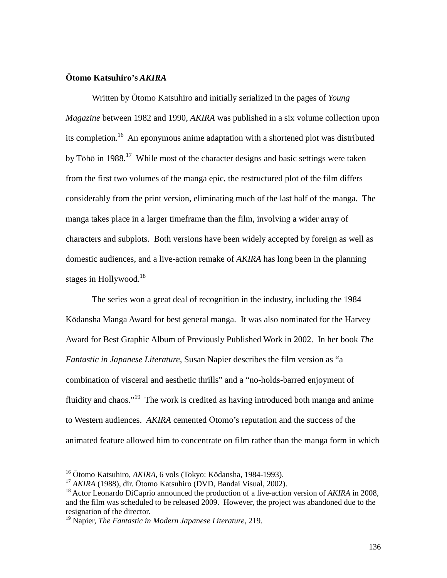# Ō**tomo Katsuhiro's** *AKIRA*

Written by Ōtomo Katsuhiro and initially serialized in the pages of *Young Magazine* between 1982 and 1990, *AKIRA* was published in a six volume collection upon its completion.<sup>16</sup> An eponymous anime adaptation with a shortened plot was distributed by Tōhō in 1988.<sup>17</sup> While most of the character designs and basic settings were taken from the first two volumes of the manga epic, the restructured plot of the film differs considerably from the print version, eliminating much of the last half of the manga. The manga takes place in a larger timeframe than the film, involving a wider array of characters and subplots. Both versions have been widely accepted by foreign as well as domestic audiences, and a live-action remake of *AKIRA* has long been in the planning stages in Hollywood.<sup>18</sup>

The series won a great deal of recognition in the industry, including the 1984 Kōdansha Manga Award for best general manga. It was also nominated for the Harvey Award for Best Graphic Album of Previously Published Work in 2002. In her book *The Fantastic in Japanese Literature*, Susan Napier describes the film version as "a combination of visceral and aesthetic thrills" and a "no-holds-barred enjoyment of fluidity and chaos."<sup>19</sup> The work is credited as having introduced both manga and anime to Western audiences. *AKIRA* cemented Ōtomo's reputation and the success of the animated feature allowed him to concentrate on film rather than the manga form in which

<sup>&</sup>lt;sup>16</sup> Ōtomo Katsuhiro, *AKIRA*, 6 vols (Tokyo: Kōdansha, 1984-1993).

<sup>&</sup>lt;sup>17</sup> *AKIRA* (1988), dir. Ōtomo Katsuhiro (DVD, Bandai Visual, 2002).

<sup>18</sup> Actor Leonardo DiCaprio announced the production of a live-action version of *AKIRA* in 2008, and the film was scheduled to be released 2009. However, the project was abandoned due to the resignation of the director.

<sup>19</sup> Napier, *The Fantastic in Modern Japanese Literature*, 219.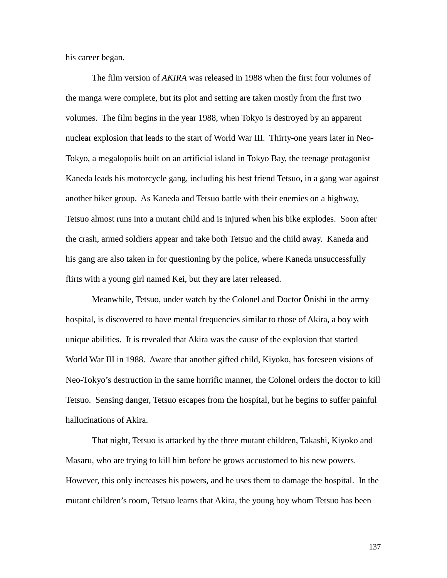his career began.

The film version of *AKIRA* was released in 1988 when the first four volumes of the manga were complete, but its plot and setting are taken mostly from the first two volumes. The film begins in the year 1988, when Tokyo is destroyed by an apparent nuclear explosion that leads to the start of World War III. Thirty-one years later in Neo-Tokyo, a megalopolis built on an artificial island in Tokyo Bay, the teenage protagonist Kaneda leads his motorcycle gang, including his best friend Tetsuo, in a gang war against another biker group. As Kaneda and Tetsuo battle with their enemies on a highway, Tetsuo almost runs into a mutant child and is injured when his bike explodes. Soon after the crash, armed soldiers appear and take both Tetsuo and the child away. Kaneda and his gang are also taken in for questioning by the police, where Kaneda unsuccessfully flirts with a young girl named Kei, but they are later released.

Meanwhile, Tetsuo, under watch by the Colonel and Doctor Ōnishi in the army hospital, is discovered to have mental frequencies similar to those of Akira, a boy with unique abilities. It is revealed that Akira was the cause of the explosion that started World War III in 1988. Aware that another gifted child, Kiyoko, has foreseen visions of Neo-Tokyo's destruction in the same horrific manner, the Colonel orders the doctor to kill Tetsuo. Sensing danger, Tetsuo escapes from the hospital, but he begins to suffer painful hallucinations of Akira.

That night, Tetsuo is attacked by the three mutant children, Takashi, Kiyoko and Masaru, who are trying to kill him before he grows accustomed to his new powers. However, this only increases his powers, and he uses them to damage the hospital. In the mutant children's room, Tetsuo learns that Akira, the young boy whom Tetsuo has been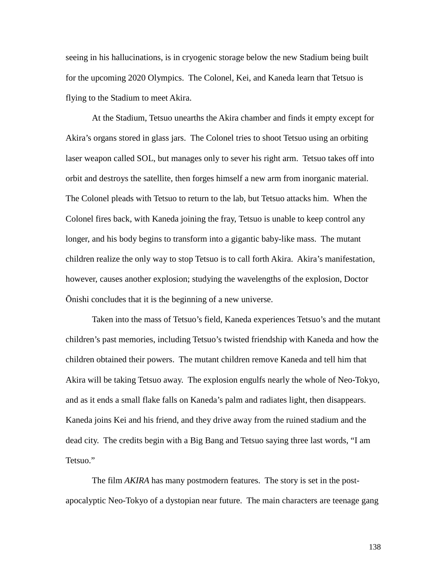seeing in his hallucinations, is in cryogenic storage below the new Stadium being built for the upcoming 2020 Olympics. The Colonel, Kei, and Kaneda learn that Tetsuo is flying to the Stadium to meet Akira.

At the Stadium, Tetsuo unearths the Akira chamber and finds it empty except for Akira's organs stored in glass jars. The Colonel tries to shoot Tetsuo using an orbiting laser weapon called SOL, but manages only to sever his right arm. Tetsuo takes off into orbit and destroys the satellite, then forges himself a new arm from inorganic material. The Colonel pleads with Tetsuo to return to the lab, but Tetsuo attacks him. When the Colonel fires back, with Kaneda joining the fray, Tetsuo is unable to keep control any longer, and his body begins to transform into a gigantic baby-like mass. The mutant children realize the only way to stop Tetsuo is to call forth Akira. Akira's manifestation, however, causes another explosion; studying the wavelengths of the explosion, Doctor Ōnishi concludes that it is the beginning of a new universe.

Taken into the mass of Tetsuo's field, Kaneda experiences Tetsuo's and the mutant children's past memories, including Tetsuo's twisted friendship with Kaneda and how the children obtained their powers. The mutant children remove Kaneda and tell him that Akira will be taking Tetsuo away. The explosion engulfs nearly the whole of Neo-Tokyo, and as it ends a small flake falls on Kaneda's palm and radiates light, then disappears. Kaneda joins Kei and his friend, and they drive away from the ruined stadium and the dead city. The credits begin with a Big Bang and Tetsuo saying three last words, "I am Tetsuo."

The film *AKIRA* has many postmodern features. The story is set in the postapocalyptic Neo-Tokyo of a dystopian near future. The main characters are teenage gang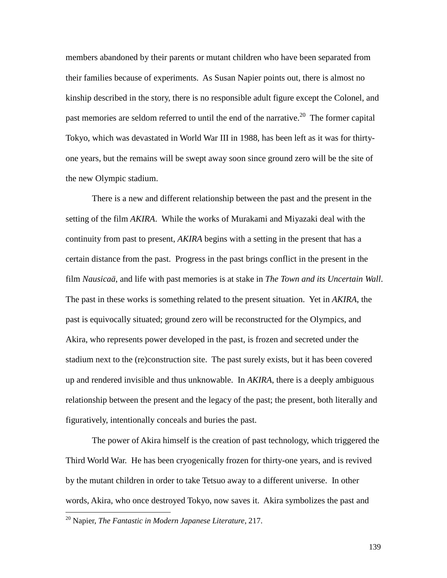members abandoned by their parents or mutant children who have been separated from their families because of experiments. As Susan Napier points out, there is almost no kinship described in the story, there is no responsible adult figure except the Colonel, and past memories are seldom referred to until the end of the narrative.<sup>20</sup> The former capital Tokyo, which was devastated in World War III in 1988, has been left as it was for thirtyone years, but the remains will be swept away soon since ground zero will be the site of the new Olympic stadium.

There is a new and different relationship between the past and the present in the setting of the film *AKIRA*. While the works of Murakami and Miyazaki deal with the continuity from past to present, *AKIRA* begins with a setting in the present that has a certain distance from the past. Progress in the past brings conflict in the present in the film *Nausicaä*, and life with past memories is at stake in *The Town and its Uncertain Wall*. The past in these works is something related to the present situation. Yet in *AKIRA*, the past is equivocally situated; ground zero will be reconstructed for the Olympics, and Akira, who represents power developed in the past, is frozen and secreted under the stadium next to the (re)construction site. The past surely exists, but it has been covered up and rendered invisible and thus unknowable. In *AKIRA*, there is a deeply ambiguous relationship between the present and the legacy of the past; the present, both literally and figuratively, intentionally conceals and buries the past.

The power of Akira himself is the creation of past technology, which triggered the Third World War. He has been cryogenically frozen for thirty-one years, and is revived by the mutant children in order to take Tetsuo away to a different universe. In other words, Akira, who once destroyed Tokyo, now saves it. Akira symbolizes the past and

 $\overline{a}$ 

<sup>20</sup> Napier, *The Fantastic in Modern Japanese Literature*, 217.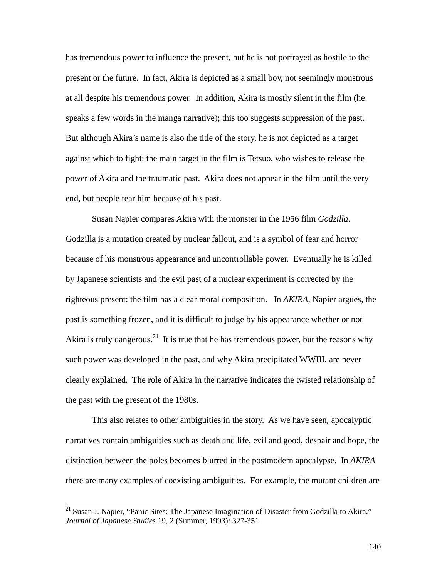has tremendous power to influence the present, but he is not portrayed as hostile to the present or the future. In fact, Akira is depicted as a small boy, not seemingly monstrous at all despite his tremendous power. In addition, Akira is mostly silent in the film (he speaks a few words in the manga narrative); this too suggests suppression of the past. But although Akira's name is also the title of the story, he is not depicted as a target against which to fight: the main target in the film is Tetsuo, who wishes to release the power of Akira and the traumatic past. Akira does not appear in the film until the very end, but people fear him because of his past.

Susan Napier compares Akira with the monster in the 1956 film *Godzilla*. Godzilla is a mutation created by nuclear fallout, and is a symbol of fear and horror because of his monstrous appearance and uncontrollable power. Eventually he is killed by Japanese scientists and the evil past of a nuclear experiment is corrected by the righteous present: the film has a clear moral composition. In *AKIRA*, Napier argues, the past is something frozen, and it is difficult to judge by his appearance whether or not Akira is truly dangerous.<sup>21</sup> It is true that he has tremendous power, but the reasons why such power was developed in the past, and why Akira precipitated WWIII, are never clearly explained. The role of Akira in the narrative indicates the twisted relationship of the past with the present of the 1980s.

This also relates to other ambiguities in the story. As we have seen, apocalyptic narratives contain ambiguities such as death and life, evil and good, despair and hope, the distinction between the poles becomes blurred in the postmodern apocalypse. In *AKIRA* there are many examples of coexisting ambiguities. For example, the mutant children are

<sup>&</sup>lt;sup>21</sup> Susan J. Napier, "Panic Sites: The Japanese Imagination of Disaster from Godzilla to Akira," *Journal of Japanese Studies* 19, 2 (Summer, 1993): 327-351.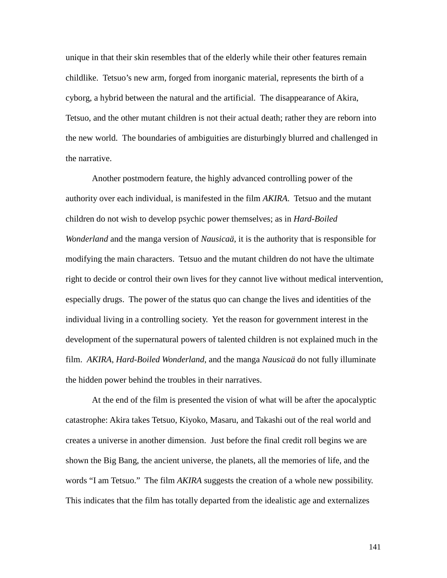unique in that their skin resembles that of the elderly while their other features remain childlike. Tetsuo's new arm, forged from inorganic material, represents the birth of a cyborg, a hybrid between the natural and the artificial. The disappearance of Akira, Tetsuo, and the other mutant children is not their actual death; rather they are reborn into the new world. The boundaries of ambiguities are disturbingly blurred and challenged in the narrative.

Another postmodern feature, the highly advanced controlling power of the authority over each individual, is manifested in the film *AKIRA*. Tetsuo and the mutant children do not wish to develop psychic power themselves; as in *Hard-Boiled Wonderland* and the manga version of *Nausicaä*, it is the authority that is responsible for modifying the main characters. Tetsuo and the mutant children do not have the ultimate right to decide or control their own lives for they cannot live without medical intervention, especially drugs. The power of the status quo can change the lives and identities of the individual living in a controlling society. Yet the reason for government interest in the development of the supernatural powers of talented children is not explained much in the film. *AKIRA*, *Hard-Boiled Wonderland*, and the manga *Nausicaä* do not fully illuminate the hidden power behind the troubles in their narratives.

At the end of the film is presented the vision of what will be after the apocalyptic catastrophe: Akira takes Tetsuo, Kiyoko, Masaru, and Takashi out of the real world and creates a universe in another dimension. Just before the final credit roll begins we are shown the Big Bang, the ancient universe, the planets, all the memories of life, and the words "I am Tetsuo." The film *AKIRA* suggests the creation of a whole new possibility. This indicates that the film has totally departed from the idealistic age and externalizes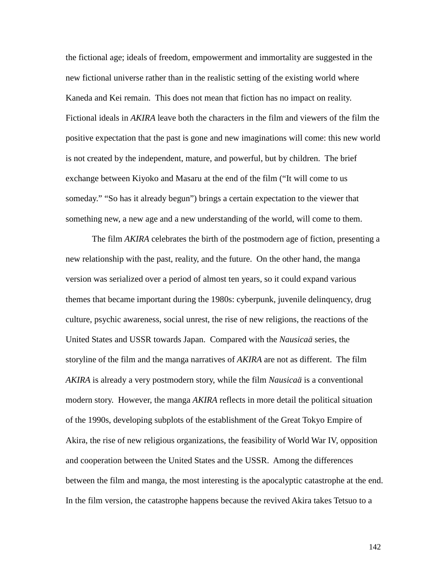the fictional age; ideals of freedom, empowerment and immortality are suggested in the new fictional universe rather than in the realistic setting of the existing world where Kaneda and Kei remain. This does not mean that fiction has no impact on reality. Fictional ideals in *AKIRA* leave both the characters in the film and viewers of the film the positive expectation that the past is gone and new imaginations will come: this new world is not created by the independent, mature, and powerful, but by children. The brief exchange between Kiyoko and Masaru at the end of the film ("It will come to us someday." "So has it already begun") brings a certain expectation to the viewer that something new, a new age and a new understanding of the world, will come to them.

 The film *AKIRA* celebrates the birth of the postmodern age of fiction, presenting a new relationship with the past, reality, and the future. On the other hand, the manga version was serialized over a period of almost ten years, so it could expand various themes that became important during the 1980s: cyberpunk, juvenile delinquency, drug culture, psychic awareness, social unrest, the rise of new religions, the reactions of the United States and USSR towards Japan. Compared with the *Nausicaä* series, the storyline of the film and the manga narratives of *AKIRA* are not as different. The film *AKIRA* is already a very postmodern story, while the film *Nausicaä* is a conventional modern story. However, the manga *AKIRA* reflects in more detail the political situation of the 1990s, developing subplots of the establishment of the Great Tokyo Empire of Akira, the rise of new religious organizations, the feasibility of World War IV, opposition and cooperation between the United States and the USSR. Among the differences between the film and manga, the most interesting is the apocalyptic catastrophe at the end. In the film version, the catastrophe happens because the revived Akira takes Tetsuo to a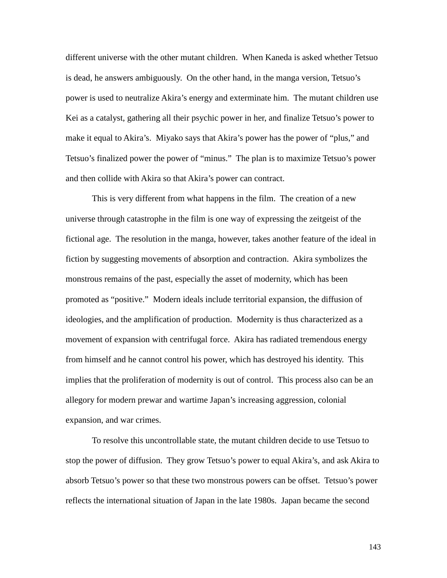different universe with the other mutant children. When Kaneda is asked whether Tetsuo is dead, he answers ambiguously. On the other hand, in the manga version, Tetsuo's power is used to neutralize Akira's energy and exterminate him. The mutant children use Kei as a catalyst, gathering all their psychic power in her, and finalize Tetsuo's power to make it equal to Akira's. Miyako says that Akira's power has the power of "plus," and Tetsuo's finalized power the power of "minus." The plan is to maximize Tetsuo's power and then collide with Akira so that Akira's power can contract.

This is very different from what happens in the film. The creation of a new universe through catastrophe in the film is one way of expressing the zeitgeist of the fictional age. The resolution in the manga, however, takes another feature of the ideal in fiction by suggesting movements of absorption and contraction. Akira symbolizes the monstrous remains of the past, especially the asset of modernity, which has been promoted as "positive." Modern ideals include territorial expansion, the diffusion of ideologies, and the amplification of production. Modernity is thus characterized as a movement of expansion with centrifugal force. Akira has radiated tremendous energy from himself and he cannot control his power, which has destroyed his identity. This implies that the proliferation of modernity is out of control. This process also can be an allegory for modern prewar and wartime Japan's increasing aggression, colonial expansion, and war crimes.

To resolve this uncontrollable state, the mutant children decide to use Tetsuo to stop the power of diffusion. They grow Tetsuo's power to equal Akira's, and ask Akira to absorb Tetsuo's power so that these two monstrous powers can be offset. Tetsuo's power reflects the international situation of Japan in the late 1980s. Japan became the second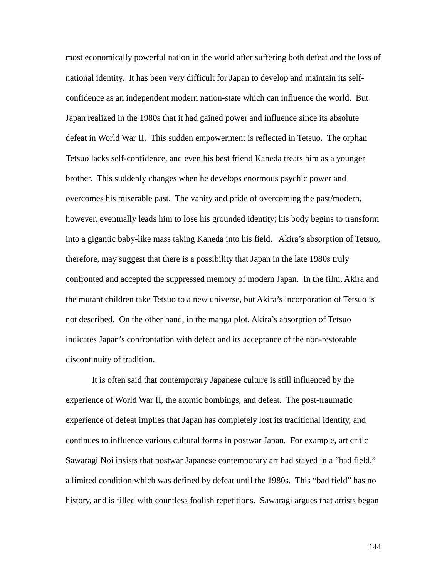most economically powerful nation in the world after suffering both defeat and the loss of national identity. It has been very difficult for Japan to develop and maintain its selfconfidence as an independent modern nation-state which can influence the world. But Japan realized in the 1980s that it had gained power and influence since its absolute defeat in World War II. This sudden empowerment is reflected in Tetsuo. The orphan Tetsuo lacks self-confidence, and even his best friend Kaneda treats him as a younger brother. This suddenly changes when he develops enormous psychic power and overcomes his miserable past. The vanity and pride of overcoming the past/modern, however, eventually leads him to lose his grounded identity; his body begins to transform into a gigantic baby-like mass taking Kaneda into his field. Akira's absorption of Tetsuo, therefore, may suggest that there is a possibility that Japan in the late 1980s truly confronted and accepted the suppressed memory of modern Japan. In the film, Akira and the mutant children take Tetsuo to a new universe, but Akira's incorporation of Tetsuo is not described. On the other hand, in the manga plot, Akira's absorption of Tetsuo indicates Japan's confrontation with defeat and its acceptance of the non-restorable discontinuity of tradition.

It is often said that contemporary Japanese culture is still influenced by the experience of World War II, the atomic bombings, and defeat. The post-traumatic experience of defeat implies that Japan has completely lost its traditional identity, and continues to influence various cultural forms in postwar Japan. For example, art critic Sawaragi Noi insists that postwar Japanese contemporary art had stayed in a "bad field," a limited condition which was defined by defeat until the 1980s. This "bad field" has no history, and is filled with countless foolish repetitions. Sawaragi argues that artists began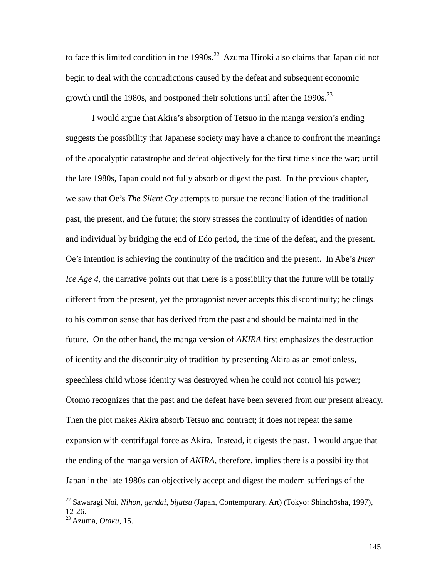to face this limited condition in the  $1990s$ <sup>22</sup> Azuma Hiroki also claims that Japan did not begin to deal with the contradictions caused by the defeat and subsequent economic growth until the 1980s, and postponed their solutions until after the 1990s. $^{23}$ 

 I would argue that Akira's absorption of Tetsuo in the manga version's ending suggests the possibility that Japanese society may have a chance to confront the meanings of the apocalyptic catastrophe and defeat objectively for the first time since the war; until the late 1980s, Japan could not fully absorb or digest the past. In the previous chapter, we saw that Oe's *The Silent Cry* attempts to pursue the reconciliation of the traditional past, the present, and the future; the story stresses the continuity of identities of nation and individual by bridging the end of Edo period, the time of the defeat, and the present. Ōe's intention is achieving the continuity of the tradition and the present. In Abe's *Inter Ice Age 4*, the narrative points out that there is a possibility that the future will be totally different from the present, yet the protagonist never accepts this discontinuity; he clings to his common sense that has derived from the past and should be maintained in the future. On the other hand, the manga version of *AKIRA* first emphasizes the destruction of identity and the discontinuity of tradition by presenting Akira as an emotionless, speechless child whose identity was destroyed when he could not control his power; Ōtomo recognizes that the past and the defeat have been severed from our present already. Then the plot makes Akira absorb Tetsuo and contract; it does not repeat the same expansion with centrifugal force as Akira. Instead, it digests the past. I would argue that the ending of the manga version of *AKIRA*, therefore, implies there is a possibility that Japan in the late 1980s can objectively accept and digest the modern sufferings of the

<sup>22</sup> Sawaragi Noi, *Nihon, gendai, bijutsu* (Japan, Contemporary, Art) (Tokyo: Shinchōsha, 1997), 12-26.

<sup>23</sup> Azuma, *Otaku*, 15.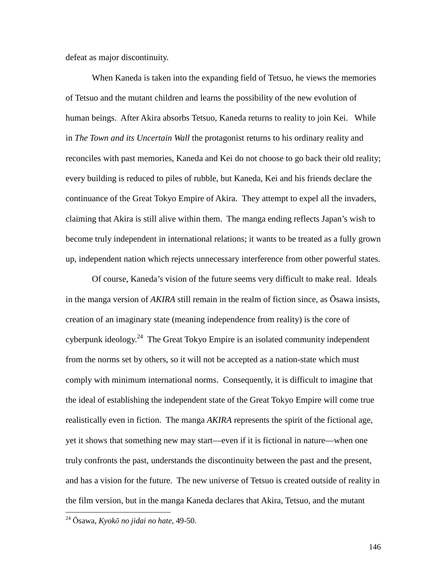defeat as major discontinuity.

When Kaneda is taken into the expanding field of Tetsuo, he views the memories of Tetsuo and the mutant children and learns the possibility of the new evolution of human beings. After Akira absorbs Tetsuo, Kaneda returns to reality to join Kei. While in *The Town and its Uncertain Wall* the protagonist returns to his ordinary reality and reconciles with past memories, Kaneda and Kei do not choose to go back their old reality; every building is reduced to piles of rubble, but Kaneda, Kei and his friends declare the continuance of the Great Tokyo Empire of Akira. They attempt to expel all the invaders, claiming that Akira is still alive within them. The manga ending reflects Japan's wish to become truly independent in international relations; it wants to be treated as a fully grown up, independent nation which rejects unnecessary interference from other powerful states.

Of course, Kaneda's vision of the future seems very difficult to make real. Ideals in the manga version of *AKIRA* still remain in the realm of fiction since, as Ōsawa insists, creation of an imaginary state (meaning independence from reality) is the core of cyberpunk ideology.<sup>24</sup> The Great Tokyo Empire is an isolated community independent from the norms set by others, so it will not be accepted as a nation-state which must comply with minimum international norms. Consequently, it is difficult to imagine that the ideal of establishing the independent state of the Great Tokyo Empire will come true realistically even in fiction. The manga *AKIRA* represents the spirit of the fictional age, yet it shows that something new may start—even if it is fictional in nature—when one truly confronts the past, understands the discontinuity between the past and the present, and has a vision for the future. The new universe of Tetsuo is created outside of reality in the film version, but in the manga Kaneda declares that Akira, Tetsuo, and the mutant

<sup>24</sup> Ōsawa, *Kyok*ō *no jidai no hate*, 49-50.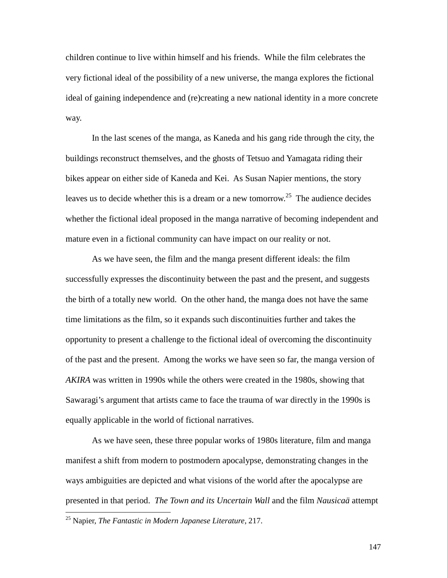children continue to live within himself and his friends. While the film celebrates the very fictional ideal of the possibility of a new universe, the manga explores the fictional ideal of gaining independence and (re)creating a new national identity in a more concrete way.

In the last scenes of the manga, as Kaneda and his gang ride through the city, the buildings reconstruct themselves, and the ghosts of Tetsuo and Yamagata riding their bikes appear on either side of Kaneda and Kei. As Susan Napier mentions, the story leaves us to decide whether this is a dream or a new tomorrow.<sup>25</sup> The audience decides whether the fictional ideal proposed in the manga narrative of becoming independent and mature even in a fictional community can have impact on our reality or not.

As we have seen, the film and the manga present different ideals: the film successfully expresses the discontinuity between the past and the present, and suggests the birth of a totally new world. On the other hand, the manga does not have the same time limitations as the film, so it expands such discontinuities further and takes the opportunity to present a challenge to the fictional ideal of overcoming the discontinuity of the past and the present. Among the works we have seen so far, the manga version of *AKIRA* was written in 1990s while the others were created in the 1980s, showing that Sawaragi's argument that artists came to face the trauma of war directly in the 1990s is equally applicable in the world of fictional narratives.

As we have seen, these three popular works of 1980s literature, film and manga manifest a shift from modern to postmodern apocalypse, demonstrating changes in the ways ambiguities are depicted and what visions of the world after the apocalypse are presented in that period. *The Town and its Uncertain Wall* and the film *Nausicaä* attempt

 $\overline{a}$ 

<sup>25</sup> Napier, *The Fantastic in Modern Japanese Literature*, 217.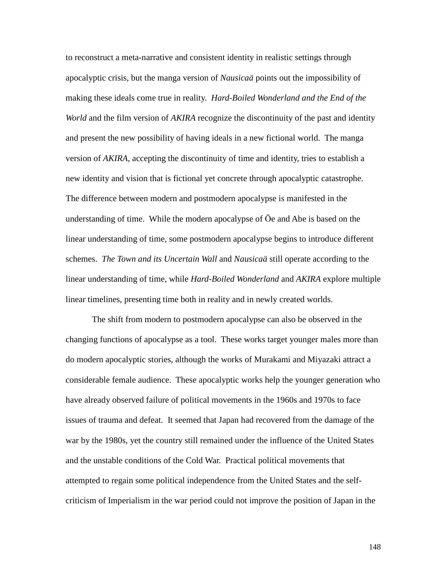to reconstruct a meta-narrative and consistent identity in realistic settings through apocalyptic crisis, but the manga version of *Nausicaä* points out the impossibility of making these ideals come true in reality. *Hard-Boiled Wonderland and the End of the World* and the film version of *AKIRA* recognize the discontinuity of the past and identity and present the new possibility of having ideals in a new fictional world. The manga version of *AKIRA*, accepting the discontinuity of time and identity, tries to establish a new identity and vision that is fictional yet concrete through apocalyptic catastrophe. The difference between modern and postmodern apocalypse is manifested in the understanding of time. While the modern apocalypse of Ōe and Abe is based on the linear understanding of time, some postmodern apocalypse begins to introduce different schemes. *The Town and its Uncertain Wall* and *Nausicaä* still operate according to the linear understanding of time, while *Hard-Boiled Wonderland* and *AKIRA* explore multiple linear timelines, presenting time both in reality and in newly created worlds.

The shift from modern to postmodern apocalypse can also be observed in the changing functions of apocalypse as a tool. These works target younger males more than do modern apocalyptic stories, although the works of Murakami and Miyazaki attract a considerable female audience. These apocalyptic works help the younger generation who have already observed failure of political movements in the 1960s and 1970s to face issues of trauma and defeat. It seemed that Japan had recovered from the damage of the war by the 1980s, yet the country still remained under the influence of the United States and the unstable conditions of the Cold War. Practical political movements that attempted to regain some political independence from the United States and the selfcriticism of Imperialism in the war period could not improve the position of Japan in the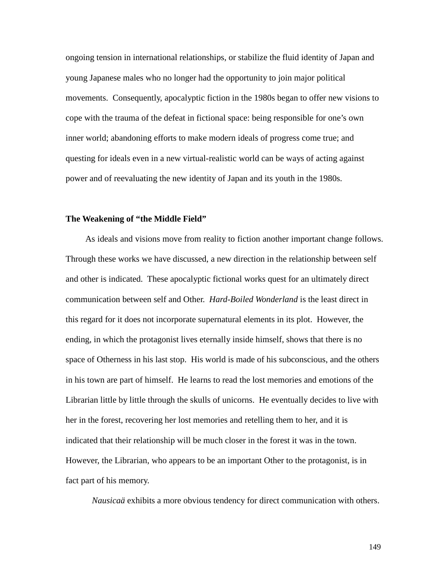ongoing tension in international relationships, or stabilize the fluid identity of Japan and young Japanese males who no longer had the opportunity to join major political movements. Consequently, apocalyptic fiction in the 1980s began to offer new visions to cope with the trauma of the defeat in fictional space: being responsible for one's own inner world; abandoning efforts to make modern ideals of progress come true; and questing for ideals even in a new virtual-realistic world can be ways of acting against power and of reevaluating the new identity of Japan and its youth in the 1980s.

## **The Weakening of "the Middle Field"**

As ideals and visions move from reality to fiction another important change follows. Through these works we have discussed, a new direction in the relationship between self and other is indicated. These apocalyptic fictional works quest for an ultimately direct communication between self and Other. *Hard-Boiled Wonderland* is the least direct in this regard for it does not incorporate supernatural elements in its plot. However, the ending, in which the protagonist lives eternally inside himself, shows that there is no space of Otherness in his last stop. His world is made of his subconscious, and the others in his town are part of himself. He learns to read the lost memories and emotions of the Librarian little by little through the skulls of unicorns. He eventually decides to live with her in the forest, recovering her lost memories and retelling them to her, and it is indicated that their relationship will be much closer in the forest it was in the town. However, the Librarian, who appears to be an important Other to the protagonist, is in fact part of his memory.

*Nausicaä* exhibits a more obvious tendency for direct communication with others.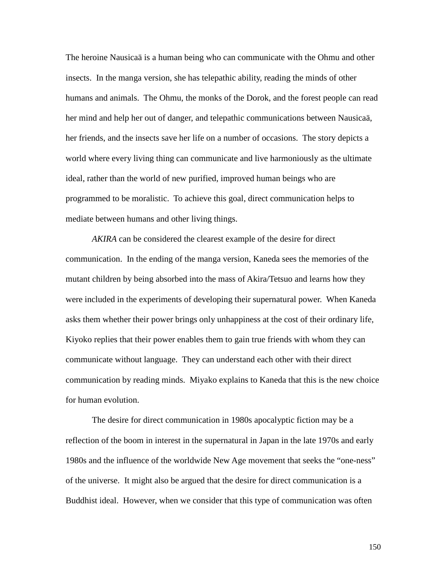The heroine Nausicaä is a human being who can communicate with the Ohmu and other insects. In the manga version, she has telepathic ability, reading the minds of other humans and animals. The Ohmu, the monks of the Dorok, and the forest people can read her mind and help her out of danger, and telepathic communications between Nausicaä, her friends, and the insects save her life on a number of occasions. The story depicts a world where every living thing can communicate and live harmoniously as the ultimate ideal, rather than the world of new purified, improved human beings who are programmed to be moralistic. To achieve this goal, direct communication helps to mediate between humans and other living things.

*AKIRA* can be considered the clearest example of the desire for direct communication. In the ending of the manga version, Kaneda sees the memories of the mutant children by being absorbed into the mass of Akira/Tetsuo and learns how they were included in the experiments of developing their supernatural power. When Kaneda asks them whether their power brings only unhappiness at the cost of their ordinary life, Kiyoko replies that their power enables them to gain true friends with whom they can communicate without language. They can understand each other with their direct communication by reading minds. Miyako explains to Kaneda that this is the new choice for human evolution.

The desire for direct communication in 1980s apocalyptic fiction may be a reflection of the boom in interest in the supernatural in Japan in the late 1970s and early 1980s and the influence of the worldwide New Age movement that seeks the "one-ness" of the universe. It might also be argued that the desire for direct communication is a Buddhist ideal. However, when we consider that this type of communication was often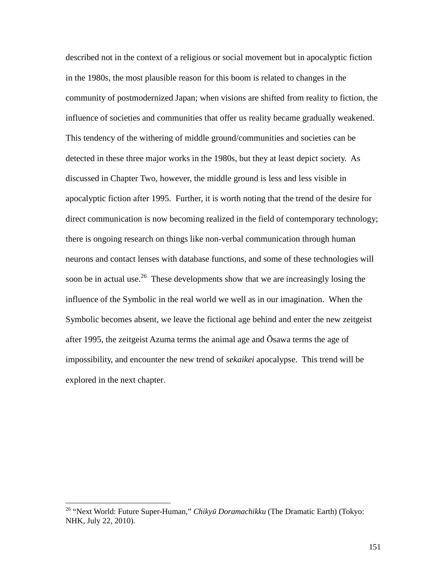described not in the context of a religious or social movement but in apocalyptic fiction in the 1980s, the most plausible reason for this boom is related to changes in the community of postmodernized Japan; when visions are shifted from reality to fiction, the influence of societies and communities that offer us reality became gradually weakened. This tendency of the withering of middle ground/communities and societies can be detected in these three major works in the 1980s, but they at least depict society. As discussed in Chapter Two, however, the middle ground is less and less visible in apocalyptic fiction after 1995. Further, it is worth noting that the trend of the desire for direct communication is now becoming realized in the field of contemporary technology; there is ongoing research on things like non-verbal communication through human neurons and contact lenses with database functions, and some of these technologies will soon be in actual use.<sup>26</sup> These developments show that we are increasingly losing the influence of the Symbolic in the real world we well as in our imagination. When the Symbolic becomes absent, we leave the fictional age behind and enter the new zeitgeist after 1995, the zeitgeist Azuma terms the animal age and Ōsawa terms the age of impossibility, and encounter the new trend of *sekaikei* apocalypse. This trend will be explored in the next chapter.

<sup>26</sup> "Next World: Future Super-Human," *Chiky*ū *Doramachikku* (The Dramatic Earth) (Tokyo: NHK, July 22, 2010).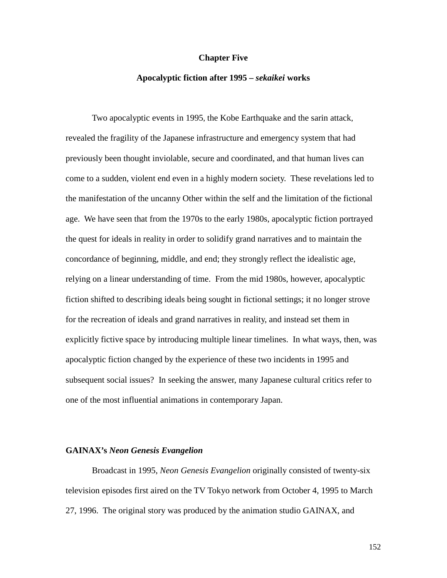#### **Chapter Five**

#### **Apocalyptic fiction after 1995 –** *sekaikei* **works**

Two apocalyptic events in 1995, the Kobe Earthquake and the sarin attack, revealed the fragility of the Japanese infrastructure and emergency system that had previously been thought inviolable, secure and coordinated, and that human lives can come to a sudden, violent end even in a highly modern society. These revelations led to the manifestation of the uncanny Other within the self and the limitation of the fictional age. We have seen that from the 1970s to the early 1980s, apocalyptic fiction portrayed the quest for ideals in reality in order to solidify grand narratives and to maintain the concordance of beginning, middle, and end; they strongly reflect the idealistic age, relying on a linear understanding of time. From the mid 1980s, however, apocalyptic fiction shifted to describing ideals being sought in fictional settings; it no longer strove for the recreation of ideals and grand narratives in reality, and instead set them in explicitly fictive space by introducing multiple linear timelines. In what ways, then, was apocalyptic fiction changed by the experience of these two incidents in 1995 and subsequent social issues? In seeking the answer, many Japanese cultural critics refer to one of the most influential animations in contemporary Japan.

## **GAINAX's** *Neon Genesis Evangelion*

Broadcast in 1995, *Neon Genesis Evangelion* originally consisted of twenty-six television episodes first aired on the TV Tokyo network from October 4, 1995 to March 27, 1996. The original story was produced by the animation studio GAINAX, and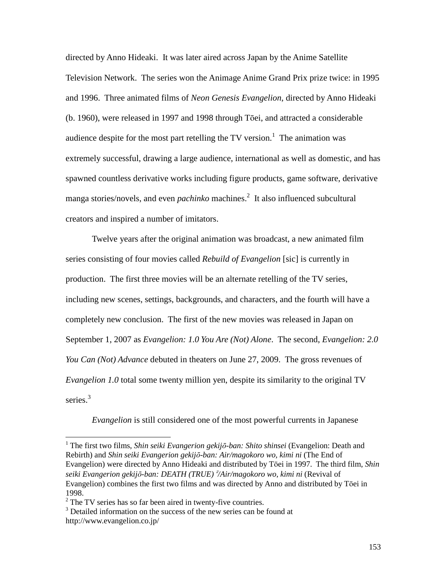directed by Anno Hideaki. It was later aired across Japan by the Anime Satellite Television Network. The series won the Animage Anime Grand Prix prize twice: in 1995 and 1996. Three animated films of *Neon Genesis Evangelion*, directed by Anno Hideaki (b. 1960), were released in 1997 and 1998 through Tōei, and attracted a considerable audience despite for the most part retelling the TV version.<sup>1</sup> The animation was extremely successful, drawing a large audience, international as well as domestic, and has spawned countless derivative works including figure products, game software, derivative manga stories/novels, and even *pachinko* machines.<sup>2</sup> It also influenced subcultural creators and inspired a number of imitators.

Twelve years after the original animation was broadcast, a new animated film series consisting of four movies called *Rebuild of Evangelion* [sic] is currently in production. The first three movies will be an alternate retelling of the TV series, including new scenes, settings, backgrounds, and characters, and the fourth will have a completely new conclusion. The first of the new movies was released in Japan on September 1, 2007 as *Evangelion: 1.0 You Are (Not) Alone*. The second, *Evangelion: 2.0 You Can (Not) Advance* debuted in theaters on June 27, 2009. The gross revenues of *Evangelion 1.0* total some twenty million yen, despite its similarity to the original TV series.<sup>3</sup>

*Evangelion* is still considered one of the most powerful currents in Japanese

<sup>&</sup>lt;sup>1</sup> The first two films, *Shin seiki Evangerion gekijō-ban: Shito shinsei* (Evangelion: Death and Rebirth) and *Shin seiki Evangerion gekij*ō*-ban: Air/magokoro wo, kimi ni* (The End of Evangelion) were directed by Anno Hideaki and distributed by Tōei in 1997. The third film, *Shin seiki Evangerion gekij*ō*-ban: DEATH (TRUE)*²*/Air/magokoro wo, kimi ni* (Revival of Evangelion) combines the first two films and was directed by Anno and distributed by Tōei in 1998.

 $2^2$  The TV series has so far been aired in twenty-five countries.

<sup>&</sup>lt;sup>3</sup> Detailed information on the success of the new series can be found at http://www.evangelion.co.jp/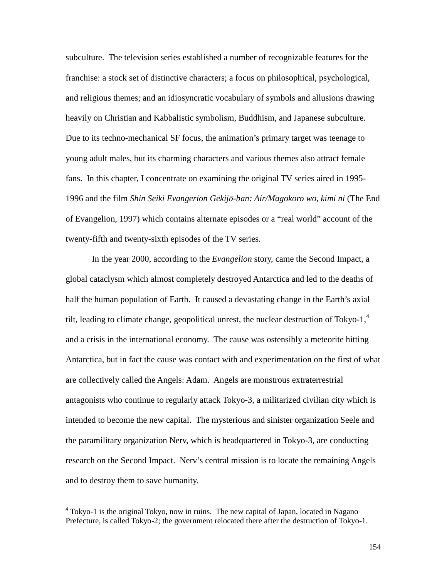subculture. The television series established a number of recognizable features for the franchise: a stock set of distinctive characters; a focus on philosophical, psychological, and religious themes; and an idiosyncratic vocabulary of symbols and allusions drawing heavily on Christian and Kabbalistic symbolism, Buddhism, and Japanese subculture. Due to its techno-mechanical SF focus, the animation's primary target was teenage to young adult males, but its charming characters and various themes also attract female fans. In this chapter, I concentrate on examining the original TV series aired in 1995- 1996 and the film *Shin Seiki Evangerion Gekij*ō*-ban: Air/Magokoro wo, kimi ni* (The End of Evangelion, 1997) which contains alternate episodes or a "real world" account of the twenty-fifth and twenty-sixth episodes of the TV series.

In the year 2000, according to the *Evangelion* story, came the Second Impact, a global cataclysm which almost completely destroyed Antarctica and led to the deaths of half the human population of Earth. It caused a devastating change in the Earth's axial tilt, leading to climate change, geopolitical unrest, the nuclear destruction of Tokyo-1, $4$ and a crisis in the international economy. The cause was ostensibly a meteorite hitting Antarctica, but in fact the cause was contact with and experimentation on the first of what are collectively called the Angels: Adam. Angels are monstrous extraterrestrial antagonists who continue to regularly attack Tokyo-3, a militarized civilian city which is intended to become the new capital. The mysterious and sinister organization Seele and the paramilitary organization Nerv, which is headquartered in Tokyo-3, are conducting research on the Second Impact. Nerv's central mission is to locate the remaining Angels and to destroy them to save humanity.

<sup>&</sup>lt;sup>4</sup> Tokyo-1 is the original Tokyo, now in ruins. The new capital of Japan, located in Nagano Prefecture, is called Tokyo-2; the government relocated there after the destruction of Tokyo-1.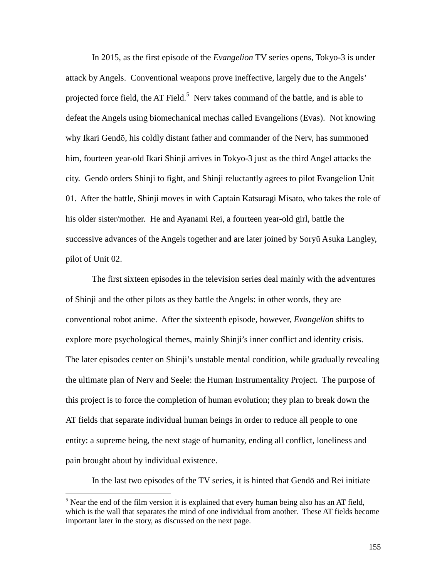In 2015, as the first episode of the *Evangelion* TV series opens, Tokyo-3 is under attack by Angels. Conventional weapons prove ineffective, largely due to the Angels' projected force field, the AT Field.<sup>5</sup> Nerv takes command of the battle, and is able to defeat the Angels using biomechanical mechas called Evangelions (Evas). Not knowing why Ikari Gendō, his coldly distant father and commander of the Nerv, has summoned him, fourteen year-old Ikari Shinji arrives in Tokyo-3 just as the third Angel attacks the city. Gendō orders Shinji to fight, and Shinji reluctantly agrees to pilot Evangelion Unit 01. After the battle, Shinji moves in with Captain Katsuragi Misato, who takes the role of his older sister/mother. He and Ayanami Rei, a fourteen year-old girl, battle the successive advances of the Angels together and are later joined by Soryū Asuka Langley, pilot of Unit 02.

The first sixteen episodes in the television series deal mainly with the adventures of Shinji and the other pilots as they battle the Angels: in other words, they are conventional robot anime. After the sixteenth episode, however, *Evangelion* shifts to explore more psychological themes, mainly Shinji's inner conflict and identity crisis. The later episodes center on Shinji's unstable mental condition, while gradually revealing the ultimate plan of Nerv and Seele: the Human Instrumentality Project. The purpose of this project is to force the completion of human evolution; they plan to break down the AT fields that separate individual human beings in order to reduce all people to one entity: a supreme being, the next stage of humanity, ending all conflict, loneliness and pain brought about by individual existence.

In the last two episodes of the TV series, it is hinted that Gendō and Rei initiate

 $<sup>5</sup>$  Near the end of the film version it is explained that every human being also has an AT field,</sup> which is the wall that separates the mind of one individual from another. These AT fields become important later in the story, as discussed on the next page.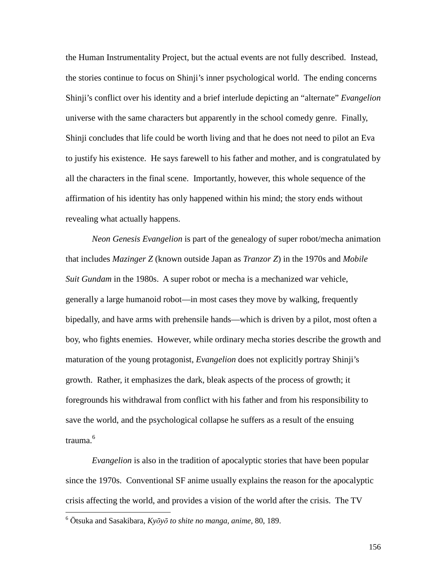the Human Instrumentality Project, but the actual events are not fully described. Instead, the stories continue to focus on Shinji's inner psychological world. The ending concerns Shinji's conflict over his identity and a brief interlude depicting an "alternate" *Evangelion* universe with the same characters but apparently in the school comedy genre. Finally, Shinji concludes that life could be worth living and that he does not need to pilot an Eva to justify his existence. He says farewell to his father and mother, and is congratulated by all the characters in the final scene. Importantly, however, this whole sequence of the affirmation of his identity has only happened within his mind; the story ends without revealing what actually happens.

*Neon Genesis Evangelion* is part of the genealogy of super robot/mecha animation that includes *Mazinger Z* (known outside Japan as *Tranzor Z*) in the 1970s and *Mobile Suit Gundam* in the 1980s. A super robot or mecha is a mechanized war vehicle, generally a large humanoid robot—in most cases they move by walking, frequently bipedally, and have arms with prehensile hands—which is driven by a pilot, most often a boy, who fights enemies. However, while ordinary mecha stories describe the growth and maturation of the young protagonist, *Evangelion* does not explicitly portray Shinji's growth. Rather, it emphasizes the dark, bleak aspects of the process of growth; it foregrounds his withdrawal from conflict with his father and from his responsibility to save the world, and the psychological collapse he suffers as a result of the ensuing trauma.<sup>6</sup>

*Evangelion* is also in the tradition of apocalyptic stories that have been popular since the 1970s. Conventional SF anime usually explains the reason for the apocalyptic crisis affecting the world, and provides a vision of the world after the crisis. The TV

<sup>6</sup> Ōtsuka and Sasakibara, *Ky*ō*y*ō *to shite no manga, anime*, 80, 189.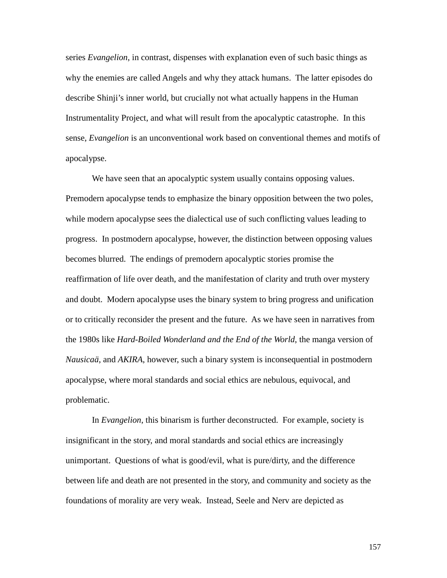series *Evangelion*, in contrast, dispenses with explanation even of such basic things as why the enemies are called Angels and why they attack humans. The latter episodes do describe Shinji's inner world, but crucially not what actually happens in the Human Instrumentality Project, and what will result from the apocalyptic catastrophe. In this sense, *Evangelion* is an unconventional work based on conventional themes and motifs of apocalypse.

We have seen that an apocalyptic system usually contains opposing values. Premodern apocalypse tends to emphasize the binary opposition between the two poles, while modern apocalypse sees the dialectical use of such conflicting values leading to progress. In postmodern apocalypse, however, the distinction between opposing values becomes blurred. The endings of premodern apocalyptic stories promise the reaffirmation of life over death, and the manifestation of clarity and truth over mystery and doubt. Modern apocalypse uses the binary system to bring progress and unification or to critically reconsider the present and the future. As we have seen in narratives from the 1980s like *Hard-Boiled Wonderland and the End of the World*, the manga version of *Nausicaä*, and *AKIRA*, however, such a binary system is inconsequential in postmodern apocalypse, where moral standards and social ethics are nebulous, equivocal, and problematic.

In *Evangelion*, this binarism is further deconstructed. For example, society is insignificant in the story, and moral standards and social ethics are increasingly unimportant. Questions of what is good/evil, what is pure/dirty, and the difference between life and death are not presented in the story, and community and society as the foundations of morality are very weak. Instead, Seele and Nerv are depicted as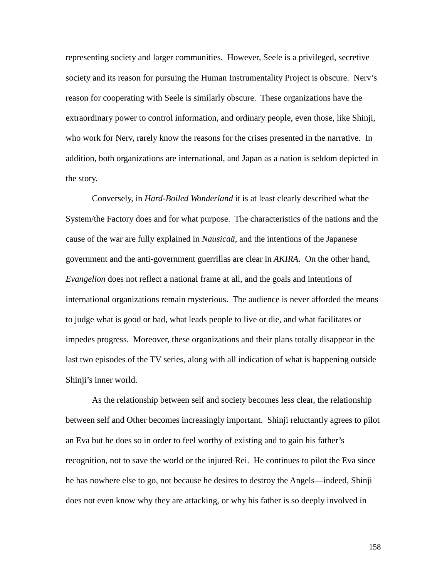representing society and larger communities. However, Seele is a privileged, secretive society and its reason for pursuing the Human Instrumentality Project is obscure. Nerv's reason for cooperating with Seele is similarly obscure. These organizations have the extraordinary power to control information, and ordinary people, even those, like Shinji, who work for Nerv, rarely know the reasons for the crises presented in the narrative. In addition, both organizations are international, and Japan as a nation is seldom depicted in the story.

Conversely, in *Hard-Boiled Wonderland* it is at least clearly described what the System/the Factory does and for what purpose. The characteristics of the nations and the cause of the war are fully explained in *Nausicaä*, and the intentions of the Japanese government and the anti-government guerrillas are clear in *AKIRA*. On the other hand, *Evangelion* does not reflect a national frame at all, and the goals and intentions of international organizations remain mysterious. The audience is never afforded the means to judge what is good or bad, what leads people to live or die, and what facilitates or impedes progress. Moreover, these organizations and their plans totally disappear in the last two episodes of the TV series, along with all indication of what is happening outside Shinji's inner world.

As the relationship between self and society becomes less clear, the relationship between self and Other becomes increasingly important. Shinji reluctantly agrees to pilot an Eva but he does so in order to feel worthy of existing and to gain his father's recognition, not to save the world or the injured Rei. He continues to pilot the Eva since he has nowhere else to go, not because he desires to destroy the Angels—indeed, Shinji does not even know why they are attacking, or why his father is so deeply involved in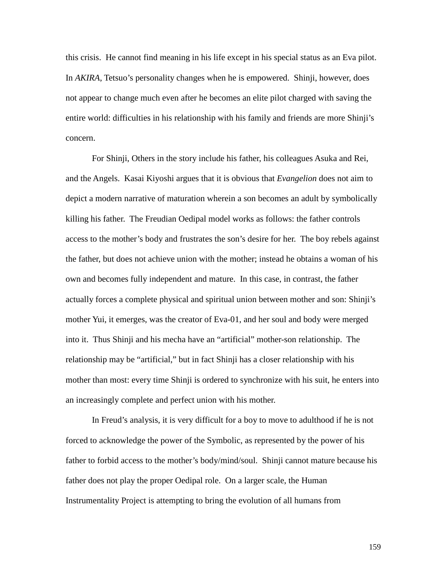this crisis. He cannot find meaning in his life except in his special status as an Eva pilot. In *AKIRA*, Tetsuo's personality changes when he is empowered. Shinji, however, does not appear to change much even after he becomes an elite pilot charged with saving the entire world: difficulties in his relationship with his family and friends are more Shinji's concern.

For Shinji, Others in the story include his father, his colleagues Asuka and Rei, and the Angels. Kasai Kiyoshi argues that it is obvious that *Evangelion* does not aim to depict a modern narrative of maturation wherein a son becomes an adult by symbolically killing his father. The Freudian Oedipal model works as follows: the father controls access to the mother's body and frustrates the son's desire for her. The boy rebels against the father, but does not achieve union with the mother; instead he obtains a woman of his own and becomes fully independent and mature. In this case, in contrast, the father actually forces a complete physical and spiritual union between mother and son: Shinji's mother Yui, it emerges, was the creator of Eva-01, and her soul and body were merged into it. Thus Shinji and his mecha have an "artificial" mother-son relationship. The relationship may be "artificial," but in fact Shinji has a closer relationship with his mother than most: every time Shinji is ordered to synchronize with his suit, he enters into an increasingly complete and perfect union with his mother.

In Freud's analysis, it is very difficult for a boy to move to adulthood if he is not forced to acknowledge the power of the Symbolic, as represented by the power of his father to forbid access to the mother's body/mind/soul. Shinji cannot mature because his father does not play the proper Oedipal role. On a larger scale, the Human Instrumentality Project is attempting to bring the evolution of all humans from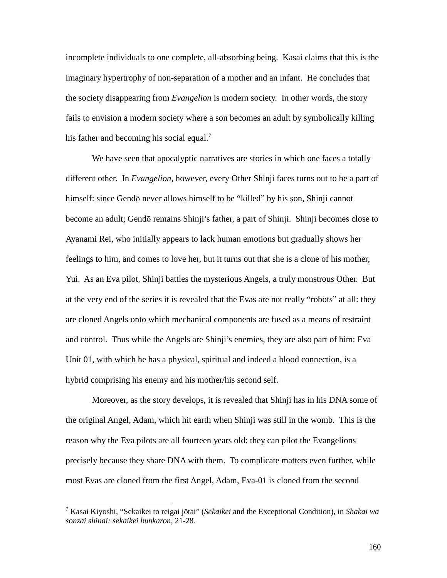incomplete individuals to one complete, all-absorbing being. Kasai claims that this is the imaginary hypertrophy of non-separation of a mother and an infant. He concludes that the society disappearing from *Evangelion* is modern society. In other words, the story fails to envision a modern society where a son becomes an adult by symbolically killing his father and becoming his social equal.<sup>7</sup>

We have seen that apocalyptic narratives are stories in which one faces a totally different other. In *Evangelion*, however, every Other Shinji faces turns out to be a part of himself: since Gendō never allows himself to be "killed" by his son, Shinji cannot become an adult; Gendō remains Shinji's father, a part of Shinji. Shinji becomes close to Ayanami Rei, who initially appears to lack human emotions but gradually shows her feelings to him, and comes to love her, but it turns out that she is a clone of his mother, Yui. As an Eva pilot, Shinji battles the mysterious Angels, a truly monstrous Other. But at the very end of the series it is revealed that the Evas are not really "robots" at all: they are cloned Angels onto which mechanical components are fused as a means of restraint and control. Thus while the Angels are Shinji's enemies, they are also part of him: Eva Unit 01, with which he has a physical, spiritual and indeed a blood connection, is a hybrid comprising his enemy and his mother/his second self.

Moreover, as the story develops, it is revealed that Shinji has in his DNA some of the original Angel, Adam, which hit earth when Shinji was still in the womb. This is the reason why the Eva pilots are all fourteen years old: they can pilot the Evangelions precisely because they share DNA with them. To complicate matters even further, while most Evas are cloned from the first Angel, Adam, Eva-01 is cloned from the second

<sup>7</sup> Kasai Kiyoshi, "Sekaikei to reigai jōtai" (*Sekaikei* and the Exceptional Condition), in *Shakai wa sonzai shinai: sekaikei bunkaron*, 21-28.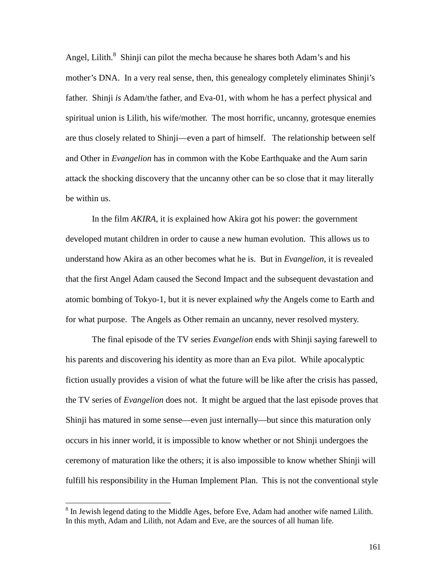Angel, Lilith. $8$  Shinji can pilot the mecha because he shares both Adam's and his mother's DNA. In a very real sense, then, this genealogy completely eliminates Shinji's father. Shinji *is* Adam/the father, and Eva-01, with whom he has a perfect physical and spiritual union is Lilith, his wife/mother. The most horrific, uncanny, grotesque enemies are thus closely related to Shinji—even a part of himself. The relationship between self and Other in *Evangelion* has in common with the Kobe Earthquake and the Aum sarin attack the shocking discovery that the uncanny other can be so close that it may literally be within us.

In the film *AKIRA*, it is explained how Akira got his power: the government developed mutant children in order to cause a new human evolution. This allows us to understand how Akira as an other becomes what he is. But in *Evangelion*, it is revealed that the first Angel Adam caused the Second Impact and the subsequent devastation and atomic bombing of Tokyo-1, but it is never explained *why* the Angels come to Earth and for what purpose. The Angels as Other remain an uncanny, never resolved mystery.

The final episode of the TV series *Evangelion* ends with Shinji saying farewell to his parents and discovering his identity as more than an Eva pilot. While apocalyptic fiction usually provides a vision of what the future will be like after the crisis has passed, the TV series of *Evangelion* does not. It might be argued that the last episode proves that Shinji has matured in some sense—even just internally—but since this maturation only occurs in his inner world, it is impossible to know whether or not Shinji undergoes the ceremony of maturation like the others; it is also impossible to know whether Shinji will fulfill his responsibility in the Human Implement Plan. This is not the conventional style

<sup>&</sup>lt;sup>8</sup> In Jewish legend dating to the Middle Ages, before Eve, Adam had another wife named Lilith. In this myth, Adam and Lilith, not Adam and Eve, are the sources of all human life.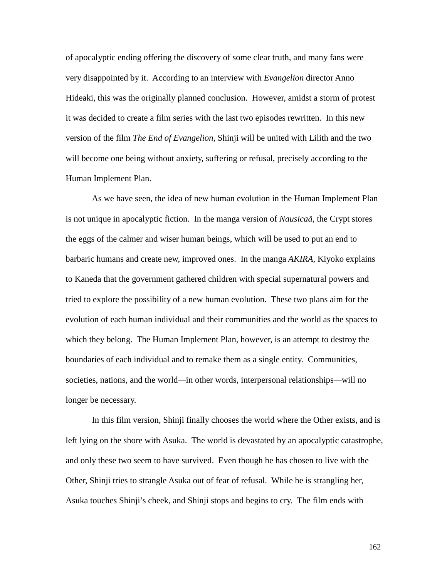of apocalyptic ending offering the discovery of some clear truth, and many fans were very disappointed by it. According to an interview with *Evangelion* director Anno Hideaki, this was the originally planned conclusion. However, amidst a storm of protest it was decided to create a film series with the last two episodes rewritten. In this new version of the film *The End of Evangelion*, Shinji will be united with Lilith and the two will become one being without anxiety, suffering or refusal, precisely according to the Human Implement Plan.

As we have seen, the idea of new human evolution in the Human Implement Plan is not unique in apocalyptic fiction. In the manga version of *Nausicaä*, the Crypt stores the eggs of the calmer and wiser human beings, which will be used to put an end to barbaric humans and create new, improved ones. In the manga *AKIRA*, Kiyoko explains to Kaneda that the government gathered children with special supernatural powers and tried to explore the possibility of a new human evolution. These two plans aim for the evolution of each human individual and their communities and the world as the spaces to which they belong. The Human Implement Plan, however, is an attempt to destroy the boundaries of each individual and to remake them as a single entity. Communities, societies, nations, and the world—in other words, interpersonal relationships—will no longer be necessary.

In this film version, Shinji finally chooses the world where the Other exists, and is left lying on the shore with Asuka. The world is devastated by an apocalyptic catastrophe, and only these two seem to have survived. Even though he has chosen to live with the Other, Shinji tries to strangle Asuka out of fear of refusal. While he is strangling her, Asuka touches Shinji's cheek, and Shinji stops and begins to cry. The film ends with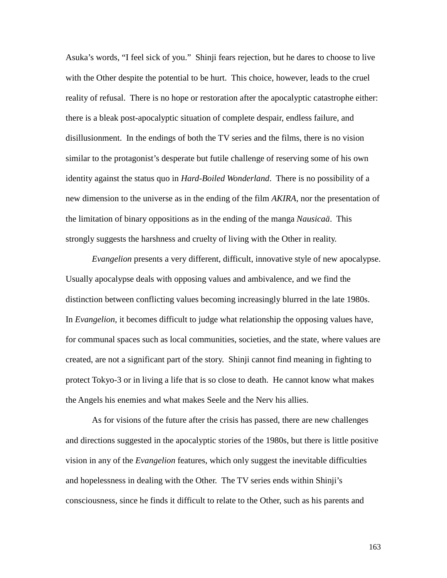Asuka's words, "I feel sick of you." Shinji fears rejection, but he dares to choose to live with the Other despite the potential to be hurt. This choice, however, leads to the cruel reality of refusal. There is no hope or restoration after the apocalyptic catastrophe either: there is a bleak post-apocalyptic situation of complete despair, endless failure, and disillusionment. In the endings of both the TV series and the films, there is no vision similar to the protagonist's desperate but futile challenge of reserving some of his own identity against the status quo in *Hard-Boiled Wonderland*. There is no possibility of a new dimension to the universe as in the ending of the film *AKIRA*, nor the presentation of the limitation of binary oppositions as in the ending of the manga *Nausicaä*. This strongly suggests the harshness and cruelty of living with the Other in reality.

*Evangelion* presents a very different, difficult, innovative style of new apocalypse. Usually apocalypse deals with opposing values and ambivalence, and we find the distinction between conflicting values becoming increasingly blurred in the late 1980s. In *Evangelion*, it becomes difficult to judge what relationship the opposing values have, for communal spaces such as local communities, societies, and the state, where values are created, are not a significant part of the story. Shinji cannot find meaning in fighting to protect Tokyo-3 or in living a life that is so close to death. He cannot know what makes the Angels his enemies and what makes Seele and the Nerv his allies.

As for visions of the future after the crisis has passed, there are new challenges and directions suggested in the apocalyptic stories of the 1980s, but there is little positive vision in any of the *Evangelion* features, which only suggest the inevitable difficulties and hopelessness in dealing with the Other. The TV series ends within Shinji's consciousness, since he finds it difficult to relate to the Other, such as his parents and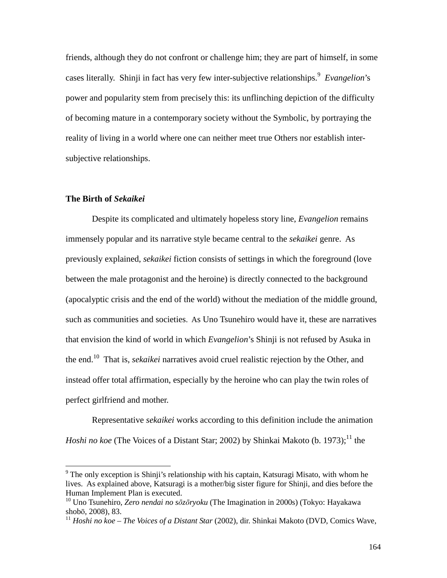friends, although they do not confront or challenge him; they are part of himself, in some cases literally. Shinji in fact has very few inter-subjective relationships.<sup>9</sup> Evangelion's power and popularity stem from precisely this: its unflinching depiction of the difficulty of becoming mature in a contemporary society without the Symbolic, by portraying the reality of living in a world where one can neither meet true Others nor establish intersubjective relationships.

# **The Birth of** *Sekaikei*

Despite its complicated and ultimately hopeless story line, *Evangelion* remains immensely popular and its narrative style became central to the *sekaikei* genre. As previously explained, *sekaikei* fiction consists of settings in which the foreground (love between the male protagonist and the heroine) is directly connected to the background (apocalyptic crisis and the end of the world) without the mediation of the middle ground, such as communities and societies. As Uno Tsunehiro would have it, these are narratives that envision the kind of world in which *Evangelion*'s Shinji is not refused by Asuka in the end.<sup>10</sup> That is, *sekaikei* narratives avoid cruel realistic rejection by the Other, and instead offer total affirmation, especially by the heroine who can play the twin roles of perfect girlfriend and mother.

Representative *sekaikei* works according to this definition include the animation *Hoshi no koe* (The Voices of a Distant Star; 2002) by Shinkai Makoto (b. 1973);<sup>11</sup> the

<sup>&</sup>lt;sup>9</sup> The only exception is Shinji's relationship with his captain, Katsuragi Misato, with whom he lives. As explained above, Katsuragi is a mother/big sister figure for Shinji, and dies before the Human Implement Plan is executed.

<sup>10</sup> Uno Tsunehiro, *Zero nendai no s*ō*z*ō*ryoku* (The Imagination in 2000s) (Tokyo: Hayakawa shobō, 2008), 83.

<sup>11</sup> *Hoshi no koe – The Voices of a Distant Star* (2002), dir. Shinkai Makoto (DVD, Comics Wave,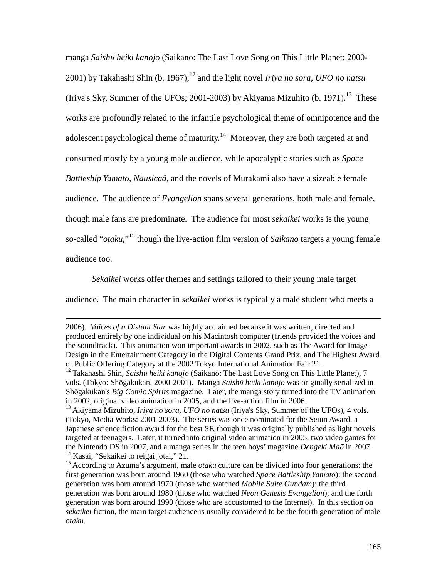manga *Saish*ū *heiki kanojo* (Saikano: The Last Love Song on This Little Planet; 2000- 2001) by Takahashi Shin (b. 1967);<sup>12</sup> and the light novel *Iriya no sora, UFO no natsu* (Iriya's Sky, Summer of the UFOs; 2001-2003) by Akiyama Mizuhito (b. 1971).<sup>13</sup> These works are profoundly related to the infantile psychological theme of omnipotence and the adolescent psychological theme of maturity.<sup>14</sup> Moreover, they are both targeted at and consumed mostly by a young male audience, while apocalyptic stories such as *Space Battleship Yamato*, *Nausicaä*, and the novels of Murakami also have a sizeable female audience. The audience of *Evangelion* spans several generations, both male and female, though male fans are predominate. The audience for most *sekaikei* works is the young so-called "*otaku*,"<sup>15</sup> though the live-action film version of *Saikano* targets a young female audience too.

*Sekaikei* works offer themes and settings tailored to their young male target

audience. The main character in *sekaikei* works is typically a male student who meets a

<sup>2006).</sup> *Voices of a Distant Star* was highly acclaimed because it was written, directed and produced entirely by one individual on his Macintosh computer (friends provided the voices and the soundtrack). This animation won important awards in 2002, such as The Award for Image Design in the Entertainment Category in the Digital Contents Grand Prix, and The Highest Award of Public Offering Category at the 2002 Tokyo International Animation Fair 21.

<sup>12</sup> Takahashi Shin, *Saish*ū *heiki kanojo* (Saikano: The Last Love Song on This Little Planet), 7 vols. (Tokyo: Shōgakukan, 2000-2001). Manga *Saish*ū *heiki kanojo* was originally serialized in Shōgakukan's *Big Comic Spirits* magazine. Later, the manga story turned into the TV animation in 2002, original video animation in 2005, and the live-action film in 2006.

<sup>&</sup>lt;sup>13</sup> Akiyama Mizuhito, *Iriya no sora, UFO no natsu* (Iriya's Sky, Summer of the UFOs), 4 vols. (Tokyo, Media Works: 2001-2003). The series was once nominated for the Seiun Award, a Japanese science fiction award for the best SF, though it was originally published as light novels targeted at teenagers. Later, it turned into original video animation in 2005, two video games for the Nintendo DS in 2007, and a manga series in the teen boys' magazine *Dengeki Ma*ō in 2007. <sup>14</sup> Kasai, "Sekaikei to reigai jōtai," 21.

<sup>&</sup>lt;sup>15</sup> According to Azuma's argument, male *otaku* culture can be divided into four generations: the first generation was born around 1960 (those who watched *Space Battleship Yamato*); the second generation was born around 1970 (those who watched *Mobile Suite Gundam*); the third generation was born around 1980 (those who watched *Neon Genesis Evangelion*); and the forth generation was born around 1990 (those who are accustomed to the Internet). In this section on *sekaikei* fiction, the main target audience is usually considered to be the fourth generation of male *otaku*.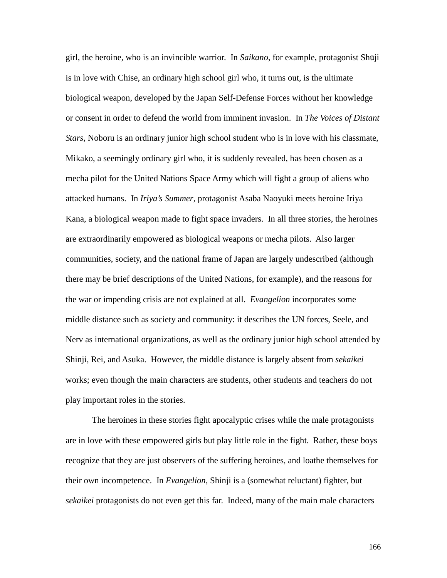girl, the heroine, who is an invincible warrior. In *Saikano*, for example, protagonist Shūji is in love with Chise, an ordinary high school girl who, it turns out, is the ultimate biological weapon, developed by the Japan Self-Defense Forces without her knowledge or consent in order to defend the world from imminent invasion. In *The Voices of Distant Stars*, Noboru is an ordinary junior high school student who is in love with his classmate, Mikako, a seemingly ordinary girl who, it is suddenly revealed, has been chosen as a mecha pilot for the United Nations Space Army which will fight a group of aliens who attacked humans. In *Iriya's Summer*, protagonist Asaba Naoyuki meets heroine Iriya Kana, a biological weapon made to fight space invaders. In all three stories, the heroines are extraordinarily empowered as biological weapons or mecha pilots. Also larger communities, society, and the national frame of Japan are largely undescribed (although there may be brief descriptions of the United Nations, for example), and the reasons for the war or impending crisis are not explained at all. *Evangelion* incorporates some middle distance such as society and community: it describes the UN forces, Seele, and Nerv as international organizations, as well as the ordinary junior high school attended by Shinji, Rei, and Asuka. However, the middle distance is largely absent from *sekaikei* works; even though the main characters are students, other students and teachers do not play important roles in the stories.

The heroines in these stories fight apocalyptic crises while the male protagonists are in love with these empowered girls but play little role in the fight. Rather, these boys recognize that they are just observers of the suffering heroines, and loathe themselves for their own incompetence. In *Evangelion*, Shinji is a (somewhat reluctant) fighter, but *sekaikei* protagonists do not even get this far. Indeed, many of the main male characters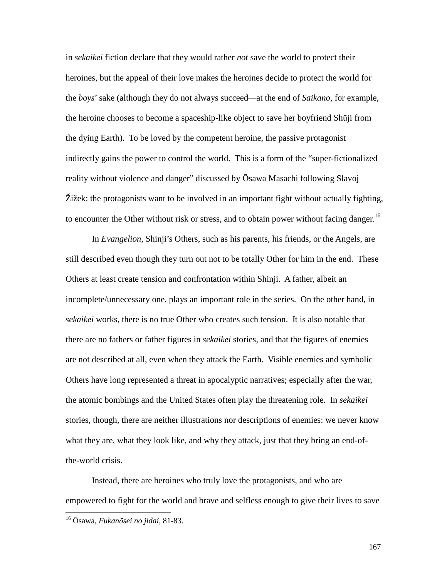in *sekaikei* fiction declare that they would rather *not* save the world to protect their heroines, but the appeal of their love makes the heroines decide to protect the world for the *boys*' sake (although they do not always succeed—at the end of *Saikano*, for example, the heroine chooses to become a spaceship-like object to save her boyfriend Shūji from the dying Earth). To be loved by the competent heroine, the passive protagonist indirectly gains the power to control the world. This is a form of the "super-fictionalized reality without violence and danger" discussed by Ōsawa Masachi following Slavoj Žižek; the protagonists want to be involved in an important fight without actually fighting, to encounter the Other without risk or stress, and to obtain power without facing danger.<sup>16</sup>

In *Evangelion*, Shinji's Others, such as his parents, his friends, or the Angels, are still described even though they turn out not to be totally Other for him in the end. These Others at least create tension and confrontation within Shinji. A father, albeit an incomplete/unnecessary one, plays an important role in the series. On the other hand, in *sekaikei* works, there is no true Other who creates such tension. It is also notable that there are no fathers or father figures in *sekaikei* stories, and that the figures of enemies are not described at all, even when they attack the Earth. Visible enemies and symbolic Others have long represented a threat in apocalyptic narratives; especially after the war, the atomic bombings and the United States often play the threatening role. In *sekaikei* stories, though, there are neither illustrations nor descriptions of enemies: we never know what they are, what they look like, and why they attack, just that they bring an end-ofthe-world crisis.

Instead, there are heroines who truly love the protagonists, and who are empowered to fight for the world and brave and selfless enough to give their lives to save

 $\overline{a}$ 

<sup>16</sup> Ōsawa, *Fukan*ō*sei no jidai*, 81-83.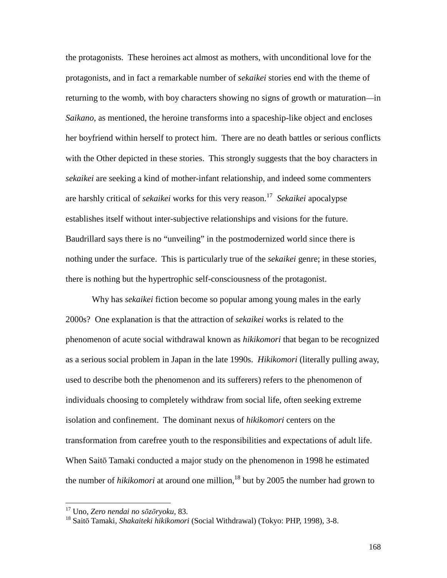the protagonists. These heroines act almost as mothers, with unconditional love for the protagonists, and in fact a remarkable number of *sekaikei* stories end with the theme of returning to the womb, with boy characters showing no signs of growth or maturation—in *Saikano*, as mentioned, the heroine transforms into a spaceship-like object and encloses her boyfriend within herself to protect him. There are no death battles or serious conflicts with the Other depicted in these stories. This strongly suggests that the boy characters in *sekaikei* are seeking a kind of mother-infant relationship, and indeed some commenters are harshly critical of *sekaikei* works for this very reason.<sup>17</sup> *Sekaikei* apocalypse establishes itself without inter-subjective relationships and visions for the future. Baudrillard says there is no "unveiling" in the postmodernized world since there is nothing under the surface. This is particularly true of the *sekaikei* genre; in these stories, there is nothing but the hypertrophic self-consciousness of the protagonist.

Why has *sekaikei* fiction become so popular among young males in the early 2000s? One explanation is that the attraction of *sekaikei* works is related to the phenomenon of acute social withdrawal known as *hikikomori* that began to be recognized as a serious social problem in Japan in the late 1990s. *Hikikomori* (literally pulling away, used to describe both the phenomenon and its sufferers) refers to the phenomenon of individuals choosing to completely withdraw from social life, often seeking extreme isolation and confinement. The dominant nexus of *hikikomori* centers on the transformation from carefree youth to the responsibilities and expectations of adult life. When Saitō Tamaki conducted a major study on the phenomenon in 1998 he estimated the number of *hikikomori* at around one million,<sup>18</sup> but by 2005 the number had grown to

<sup>17</sup> Uno, *Zero nendai no s*ō*z*ō*ryoku*, 83.

<sup>18</sup> Saitō Tamaki, *Shakaiteki hikikomori* (Social Withdrawal) (Tokyo: PHP, 1998), 3-8.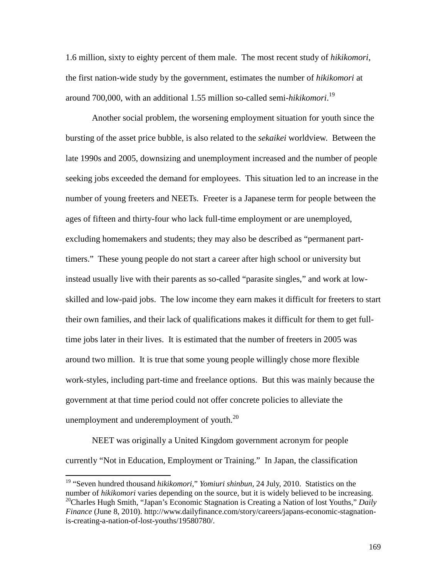1.6 million, sixty to eighty percent of them male. The most recent study of *hikikomori*, the first nation-wide study by the government, estimates the number of *hikikomori* at around 700,000, with an additional 1.55 million so-called semi-*hikikomori*. 19

Another social problem, the worsening employment situation for youth since the bursting of the asset price bubble, is also related to the *sekaikei* worldview. Between the late 1990s and 2005, downsizing and unemployment increased and the number of people seeking jobs exceeded the demand for employees. This situation led to an increase in the number of young freeters and NEETs. Freeter is a Japanese term for people between the ages of fifteen and thirty-four who lack full-time employment or are unemployed, excluding homemakers and students; they may also be described as "permanent parttimers." These young people do not start a career after high school or university but instead usually live with their parents as so-called "parasite singles," and work at lowskilled and low-paid jobs. The low income they earn makes it difficult for freeters to start their own families, and their lack of qualifications makes it difficult for them to get fulltime jobs later in their lives. It is estimated that the number of freeters in 2005 was around two million. It is true that some young people willingly chose more flexible work-styles, including part-time and freelance options. But this was mainly because the government at that time period could not offer concrete policies to alleviate the unemployment and underemployment of youth. $^{20}$ 

NEET was originally a United Kingdom government acronym for people currently "Not in Education, Employment or Training." In Japan, the classification

<sup>19</sup> "Seven hundred thousand *hikikomori*," *Yomiuri shinbun*, 24 July, 2010. Statistics on the number of *hikikomori* varies depending on the source, but it is widely believed to be increasing. <sup>20</sup>Charles Hugh Smith, "Japan's Economic Stagnation is Creating a Nation of lost Youths," *Daily Finance* (June 8, 2010). http://www.dailyfinance.com/story/careers/japans-economic-stagnationis-creating-a-nation-of-lost-youths/19580780/.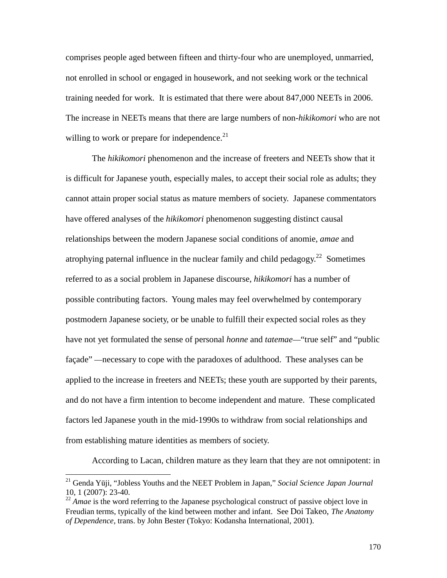comprises people aged between fifteen and thirty-four who are unemployed, unmarried, not enrolled in school or engaged in housework, and not seeking work or the technical training needed for work. It is estimated that there were about 847,000 NEETs in 2006. The increase in NEETs means that there are large numbers of non-*hikikomori* who are not willing to work or prepare for independence. $21$ 

The *hikikomori* phenomenon and the increase of freeters and NEETs show that it is difficult for Japanese youth, especially males, to accept their social role as adults; they cannot attain proper social status as mature members of society. Japanese commentators have offered analyses of the *hikikomori* phenomenon suggesting distinct causal relationships between the modern Japanese social conditions of anomie, *amae* and atrophying paternal influence in the nuclear family and child pedagogy.<sup>22</sup> Sometimes referred to as a social problem in Japanese discourse, *hikikomori* has a number of possible contributing factors. Young males may feel overwhelmed by contemporary postmodern Japanese society, or be unable to fulfill their expected social roles as they have not yet formulated the sense of personal *honne* and *tatemae*—"true self" and "public façade" —necessary to cope with the paradoxes of adulthood. These analyses can be applied to the increase in freeters and NEETs; these youth are supported by their parents, and do not have a firm intention to become independent and mature. These complicated factors led Japanese youth in the mid-1990s to withdraw from social relationships and from establishing mature identities as members of society.

According to Lacan, children mature as they learn that they are not omnipotent: in

<sup>21</sup> Genda Yūji, "Jobless Youths and the NEET Problem in Japan," *Social Science Japan Journal* 10, 1 (2007): 23-40.

<sup>&</sup>lt;sup>22</sup> *Amae* is the word referring to the Japanese psychological construct of passive object love in Freudian terms, typically of the kind between mother and infant. See Doi Takeo, *The Anatomy of Dependence*, trans. by John Bester (Tokyo: Kodansha International, 2001).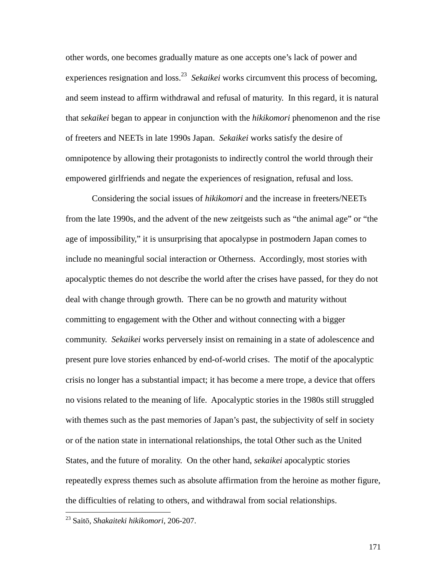other words, one becomes gradually mature as one accepts one's lack of power and experiences resignation and loss.<sup>23</sup> Sekaikei works circumvent this process of becoming, and seem instead to affirm withdrawal and refusal of maturity. In this regard, it is natural that *sekaikei* began to appear in conjunction with the *hikikomori* phenomenon and the rise of freeters and NEETs in late 1990s Japan. *Sekaikei* works satisfy the desire of omnipotence by allowing their protagonists to indirectly control the world through their empowered girlfriends and negate the experiences of resignation, refusal and loss.

Considering the social issues of *hikikomori* and the increase in freeters/NEETs from the late 1990s, and the advent of the new zeitgeists such as "the animal age" or "the age of impossibility," it is unsurprising that apocalypse in postmodern Japan comes to include no meaningful social interaction or Otherness. Accordingly, most stories with apocalyptic themes do not describe the world after the crises have passed, for they do not deal with change through growth. There can be no growth and maturity without committing to engagement with the Other and without connecting with a bigger community. *Sekaikei* works perversely insist on remaining in a state of adolescence and present pure love stories enhanced by end-of-world crises. The motif of the apocalyptic crisis no longer has a substantial impact; it has become a mere trope, a device that offers no visions related to the meaning of life. Apocalyptic stories in the 1980s still struggled with themes such as the past memories of Japan's past, the subjectivity of self in society or of the nation state in international relationships, the total Other such as the United States, and the future of morality. On the other hand, *sekaikei* apocalyptic stories repeatedly express themes such as absolute affirmation from the heroine as mother figure, the difficulties of relating to others, and withdrawal from social relationships.

 $\overline{a}$ 

<sup>23</sup> Saitō, *Shakaiteki hikikomori*, 206-207.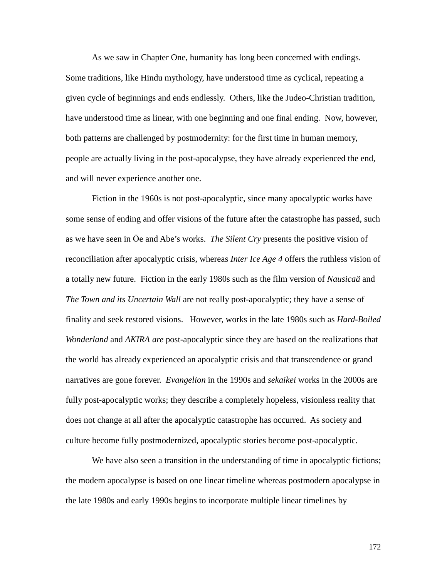As we saw in Chapter One, humanity has long been concerned with endings. Some traditions, like Hindu mythology, have understood time as cyclical, repeating a given cycle of beginnings and ends endlessly. Others, like the Judeo-Christian tradition, have understood time as linear, with one beginning and one final ending. Now, however, both patterns are challenged by postmodernity: for the first time in human memory, people are actually living in the post-apocalypse, they have already experienced the end, and will never experience another one.

Fiction in the 1960s is not post-apocalyptic, since many apocalyptic works have some sense of ending and offer visions of the future after the catastrophe has passed, such as we have seen in Ōe and Abe's works. *The Silent Cry* presents the positive vision of reconciliation after apocalyptic crisis, whereas *Inter Ice Age 4* offers the ruthless vision of a totally new future. Fiction in the early 1980s such as the film version of *Nausicaä* and *The Town and its Uncertain Wall* are not really post-apocalyptic; they have a sense of finality and seek restored visions. However, works in the late 1980s such as *Hard-Boiled Wonderland* and *AKIRA are* post-apocalyptic since they are based on the realizations that the world has already experienced an apocalyptic crisis and that transcendence or grand narratives are gone forever. *Evangelion* in the 1990s and *sekaikei* works in the 2000s are fully post-apocalyptic works; they describe a completely hopeless, visionless reality that does not change at all after the apocalyptic catastrophe has occurred. As society and culture become fully postmodernized, apocalyptic stories become post-apocalyptic.

We have also seen a transition in the understanding of time in apocalyptic fictions; the modern apocalypse is based on one linear timeline whereas postmodern apocalypse in the late 1980s and early 1990s begins to incorporate multiple linear timelines by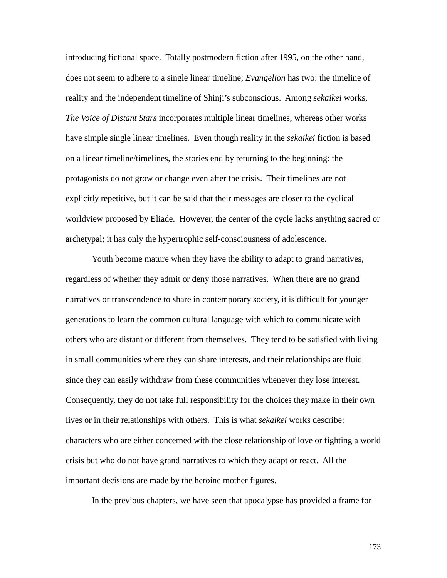introducing fictional space. Totally postmodern fiction after 1995, on the other hand, does not seem to adhere to a single linear timeline; *Evangelion* has two: the timeline of reality and the independent timeline of Shinji's subconscious. Among *sekaikei* works, *The Voice of Distant Stars* incorporates multiple linear timelines, whereas other works have simple single linear timelines. Even though reality in the *sekaikei* fiction is based on a linear timeline/timelines, the stories end by returning to the beginning: the protagonists do not grow or change even after the crisis. Their timelines are not explicitly repetitive, but it can be said that their messages are closer to the cyclical worldview proposed by Eliade. However, the center of the cycle lacks anything sacred or archetypal; it has only the hypertrophic self-consciousness of adolescence.

Youth become mature when they have the ability to adapt to grand narratives, regardless of whether they admit or deny those narratives. When there are no grand narratives or transcendence to share in contemporary society, it is difficult for younger generations to learn the common cultural language with which to communicate with others who are distant or different from themselves. They tend to be satisfied with living in small communities where they can share interests, and their relationships are fluid since they can easily withdraw from these communities whenever they lose interest. Consequently, they do not take full responsibility for the choices they make in their own lives or in their relationships with others. This is what *sekaikei* works describe: characters who are either concerned with the close relationship of love or fighting a world crisis but who do not have grand narratives to which they adapt or react. All the important decisions are made by the heroine mother figures.

In the previous chapters, we have seen that apocalypse has provided a frame for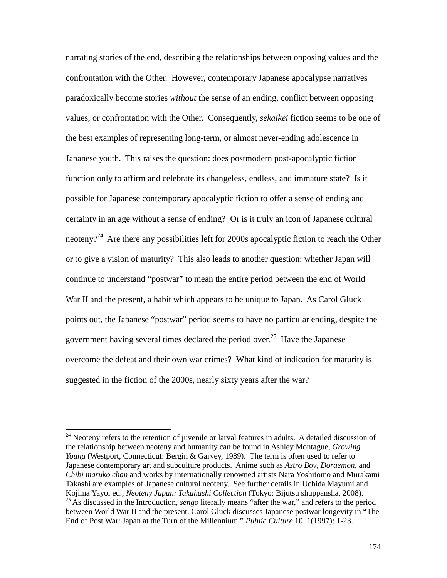narrating stories of the end, describing the relationships between opposing values and the confrontation with the Other. However, contemporary Japanese apocalypse narratives paradoxically become stories *without* the sense of an ending, conflict between opposing values, or confrontation with the Other. Consequently, *sekaikei* fiction seems to be one of the best examples of representing long-term, or almost never-ending adolescence in Japanese youth. This raises the question: does postmodern post-apocalyptic fiction function only to affirm and celebrate its changeless, endless, and immature state? Is it possible for Japanese contemporary apocalyptic fiction to offer a sense of ending and certainty in an age without a sense of ending? Or is it truly an icon of Japanese cultural neoteny?<sup>24</sup> Are there any possibilities left for 2000s apocalyptic fiction to reach the Other or to give a vision of maturity? This also leads to another question: whether Japan will continue to understand "postwar" to mean the entire period between the end of World War II and the present, a habit which appears to be unique to Japan. As Carol Gluck points out, the Japanese "postwar" period seems to have no particular ending, despite the government having several times declared the period over.<sup>25</sup> Have the Japanese overcome the defeat and their own war crimes? What kind of indication for maturity is suggested in the fiction of the 2000s, nearly sixty years after the war?

<sup>&</sup>lt;sup>24</sup> Neoteny refers to the retention of juvenile or larval features in adults. A detailed discussion of the relationship between neoteny and humanity can be found in Ashley Montague, *Growing Young* (Westport, Connecticut: Bergin & Garvey, 1989). The term is often used to refer to Japanese contemporary art and subculture products. Anime such as *Astro Boy*, *Doraemon*, and *Chibi maruko chan* and works by internationally renowned artists Nara Yoshitomo and Murakami Takashi are examples of Japanese cultural neoteny. See further details in Uchida Mayumi and Kojima Yayoi ed., *Neoteny Japan: Takahashi Collection* (Tokyo: Bijutsu shuppansha, 2008). <sup>25</sup> As discussed in the Introduction, *sengo* literally means "after the war," and refers to the period between World War II and the present. Carol Gluck discusses Japanese postwar longevity in "The End of Post War: Japan at the Turn of the Millennium," *Public Culture* 10, 1(1997): 1-23.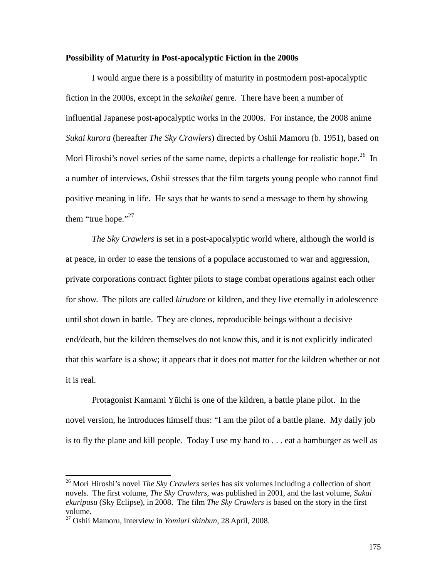### **Possibility of Maturity in Post-apocalyptic Fiction in the 2000s**

I would argue there is a possibility of maturity in postmodern post-apocalyptic fiction in the 2000s, except in the *sekaikei* genre. There have been a number of influential Japanese post-apocalyptic works in the 2000s. For instance, the 2008 anime *Sukai kurora* (hereafter *The Sky Crawlers*) directed by Oshii Mamoru (b. 1951), based on Mori Hiroshi's novel series of the same name, depicts a challenge for realistic hope.<sup>26</sup> In a number of interviews, Oshii stresses that the film targets young people who cannot find positive meaning in life. He says that he wants to send a message to them by showing them "true hope." $^{27}$ 

*The Sky Crawlers* is set in a post-apocalyptic world where, although the world is at peace, in order to ease the tensions of a populace accustomed to war and aggression, private corporations contract fighter pilots to stage combat operations against each other for show. The pilots are called *kirudore* or kildren, and they live eternally in adolescence until shot down in battle. They are clones, reproducible beings without a decisive end/death, but the kildren themselves do not know this, and it is not explicitly indicated that this warfare is a show; it appears that it does not matter for the kildren whether or not it is real.

Protagonist Kannami Yūichi is one of the kildren, a battle plane pilot. In the novel version, he introduces himself thus: "I am the pilot of a battle plane. My daily job is to fly the plane and kill people. Today I use my hand to . . . eat a hamburger as well as

<sup>26</sup> Mori Hiroshi's novel *The Sky Crawlers* series has six volumes including a collection of short novels. The first volume, *The Sky Crawlers*, was published in 2001, and the last volume, *Sukai ekuripusu* (Sky Eclipse), in 2008. The film *The Sky Crawlers* is based on the story in the first volume.

<sup>27</sup> Oshii Mamoru, interview in *Yomiuri shinbun*, 28 April, 2008.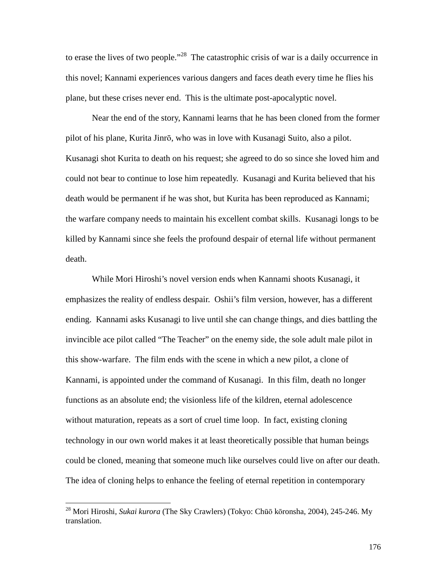to erase the lives of two people."<sup>28</sup> The catastrophic crisis of war is a daily occurrence in this novel; Kannami experiences various dangers and faces death every time he flies his plane, but these crises never end. This is the ultimate post-apocalyptic novel.

Near the end of the story, Kannami learns that he has been cloned from the former pilot of his plane, Kurita Jinrō, who was in love with Kusanagi Suito, also a pilot. Kusanagi shot Kurita to death on his request; she agreed to do so since she loved him and could not bear to continue to lose him repeatedly. Kusanagi and Kurita believed that his death would be permanent if he was shot, but Kurita has been reproduced as Kannami; the warfare company needs to maintain his excellent combat skills. Kusanagi longs to be killed by Kannami since she feels the profound despair of eternal life without permanent death.

While Mori Hiroshi's novel version ends when Kannami shoots Kusanagi, it emphasizes the reality of endless despair. Oshii's film version, however, has a different ending. Kannami asks Kusanagi to live until she can change things, and dies battling the invincible ace pilot called "The Teacher" on the enemy side, the sole adult male pilot in this show-warfare. The film ends with the scene in which a new pilot, a clone of Kannami, is appointed under the command of Kusanagi. In this film, death no longer functions as an absolute end; the visionless life of the kildren, eternal adolescence without maturation, repeats as a sort of cruel time loop. In fact, existing cloning technology in our own world makes it at least theoretically possible that human beings could be cloned, meaning that someone much like ourselves could live on after our death. The idea of cloning helps to enhance the feeling of eternal repetition in contemporary

<sup>28</sup> Mori Hiroshi, *Sukai kurora* (The Sky Crawlers) (Tokyo: Chūō kōronsha, 2004), 245-246. My translation.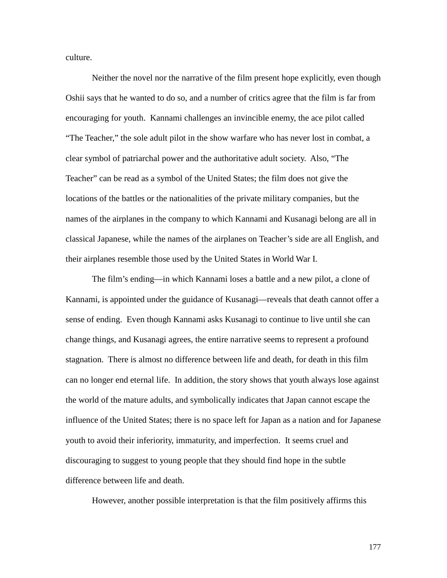culture.

Neither the novel nor the narrative of the film present hope explicitly, even though Oshii says that he wanted to do so, and a number of critics agree that the film is far from encouraging for youth. Kannami challenges an invincible enemy, the ace pilot called "The Teacher," the sole adult pilot in the show warfare who has never lost in combat, a clear symbol of patriarchal power and the authoritative adult society. Also, "The Teacher" can be read as a symbol of the United States; the film does not give the locations of the battles or the nationalities of the private military companies, but the names of the airplanes in the company to which Kannami and Kusanagi belong are all in classical Japanese, while the names of the airplanes on Teacher's side are all English, and their airplanes resemble those used by the United States in World War I.

The film's ending—in which Kannami loses a battle and a new pilot, a clone of Kannami, is appointed under the guidance of Kusanagi—reveals that death cannot offer a sense of ending. Even though Kannami asks Kusanagi to continue to live until she can change things, and Kusanagi agrees, the entire narrative seems to represent a profound stagnation. There is almost no difference between life and death, for death in this film can no longer end eternal life. In addition, the story shows that youth always lose against the world of the mature adults, and symbolically indicates that Japan cannot escape the influence of the United States; there is no space left for Japan as a nation and for Japanese youth to avoid their inferiority, immaturity, and imperfection. It seems cruel and discouraging to suggest to young people that they should find hope in the subtle difference between life and death.

However, another possible interpretation is that the film positively affirms this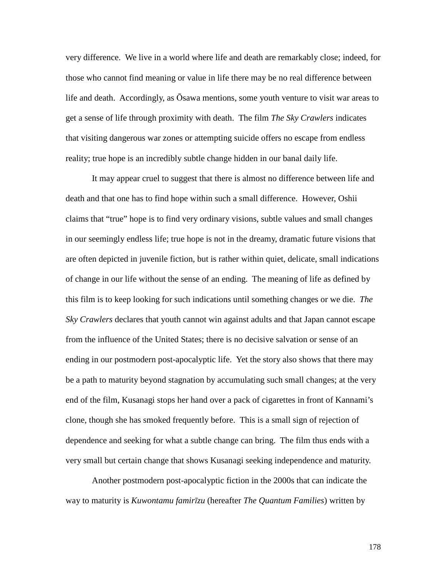very difference. We live in a world where life and death are remarkably close; indeed, for those who cannot find meaning or value in life there may be no real difference between life and death. Accordingly, as Ōsawa mentions, some youth venture to visit war areas to get a sense of life through proximity with death. The film *The Sky Crawlers* indicates that visiting dangerous war zones or attempting suicide offers no escape from endless reality; true hope is an incredibly subtle change hidden in our banal daily life.

It may appear cruel to suggest that there is almost no difference between life and death and that one has to find hope within such a small difference. However, Oshii claims that "true" hope is to find very ordinary visions, subtle values and small changes in our seemingly endless life; true hope is not in the dreamy, dramatic future visions that are often depicted in juvenile fiction, but is rather within quiet, delicate, small indications of change in our life without the sense of an ending. The meaning of life as defined by this film is to keep looking for such indications until something changes or we die. *The Sky Crawlers* declares that youth cannot win against adults and that Japan cannot escape from the influence of the United States; there is no decisive salvation or sense of an ending in our postmodern post-apocalyptic life. Yet the story also shows that there may be a path to maturity beyond stagnation by accumulating such small changes; at the very end of the film, Kusanagi stops her hand over a pack of cigarettes in front of Kannami's clone, though she has smoked frequently before. This is a small sign of rejection of dependence and seeking for what a subtle change can bring. The film thus ends with a very small but certain change that shows Kusanagi seeking independence and maturity.

Another postmodern post-apocalyptic fiction in the 2000s that can indicate the way to maturity is *Kuwontamu famir*ī*zu* (hereafter *The Quantum Families*) written by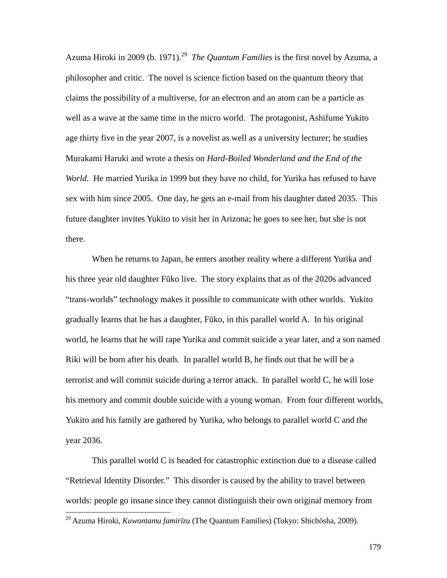Azuma Hiroki in 2009 (b. 1971).<sup>29</sup> *The Quantum Families* is the first novel by Azuma, a philosopher and critic. The novel is science fiction based on the quantum theory that claims the possibility of a multiverse, for an electron and an atom can be a particle as well as a wave at the same time in the micro world. The protagonist, Ashifume Yukito age thirty five in the year 2007, is a novelist as well as a university lecturer; he studies Murakami Haruki and wrote a thesis on *Hard-Boiled Wonderland and the End of the World*. He married Yurika in 1999 but they have no child, for Yurika has refused to have sex with him since 2005. One day, he gets an e-mail from his daughter dated 2035. This future daughter invites Yukito to visit her in Arizona; he goes to see her, but she is not there.

When he returns to Japan, he enters another reality where a different Yurika and his three year old daughter Fūko live. The story explains that as of the 2020s advanced "trans-worlds" technology makes it possible to communicate with other worlds. Yukito gradually learns that he has a daughter, Fūko, in this parallel world A. In his original world, he learns that he will rape Yurika and commit suicide a year later, and a son named Riki will be born after his death. In parallel world B, he finds out that he will be a terrorist and will commit suicide during a terror attack. In parallel world C, he will lose his memory and commit double suicide with a young woman. From four different worlds, Yukito and his family are gathered by Yurika, who belongs to parallel world C and the year 2036.

This parallel world C is headed for catastrophic extinction due to a disease called "Retrieval Identity Disorder." This disorder is caused by the ability to travel between worlds: people go insane since they cannot distinguish their own original memory from

 $\overline{a}$ 

<sup>29</sup> Azuma Hiroki, *Kuwontamu famir*ī*zu* (The Quantum Families) (Tokyo: Shichōsha, 2009).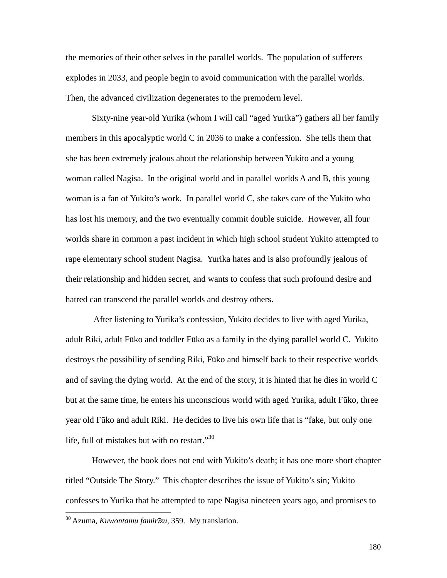the memories of their other selves in the parallel worlds. The population of sufferers explodes in 2033, and people begin to avoid communication with the parallel worlds. Then, the advanced civilization degenerates to the premodern level.

Sixty-nine year-old Yurika (whom I will call "aged Yurika") gathers all her family members in this apocalyptic world C in 2036 to make a confession. She tells them that she has been extremely jealous about the relationship between Yukito and a young woman called Nagisa. In the original world and in parallel worlds A and B, this young woman is a fan of Yukito's work. In parallel world C, she takes care of the Yukito who has lost his memory, and the two eventually commit double suicide. However, all four worlds share in common a past incident in which high school student Yukito attempted to rape elementary school student Nagisa. Yurika hates and is also profoundly jealous of their relationship and hidden secret, and wants to confess that such profound desire and hatred can transcend the parallel worlds and destroy others.

 After listening to Yurika's confession, Yukito decides to live with aged Yurika, adult Riki, adult Fūko and toddler Fūko as a family in the dying parallel world C. Yukito destroys the possibility of sending Riki, Fūko and himself back to their respective worlds and of saving the dying world. At the end of the story, it is hinted that he dies in world C but at the same time, he enters his unconscious world with aged Yurika, adult Fūko, three year old Fūko and adult Riki. He decides to live his own life that is "fake, but only one life, full of mistakes but with no restart."<sup>30</sup>

However, the book does not end with Yukito's death; it has one more short chapter titled "Outside The Story." This chapter describes the issue of Yukito's sin; Yukito confesses to Yurika that he attempted to rape Nagisa nineteen years ago, and promises to

 $\overline{a}$ 

<sup>30</sup> Azuma, *Kuwontamu famir*ī*zu*, 359. My translation.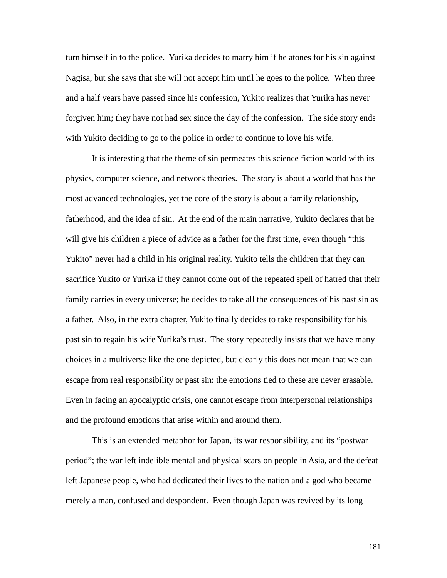turn himself in to the police. Yurika decides to marry him if he atones for his sin against Nagisa, but she says that she will not accept him until he goes to the police. When three and a half years have passed since his confession, Yukito realizes that Yurika has never forgiven him; they have not had sex since the day of the confession. The side story ends with Yukito deciding to go to the police in order to continue to love his wife.

It is interesting that the theme of sin permeates this science fiction world with its physics, computer science, and network theories. The story is about a world that has the most advanced technologies, yet the core of the story is about a family relationship, fatherhood, and the idea of sin. At the end of the main narrative, Yukito declares that he will give his children a piece of advice as a father for the first time, even though "this Yukito" never had a child in his original reality. Yukito tells the children that they can sacrifice Yukito or Yurika if they cannot come out of the repeated spell of hatred that their family carries in every universe; he decides to take all the consequences of his past sin as a father. Also, in the extra chapter, Yukito finally decides to take responsibility for his past sin to regain his wife Yurika's trust. The story repeatedly insists that we have many choices in a multiverse like the one depicted, but clearly this does not mean that we can escape from real responsibility or past sin: the emotions tied to these are never erasable. Even in facing an apocalyptic crisis, one cannot escape from interpersonal relationships and the profound emotions that arise within and around them.

This is an extended metaphor for Japan, its war responsibility, and its "postwar period"; the war left indelible mental and physical scars on people in Asia, and the defeat left Japanese people, who had dedicated their lives to the nation and a god who became merely a man, confused and despondent. Even though Japan was revived by its long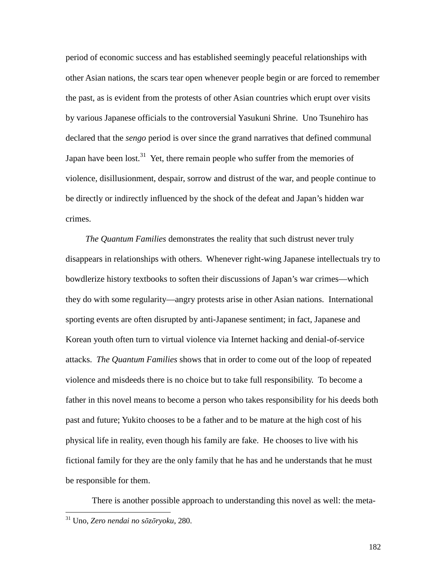period of economic success and has established seemingly peaceful relationships with other Asian nations, the scars tear open whenever people begin or are forced to remember the past, as is evident from the protests of other Asian countries which erupt over visits by various Japanese officials to the controversial Yasukuni Shrine. Uno Tsunehiro has declared that the *sengo* period is over since the grand narratives that defined communal Japan have been lost.<sup>31</sup> Yet, there remain people who suffer from the memories of violence, disillusionment, despair, sorrow and distrust of the war, and people continue to be directly or indirectly influenced by the shock of the defeat and Japan's hidden war crimes.

*The Quantum Families* demonstrates the reality that such distrust never truly disappears in relationships with others. Whenever right-wing Japanese intellectuals try to bowdlerize history textbooks to soften their discussions of Japan's war crimes—which they do with some regularity—angry protests arise in other Asian nations. International sporting events are often disrupted by anti-Japanese sentiment; in fact, Japanese and Korean youth often turn to virtual violence via Internet hacking and denial-of-service attacks. *The Quantum Families* shows that in order to come out of the loop of repeated violence and misdeeds there is no choice but to take full responsibility. To become a father in this novel means to become a person who takes responsibility for his deeds both past and future; Yukito chooses to be a father and to be mature at the high cost of his physical life in reality, even though his family are fake. He chooses to live with his fictional family for they are the only family that he has and he understands that he must be responsible for them.

There is another possible approach to understanding this novel as well: the meta- <sup>31</sup> Uno, *Zero nendai no s*ō*z*ō*ryoku*, 280.

 $\overline{a}$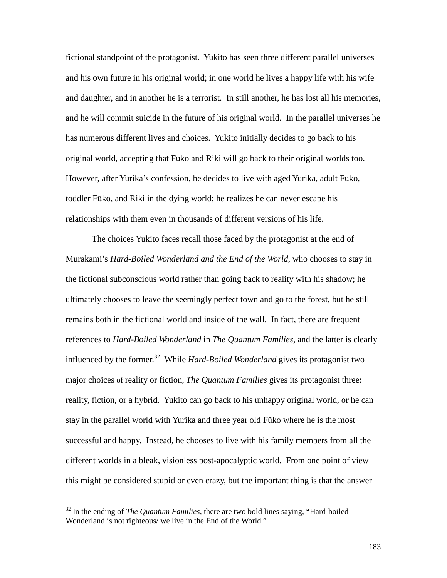fictional standpoint of the protagonist. Yukito has seen three different parallel universes and his own future in his original world; in one world he lives a happy life with his wife and daughter, and in another he is a terrorist. In still another, he has lost all his memories, and he will commit suicide in the future of his original world. In the parallel universes he has numerous different lives and choices. Yukito initially decides to go back to his original world, accepting that Fūko and Riki will go back to their original worlds too. However, after Yurika's confession, he decides to live with aged Yurika, adult Fūko, toddler Fūko, and Riki in the dying world; he realizes he can never escape his relationships with them even in thousands of different versions of his life.

The choices Yukito faces recall those faced by the protagonist at the end of Murakami's *Hard-Boiled Wonderland and the End of the World*, who chooses to stay in the fictional subconscious world rather than going back to reality with his shadow; he ultimately chooses to leave the seemingly perfect town and go to the forest, but he still remains both in the fictional world and inside of the wall. In fact, there are frequent references to *Hard-Boiled Wonderland* in *The Quantum Families*, and the latter is clearly influenced by the former.<sup>32</sup> While *Hard-Boiled Wonderland* gives its protagonist two major choices of reality or fiction, *The Quantum Families* gives its protagonist three: reality, fiction, or a hybrid. Yukito can go back to his unhappy original world, or he can stay in the parallel world with Yurika and three year old Fūko where he is the most successful and happy. Instead, he chooses to live with his family members from all the different worlds in a bleak, visionless post-apocalyptic world. From one point of view this might be considered stupid or even crazy, but the important thing is that the answer

<sup>32</sup> In the ending of *The Quantum Families*, there are two bold lines saying, "Hard-boiled Wonderland is not righteous/ we live in the End of the World."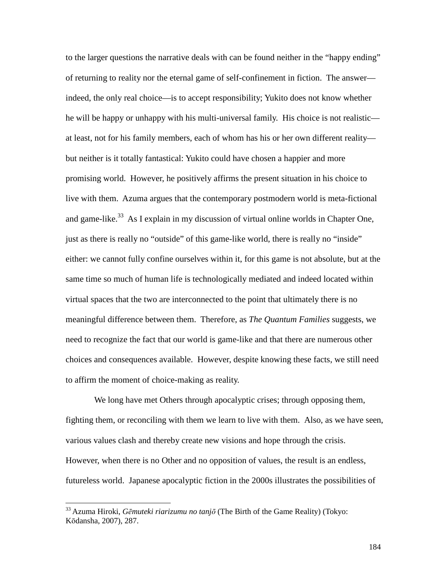to the larger questions the narrative deals with can be found neither in the "happy ending" of returning to reality nor the eternal game of self-confinement in fiction. The answer indeed, the only real choice—is to accept responsibility; Yukito does not know whether he will be happy or unhappy with his multi-universal family. His choice is not realistic at least, not for his family members, each of whom has his or her own different reality but neither is it totally fantastical: Yukito could have chosen a happier and more promising world. However, he positively affirms the present situation in his choice to live with them. Azuma argues that the contemporary postmodern world is meta-fictional and game-like.<sup>33</sup> As I explain in my discussion of virtual online worlds in Chapter One, just as there is really no "outside" of this game-like world, there is really no "inside" either: we cannot fully confine ourselves within it, for this game is not absolute, but at the same time so much of human life is technologically mediated and indeed located within virtual spaces that the two are interconnected to the point that ultimately there is no meaningful difference between them. Therefore, as *The Quantum Families* suggests, we need to recognize the fact that our world is game-like and that there are numerous other choices and consequences available. However, despite knowing these facts, we still need to affirm the moment of choice-making as reality.

We long have met Others through apocalyptic crises; through opposing them, fighting them, or reconciling with them we learn to live with them. Also, as we have seen, various values clash and thereby create new visions and hope through the crisis. However, when there is no Other and no opposition of values, the result is an endless, futureless world. Japanese apocalyptic fiction in the 2000s illustrates the possibilities of

<sup>33</sup> Azuma Hiroki, *G*ē*muteki riarizumu no tanj*ō (The Birth of the Game Reality) (Tokyo: Kōdansha, 2007), 287.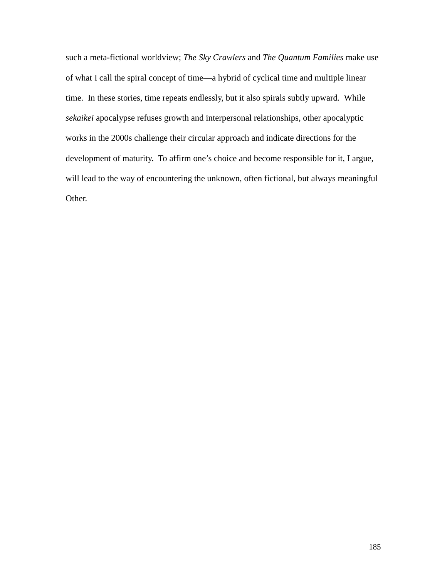such a meta-fictional worldview; *The Sky Crawlers* and *The Quantum Families* make use of what I call the spiral concept of time—a hybrid of cyclical time and multiple linear time. In these stories, time repeats endlessly, but it also spirals subtly upward. While *sekaikei* apocalypse refuses growth and interpersonal relationships, other apocalyptic works in the 2000s challenge their circular approach and indicate directions for the development of maturity. To affirm one's choice and become responsible for it, I argue, will lead to the way of encountering the unknown, often fictional, but always meaningful Other.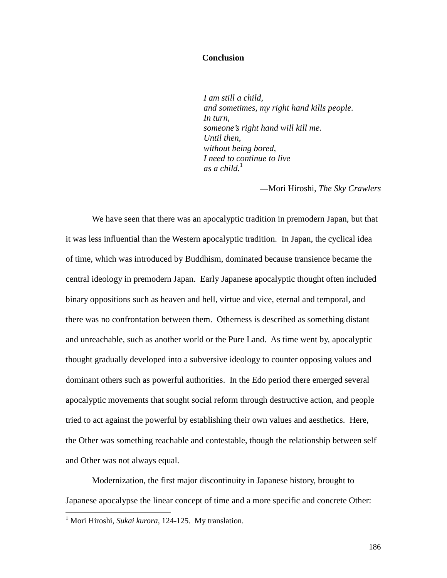#### **Conclusion**

*I am still a child, and sometimes, my right hand kills people. In turn, someone's right hand will kill me. Until then, without being bored, I need to continue to live as a child.*<sup>1</sup> 

—Mori Hiroshi, *The Sky Crawlers*

We have seen that there was an apocalyptic tradition in premodern Japan, but that it was less influential than the Western apocalyptic tradition. In Japan, the cyclical idea of time, which was introduced by Buddhism, dominated because transience became the central ideology in premodern Japan. Early Japanese apocalyptic thought often included binary oppositions such as heaven and hell, virtue and vice, eternal and temporal, and there was no confrontation between them. Otherness is described as something distant and unreachable, such as another world or the Pure Land. As time went by, apocalyptic thought gradually developed into a subversive ideology to counter opposing values and dominant others such as powerful authorities. In the Edo period there emerged several apocalyptic movements that sought social reform through destructive action, and people tried to act against the powerful by establishing their own values and aesthetics. Here, the Other was something reachable and contestable, though the relationship between self and Other was not always equal.

Modernization, the first major discontinuity in Japanese history, brought to Japanese apocalypse the linear concept of time and a more specific and concrete Other:

 $\overline{a}$ 

<sup>&</sup>lt;sup>1</sup> Mori Hiroshi, *Sukai kurora*, 124-125. My translation.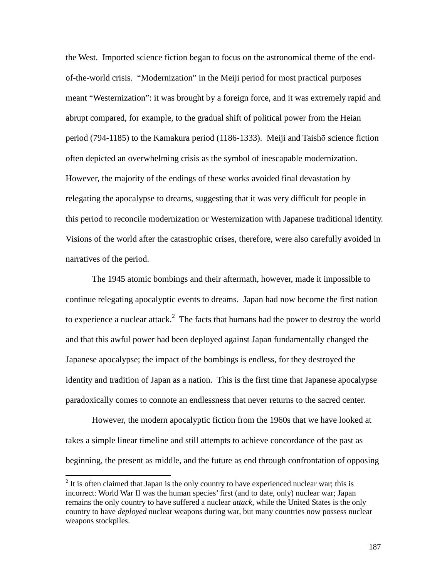the West. Imported science fiction began to focus on the astronomical theme of the endof-the-world crisis. "Modernization" in the Meiji period for most practical purposes meant "Westernization": it was brought by a foreign force, and it was extremely rapid and abrupt compared, for example, to the gradual shift of political power from the Heian period (794-1185) to the Kamakura period (1186-1333). Meiji and Taishō science fiction often depicted an overwhelming crisis as the symbol of inescapable modernization. However, the majority of the endings of these works avoided final devastation by relegating the apocalypse to dreams, suggesting that it was very difficult for people in this period to reconcile modernization or Westernization with Japanese traditional identity. Visions of the world after the catastrophic crises, therefore, were also carefully avoided in narratives of the period.

The 1945 atomic bombings and their aftermath, however, made it impossible to continue relegating apocalyptic events to dreams. Japan had now become the first nation to experience a nuclear attack.<sup>2</sup> The facts that humans had the power to destroy the world and that this awful power had been deployed against Japan fundamentally changed the Japanese apocalypse; the impact of the bombings is endless, for they destroyed the identity and tradition of Japan as a nation. This is the first time that Japanese apocalypse paradoxically comes to connote an endlessness that never returns to the sacred center.

However, the modern apocalyptic fiction from the 1960s that we have looked at takes a simple linear timeline and still attempts to achieve concordance of the past as beginning, the present as middle, and the future as end through confrontation of opposing

 $\overline{a}$ 

 $2<sup>2</sup>$  It is often claimed that Japan is the only country to have experienced nuclear war; this is incorrect: World War II was the human species' first (and to date, only) nuclear war; Japan remains the only country to have suffered a nuclear *attack*, while the United States is the only country to have *deployed* nuclear weapons during war, but many countries now possess nuclear weapons stockpiles.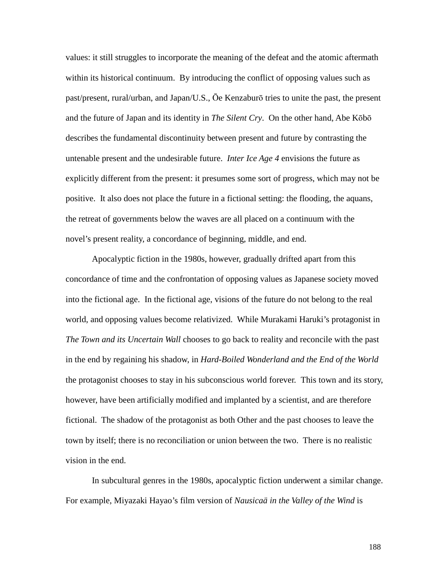values: it still struggles to incorporate the meaning of the defeat and the atomic aftermath within its historical continuum. By introducing the conflict of opposing values such as past/present, rural/urban, and Japan/U.S., Ōe Kenzaburō tries to unite the past, the present and the future of Japan and its identity in *The Silent Cry*. On the other hand, Abe Kōbō describes the fundamental discontinuity between present and future by contrasting the untenable present and the undesirable future. *Inter Ice Age 4* envisions the future as explicitly different from the present: it presumes some sort of progress, which may not be positive. It also does not place the future in a fictional setting: the flooding, the aquans, the retreat of governments below the waves are all placed on a continuum with the novel's present reality, a concordance of beginning, middle, and end.

Apocalyptic fiction in the 1980s, however, gradually drifted apart from this concordance of time and the confrontation of opposing values as Japanese society moved into the fictional age. In the fictional age, visions of the future do not belong to the real world, and opposing values become relativized. While Murakami Haruki's protagonist in *The Town and its Uncertain Wall* chooses to go back to reality and reconcile with the past in the end by regaining his shadow, in *Hard-Boiled Wonderland and the End of the World* the protagonist chooses to stay in his subconscious world forever. This town and its story, however, have been artificially modified and implanted by a scientist, and are therefore fictional. The shadow of the protagonist as both Other and the past chooses to leave the town by itself; there is no reconciliation or union between the two. There is no realistic vision in the end.

In subcultural genres in the 1980s, apocalyptic fiction underwent a similar change. For example, Miyazaki Hayao's film version of *Nausicaä in the Valley of the Wind* is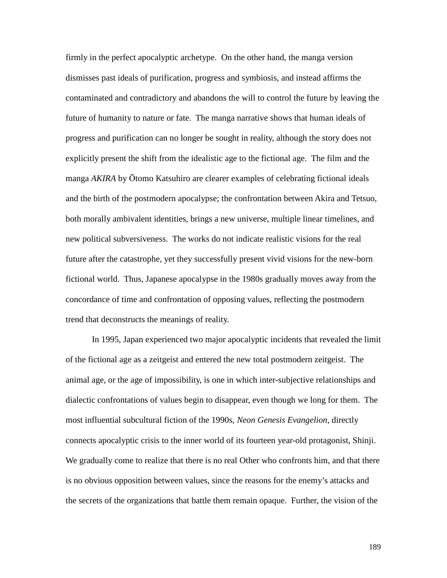firmly in the perfect apocalyptic archetype. On the other hand, the manga version dismisses past ideals of purification, progress and symbiosis, and instead affirms the contaminated and contradictory and abandons the will to control the future by leaving the future of humanity to nature or fate. The manga narrative shows that human ideals of progress and purification can no longer be sought in reality, although the story does not explicitly present the shift from the idealistic age to the fictional age. The film and the manga *AKIRA* by Ōtomo Katsuhiro are clearer examples of celebrating fictional ideals and the birth of the postmodern apocalypse; the confrontation between Akira and Tetsuo, both morally ambivalent identities, brings a new universe, multiple linear timelines, and new political subversiveness. The works do not indicate realistic visions for the real future after the catastrophe, yet they successfully present vivid visions for the new-born fictional world. Thus, Japanese apocalypse in the 1980s gradually moves away from the concordance of time and confrontation of opposing values, reflecting the postmodern trend that deconstructs the meanings of reality.

In 1995, Japan experienced two major apocalyptic incidents that revealed the limit of the fictional age as a zeitgeist and entered the new total postmodern zeitgeist. The animal age, or the age of impossibility, is one in which inter-subjective relationships and dialectic confrontations of values begin to disappear, even though we long for them. The most influential subcultural fiction of the 1990s, *Neon Genesis Evangelion*, directly connects apocalyptic crisis to the inner world of its fourteen year-old protagonist, Shinji. We gradually come to realize that there is no real Other who confronts him, and that there is no obvious opposition between values, since the reasons for the enemy's attacks and the secrets of the organizations that battle them remain opaque. Further, the vision of the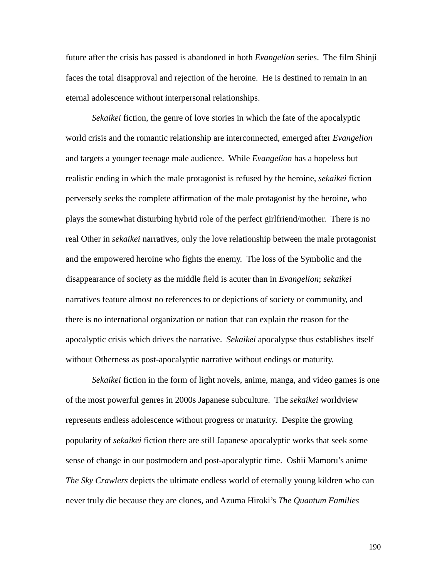future after the crisis has passed is abandoned in both *Evangelion* series. The film Shinji faces the total disapproval and rejection of the heroine. He is destined to remain in an eternal adolescence without interpersonal relationships.

*Sekaikei* fiction, the genre of love stories in which the fate of the apocalyptic world crisis and the romantic relationship are interconnected, emerged after *Evangelion* and targets a younger teenage male audience. While *Evangelion* has a hopeless but realistic ending in which the male protagonist is refused by the heroine, *sekaikei* fiction perversely seeks the complete affirmation of the male protagonist by the heroine, who plays the somewhat disturbing hybrid role of the perfect girlfriend/mother. There is no real Other in *sekaikei* narratives, only the love relationship between the male protagonist and the empowered heroine who fights the enemy. The loss of the Symbolic and the disappearance of society as the middle field is acuter than in *Evangelion*; *sekaikei* narratives feature almost no references to or depictions of society or community, and there is no international organization or nation that can explain the reason for the apocalyptic crisis which drives the narrative. *Sekaikei* apocalypse thus establishes itself without Otherness as post-apocalyptic narrative without endings or maturity.

*Sekaikei* fiction in the form of light novels, anime, manga, and video games is one of the most powerful genres in 2000s Japanese subculture. The *sekaikei* worldview represents endless adolescence without progress or maturity. Despite the growing popularity of *sekaikei* fiction there are still Japanese apocalyptic works that seek some sense of change in our postmodern and post-apocalyptic time. Oshii Mamoru's anime *The Sky Crawlers* depicts the ultimate endless world of eternally young kildren who can never truly die because they are clones, and Azuma Hiroki's *The Quantum Families*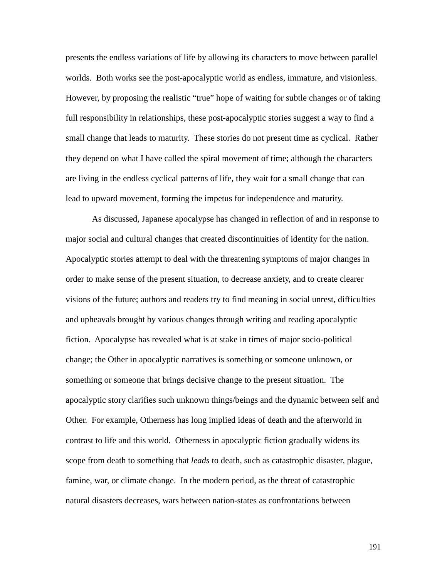presents the endless variations of life by allowing its characters to move between parallel worlds. Both works see the post-apocalyptic world as endless, immature, and visionless. However, by proposing the realistic "true" hope of waiting for subtle changes or of taking full responsibility in relationships, these post-apocalyptic stories suggest a way to find a small change that leads to maturity. These stories do not present time as cyclical. Rather they depend on what I have called the spiral movement of time; although the characters are living in the endless cyclical patterns of life, they wait for a small change that can lead to upward movement, forming the impetus for independence and maturity.

As discussed, Japanese apocalypse has changed in reflection of and in response to major social and cultural changes that created discontinuities of identity for the nation. Apocalyptic stories attempt to deal with the threatening symptoms of major changes in order to make sense of the present situation, to decrease anxiety, and to create clearer visions of the future; authors and readers try to find meaning in social unrest, difficulties and upheavals brought by various changes through writing and reading apocalyptic fiction. Apocalypse has revealed what is at stake in times of major socio-political change; the Other in apocalyptic narratives is something or someone unknown, or something or someone that brings decisive change to the present situation. The apocalyptic story clarifies such unknown things/beings and the dynamic between self and Other. For example, Otherness has long implied ideas of death and the afterworld in contrast to life and this world. Otherness in apocalyptic fiction gradually widens its scope from death to something that *leads* to death, such as catastrophic disaster, plague, famine, war, or climate change. In the modern period, as the threat of catastrophic natural disasters decreases, wars between nation-states as confrontations between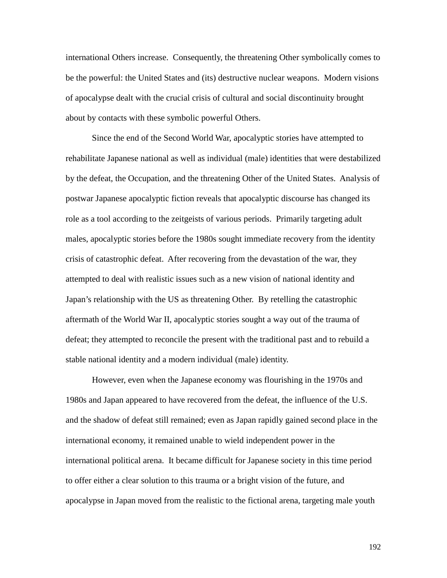international Others increase. Consequently, the threatening Other symbolically comes to be the powerful: the United States and (its) destructive nuclear weapons. Modern visions of apocalypse dealt with the crucial crisis of cultural and social discontinuity brought about by contacts with these symbolic powerful Others.

Since the end of the Second World War, apocalyptic stories have attempted to rehabilitate Japanese national as well as individual (male) identities that were destabilized by the defeat, the Occupation, and the threatening Other of the United States. Analysis of postwar Japanese apocalyptic fiction reveals that apocalyptic discourse has changed its role as a tool according to the zeitgeists of various periods. Primarily targeting adult males, apocalyptic stories before the 1980s sought immediate recovery from the identity crisis of catastrophic defeat. After recovering from the devastation of the war, they attempted to deal with realistic issues such as a new vision of national identity and Japan's relationship with the US as threatening Other. By retelling the catastrophic aftermath of the World War II, apocalyptic stories sought a way out of the trauma of defeat; they attempted to reconcile the present with the traditional past and to rebuild a stable national identity and a modern individual (male) identity.

However, even when the Japanese economy was flourishing in the 1970s and 1980s and Japan appeared to have recovered from the defeat, the influence of the U.S. and the shadow of defeat still remained; even as Japan rapidly gained second place in the international economy, it remained unable to wield independent power in the international political arena. It became difficult for Japanese society in this time period to offer either a clear solution to this trauma or a bright vision of the future, and apocalypse in Japan moved from the realistic to the fictional arena, targeting male youth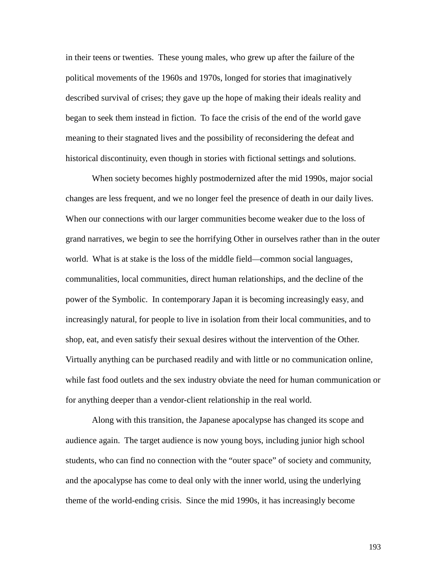in their teens or twenties. These young males, who grew up after the failure of the political movements of the 1960s and 1970s, longed for stories that imaginatively described survival of crises; they gave up the hope of making their ideals reality and began to seek them instead in fiction. To face the crisis of the end of the world gave meaning to their stagnated lives and the possibility of reconsidering the defeat and historical discontinuity, even though in stories with fictional settings and solutions.

When society becomes highly postmodernized after the mid 1990s, major social changes are less frequent, and we no longer feel the presence of death in our daily lives. When our connections with our larger communities become weaker due to the loss of grand narratives, we begin to see the horrifying Other in ourselves rather than in the outer world. What is at stake is the loss of the middle field—common social languages, communalities, local communities, direct human relationships, and the decline of the power of the Symbolic. In contemporary Japan it is becoming increasingly easy, and increasingly natural, for people to live in isolation from their local communities, and to shop, eat, and even satisfy their sexual desires without the intervention of the Other. Virtually anything can be purchased readily and with little or no communication online, while fast food outlets and the sex industry obviate the need for human communication or for anything deeper than a vendor-client relationship in the real world.

Along with this transition, the Japanese apocalypse has changed its scope and audience again. The target audience is now young boys, including junior high school students, who can find no connection with the "outer space" of society and community, and the apocalypse has come to deal only with the inner world, using the underlying theme of the world-ending crisis. Since the mid 1990s, it has increasingly become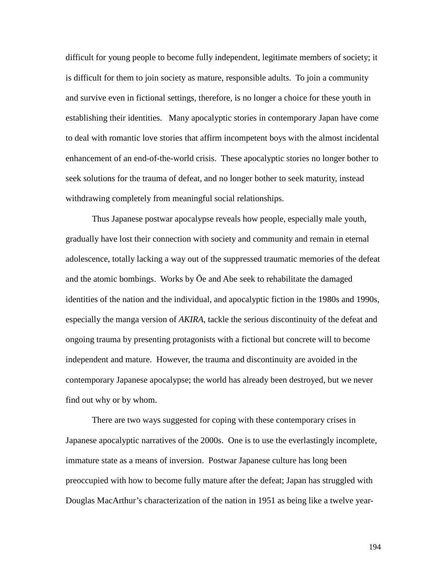difficult for young people to become fully independent, legitimate members of society; it is difficult for them to join society as mature, responsible adults. To join a community and survive even in fictional settings, therefore, is no longer a choice for these youth in establishing their identities. Many apocalyptic stories in contemporary Japan have come to deal with romantic love stories that affirm incompetent boys with the almost incidental enhancement of an end-of-the-world crisis. These apocalyptic stories no longer bother to seek solutions for the trauma of defeat, and no longer bother to seek maturity, instead withdrawing completely from meaningful social relationships.

Thus Japanese postwar apocalypse reveals how people, especially male youth, gradually have lost their connection with society and community and remain in eternal adolescence, totally lacking a way out of the suppressed traumatic memories of the defeat and the atomic bombings. Works by Ōe and Abe seek to rehabilitate the damaged identities of the nation and the individual, and apocalyptic fiction in the 1980s and 1990s, especially the manga version of *AKIRA*, tackle the serious discontinuity of the defeat and ongoing trauma by presenting protagonists with a fictional but concrete will to become independent and mature. However, the trauma and discontinuity are avoided in the contemporary Japanese apocalypse; the world has already been destroyed, but we never find out why or by whom.

There are two ways suggested for coping with these contemporary crises in Japanese apocalyptic narratives of the 2000s. One is to use the everlastingly incomplete, immature state as a means of inversion. Postwar Japanese culture has long been preoccupied with how to become fully mature after the defeat; Japan has struggled with Douglas MacArthur's characterization of the nation in 1951 as being like a twelve year-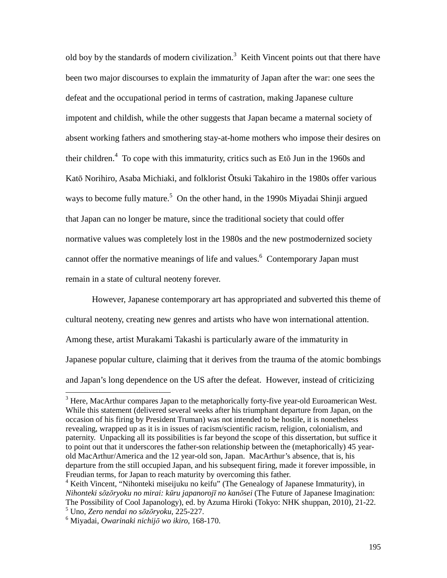old boy by the standards of modern civilization.<sup>3</sup> Keith Vincent points out that there have been two major discourses to explain the immaturity of Japan after the war: one sees the defeat and the occupational period in terms of castration, making Japanese culture impotent and childish, while the other suggests that Japan became a maternal society of absent working fathers and smothering stay-at-home mothers who impose their desires on their children.<sup>4</sup> To cope with this immaturity, critics such as Etō Jun in the 1960s and Katō Norihiro, Asaba Michiaki, and folklorist Ōtsuki Takahiro in the 1980s offer various ways to become fully mature.<sup>5</sup> On the other hand, in the 1990s Miyadai Shinji argued that Japan can no longer be mature, since the traditional society that could offer normative values was completely lost in the 1980s and the new postmodernized society cannot offer the normative meanings of life and values.<sup>6</sup> Contemporary Japan must remain in a state of cultural neoteny forever.

However, Japanese contemporary art has appropriated and subverted this theme of cultural neoteny, creating new genres and artists who have won international attention. Among these, artist Murakami Takashi is particularly aware of the immaturity in Japanese popular culture, claiming that it derives from the trauma of the atomic bombings and Japan's long dependence on the US after the defeat. However, instead of criticizing

 $\overline{a}$ 

<sup>&</sup>lt;sup>3</sup> Here, MacArthur compares Japan to the metaphorically forty-five year-old Euroamerican West. While this statement (delivered several weeks after his triumphant departure from Japan, on the occasion of his firing by President Truman) was not intended to be hostile, it is nonetheless revealing, wrapped up as it is in issues of racism/scientific racism, religion, colonialism, and paternity. Unpacking all its possibilities is far beyond the scope of this dissertation, but suffice it to point out that it underscores the father-son relationship between the (metaphorically) 45 yearold MacArthur/America and the 12 year-old son, Japan. MacArthur's absence, that is, his departure from the still occupied Japan, and his subsequent firing, made it forever impossible, in Freudian terms, for Japan to reach maturity by overcoming this father.

<sup>&</sup>lt;sup>4</sup> Keith Vincent, "Nihonteki miseijuku no keifu" (The Genealogy of Japanese Immaturity), in *Nihonteki s*ō*z*ō*ryoku no mirai: k*ū*ru japanoroj*ī *no kan*ō*sei* (The Future of Japanese Imagination: The Possibility of Cool Japanology), ed. by Azuma Hiroki (Tokyo: NHK shuppan, 2010), 21-22.

<sup>5</sup> Uno, *Zero nendai no s*ō*z*ō*ryoku*, 225-227.

<sup>6</sup> Miyadai, *Owarinaki nichij*ō *wo ikiro*, 168-170.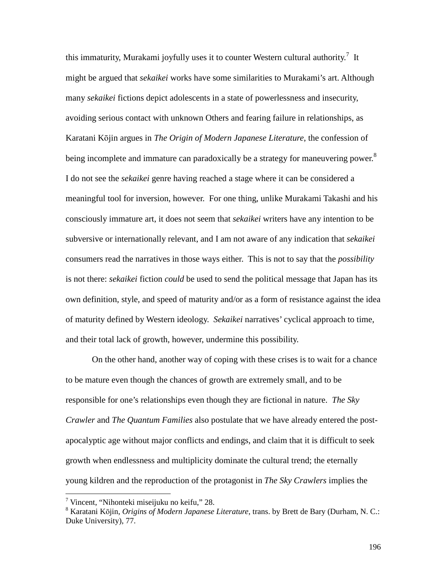this immaturity, Murakami joyfully uses it to counter Western cultural authority.<sup>7</sup> It might be argued that *sekaikei* works have some similarities to Murakami's art. Although many *sekaikei* fictions depict adolescents in a state of powerlessness and insecurity, avoiding serious contact with unknown Others and fearing failure in relationships, as Karatani Kōjin argues in *The Origin of Modern Japanese Literature*, the confession of being incomplete and immature can paradoxically be a strategy for maneuvering power.<sup>8</sup> I do not see the *sekaikei* genre having reached a stage where it can be considered a meaningful tool for inversion, however. For one thing, unlike Murakami Takashi and his consciously immature art, it does not seem that *sekaikei* writers have any intention to be subversive or internationally relevant, and I am not aware of any indication that *sekaikei*  consumers read the narratives in those ways either. This is not to say that the *possibility* is not there: *sekaikei* fiction *could* be used to send the political message that Japan has its own definition, style, and speed of maturity and/or as a form of resistance against the idea of maturity defined by Western ideology. *Sekaikei* narratives' cyclical approach to time, and their total lack of growth, however, undermine this possibility.

On the other hand, another way of coping with these crises is to wait for a chance to be mature even though the chances of growth are extremely small, and to be responsible for one's relationships even though they are fictional in nature. *The Sky Crawler* and *The Quantum Families* also postulate that we have already entered the postapocalyptic age without major conflicts and endings, and claim that it is difficult to seek growth when endlessness and multiplicity dominate the cultural trend; the eternally young kildren and the reproduction of the protagonist in *The Sky Crawlers* implies the

 $\overline{a}$ 

<sup>&</sup>lt;sup>7</sup> Vincent, "Nihonteki miseijuku no keifu," 28.

<sup>8</sup> Karatani Kōjin, *Origins of Modern Japanese Literature*, trans. by Brett de Bary (Durham, N. C.: Duke University), 77.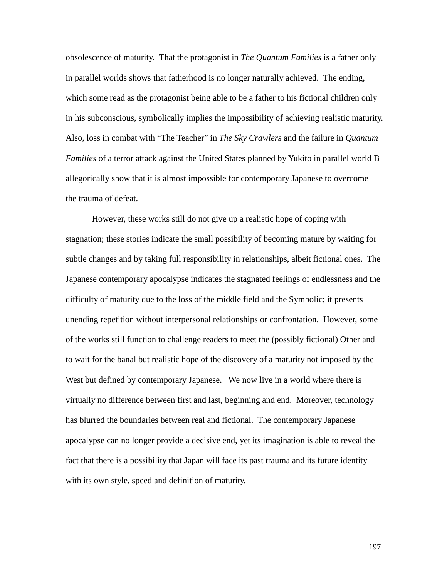obsolescence of maturity. That the protagonist in *The Quantum Families* is a father only in parallel worlds shows that fatherhood is no longer naturally achieved. The ending, which some read as the protagonist being able to be a father to his fictional children only in his subconscious, symbolically implies the impossibility of achieving realistic maturity. Also, loss in combat with "The Teacher" in *The Sky Crawlers* and the failure in *Quantum Families* of a terror attack against the United States planned by Yukito in parallel world B allegorically show that it is almost impossible for contemporary Japanese to overcome the trauma of defeat.

However, these works still do not give up a realistic hope of coping with stagnation; these stories indicate the small possibility of becoming mature by waiting for subtle changes and by taking full responsibility in relationships, albeit fictional ones. The Japanese contemporary apocalypse indicates the stagnated feelings of endlessness and the difficulty of maturity due to the loss of the middle field and the Symbolic; it presents unending repetition without interpersonal relationships or confrontation. However, some of the works still function to challenge readers to meet the (possibly fictional) Other and to wait for the banal but realistic hope of the discovery of a maturity not imposed by the West but defined by contemporary Japanese. We now live in a world where there is virtually no difference between first and last, beginning and end. Moreover, technology has blurred the boundaries between real and fictional. The contemporary Japanese apocalypse can no longer provide a decisive end, yet its imagination is able to reveal the fact that there is a possibility that Japan will face its past trauma and its future identity with its own style, speed and definition of maturity.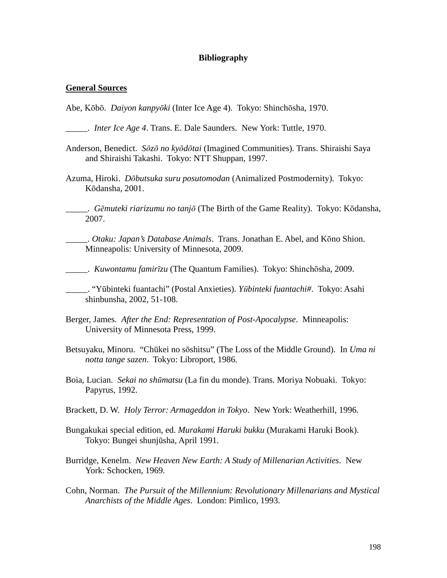# **Bibliography**

### **General Sources**

Abe, Kōbō. *Daiyon kanpy*ō*ki* (Inter Ice Age 4). Tokyo: Shinchōsha, 1970.

- \_\_\_\_\_. *Inter Ice Age 4*. Trans. E. Dale Saunders. New York: Tuttle, 1970.
- Anderson, Benedict. *S*ō*z*ō *no ky*ō*d*ō*tai* (Imagined Communities). Trans. Shiraishi Saya and Shiraishi Takashi. Tokyo: NTT Shuppan, 1997.
- Azuma, Hiroki. *D*ō*butsuka suru posutomodan* (Animalized Postmodernity). Tokyo: Kōdansha, 2001.

\_\_\_\_\_. *G*ē*muteki riarizumu no tanj*ō (The Birth of the Game Reality). Tokyo: Kōdansha, 2007.

\_\_\_\_\_. *Otaku: Japan's Database Animals*. Trans. Jonathan E. Abel, and Kōno Shion. Minneapolis: University of Minnesota, 2009.

\_\_\_\_\_. *Kuwontamu famir*ī*zu* (The Quantum Families). Tokyo: Shinchōsha, 2009.

\_\_\_\_\_. "Yūbinteki fuantachi" (Postal Anxieties). *Y*ū*binteki fuantachi#*. Tokyo: Asahi shinbunsha, 2002, 51-108.

- Berger, James. *After the End: Representation of Post-Apocalypse*. Minneapolis: University of Minnesota Press, 1999.
- Betsuyaku, Minoru. "Chūkei no sōshitsu" (The Loss of the Middle Ground). In *Uma ni notta tange sazen*. Tokyo: Libroport, 1986.
- Boia, Lucian. *Sekai no sh*ū*matsu* (La fin du monde). Trans. Moriya Nobuaki. Tokyo: Papyrus, 1992.
- Brackett, D. W. *Holy Terror: Armageddon in Tokyo*. New York: Weatherhill, 1996.
- Bungakukai special edition, ed. *Murakami Haruki bukku* (Murakami Haruki Book). Tokyo: Bungei shunjūsha, April 1991.
- Burridge, Kenelm. *New Heaven New Earth: A Study of Millenarian Activities*. New York: Schocken, 1969.
- Cohn, Norman. *The Pursuit of the Millennium: Revolutionary Millenarians and Mystical Anarchists of the Middle Ages*. London: Pimlico, 1993.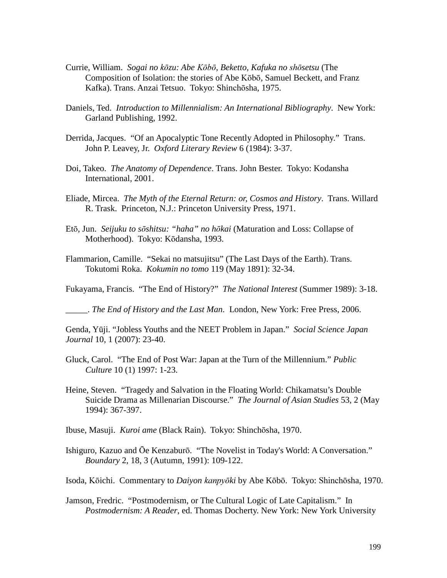- Currie, William. *Sogai no* kō*zu: Abe* Kōbō*, Beketto, Kafuka no* shō*setsu* (The Composition of Isolation: the stories of Abe Kōbō, Samuel Beckett, and Franz Kafka). Trans. Anzai Tetsuo. Tokyo: Shinchōsha, 1975.
- Daniels, Ted. *Introduction to Millennialism: An International Bibliography*. New York: Garland Publishing, 1992.
- Derrida, Jacques. "Of an Apocalyptic Tone Recently Adopted in Philosophy." Trans. John P. Leavey, Jr. *Oxford Literary Review* 6 (1984): 3-37.
- Doi, Takeo. *The Anatomy of Dependence*. Trans. John Bester. Tokyo: Kodansha International, 2001.
- Eliade, Mircea. *The Myth of the Eternal Return: or, Cosmos and History*. Trans. Willard R. Trask. Princeton, N.J.: Princeton University Press, 1971.
- Etō, Jun. *Seijuku to s*ō*shitsu: "haha" no h*ō*kai* (Maturation and Loss: Collapse of Motherhood). Tokyo: Kōdansha, 1993.
- Flammarion, Camille. "Sekai no matsujitsu" (The Last Days of the Earth). Trans. Tokutomi Roka. *Kokumin no tomo* 119 (May 1891): 32-34.

Fukayama, Francis. "The End of History?" *The National Interest* (Summer 1989): 3-18.

\_\_\_\_\_. *The End of History and the Last Man*. London, New York: Free Press, 2006.

Genda, Yūji. "Jobless Youths and the NEET Problem in Japan." *Social Science Japan Journal* 10, 1 (2007): 23-40.

- Gluck, Carol. "The End of Post War: Japan at the Turn of the Millennium." *Public Culture* 10 (1) 1997: 1-23.
- Heine, Steven. "Tragedy and Salvation in the Floating World: Chikamatsu's Double Suicide Drama as Millenarian Discourse." *The Journal of Asian Studies* 53, 2 (May 1994): 367-397.
- Ibuse, Masuji. *Kuroi ame* (Black Rain). Tokyo: Shinchōsha, 1970.
- Ishiguro, Kazuo and Ōe Kenzaburō. "The Novelist in Today's World: A Conversation." *Boundary* 2, 18, 3 (Autumn, 1991): 109-122.

Isoda, Kōichi. Commentary to *Daiyon* kanpyō*ki* by Abe Kōbō. Tokyo: Shinchōsha, 1970.

Jamson, Fredric. "Postmodernism, or The Cultural Logic of Late Capitalism." In *Postmodernism: A Reader*, ed. Thomas Docherty. New York: New York University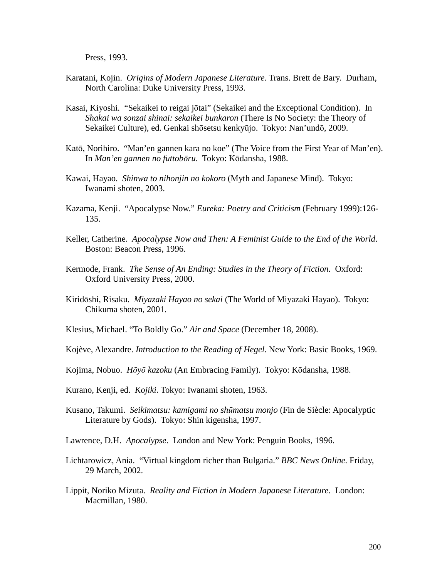Press, 1993.

- Karatani, Kojin. *Origins of Modern Japanese Literature*. Trans. Brett de Bary. Durham, North Carolina: Duke University Press, 1993.
- Kasai, Kiyoshi. "Sekaikei to reigai jōtai" (Sekaikei and the Exceptional Condition). In *Shakai wa sonzai shinai: sekaikei bunkaron* (There Is No Society: the Theory of Sekaikei Culture), ed. Genkai shōsetsu kenkyūjo. Tokyo: Nan'undō, 2009.
- Katō, Norihiro. "Man'en gannen kara no koe" (The Voice from the First Year of Man'en). In *Man'en gannen no futtob*ō*ru*. Tokyo: Kōdansha, 1988.
- Kawai, Hayao. *Shinwa to nihonjin no kokoro* (Myth and Japanese Mind). Tokyo: Iwanami shoten, 2003.
- Kazama, Kenji. "Apocalypse Now." *Eureka: Poetry and Criticism* (February 1999):126- 135.
- Keller, Catherine. *Apocalypse Now and Then: A Feminist Guide to the End of the World*. Boston: Beacon Press, 1996.
- Kermode, Frank. *The Sense of An Ending: Studies in the Theory of Fiction*. Oxford: Oxford University Press, 2000.
- Kiridōshi, Risaku. *Miyazaki Hayao no sekai* (The World of Miyazaki Hayao). Tokyo: Chikuma shoten, 2001.
- Klesius, Michael. "To Boldly Go." *Air and Space* (December 18, 2008).
- Kojève, Alexandre. *Introduction to the Reading of Hegel*. New York: Basic Books, 1969.
- Kojima, Nobuo. *H*ō*y*ō *kazoku* (An Embracing Family). Tokyo: Kōdansha, 1988.
- Kurano, Kenji, ed. *Kojiki*. Tokyo: Iwanami shoten, 1963.
- Kusano, Takumi. *Seikimatsu: kamigami no sh*ū*matsu monjo* (Fin de Siècle: Apocalyptic Literature by Gods). Tokyo: Shin kigensha, 1997.
- Lawrence, D.H. *Apocalypse*. London and New York: Penguin Books, 1996.
- Lichtarowicz, Ania. "Virtual kingdom richer than Bulgaria." *BBC News Online*. Friday, 29 March, 2002.
- Lippit, Noriko Mizuta. *Reality and Fiction in Modern Japanese Literature*. London: Macmillan, 1980.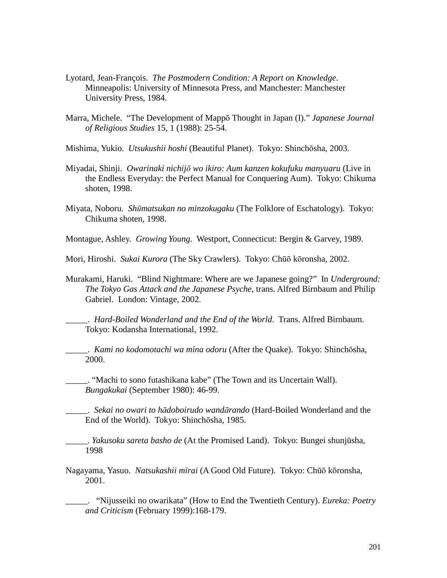- Lyotard, Jean-François. *The Postmodern Condition: A Report on Knowledge*. Minneapolis: University of Minnesota Press, and Manchester: Manchester University Press, 1984.
- Marra, Michele. "The Development of Mappō Thought in Japan (I)." *Japanese Journal of Religious Studies* 15, 1 (1988): 25-54.
- Mishima, Yukio. *Utsukushii hoshi* (Beautiful Planet). Tokyo: Shinchōsha, 2003.
- Miyadai, Shinji. *Owarinaki nichij*ō *wo ikiro: Aum kanzen kokufuku manyuaru* (Live in the Endless Everyday: the Perfect Manual for Conquering Aum). Tokyo: Chikuma shoten, 1998.
- Miyata, Noboru. *Sh*ū*matsukan no minzokugaku* (The Folklore of Eschatology). Tokyo: Chikuma shoten, 1998.

Montague, Ashley. *Growing Young*. Westport, Connecticut: Bergin & Garvey, 1989.

Mori, Hiroshi. *Sukai Kurora* (The Sky Crawlers). Tokyo: Chūō kōronsha, 2002.

Murakami, Haruki. "Blind Nightmare: Where are we Japanese going?" In *Underground: The Tokyo Gas Attack and the Japanese Psyche*, trans. Alfred Birnbaum and Philip Gabriel. London: Vintage, 2002.

\_\_\_\_\_. *Hard-Boiled Wonderland and the End of the World*. Trans. Alfred Birnbaum. Tokyo: Kodansha International, 1992.

\_\_\_\_\_. *Kami no kodomotachi wa mina odoru* (After the Quake). Tokyo: Shinchōsha, 2000.

\_\_\_\_\_. "Machi to sono futashikana kabe" (The Town and its Uncertain Wall). *Bungakukai* (September 1980): 46-99.

\_\_\_\_\_. *Sekai no owari to h*ā*doboirudo wand*ā*rando* (Hard-Boiled Wonderland and the End of the World). Tokyo: Shinchōsha, 1985.

\_\_\_\_\_. *Yakusoku sareta basho de* (At the Promised Land). Tokyo: Bungei shunjūsha, 1998

Nagayama, Yasuo. *Natsukashii mirai* (A Good Old Future). Tokyo: Chūō kōronsha, 2001.

\_\_\_\_\_. "Nijusseiki no owarikata" (How to End the Twentieth Century). *Eureka: Poetry and Criticism* (February 1999):168-179.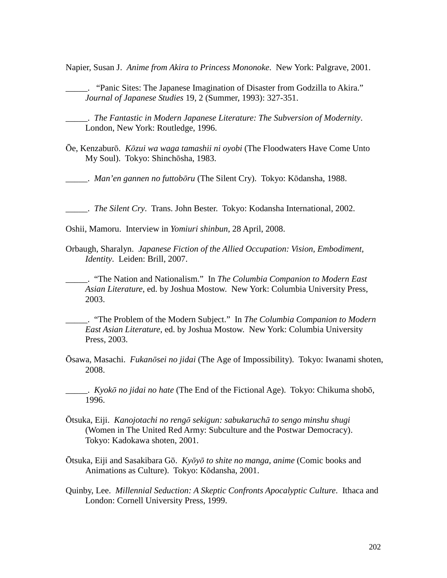Napier, Susan J. *Anime from Akira to Princess Mononoke*. New York: Palgrave, 2001.

- "Panic Sites: The Japanese Imagination of Disaster from Godzilla to Akira." *Journal of Japanese Studies* 19, 2 (Summer, 1993): 327-351.
- \_\_\_\_\_. *The Fantastic in Modern Japanese Literature: The Subversion of Modernity*. London, New York: Routledge, 1996.
- Ōe, Kenzaburō. *K*ō*zui wa waga tamashii ni oyobi* (The Floodwaters Have Come Unto My Soul). Tokyo: Shinchōsha, 1983.
- \_\_\_\_\_. *Man'en gannen no futtob*ō*ru* (The Silent Cry). Tokyo: Kōdansha, 1988.
- \_\_\_\_\_. *The Silent Cry*. Trans. John Bester. Tokyo: Kodansha International, 2002.
- Oshii, Mamoru. Interview in *Yomiuri shinbun*, 28 April, 2008.
- Orbaugh, Sharalyn. *Japanese Fiction of the Allied Occupation: Vision, Embodiment, Identity*. Leiden: Brill, 2007.
	- \_\_\_\_\_. "The Nation and Nationalism." In *The Columbia Companion to Modern East Asian Literature*, ed. by Joshua Mostow. New York: Columbia University Press, 2003.
- \_\_\_\_\_. "The Problem of the Modern Subject." In *The Columbia Companion to Modern East Asian Literature*, ed. by Joshua Mostow. New York: Columbia University Press, 2003.
- Ōsawa, Masachi. *Fukan*ō*sei no jidai* (The Age of Impossibility). Tokyo: Iwanami shoten, 2008.

\_\_\_\_\_. *Kyok*ō *no jidai no hate* (The End of the Fictional Age). Tokyo: Chikuma shobō, 1996.

- Ōtsuka, Eiji. *Kanojotachi no reng*ō *sekigun: sabukaruch*ā *to sengo minshu shugi*  (Women in The United Red Army: Subculture and the Postwar Democracy). Tokyo: Kadokawa shoten, 2001.
- Ōtsuka, Eiji and Sasakibara Gō. *Ky*ō*y*ō *to shite no manga, anime* (Comic books and Animations as Culture). Tokyo: Kōdansha, 2001.
- Quinby, Lee. *Millennial Seduction: A Skeptic Confronts Apocalyptic Culture*. Ithaca and London: Cornell University Press, 1999.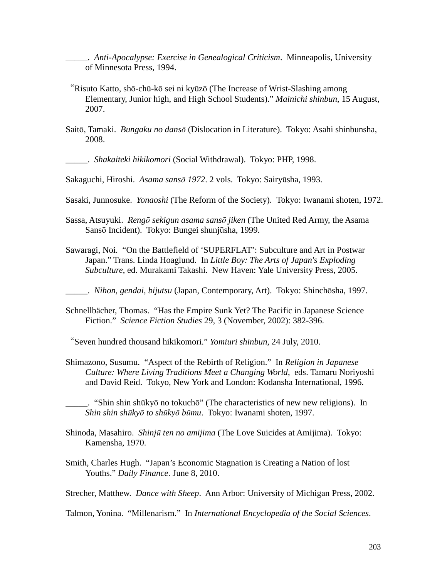\_\_\_\_\_. *Anti-Apocalypse: Exercise in Genealogical Criticism*. Minneapolis, University of Minnesota Press, 1994.

- "Risuto Katto, shō-chū-kō sei ni kyūzō (The Increase of Wrist-Slashing among Elementary, Junior high, and High School Students)." *Mainichi shinbun*, 15 August, 2007.
- Saitō, Tamaki. *Bungaku no dans*ō (Dislocation in Literature). Tokyo: Asahi shinbunsha, 2008.

\_\_\_\_\_. *Shakaiteki hikikomori* (Social Withdrawal). Tokyo: PHP, 1998.

Sakaguchi, Hiroshi. *Asama sans*ō *1972*. 2 vols. Tokyo: Sairyūsha, 1993.

- Sasaki, Junnosuke. *Yonaoshi* (The Reform of the Society). Tokyo: Iwanami shoten, 1972.
- Sassa, Atsuyuki. *Reng*ō *sekigun asama sans*ō *jiken* (The United Red Army, the Asama Sansō Incident). Tokyo: Bungei shunjūsha, 1999.
- Sawaragi, Noi. "On the Battlefield of 'SUPERFLAT': Subculture and Art in Postwar Japan." Trans. Linda Hoaglund. In *Little Boy: The Arts of Japan's Exploding Subculture*, ed. Murakami Takashi. New Haven: Yale University Press, 2005.

\_\_\_\_\_. *Nihon, gendai, bijutsu* (Japan, Contemporary, Art). Tokyo: Shinchōsha, 1997.

Schnellbächer, Thomas. "Has the Empire Sunk Yet? The Pacific in Japanese Science Fiction." *Science Fiction Studies* 29, 3 (November, 2002): 382-396.

"Seven hundred thousand hikikomori." *Yomiuri shinbun*, 24 July, 2010.

- Shimazono, Susumu. "Aspect of the Rebirth of Religion." In *Religion in Japanese Culture: Where Living Traditions Meet a Changing World*, eds. Tamaru Noriyoshi and David Reid. Tokyo, New York and London: Kodansha International, 1996.
- \_\_\_\_\_. "Shin shin shūkyō no tokuchō" (The characteristics of new new religions). In *Shin shin sh*ū*ky*ō *to sh*ū*ky*ō *b*ū*mu*. Tokyo: Iwanami shoten, 1997.
- Shinoda, Masahiro. *Shinj*ū *ten no amijima* (The Love Suicides at Amijima). Tokyo: Kamensha, 1970.
- Smith, Charles Hugh. "Japan's Economic Stagnation is Creating a Nation of lost Youths." *Daily Finance*. June 8, 2010.

Strecher, Matthew. *Dance with Sheep*. Ann Arbor: University of Michigan Press, 2002.

Talmon, Yonina. "Millenarism." In *International Encyclopedia of the Social Sciences*.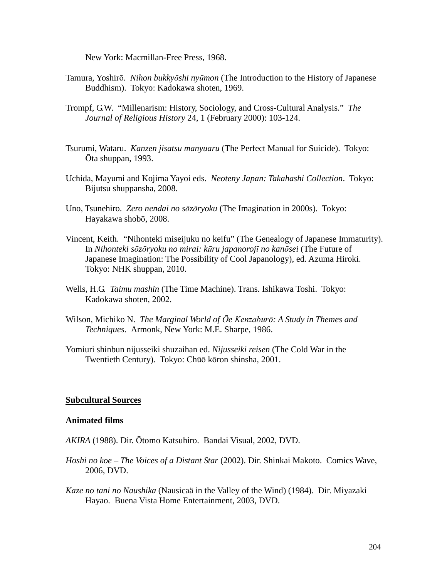New York: Macmillan-Free Press, 1968.

- Tamura, Yoshirō. *Nihon bukky*ō*shi ny*ū*mon* (The Introduction to the History of Japanese Buddhism). Tokyo: Kadokawa shoten, 1969.
- Trompf, G.W. "Millenarism: History, Sociology, and Cross-Cultural Analysis." *The Journal of Religious History* 24, 1 (February 2000): 103-124.
- Tsurumi, Wataru. *Kanzen jisatsu manyuaru* (The Perfect Manual for Suicide). Tokyo: Ōta shuppan, 1993.
- Uchida, Mayumi and Kojima Yayoi eds. *Neoteny Japan: Takahashi Collection*. Tokyo: Bijutsu shuppansha, 2008.
- Uno, Tsunehiro. *Zero nendai no s*ō*z*ō*ryoku* (The Imagination in 2000s). Tokyo: Hayakawa shobō, 2008.
- Vincent, Keith. "Nihonteki miseijuku no keifu" (The Genealogy of Japanese Immaturity). In *Nihonteki s*ō*z*ō*ryoku no mirai: k*ū*ru japanoroj*ī *no kan*ō*sei* (The Future of Japanese Imagination: The Possibility of Cool Japanology), ed. Azuma Hiroki. Tokyo: NHK shuppan, 2010.
- Wells, H.G. *Taimu mashin* (The Time Machine). Trans. Ishikawa Toshi. Tokyo: Kadokawa shoten, 2002.
- Wilson, Michiko N. *The Marginal World of* Ō*e* Kenzaburō*: A Study in Themes and Techniques*.Armonk, New York: M.E. Sharpe, 1986.
- Yomiuri shinbun nijusseiki shuzaihan ed. *Nijusseiki reisen* (The Cold War in the Twentieth Century). Tokyo: Chūō kōron shinsha, 2001.

### **Subcultural Sources**

#### **Animated films**

- *AKIRA* (1988). Dir. Ōtomo Katsuhiro. Bandai Visual, 2002, DVD.
- *Hoshi no koe The Voices of a Distant Star* (2002). Dir. Shinkai Makoto. Comics Wave, 2006, DVD.
- *Kaze no tani no Naushika* (Nausicaä in the Valley of the Wind) (1984). Dir. Miyazaki Hayao. Buena Vista Home Entertainment, 2003, DVD.